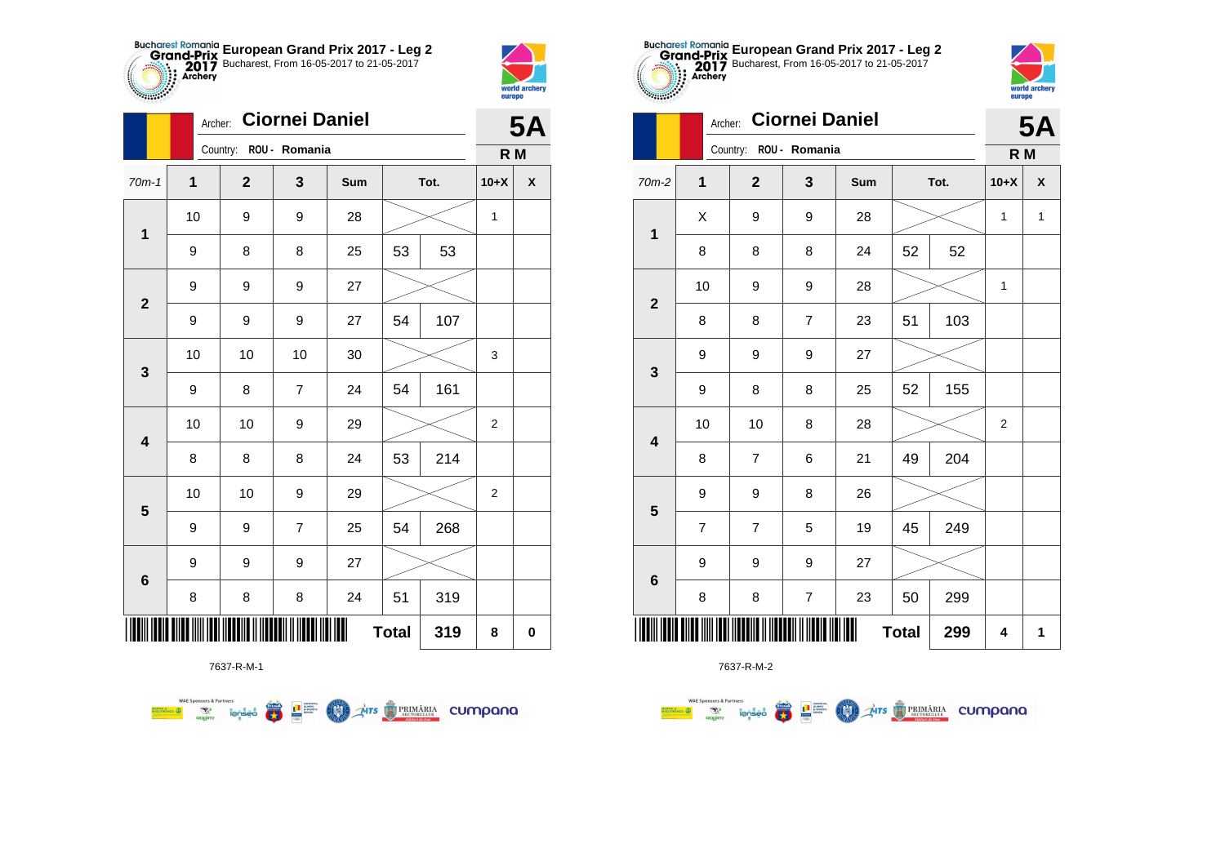



|                         |    | <b>Ciornei Daniel</b><br>Archer: |                |     |              |      |                |           |
|-------------------------|----|----------------------------------|----------------|-----|--------------|------|----------------|-----------|
|                         |    | Country: ROU - Romania           |                |     |              |      | R M            | <b>5A</b> |
| $70m-1$                 | 1  | $\mathbf{2}$                     | 3              | Sum |              | Tot. | $10+X$         | X         |
| $\mathbf 1$             | 10 | 9                                | 9              | 28  |              |      | 1              |           |
|                         | 9  | 8                                | 8              | 25  | 53           | 53   |                |           |
| $\mathbf{2}$            | 9  | 9                                | 9              | 27  |              |      |                |           |
|                         | 9  | 9                                | 9              | 27  | 54           | 107  |                |           |
| $\mathbf{3}$            | 10 | 10                               | 10             | 30  |              |      | 3              |           |
|                         | 9  | 8                                | $\overline{7}$ | 24  | 54           | 161  |                |           |
| $\overline{\mathbf{4}}$ | 10 | 10                               | 9              | 29  |              |      | $\overline{2}$ |           |
|                         | 8  | 8                                | 8              | 24  | 53           | 214  |                |           |
| $\overline{\mathbf{5}}$ | 10 | 10                               | 9              | 29  |              |      | $\overline{2}$ |           |
|                         | 9  | 9                                | $\overline{7}$ | 25  | 54           | 268  |                |           |
| $6\phantom{1}6$         | 9  | 9                                | 9              | 27  |              |      |                |           |
|                         | 8  | 8                                | 8              | 24  | 51           | 319  |                |           |
|                         |    |                                  |                |     | <b>Total</b> | 319  | 8              | $\pmb{0}$ |

**AITS REMARIA CUMPONO** 



 $\overline{\mathbf{r}}$ **THE SUPPRE**  LON)

**WAE Sponsors & Partners** 



7637-R-M-2

|                         | Archer:        |                        | <b>5A</b>      |            |    |      |                |              |
|-------------------------|----------------|------------------------|----------------|------------|----|------|----------------|--------------|
|                         |                | Country: ROU - Romania |                |            |    |      | R M            |              |
| $70m-2$                 | 1              | $\overline{2}$         | 3              | <b>Sum</b> |    | Tot. | $10+X$         | χ            |
| $\overline{\mathbf{1}}$ | X              | 9                      | 9              | 28         |    |      | 1              | $\mathbf{1}$ |
|                         | 8              | 8                      | 8              | 24         | 52 | 52   |                |              |
| $\mathbf{2}$            | 10             | 9                      | 9              | 28         |    |      | 1              |              |
|                         | 8              | 8                      | $\overline{7}$ | 23         | 51 | 103  |                |              |
| 3                       | 9              | 9                      | 9              | 27         |    |      |                |              |
|                         | 9              | 8                      | 8              | 25         | 52 | 155  |                |              |
| $\overline{\mathbf{4}}$ | 10             | 10                     | 8              | 28         |    |      | $\overline{c}$ |              |
|                         | 8              | $\overline{7}$         | 6              | 21         | 49 | 204  |                |              |
| $\overline{\mathbf{5}}$ | 9              | 9                      | 8              | 26         |    |      |                |              |
|                         | $\overline{7}$ | $\overline{7}$         | 5              | 19         | 45 | 249  |                |              |
|                         | 9              | 9                      | 9              | 27         |    |      |                |              |
| $\bf 6$                 | 8              | 8                      | 7              | 23         | 50 | 299  |                |              |
| <b>Total</b><br>299     |                |                        |                |            |    |      |                | 1            |



|                         |                | Country: ROU - Romania |                        |        |              |     |                |                    |  |  |  |
|-------------------------|----------------|------------------------|------------------------|--------|--------------|-----|----------------|--------------------|--|--|--|
| $70m-2$                 | $\mathbf{1}$   | $\mathbf{2}$           | 3                      | Sum    | Tot.         |     | $10+X$         | $\pmb{\mathsf{X}}$ |  |  |  |
| $\overline{\mathbf{1}}$ | Χ              | 9                      | 9                      | 28     |              |     | 1              | $\mathbf{1}$       |  |  |  |
|                         | 8              | 8                      | 8                      | 24     | 52           | 52  |                |                    |  |  |  |
| $\boldsymbol{2}$        | 10             | 9                      | 9                      | 28     |              |     | 1              |                    |  |  |  |
|                         | 8              | 8                      | $\overline{7}$         | 23     | 51           | 103 |                |                    |  |  |  |
| $\mathbf 3$             | 9              | 9                      | 9                      | 27     |              |     |                |                    |  |  |  |
|                         | 9              | 8                      | 8                      | 25     | 52           | 155 |                |                    |  |  |  |
| $\overline{\mathbf{4}}$ | 10             | 10                     | 8                      | 28     |              |     | $\overline{2}$ |                    |  |  |  |
|                         | 8              | $\overline{7}$         | 6                      | 21     | 49           | 204 |                |                    |  |  |  |
| $\overline{\mathbf{5}}$ | 9              | 9                      | 8                      | 26     |              |     |                |                    |  |  |  |
|                         | $\overline{7}$ | $\overline{7}$         | 5                      | 19     | 45           | 249 |                |                    |  |  |  |
| $\bf 6$                 | 9              | 9                      | 9                      | $27\,$ |              |     |                |                    |  |  |  |
|                         | 8              | 8                      | 7                      | 23     | 50           | 299 |                |                    |  |  |  |
| I IIIIIIIIIII           |                |                        | <u> Hill III III I</u> |        | <b>Total</b> | 299 | 4              | 1                  |  |  |  |

**European Grand Prix 2017 - Leg 2** Bucharest, From 16-05-2017 to 21-05-2017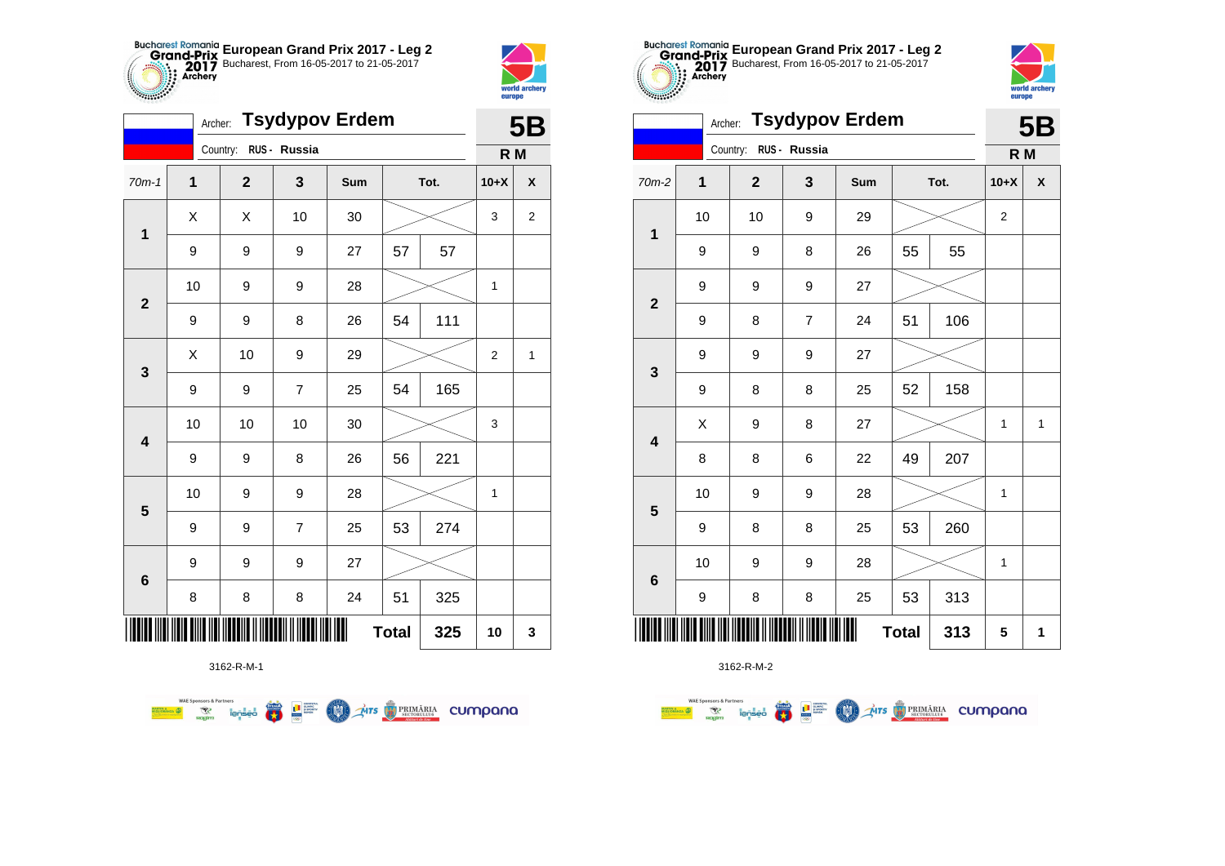



**STATISTICS** 

|                         | <b>Tsydypov Erdem</b><br>Archer: |             |                |     |              |     |        |                  |  |
|-------------------------|----------------------------------|-------------|----------------|-----|--------------|-----|--------|------------------|--|
|                         |                                  | Country:    | RUS - Russia   |     |              |     | R M    |                  |  |
| $70m-1$                 | 1                                | $\mathbf 2$ | 3              | Sum | Tot.         |     | $10+X$ | X                |  |
| $\mathbf 1$             | X                                | X           | 10             | 30  |              |     | 3      | $\boldsymbol{2}$ |  |
|                         | 9                                | 9           | 9              | 27  | 57           | 57  |        |                  |  |
| $\mathbf{2}$            | 10                               | 9           | 9              | 28  |              |     | 1      |                  |  |
|                         | 9                                | 9           | 8              | 26  | 54           | 111 |        |                  |  |
| 3                       | X                                | 10          | 9              | 29  |              |     | 2      | 1                |  |
|                         | 9                                | 9           | $\overline{7}$ | 25  | 54           | 165 |        |                  |  |
| $\overline{\mathbf{4}}$ | 10                               | 10          | 10             | 30  |              |     | 3      |                  |  |
|                         | $\boldsymbol{9}$                 | 9           | 8              | 26  | 56           | 221 |        |                  |  |
| $\overline{\mathbf{5}}$ | 10                               | 9           | 9              | 28  |              |     | 1      |                  |  |
|                         | 9                                | 9           | $\overline{7}$ | 25  | 53           | 274 |        |                  |  |
| $\bf 6$                 | 9                                | 9           | 9              | 27  |              |     |        |                  |  |
|                         | 8                                | 8           | 8              | 24  | 51           | 325 |        |                  |  |
|                         |                                  |             |                |     | <b>Total</b> | 325 | 10     | 3                |  |



3162-R-M-2

|                         |                     |  | Country: RUS - Russia |                |     |      |     |              |              |
|-------------------------|---------------------|--|-----------------------|----------------|-----|------|-----|--------------|--------------|
|                         |                     |  |                       |                |     |      |     | R M          |              |
| $70m-2$                 | 1                   |  | $\mathbf{2}$          | $\mathbf{3}$   | Sum | Tot. |     | $10+X$       | X            |
| $\mathbf 1$             | 10                  |  | 10                    | 9              | 29  |      |     | 2            |              |
|                         | 9                   |  | 9                     | 8              | 26  | 55   | 55  |              |              |
|                         | 9                   |  | 9                     | 9              | 27  |      |     |              |              |
| $\mathbf{2}$            | 9                   |  | 8                     | $\overline{7}$ | 24  | 51   | 106 |              |              |
|                         | 9                   |  | 9                     | 9              | 27  |      |     |              |              |
| $\mathbf 3$             | 9                   |  | 8                     | 8              | 25  | 52   | 158 |              |              |
|                         | X                   |  | 9                     | 8              | 27  |      |     | $\mathbf{1}$ | $\mathbf{1}$ |
| $\overline{\mathbf{4}}$ | 8                   |  | 8                     | 6              | 22  | 49   | 207 |              |              |
|                         | 10                  |  | 9                     | 9              | 28  |      |     | $\mathbf{1}$ |              |
| ${\bf 5}$               | 9                   |  | 8                     | 8              | 25  | 53   | 260 |              |              |
|                         | 10                  |  | 9                     | 9              | 28  |      |     | $\mathbf{1}$ |              |
| $\bf 6$                 | 9                   |  | 8                     | 8              | 25  | 53   | 313 |              |              |
| IIII                    | <b>Total</b><br>313 |  |                       |                |     |      |     |              | 1            |



 $F<sub>B</sub>$ 

|                         | Archer: Tsydypov Erdem |                       |                |     |              |      |                | 5Β           |
|-------------------------|------------------------|-----------------------|----------------|-----|--------------|------|----------------|--------------|
|                         |                        | Country: RUS - Russia |                |     |              |      | R <sub>M</sub> |              |
| $70m-2$                 | $\mathbf{1}$           | $\overline{2}$        | 3              | Sum |              | Tot. | $10+X$         | X            |
|                         | 10                     | 10                    | 9              | 29  |              |      | $\overline{2}$ |              |
| $\mathbf{1}$            | 9                      | 9                     | 8              | 26  | 55           | 55   |                |              |
|                         | 9                      | 9                     | 9              | 27  |              |      |                |              |
| $\overline{\mathbf{2}}$ | 9                      | 8                     | $\overline{7}$ | 24  | 51           | 106  |                |              |
|                         | 9                      | 9                     | 9              | 27  |              |      |                |              |
| 3                       | 9                      | 8                     | 8              | 25  | 52           | 158  |                |              |
|                         | X                      | 9                     | 8              | 27  |              |      | 1              | $\mathbf{1}$ |
| $\overline{\mathbf{4}}$ | 8                      | 8                     | 6              | 22  | 49           | 207  |                |              |
|                         | 10                     | 9                     | 9              | 28  |              |      | 1              |              |
| 5                       | 9                      | 8                     | 8              | 25  | 53           | 260  |                |              |
|                         | 10                     | 9                     | 9              | 28  |              |      | 1              |              |
| $\bf 6$                 | 9                      | 8                     | 8              | 25  | 53           | 313  |                |              |
|                         |                        |                       |                |     | <b>Total</b> | 313  | 5              | 1            |

**European Grand Prix 2017 - Leg 2** Bucharest, From 16-05-2017 to 21-05-2017

3162-R-M-1

**WAE Sponsors & Partner AITS** PRIMARIA CUMPONO L<sup>a</sup> Supply  $\overline{\mathbf{c}}$ M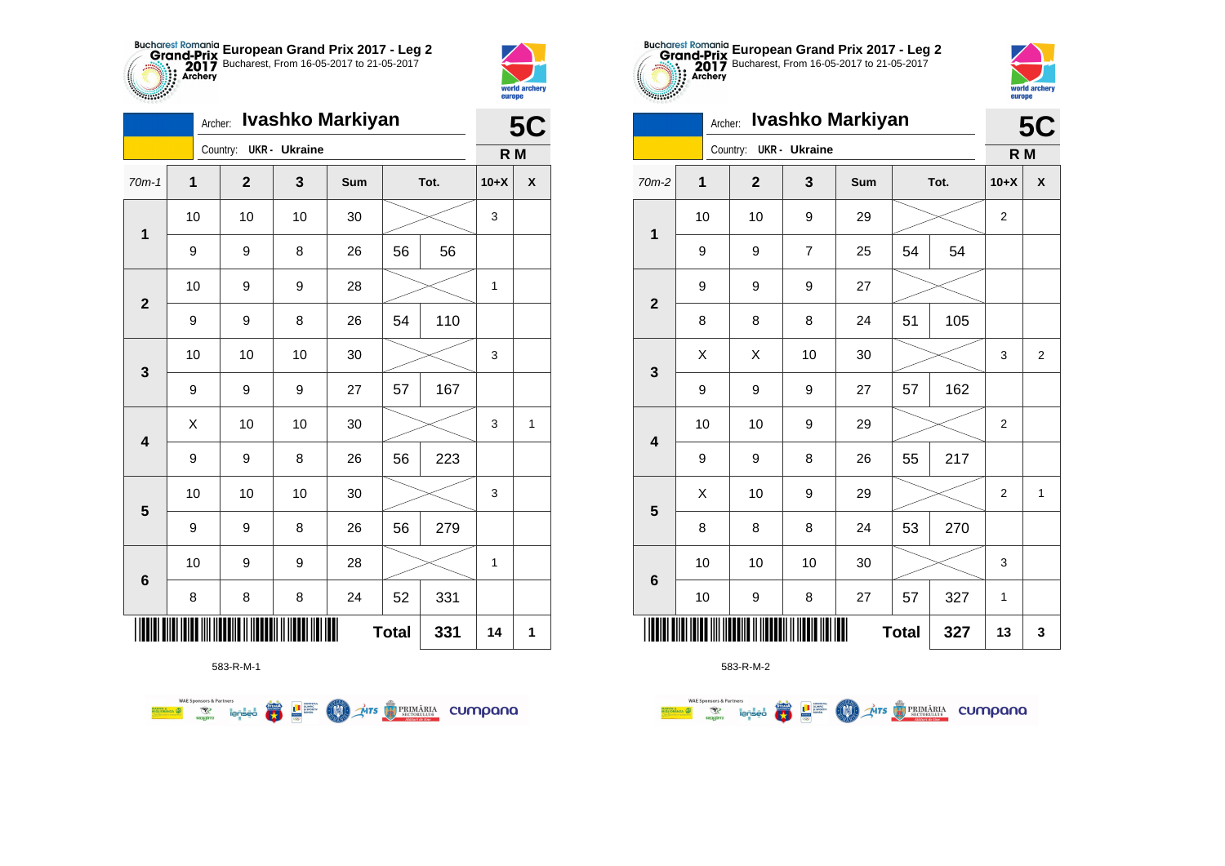



| Ivashko Markiyan<br>Archer: |                          |  |              |                      |     |    |      |        | 5C |  |
|-----------------------------|--------------------------|--|--------------|----------------------|-----|----|------|--------|----|--|
|                             |                          |  | Country:     | <b>UKR</b> - Ukraine |     |    |      | R M    |    |  |
| $70m-1$                     | $\mathbf 1$              |  | $\mathbf{2}$ | $\mathbf{3}$         | Sum |    | Tot. | $10+X$ | X  |  |
| 1                           | 10                       |  | 10           | 10                   | 30  |    |      | 3      |    |  |
|                             | 9                        |  | 9            | 8                    | 26  | 56 | 56   |        |    |  |
| $\mathbf{2}$                | 10                       |  | 9            | 9                    | 28  |    |      | 1      |    |  |
|                             | 9                        |  | 9            | 8                    | 26  | 54 | 110  |        |    |  |
| 3                           | 10                       |  | 10           | 10                   | 30  |    |      | 3      |    |  |
|                             | 9                        |  | 9            | 9                    | 27  | 57 | 167  |        |    |  |
| 4                           | X                        |  | 10           | 10                   | 30  |    |      | 3      | 1  |  |
|                             | 9                        |  | 9            | 8                    | 26  | 56 | 223  |        |    |  |
| 5                           | 10                       |  | 10           | 10                   | 30  |    |      | 3      |    |  |
|                             | 9                        |  | 9            | 8                    | 26  | 56 | 279  |        |    |  |
| $6\phantom{1}6$             | 10                       |  | 9            | 9                    | 28  |    |      | 1      |    |  |
|                             | 8                        |  | 8            | 8                    | 24  | 52 | 331  |        |    |  |
|                             | Ⅲ<br>331<br><b>Total</b> |  |              |                      |     |    |      | 14     | 1  |  |

**THE STRIMARIA CUMPANA** 



 $\left(\frac{\sinh\theta}{\cos\theta}\right)$ 

L B SUPPRE

**COO** 

**WAE Sponsors & Partners** 



583-R-M-2

| 10                 | 10 | 9              | 29     |              |     | $\overline{c}$          |                         |
|--------------------|----|----------------|--------|--------------|-----|-------------------------|-------------------------|
| 9                  | 9  | $\overline{7}$ | 25     | 54<br>54     |     |                         |                         |
| 9                  | 9  | 9              | 27     |              |     |                         |                         |
| 8                  | 8  | 8              | 24     | 51           | 105 |                         |                         |
| $\pmb{\mathsf{X}}$ | X  | 10             | $30\,$ |              |     | 3                       | $\overline{\mathbf{c}}$ |
| 9                  | 9  | 9              | 27     | 57           | 162 |                         |                         |
| $10$               | 10 | 9              | 29     |              |     | 2                       |                         |
| 9                  | 9  | 8              | 26     | 55           | 217 |                         |                         |
| Χ                  | 10 | 9              | 29     |              |     | $\overline{\mathbf{c}}$ | $\mathbf{1}$            |
| 8                  | 8  | 8              | 24     | 53           | 270 |                         |                         |
| 10                 | 10 | 10             | 30     |              |     | 3                       |                         |
| $10$               | 9  | 8              | 27     | 57           | 327 | 1                       |                         |
| ║║                 |    |                |        | <b>Total</b> | 327 | 13                      | 3                       |



|                         | <b>5C</b>   |                |                      |     |    |      |                  |                |
|-------------------------|-------------|----------------|----------------------|-----|----|------|------------------|----------------|
|                         |             | Country:       | <b>UKR</b> - Ukraine |     |    |      | R M              |                |
| 70m-2                   | $\mathbf 1$ | $\overline{2}$ | 3                    | Sum |    | Tot. | $10+X$           | χ              |
| $\mathbf 1$             | 10          | 10             | 9                    | 29  |    |      | $\boldsymbol{2}$ |                |
|                         | 9           | 9              | $\overline{7}$       | 25  | 54 | 54   |                  |                |
| $\boldsymbol{2}$        | 9           | 9              | 9                    | 27  |    |      |                  |                |
|                         | 8           | 8              | 8                    | 24  | 51 | 105  |                  |                |
| $\mathbf{3}$            | X           | Χ              | 10                   | 30  |    |      | 3                | $\overline{2}$ |
|                         | 9           | 9              | 9                    | 27  | 57 | 162  |                  |                |
| $\overline{\mathbf{4}}$ | 10          | 10             | 9                    | 29  |    |      | $\boldsymbol{2}$ |                |
|                         | 9           | 9              | 8                    | 26  | 55 | 217  |                  |                |
| $\overline{\mathbf{5}}$ | X           | 10             | 9                    | 29  |    |      | $\overline{2}$   | 1              |
|                         | 8           | 8              | 8                    | 24  | 53 | 270  |                  |                |
| $\bf 6$                 | 10          | 10             | 10                   | 30  |    |      | 3                |                |
|                         | 10          | 9              | 8                    | 27  | 57 | 327  | 1                |                |
| 327<br><b>Total</b>     |             |                |                      |     |    |      |                  | 3              |

**European Grand Prix 2017 - Leg 2** Bucharest, From 16-05-2017 to 21-05-2017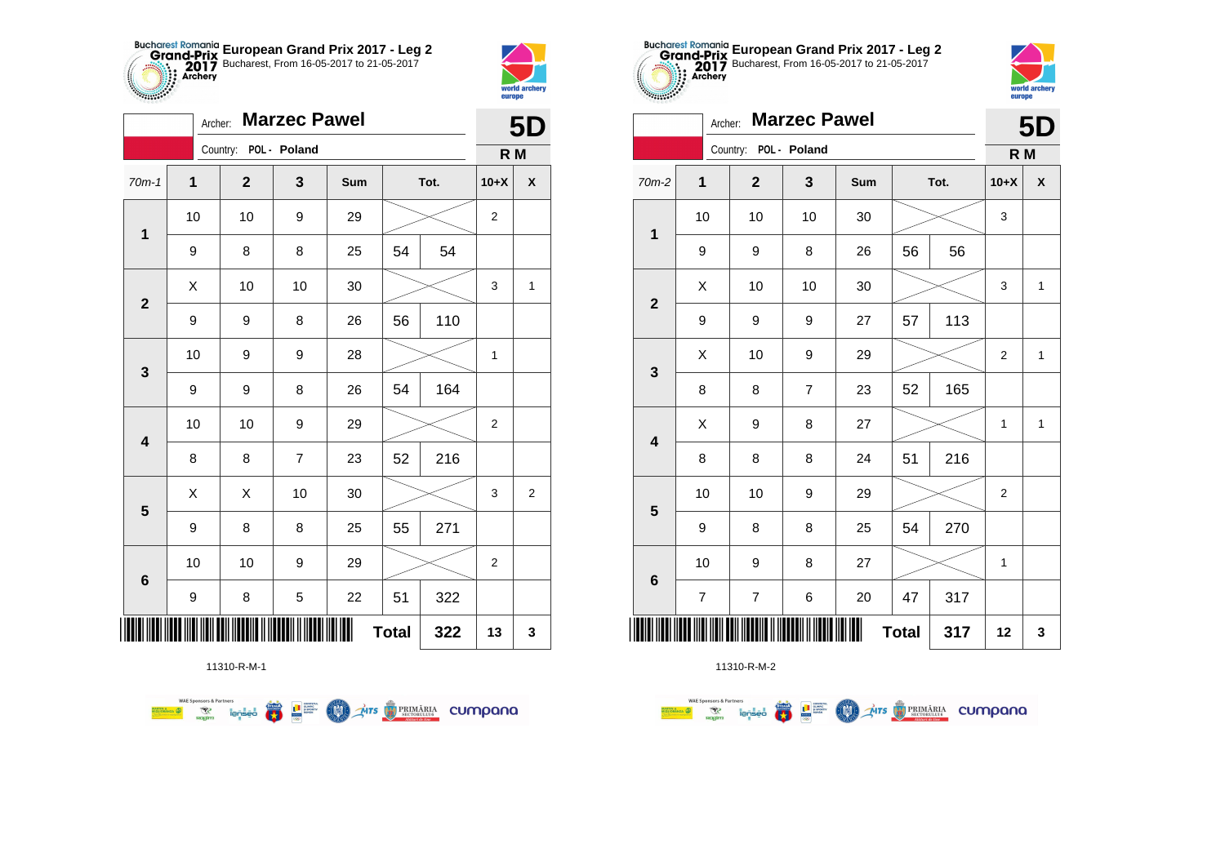



|                         | <b>Marzec Pawel</b><br>Archer: |                       |                |            |              |      |                |                |  |  |
|-------------------------|--------------------------------|-----------------------|----------------|------------|--------------|------|----------------|----------------|--|--|
|                         |                                | Country: POL - Poland |                |            |              |      | R M            |                |  |  |
| $70m-1$                 | 1                              | $\mathbf 2$           | 3              | <b>Sum</b> |              | Tot. | $10+X$         | X              |  |  |
| $\mathbf 1$             | 10                             | 10                    | 9              | 29         |              |      | 2              |                |  |  |
|                         | 9                              | 8                     | 8              | 25         | 54           | 54   |                |                |  |  |
| $\mathbf{2}$            | X                              | 10                    | 10             | 30         |              |      | 3              | 1              |  |  |
|                         | 9                              | 9                     | 8              | 26         | 56           | 110  |                |                |  |  |
| 3                       | 10                             | 9                     | 9              | 28         |              |      | 1              |                |  |  |
|                         | 9                              | 9                     | 8              | 26         | 54           | 164  |                |                |  |  |
| $\overline{\mathbf{4}}$ | 10                             | 10                    | 9              | 29         |              |      | $\overline{2}$ |                |  |  |
|                         | 8                              | 8                     | $\overline{7}$ | 23         | 52           | 216  |                |                |  |  |
| $\overline{\mathbf{5}}$ | X                              | X                     | 10             | 30         |              |      | 3              | $\overline{2}$ |  |  |
|                         | 9                              | 8                     | 8              | 25         | 55           | 271  |                |                |  |  |
| $\bf 6$                 | 10                             | 10                    | 9              | 29         |              |      | 2              |                |  |  |
|                         | 9                              | 8                     | $\mathbf 5$    | 22         | 51           | 322  |                |                |  |  |
| ∭                       |                                |                       |                |            | <b>Total</b> | 322  | 13             | 3              |  |  |

**THE STRIMARIA CUMPANA** 

11310-R-M-1

 $\overline{\mathbf{r}}$ 

L<sup>a</sup> Supply

**MAN** 

**WAE Sponsors & Partners** 



11310-R-M-2

| $-0.000000$             | europe                   |                |                     |     |    |      |        |              |
|-------------------------|--------------------------|----------------|---------------------|-----|----|------|--------|--------------|
|                         | Archer:                  |                | <b>Marzec Pawel</b> |     |    |      |        | <b>5D</b>    |
|                         |                          | Country:       | POL - Poland        |     |    |      | R M    |              |
| 70m-2                   | 1                        | $\mathbf{2}$   | 3                   | Sum |    | Tot. | $10+X$ | X            |
| $\mathbf 1$             | 10                       | 10             | 10                  | 30  |    |      | 3      |              |
|                         | 9                        | 9              | 8                   | 26  | 56 | 56   |        |              |
| $\overline{2}$          | X                        | 10             | 10                  | 30  |    |      | 3      | $\mathbf{1}$ |
|                         | 9                        | 9              | 9                   | 27  | 57 | 113  |        |              |
|                         | X                        | 10             | 9                   | 29  |    |      | 2      | 1            |
| 3                       | 8                        | 8              | $\overline{7}$      | 23  | 52 | 165  |        |              |
| $\overline{\mathbf{4}}$ | X                        | 9              | 8                   | 27  |    |      | 1      | $\mathbf{1}$ |
|                         | 8                        | 8              | 8                   | 24  | 51 | 216  |        |              |
| 5                       | 10                       | 10             | 9                   | 29  |    |      | 2      |              |
|                         | 9                        | 8              | 8                   | 25  | 54 | 270  |        |              |
| $6\phantom{1}6$         | 10                       | 9              | 8                   | 27  |    |      | 1      |              |
|                         | $\overline{\mathcal{I}}$ | $\overline{7}$ | 6                   | 20  | 47 | 317  |        |              |
|                         | 12                       | 3              |                     |     |    |      |        |              |

**European Grand Prix 2017 - Leg 2** Bucharest, From 16-05-2017 to 21-05-2017

world arche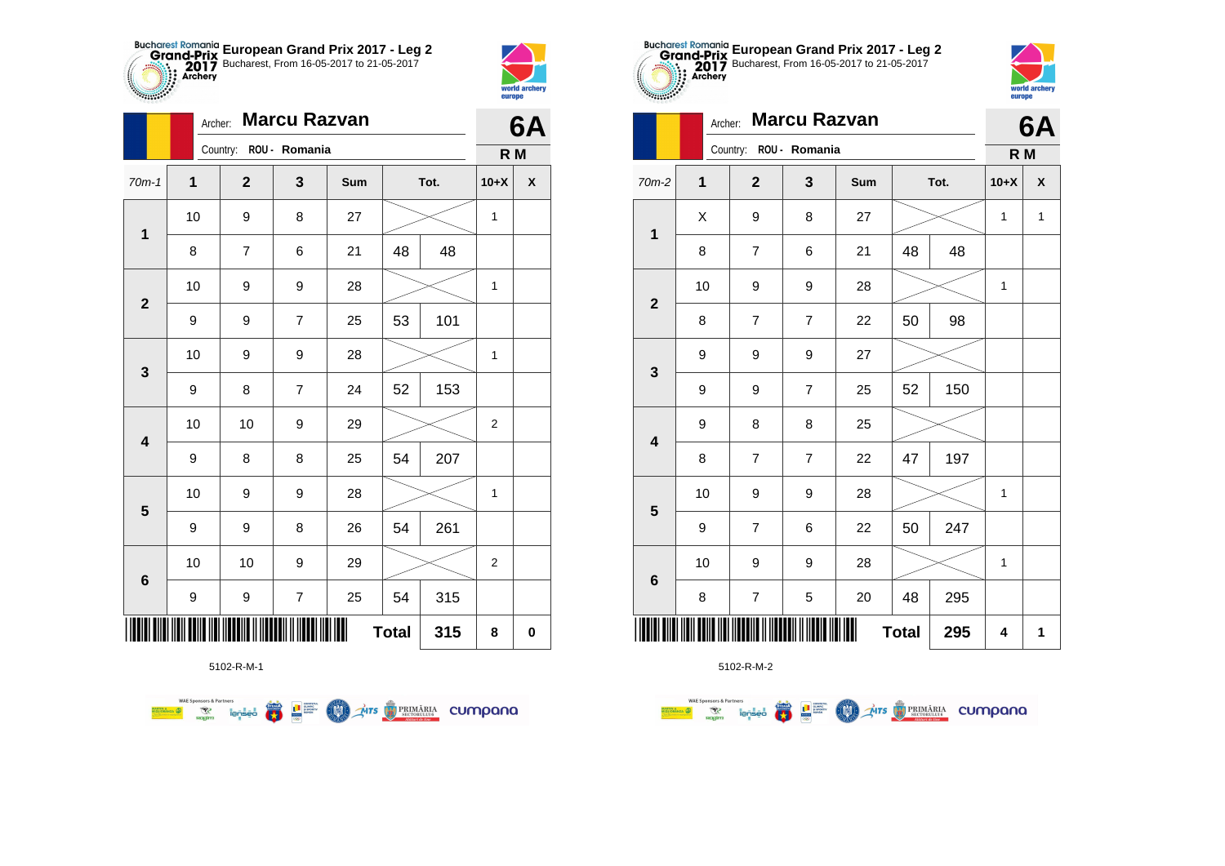



|                         | Archer: |              |                        | 6Α  |              |      |                |                    |
|-------------------------|---------|--------------|------------------------|-----|--------------|------|----------------|--------------------|
|                         |         |              | Country: ROU - Romania |     |              |      | R M            |                    |
| $70m-1$                 | 1       | $\mathbf{2}$ | 3                      | Sum |              | Tot. | $10+X$         | $\pmb{\mathsf{X}}$ |
| 1                       | 10      | 9            | 8                      | 27  |              |      | $\mathbf{1}$   |                    |
|                         | 8       | 7            | 6                      | 21  | 48           | 48   |                |                    |
| $\overline{2}$          | 10      | 9            | 9                      | 28  |              |      | 1              |                    |
|                         | 9       | 9            | $\overline{7}$         | 25  | 53           | 101  |                |                    |
| $\mathbf{3}$            | 10      | 9            | 9                      | 28  |              |      | 1              |                    |
|                         | 9       | 8            | $\overline{7}$         | 24  | 52           | 153  |                |                    |
| $\overline{\mathbf{4}}$ | 10      | 10           | 9                      | 29  |              |      | $\overline{2}$ |                    |
|                         | 9       | 8            | 8                      | 25  | 54           | 207  |                |                    |
| $\overline{\mathbf{5}}$ | 10      | 9            | 9                      | 28  |              |      | 1              |                    |
|                         | 9       | 9            | 8                      | 26  | 54           | 261  |                |                    |
| $6\phantom{1}6$         | 10      | 10           | 9                      | 29  |              |      | $\mathbf{2}$   |                    |
|                         | 9       | 9            | $\boldsymbol{7}$       | 25  | 54           | 315  |                |                    |
|                         |         |              |                        |     | <b>Total</b> | 315  | 8              | $\pmb{0}$          |

**THE STRIMARIA CUMPANA** 



**FRA** 

L B SUPPRE

**COO** 

**WAE Sponsors & Partners** 



5102-R-M-2

| <b><i>Property</i></b>  |         |                        |                     |     |              |      | world archery<br>europe |              |
|-------------------------|---------|------------------------|---------------------|-----|--------------|------|-------------------------|--------------|
|                         | Archer: |                        | <b>Marcu Razvan</b> |     |              |      |                         | 6A           |
|                         |         | Country: ROU - Romania |                     |     |              |      | R <sub>M</sub>          |              |
| 70m-2                   | 1       | $\overline{2}$         | 3                   | Sum |              | Tot. | $10+X$                  | X            |
| $\mathbf 1$             | X       | 9                      | 8                   | 27  |              |      | $\mathbf{1}$            | $\mathbf{1}$ |
|                         | 8       | $\overline{7}$         | 6                   | 21  | 48           | 48   |                         |              |
| $\mathbf{2}$            | 10      | 9                      | 9                   | 28  |              |      | $\mathbf{1}$            |              |
|                         | 8       | $\overline{7}$         | $\overline{7}$      | 22  | 50           | 98   |                         |              |
| $\mathbf 3$             | 9       | 9                      | 9                   | 27  |              |      |                         |              |
|                         | 9       | 9                      | $\overline{7}$      | 25  | 52           | 150  |                         |              |
| $\overline{\mathbf{4}}$ | 9       | 8                      | 8                   | 25  |              |      |                         |              |
|                         | 8       | $\overline{7}$         | $\overline{7}$      | 22  | 47           | 197  |                         |              |
| $5\phantom{1}$          | 10      | 9                      | 9                   | 28  |              |      | 1                       |              |
|                         | 9       | $\overline{7}$         | 6                   | 22  | 50           | 247  |                         |              |
|                         | 10      | 9                      | 9                   | 28  |              |      | $\mathbf{1}$            |              |
| $6\phantom{1}6$         | 8       | $\overline{7}$         | 5                   | 20  | 48           | 295  |                         |              |
|                         |         |                        |                     |     | <b>Total</b> | 295  | 4                       | 1            |



|                         |             | Country:<br>ROU - Romania |                  |     |      |     |        |              |
|-------------------------|-------------|---------------------------|------------------|-----|------|-----|--------|--------------|
| $70m-2$                 | $\mathbf 1$ | $\mathbf{2}$              | 3                | Sum | Tot. |     | $10+X$ | X            |
| $\mathbf 1$             | X           | 9                         | 8                | 27  |      |     | 1      | $\mathbf{1}$ |
|                         | 8           | $\overline{\mathbf{7}}$   | 6                | 21  | 48   | 48  |        |              |
| $\overline{\mathbf{2}}$ | 10          | 9                         | 9                | 28  |      |     | 1      |              |
|                         | 8           | $\overline{\mathbf{7}}$   | $\overline{7}$   | 22  | 50   | 98  |        |              |
| $\mathbf 3$             | 9           | 9                         | $\boldsymbol{9}$ | 27  |      |     |        |              |
|                         | 9           | 9                         | $\overline{7}$   | 25  | 52   | 150 |        |              |
| $\overline{\mathbf{4}}$ | 9           | 8                         | 8                | 25  |      |     |        |              |
|                         | 8           | $\overline{7}$            | 7                | 22  | 47   | 197 |        |              |
| $\overline{\mathbf{5}}$ | 10          | 9                         | 9                | 28  |      |     | 1      |              |
|                         | 9           | $\overline{\mathbf{7}}$   | 6                | 22  | 50   | 247 |        |              |
| $6\phantom{1}$          | 10          | 9                         | 9                | 28  |      |     | 1      |              |
|                         | 8           | $\boldsymbol{7}$          | 5                | 20  | 48   | 295 |        |              |
| <b>Total</b><br>295     |             |                           |                  |     |      |     |        | 1            |

**European Grand Prix 2017 - Leg 2** Bucharest, From 16-05-2017 to 21-05-2017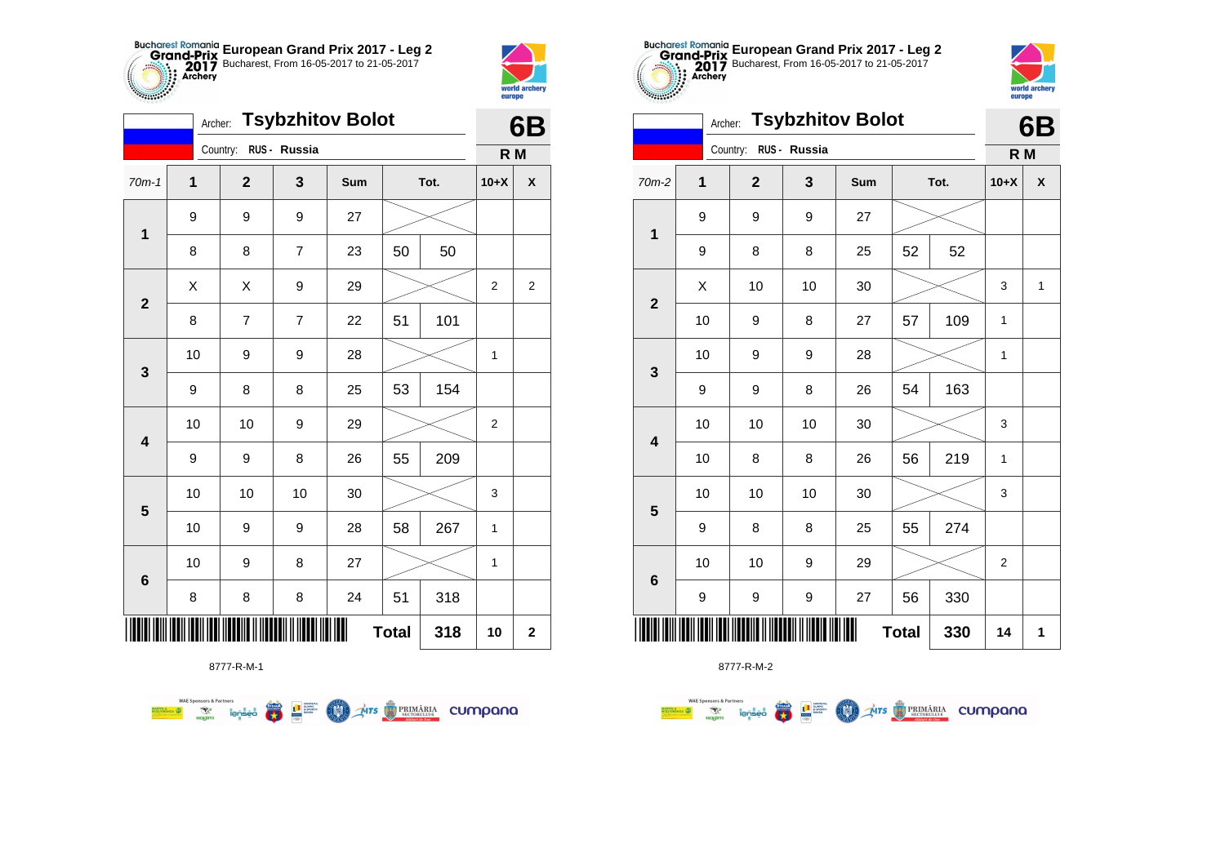



|                         | 6B |                       |                |     |              |      |                |                |
|-------------------------|----|-----------------------|----------------|-----|--------------|------|----------------|----------------|
|                         |    | Country: RUS - Russia |                |     |              |      | R M            |                |
| $70m-1$                 | 1  | $\mathbf{2}$          | 3              | Sum |              | Tot. | $10+X$         | X              |
| $\mathbf 1$             | 9  | 9                     | 9              | 27  |              |      |                |                |
|                         | 8  | 8                     | $\overline{7}$ | 23  | 50           | 50   |                |                |
| $\mathbf{2}$            | X  | X                     | 9              | 29  |              |      | $\overline{2}$ | $\overline{2}$ |
|                         | 8  | 7                     | $\overline{7}$ | 22  | 51           | 101  |                |                |
| 3                       | 10 | 9                     | 9              | 28  |              |      | 1              |                |
|                         | 9  | 8                     | 8              | 25  | 53           | 154  |                |                |
| $\overline{\mathbf{4}}$ | 10 | 10                    | 9              | 29  |              |      | $\overline{2}$ |                |
|                         | 9  | 9                     | 8              | 26  | 55           | 209  |                |                |
| $\overline{\mathbf{5}}$ | 10 | 10                    | 10             | 30  |              |      | 3              |                |
|                         | 10 | 9                     | 9              | 28  | 58           | 267  | 1              |                |
| $\bf 6$                 | 10 | 9                     | 8              | 27  |              |      | 1              |                |
|                         | 8  | 8                     | 8              | 24  | 51           | 318  |                |                |
|                         |    |                       |                |     | <b>Total</b> | 318  | 10             | $\mathbf 2$    |

**AITS REMARIA CUMPONO** 



8777-R-M-2

| $70m-2$                 | $\mathbf 1$ | $\mathbf{2}$ | 3   | Sum    | Tot. |     | $10+X$                  | X            |
|-------------------------|-------------|--------------|-----|--------|------|-----|-------------------------|--------------|
| $\overline{\mathbf{1}}$ | 9           | 9            | 9   | 27     |      |     |                         |              |
|                         | 9           | 8            | 8   | 25     | 52   | 52  |                         |              |
| $\boldsymbol{2}$        | Χ           | 10           | 10  | 30     |      |     | 3                       | $\mathbf{1}$ |
|                         | 10          | 9            | 8   | 27     | 57   | 109 | $\mathbf 1$             |              |
| 3                       | 10          | 9            | 9   | 28     |      |     | 1                       |              |
|                         | 9           | 9            | 8   | 26     | 54   | 163 |                         |              |
| $\overline{\mathbf{4}}$ | 10          | 10           | 10  | 30     |      |     | $\mathsf 3$             |              |
|                         | $10$        | 8            | 8   | 26     | 56   | 219 | 1                       |              |
| $5\phantom{1}$          | 10          | 10           | 10  | $30\,$ |      |     | 3                       |              |
|                         | 9           | 8            | 8   | 25     | 55   | 274 |                         |              |
| $\bf 6$                 | 10          | 10           | 9   | 29     |      |     | $\overline{\mathbf{c}}$ |              |
|                         | 9           | 9            | 9   | 27     | 56   | 330 |                         |              |
|                         |             | <b>Total</b> | 330 | 14     | 1    |     |                         |              |

**European Grand Prix 2017 - Leg 2** Bucharest, From 16-05-2017 to 21-05-2017

**6B**

world archer

eurone

**R M**

Archer: **Tsybzhitov Bolot**

Country: **RUS - Russia**

**THE** 

8777-R-M-1

 $rac{3\pi}{2\pi}$ **THE SUPPRE**  (M)

**WAE Sponsors & Partners**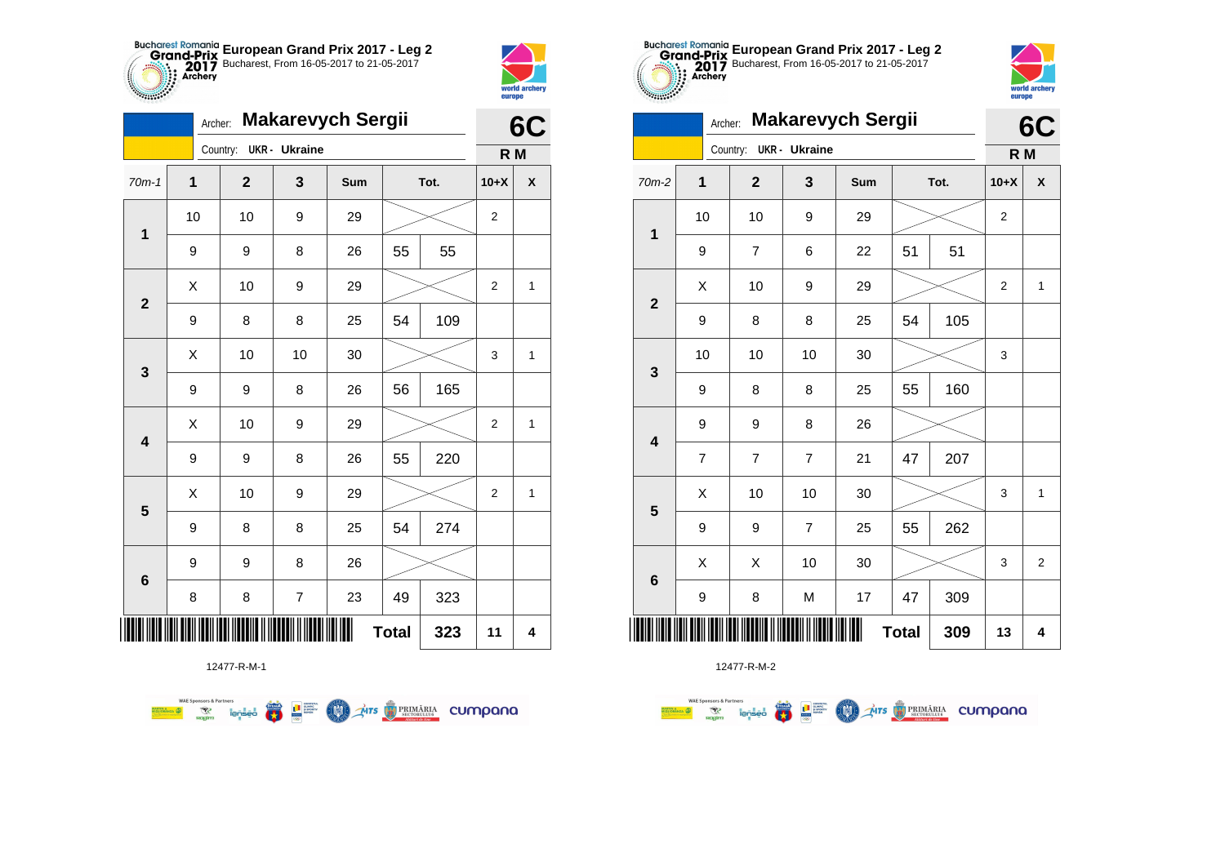



 $\overline{a}$ 

**THE** 

|              | 6C          |                |                      |     |              |      |             |   |
|--------------|-------------|----------------|----------------------|-----|--------------|------|-------------|---|
|              |             | Country:       | <b>UKR</b> - Ukraine |     |              |      | R M         |   |
| $70m-1$      | $\mathbf 1$ | $\overline{2}$ | 3                    | Sum |              | Tot. | $10+X$      | X |
| $\mathbf 1$  | 10          | 10             | 9                    | 29  |              |      | 2           |   |
|              | 9           | 9              | 8                    | 26  | 55           | 55   |             |   |
| $\mathbf{2}$ | Χ           | 10             | 9                    | 29  |              |      | $\mathbf 2$ | 1 |
|              | 9           | 8              | 8                    | 25  | 54           | 109  |             |   |
| 3            | Χ           | 10             | 10                   | 30  |              |      | 3           | 1 |
|              | 9           | 9              | 8                    | 26  | 56           | 165  |             |   |
| 4            | X           | 10             | 9                    | 29  |              |      | 2           | 1 |
|              | 9           | 9              | 8                    | 26  | 55           | 220  |             |   |
| 5            | Χ           | 10             | 9                    | 29  |              |      | 2           | 1 |
|              | 9           | 8              | 8                    | 25  | 54           | 274  |             |   |
| 6            | 9           | 9              | 8                    | 26  |              |      |             |   |
|              | 8           | 8              | $\overline{7}$       | 23  | 49           | 323  |             |   |
|              |             |                |                      |     | <b>Total</b> | 323  | 11          | 4 |



12477-R-M-2

|                         |              |                         |                        |                |     |    |      |                | UV             |
|-------------------------|--------------|-------------------------|------------------------|----------------|-----|----|------|----------------|----------------|
|                         |              |                         | Country: UKR - Ukraine |                |     |    |      | R M            |                |
| $70m-2$                 | $\mathbf{1}$ |                         | $\mathbf{2}$           | 3              | Sum |    | Tot. | $10+X$         | X              |
| $\mathbf{1}$            | 10           |                         | 10                     | 9              | 29  |    |      | $\mathbf{2}$   |                |
|                         | 9            |                         | $\overline{7}$         | 6              | 22  | 51 | 51   |                |                |
| $\overline{\mathbf{2}}$ | X            |                         | 10                     | 9              | 29  |    |      | $\overline{2}$ | $\mathbf{1}$   |
|                         | 9            |                         | 8                      | 8              | 25  | 54 | 105  |                |                |
| $\mathbf 3$             |              | 10                      | 10                     | 10             | 30  |    |      | 3              |                |
|                         | 9            |                         | 8                      | 8              | 25  | 55 | 160  |                |                |
| $\overline{\mathbf{4}}$ | 9            |                         | $\boldsymbol{9}$       | 8              | 26  |    |      |                |                |
|                         |              | $\overline{\mathbf{7}}$ | $\boldsymbol{7}$       | $\overline{7}$ | 21  | 47 | 207  |                |                |
| $\overline{\mathbf{5}}$ |              | Χ                       | 10                     | 10             | 30  |    |      | 3              | $\mathbf{1}$   |
|                         | 9            |                         | 9                      | $\overline{7}$ | 25  | 55 | 262  |                |                |
|                         |              | X                       | X                      | 10             | 30  |    |      | 3              | $\overline{2}$ |
| $\bf 6$                 |              | 9                       | 8                      | M              | 17  | 47 | 309  |                |                |
| <b>Total</b><br>309     |              |                         |                        |                |     |    |      |                | 4              |

**European Grand Prix 2017 - Leg 2** Bucharest, From 16-05-2017 to 21-05-2017

Archer: **Makarevych Sergii**



**6C**

|                         |             |                        |                          | - - - ອ |              |      | ひし             |                    |  |
|-------------------------|-------------|------------------------|--------------------------|---------|--------------|------|----------------|--------------------|--|
|                         |             | Country: UKR - Ukraine |                          |         |              |      | R M            |                    |  |
| $70m-2$                 | $\mathbf 1$ | $\mathbf{2}$           | 3                        | Sum     |              | Tot. | $10+X$         | $\pmb{\mathsf{X}}$ |  |
|                         | 10          | 10                     | 9                        | 29      |              |      |                |                    |  |
| $\mathbf{1}$            | 9           | $\overline{7}$         | 6                        | 22      | 51           | 51   |                |                    |  |
|                         | X           | 10                     | 9                        | 29      |              |      | $\overline{2}$ | $\mathbf{1}$       |  |
| $\mathbf 2$             | 9           | 8                      | 8                        | 25      | 54           | 105  |                |                    |  |
|                         | 10          | 10                     | 10                       | 30      |              |      | 3              |                    |  |
| 3                       | 9           | 8                      | 8                        | 25      | 55           | 160  |                |                    |  |
| 4                       | 9           | 9                      | 8                        | 26      |              |      |                |                    |  |
|                         | 7           | $\overline{7}$         | 7                        | 21      | 47           | 207  |                |                    |  |
|                         | Χ           | 10                     | 10                       | $30\,$  |              |      | 3              | $\mathbf{1}$       |  |
| $\overline{\mathbf{5}}$ | 9           | 9                      | $\overline{\mathcal{I}}$ | 25      | 55           | 262  |                |                    |  |
|                         | X           | Χ                      | 10                       | 30      |              |      | 3              | $\overline{2}$     |  |
| 6                       | 9           | 8                      | M                        | 17      | 47           | 309  |                |                    |  |
|                         |             |                        |                          |         | <b>Total</b> | 309  | 13             | 4                  |  |

12477-R-M-1

**WAE Sponsors & Partners AITS REMARIA CUMPONO**  $\overline{\mathbf{r}}$ **THE SECRETS** (M)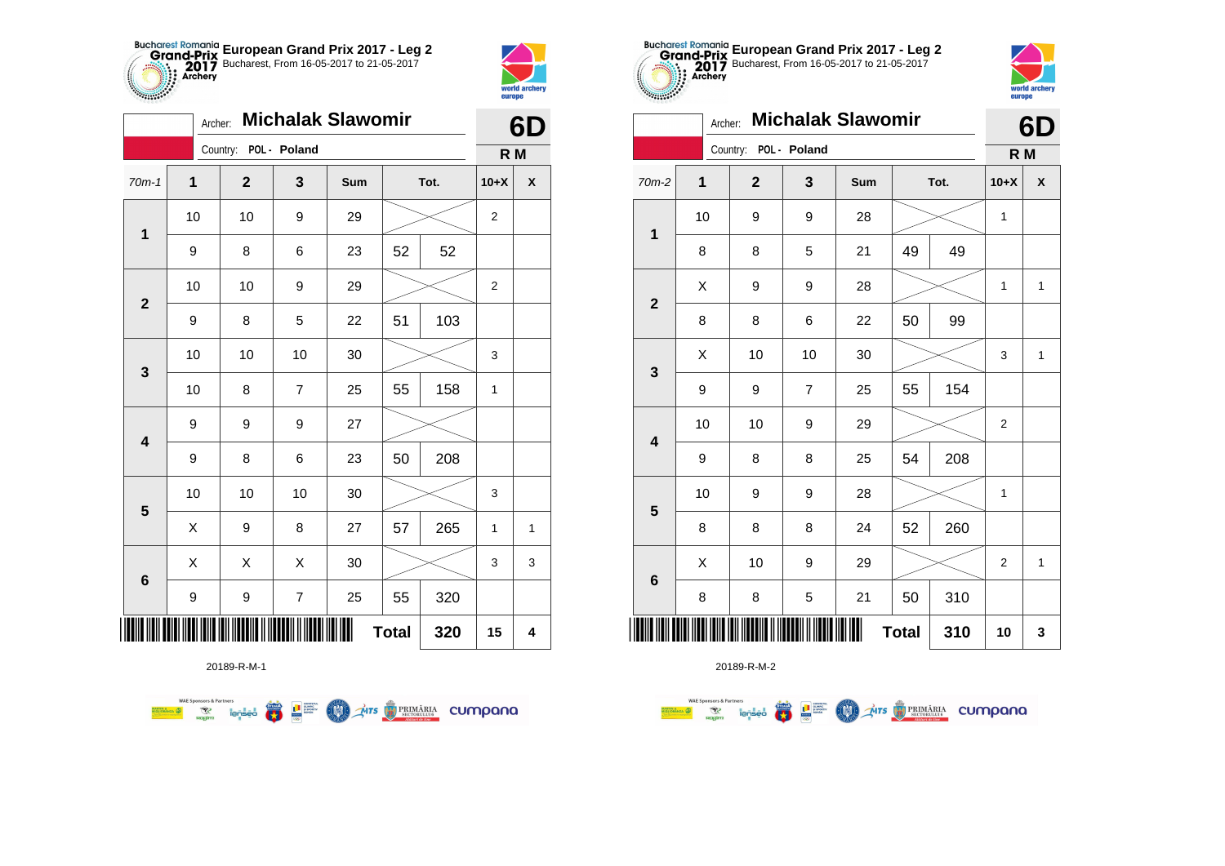



| <b>Michalak Slawomir</b><br>Archer: |    |                       |                  |     |              |      |                | 6D                 |  |  |
|-------------------------------------|----|-----------------------|------------------|-----|--------------|------|----------------|--------------------|--|--|
|                                     |    | Country: POL - Poland |                  |     |              |      | R M            |                    |  |  |
| $70m-1$                             | 1  | $\mathbf{2}$          | 3                | Sum |              | Tot. | $10+X$         | $\pmb{\mathsf{X}}$ |  |  |
|                                     | 10 | 10                    | 9                | 29  |              |      | $\overline{2}$ |                    |  |  |
| $\mathbf 1$                         | 9  | 8                     | 6                | 23  | 52           | 52   |                |                    |  |  |
| $\mathbf 2$                         | 10 | 10                    | 9                | 29  |              |      | 2              |                    |  |  |
|                                     | 9  | 8                     | 5                | 22  | 51           | 103  |                |                    |  |  |
| 3                                   | 10 | 10                    | 10               | 30  |              |      | 3              |                    |  |  |
|                                     | 10 | 8                     | $\overline{7}$   | 25  | 55           | 158  | 1              |                    |  |  |
| $\overline{\mathbf{4}}$             | 9  | 9                     | 9                | 27  |              |      |                |                    |  |  |
|                                     | 9  | 8                     | 6                | 23  | 50           | 208  |                |                    |  |  |
| $\overline{\mathbf{5}}$             | 10 | 10                    | 10               | 30  |              |      | 3              |                    |  |  |
|                                     | X  | 9                     | 8                | 27  | 57           | 265  | $\mathbf{1}$   | 1                  |  |  |
|                                     | X  | X                     | X                | 30  |              |      | 3              | 3                  |  |  |
| $\bf 6$                             | 9  | 9                     | $\boldsymbol{7}$ | 25  | 55           | 320  |                |                    |  |  |
| ║║║                                 |    |                       |                  |     | <b>Total</b> | 320  | 15             | 4                  |  |  |





| <b>Michalak Slawomir</b><br>Archer: |                     |                       |                  |     |    |      |                | 6D           |  |
|-------------------------------------|---------------------|-----------------------|------------------|-----|----|------|----------------|--------------|--|
|                                     |                     | Country: POL - Poland |                  |     |    |      | R M            |              |  |
| $70m-2$                             | 1                   | $\mathbf{2}$          | 3                | Sum |    | Tot. | $10+X$         | χ            |  |
| $\mathbf 1$                         | 10                  | 9                     | $\boldsymbol{9}$ | 28  |    |      |                |              |  |
|                                     | 8                   | 8                     | 5                | 21  | 49 | 49   |                |              |  |
| $\mathbf{2}$                        | X                   | 9                     | 9                | 28  |    |      | 1              | 1            |  |
|                                     | 8                   | 8                     | 6                | 22  | 50 | 99   |                |              |  |
| $\mathbf{3}$                        | X                   | 10                    | 10               | 30  |    |      | 3              | 1            |  |
|                                     | 9                   | 9                     | $\overline{7}$   | 25  | 55 | 154  |                |              |  |
| $\overline{\mathbf{4}}$             | 10                  | 10                    | 9                | 29  |    |      | 2              |              |  |
|                                     | 9                   | 8                     | 8                | 25  | 54 | 208  |                |              |  |
| 5                                   | 10                  | 9                     | $\boldsymbol{9}$ | 28  |    |      | 1              |              |  |
|                                     | 8                   | 8                     | 8                | 24  | 52 | 260  |                |              |  |
| $\bf 6$                             | X                   | 10                    | $\boldsymbol{9}$ | 29  |    |      | $\overline{2}$ | $\mathbf{1}$ |  |
|                                     | 8                   | 8                     | 5                | 21  | 50 | 310  |                |              |  |
| ║║║                                 | <b>Total</b><br>310 |                       |                  |     |    |      |                |              |  |

20189-R-M-2

**Exposition Service**<br>Regime lensed

**WAE Sponsors & Partners** 

MARTIN ANZA

**THE SUPPRE DESCRIPTION**  $\mathcal{A}$ irs  $\bigcirc$  PRIMĂRIA CUMPONO **COND** 

20189-R-M-1

**WAE Sponsors & Partners Example 19 and 1975 COLORED PRIMARIA CUMPANA**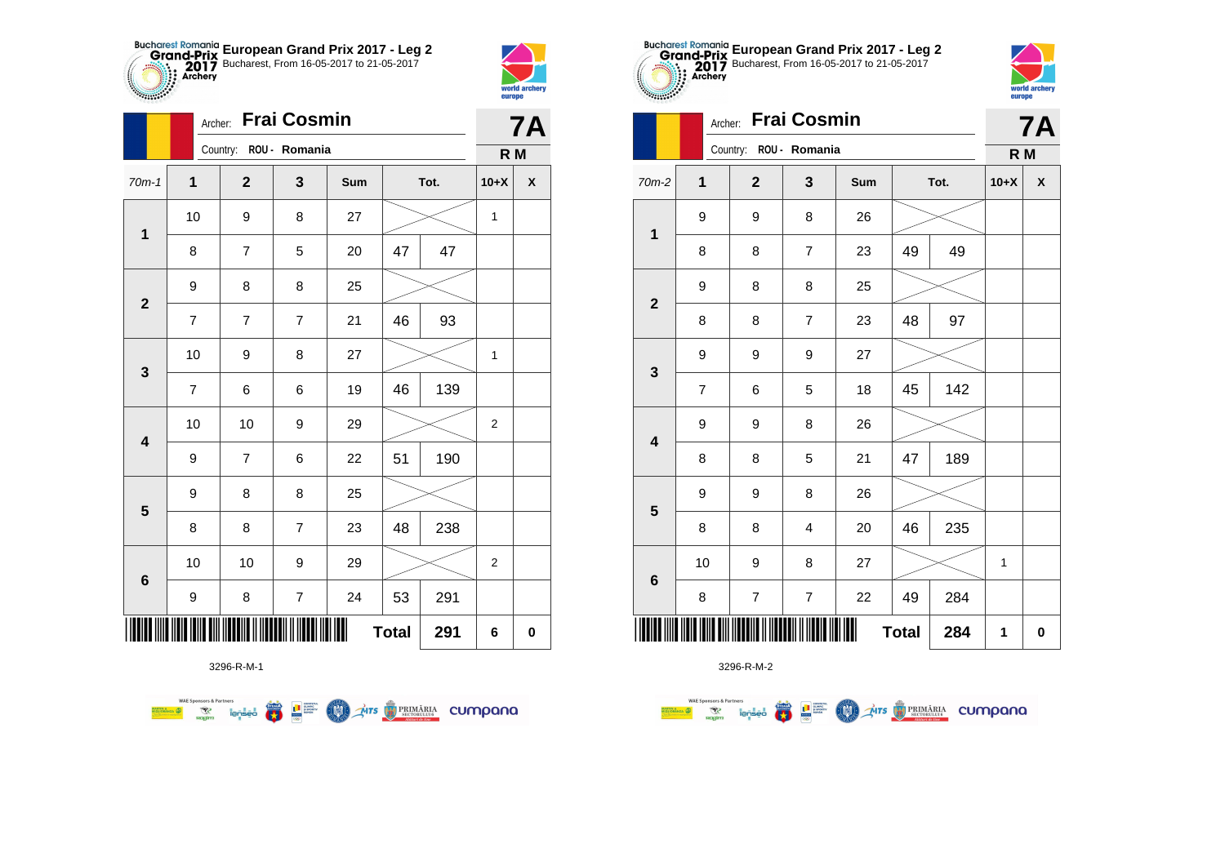



|                         | Archer:                  |                        |                | <b>7A</b> |              |      |                |                    |
|-------------------------|--------------------------|------------------------|----------------|-----------|--------------|------|----------------|--------------------|
|                         |                          | Country: ROU - Romania |                |           |              |      | R M            |                    |
| $70m-1$                 | 1                        | $\mathbf{2}$           | 3              | Sum       |              | Tot. | $10+X$         | $\pmb{\mathsf{X}}$ |
| $\mathbf 1$             | 10                       | 9                      | 8              | 27        |              |      | 1              |                    |
|                         | 8                        | $\overline{7}$         | 5              | 20        | 47           | 47   |                |                    |
| $\overline{2}$          | 9                        | 8                      | 8              | 25        |              |      |                |                    |
|                         | $\overline{7}$           | 7                      | $\overline{7}$ | 21        | 46           | 93   |                |                    |
| $\mathbf{3}$            | 10                       | 9                      | 8              | 27        |              |      | 1              |                    |
|                         | $\overline{\mathcal{I}}$ | 6                      | 6              | 19        | 46           | 139  |                |                    |
| $\overline{\mathbf{4}}$ | 10                       | 10                     | 9              | 29        |              |      | $\overline{2}$ |                    |
|                         | 9                        | $\overline{7}$         | 6              | 22        | 51           | 190  |                |                    |
| 5                       | 9                        | 8                      | 8              | 25        |              |      |                |                    |
|                         | 8                        | 8                      | 7              | 23        | 48           | 238  |                |                    |
|                         | 10                       | 10                     | 9              | 29        |              |      | 2              |                    |
| $\bf 6$                 | $\boldsymbol{9}$         | $\bf 8$                | $\overline{7}$ | 24        | 53           | 291  |                |                    |
|                         |                          |                        |                |           | <b>Total</b> | 291  | 6              | $\pmb{0}$          |

**THE STRIMARIA CUMPANA** 



● ■

**COND** 

**WAE Sponsors & Partners** 



3296-R-M-2

|                         | <b>Frai Cosmin</b><br>Archer: |  |                         |                         |     |              |      |        | <b>7A</b>    |  |
|-------------------------|-------------------------------|--|-------------------------|-------------------------|-----|--------------|------|--------|--------------|--|
|                         |                               |  | Country:                | ROU - Romania           |     |              |      | R M    |              |  |
| 70m-2                   | $\mathbf{1}$                  |  | $\overline{\mathbf{2}}$ | 3                       | Sum |              | Tot. | $10+X$ | $\mathbf{x}$ |  |
| $\mathbf 1$             | 9                             |  | 9                       | 8                       | 26  |              |      |        |              |  |
|                         | 8                             |  | 8                       | $\overline{7}$          | 23  | 49           | 49   |        |              |  |
| $\overline{\mathbf{2}}$ | 9                             |  | 8                       | 8                       | 25  |              |      |        |              |  |
|                         | 8                             |  | 8                       | $\overline{7}$          | 23  | 48           | 97   |        |              |  |
| 3                       | 9                             |  | 9                       | 9                       | 27  |              |      |        |              |  |
|                         | $\overline{7}$                |  | 6                       | 5                       | 18  | 45           | 142  |        |              |  |
| $\overline{\mathbf{4}}$ | 9                             |  | 9                       | 8                       | 26  |              |      |        |              |  |
|                         | 8                             |  | 8                       | 5                       | 21  | 47           | 189  |        |              |  |
| ${\bf 5}$               | 9                             |  | 9                       | 8                       | 26  |              |      |        |              |  |
|                         | 8                             |  | 8                       | $\overline{\mathbf{4}}$ | 20  | 46           | 235  |        |              |  |
| $\bf 6$                 | 10                            |  | 9                       | 8                       | 27  |              |      | 1      |              |  |
|                         | 8                             |  | $\boldsymbol{7}$        | $\overline{\mathbf{7}}$ | 22  | 49           | 284  |        |              |  |
| IIIII                   |                               |  |                         |                         |     | <b>Total</b> | 284  | 1      | 0            |  |

**European Grand Prix 2017 - Leg 2** Bucharest, From 16-05-2017 to 21-05-2017



| $\mathbf{3}$            | 9                        | 9              | 9                       | 27 |              |     |   |
|-------------------------|--------------------------|----------------|-------------------------|----|--------------|-----|---|
|                         | $\overline{\mathcal{I}}$ | 6              | 5                       | 18 | 45           | 142 |   |
| $\overline{\mathbf{4}}$ | 9                        | 9              | 8                       | 26 |              |     |   |
|                         | 8                        | 8              | 5                       | 21 | 47           | 189 |   |
| 5                       | 9                        | 9              | 8                       | 26 |              |     |   |
|                         | 8                        | 8              | 4                       | 20 | 46           | 235 |   |
| $6\phantom{1}6$         | 10                       | 9              | 8                       | 27 |              |     | 1 |
|                         | 8                        | $\overline{7}$ | $\overline{\mathbf{7}}$ | 22 | 49           | 284 |   |
|                         |                          |                | <b>HEILIN HIMLER</b>    |    | <b>Total</b> | 284 | 1 |
|                         |                          | 3296-R-M-2     |                         |    |              |     |   |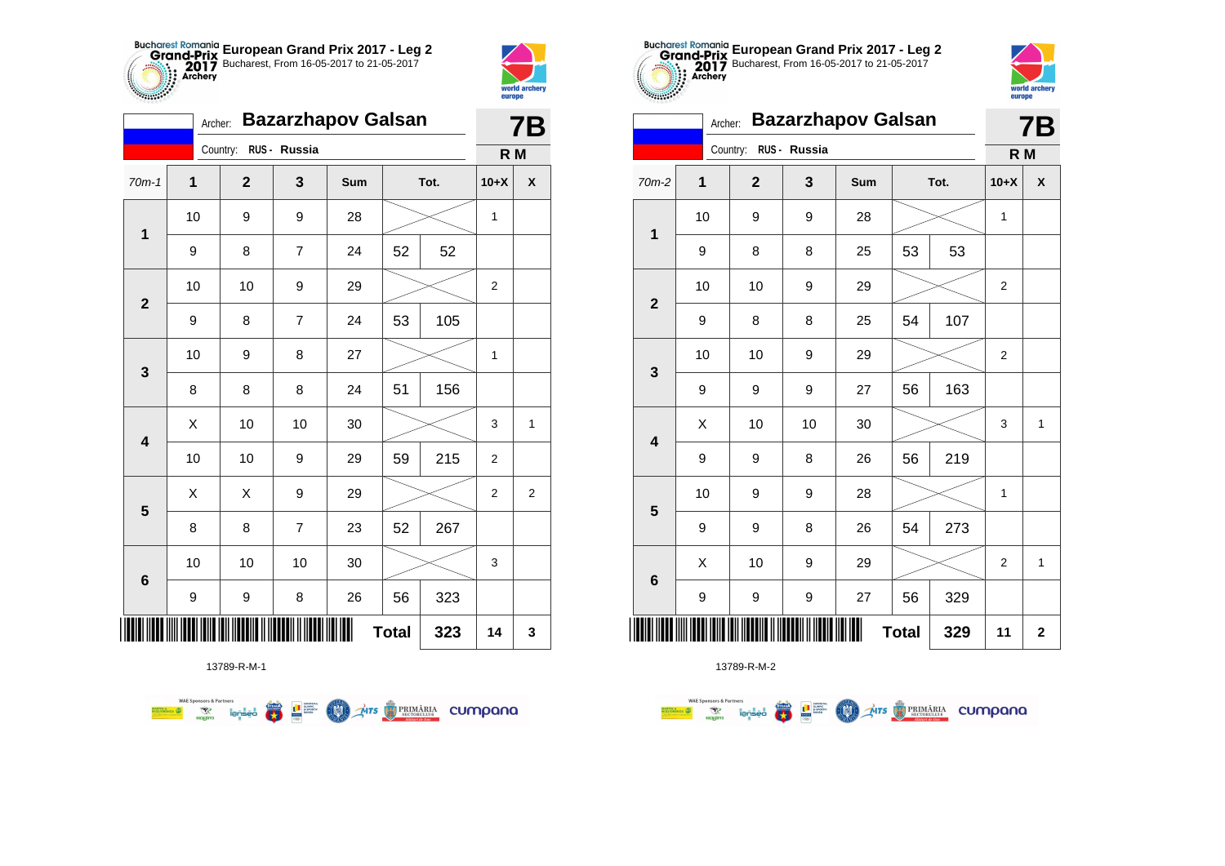



|                         | <b>Bazarzhapov Galsan</b><br>Archer: |             |                |     |              |      |                |                  |  |  |
|-------------------------|--------------------------------------|-------------|----------------|-----|--------------|------|----------------|------------------|--|--|
|                         |                                      | Country:    | RUS - Russia   |     |              |      | R M            |                  |  |  |
| $70m-1$                 | 1                                    | $\mathbf 2$ | 3              | Sum |              | Tot. | $10+X$         | X                |  |  |
|                         | 10                                   | 9           | 9              | 28  |              |      | $\mathbf{1}$   |                  |  |  |
| $\mathbf 1$             | 9                                    | 8           | $\overline{7}$ | 24  | 52           | 52   |                |                  |  |  |
| $\mathbf 2$             | 10                                   | 10          | 9              | 29  |              |      | 2              |                  |  |  |
|                         | 9                                    | 8           | $\overline{7}$ | 24  | 53           | 105  |                |                  |  |  |
| 3                       | 10                                   | 9           | 8              | 27  |              |      | $\mathbf{1}$   |                  |  |  |
|                         | 8                                    | 8           | 8              | 24  | 51           | 156  |                |                  |  |  |
| $\overline{\mathbf{4}}$ | X                                    | 10          | 10             | 30  |              |      | 3              | 1                |  |  |
|                         | 10                                   | 10          | 9              | 29  | 59           | 215  | $\overline{2}$ |                  |  |  |
| $\overline{\mathbf{5}}$ | Χ                                    | X           | 9              | 29  |              |      | 2              | $\boldsymbol{2}$ |  |  |
|                         | 8                                    | 8           | $\overline{7}$ | 23  | 52           | 267  |                |                  |  |  |
| $6\phantom{1}$          | 10                                   | 10          | $10$           | 30  |              |      | 3              |                  |  |  |
|                         | 9                                    | 9           | 8              | 26  | 56           | 323  |                |                  |  |  |
| ∭                       |                                      |             |                |     | <b>Total</b> | 323  | 14             | 3                |  |  |

**COLORES DE PRIMÁRIA CUMPONO** 



13789-R-M-2

| <b><i>CONSIGNATION</i></b> |                     | europe         |              |                           |    |      |                |              |  |  |
|----------------------------|---------------------|----------------|--------------|---------------------------|----|------|----------------|--------------|--|--|
|                            | Archer:             |                |              | <b>Bazarzhapov Galsan</b> |    |      |                | <b>7B</b>    |  |  |
|                            | Country:            |                | RUS - Russia |                           |    |      | R <sub>M</sub> |              |  |  |
| 70m-2                      | 1                   | $\overline{2}$ | 3            | Sum                       |    | Tot. | $10+X$         | X            |  |  |
| 1                          | 10                  | 9              | 9            | 28                        |    |      | 1              |              |  |  |
|                            | 9                   | 8              | 8            | 25                        | 53 | 53   |                |              |  |  |
| $\overline{2}$             | 10                  | 10             | 9            | 29                        |    |      | $\overline{2}$ |              |  |  |
|                            | 9                   | 8              | 8            | 25                        | 54 | 107  |                |              |  |  |
| 3                          | 10                  | 10             | 9            | 29                        |    |      | $\overline{c}$ |              |  |  |
|                            | 9                   | 9              | 9            | 27                        | 56 | 163  |                |              |  |  |
| $\overline{\mathbf{4}}$    | Χ                   | 10             | 10           | 30                        |    |      | 3              | $\mathbf{1}$ |  |  |
|                            | 9                   | 9              | 8            | 26                        | 56 | 219  |                |              |  |  |
| 5                          | 10                  | 9              | 9            | 28                        |    |      | 1              |              |  |  |
|                            | 9                   | 9              | 8            | 26                        | 54 | 273  |                |              |  |  |
| $6\phantom{1}6$            | X                   | 10             | 9            | 29                        |    |      | $\overline{2}$ | 1            |  |  |
|                            | 9                   | 9              | 9            | 27                        | 56 | 329  |                |              |  |  |
|                            | <b>Total</b><br>329 |                |              |                           |    |      |                |              |  |  |

**European Grand Prix 2017 - Leg 2** Bucharest, From 16-05-2017 to 21-05-2017

13789-R-M-1

WAE Sponsors & Partners<br>Misionaliza (2) The Temperature of the Context of the Context of Temperature of the Context of Temperature of<br>Mision of Temperature of Temperature of Temperature of Temperature of Temperature of Tem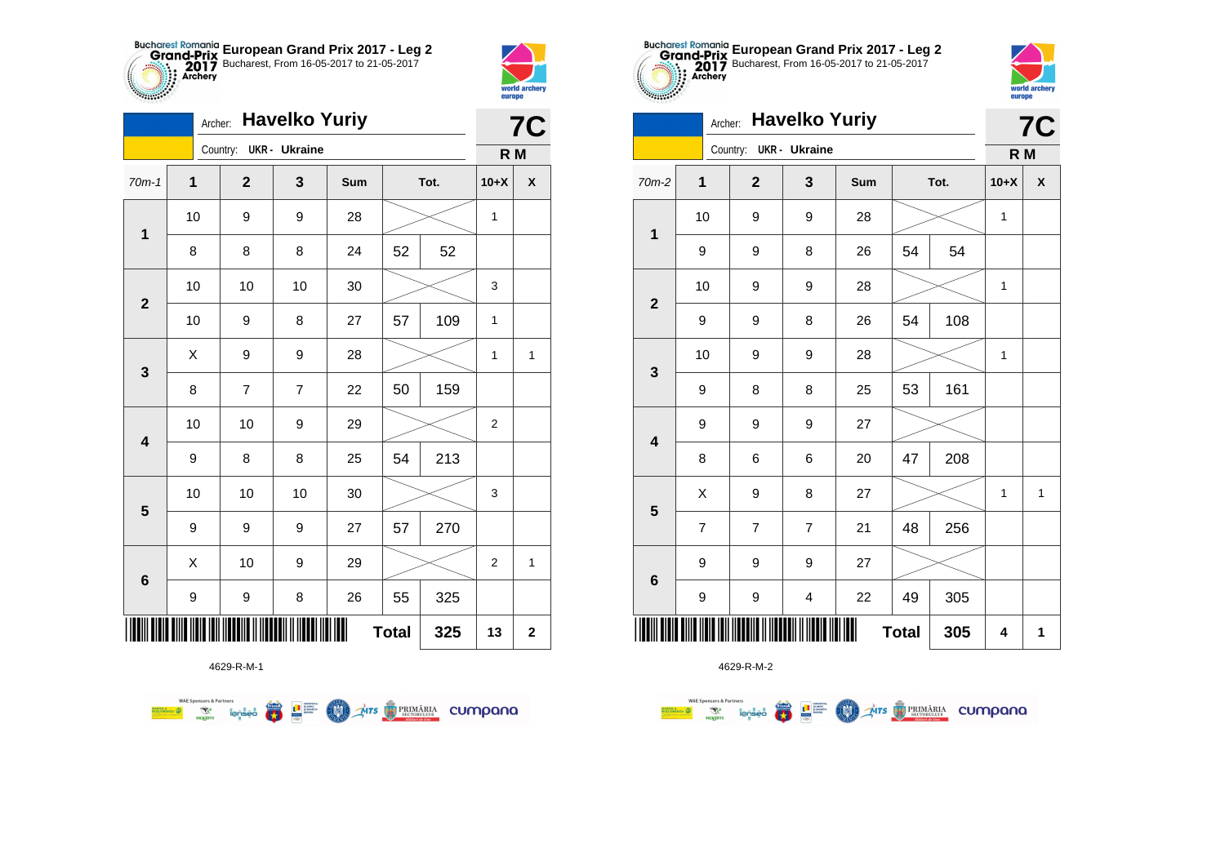



|                         | <b>Havelko Yuriy</b><br>Archer: |                        |                |     |              |      |                |                         |
|-------------------------|---------------------------------|------------------------|----------------|-----|--------------|------|----------------|-------------------------|
|                         |                                 | Country: UKR - Ukraine |                |     |              |      | R M            |                         |
| $70m-1$                 | $\mathbf{1}$                    | $\mathbf{2}$           | 3              | Sum |              | Tot. | $10+X$         | X                       |
| 1                       | 10                              | 9                      | 9              | 28  |              |      | 1              |                         |
|                         | 8                               | 8                      | 8              | 24  | 52           | 52   |                |                         |
| $\overline{2}$          | 10                              | 10                     | 10             | 30  |              |      | 3              |                         |
|                         | 10                              | 9                      | 8              | 27  | 57           | 109  | 1              |                         |
| 3                       | Χ                               | 9                      | 9              | 28  |              |      | 1              | 1                       |
|                         | 8                               | 7                      | $\overline{7}$ | 22  | 50           | 159  |                |                         |
| $\overline{\mathbf{4}}$ | 10                              | 10                     | 9              | 29  |              |      | $\overline{c}$ |                         |
|                         | 9                               | 8                      | 8              | 25  | 54           | 213  |                |                         |
| 5                       | 10                              | 10                     | 10             | 30  |              |      | 3              |                         |
|                         | 9                               | 9                      | 9              | 27  | 57           | 270  |                |                         |
| $6\phantom{1}6$         | X                               | 10                     | 9              | 29  |              |      | $\overline{2}$ | 1                       |
|                         | 9                               | 9                      | 8              | 26  | 55           | 325  |                |                         |
|                         |                                 |                        |                |     | <b>Total</b> | 325  | 13             | $\overline{\mathbf{2}}$ |

**THE STRIMARIA CUMPANA** 



4629-R-M-2

| 0.00000                 | Archer: Havelko Yuriy |  |                        |                |     |              |      |        |              |  |
|-------------------------|-----------------------|--|------------------------|----------------|-----|--------------|------|--------|--------------|--|
|                         |                       |  | Country: UKR - Ukraine |                |     |              |      | R M    | <b>7C</b>    |  |
| 70m-2                   | $\mathbf 1$           |  | $\overline{2}$         | 3              | Sum |              | Tot. | $10+X$ | X            |  |
| $\overline{\mathbf{1}}$ | 10                    |  | 9                      | 9              | 28  |              |      | 1      |              |  |
|                         | 9                     |  | 9                      | 8              | 26  | 54           | 54   |        |              |  |
| $\overline{\mathbf{2}}$ | 10                    |  | 9                      | 9              | 28  |              |      | 1      |              |  |
|                         | 9                     |  | 9                      | 8              | 26  | 54           | 108  |        |              |  |
| $\mathbf{3}$            | 10                    |  | 9                      | 9              | 28  |              |      | 1      |              |  |
|                         | 9                     |  | 8                      | 8              | 25  | 53           | 161  |        |              |  |
| $\overline{\mathbf{4}}$ | 9                     |  | 9                      | 9              | 27  |              |      |        |              |  |
|                         | 8                     |  | 6                      | 6              | 20  | 47           | 208  |        |              |  |
| $\overline{\mathbf{5}}$ | X                     |  | 9                      | 8              | 27  |              |      | 1      | $\mathbf{1}$ |  |
|                         | $\overline{7}$        |  | $\overline{7}$         | $\overline{7}$ | 21  | 48           | 256  |        |              |  |
| $6\phantom{1}6$         | 9                     |  | 9                      | 9              | 27  |              |      |        |              |  |
|                         | 9                     |  | 9                      | 4              | 22  | 49           | 305  |        |              |  |
|                         |                       |  |                        |                |     | <b>Total</b> | 305  | 4      | 1            |  |

**European Grand Prix 2017 - Leg 2** Bucharest, From 16-05-2017 to 21-05-2017

world archer

**Alliana** 

4629-R-M-1

 $\left(\frac{\sinh\theta}{\cos\theta}\right)$ 

**L** B SPORTER

**COO** 

**WAE Sponsors & Partners**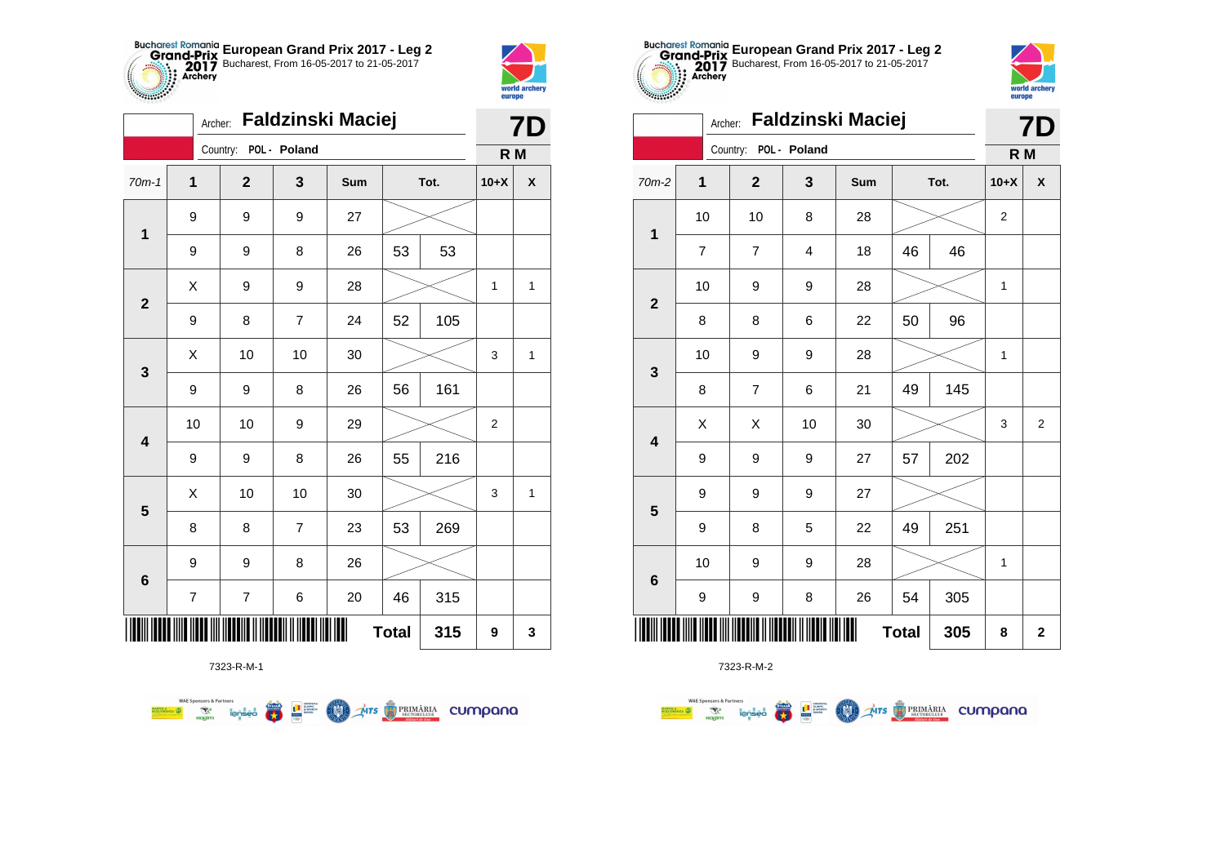



**THE** 

|                         | Faldzinski Maciej<br>Archer: |                          |                |     |              |      |                |                    |
|-------------------------|------------------------------|--------------------------|----------------|-----|--------------|------|----------------|--------------------|
|                         |                              | Country: POL - Poland    |                |     |              |      | R M            |                    |
| $70m-1$                 | 1                            | $\mathbf{2}$             | 3              | Sum |              | Tot. | $10+X$         | $\pmb{\mathsf{X}}$ |
| $\mathbf 1$             | 9                            | 9                        | 9              | 27  |              |      |                |                    |
|                         | 9                            | 9                        | 8              | 26  | 53           | 53   |                |                    |
|                         | Χ                            | 9                        | 9              | 28  |              |      | 1              | 1                  |
| $\mathbf{2}$            | 9                            | 8                        | $\overline{7}$ | 24  | 52           | 105  |                |                    |
|                         | X                            | 10                       | 10             | 30  |              |      | 3              | $\mathbf{1}$       |
| $\mathbf 3$             | 9                            | 9                        | 8              | 26  | 56           | 161  |                |                    |
| $\overline{\mathbf{4}}$ | 10                           | 10                       | 9              | 29  |              |      | $\overline{2}$ |                    |
|                         | 9                            | 9                        | 8              | 26  | 55           | 216  |                |                    |
|                         | Χ                            | 10                       | 10             | 30  |              |      | 3              | 1                  |
| $\overline{\mathbf{5}}$ | 8                            | 8                        | $\overline{7}$ | 23  | 53           | 269  |                |                    |
|                         | 9                            | 9                        | 8              | 26  |              |      |                |                    |
| $\bf 6$                 | $\overline{\mathcal{I}}$     | $\overline{\mathcal{I}}$ | 6              | 20  | 46           | 315  |                |                    |
|                         |                              |                          |                | Ш   | <b>Total</b> | 315  | 9              | 3                  |







7323-R-M-2

|                         | Archer: Faldzinski Maciej |                       |    |             |    |      |              |                |  |
|-------------------------|---------------------------|-----------------------|----|-------------|----|------|--------------|----------------|--|
|                         |                           | Country: POL - Poland |    |             |    |      | R M          |                |  |
| $70m-2$                 | 1                         | $\overline{2}$        | 3  | Sum         |    | Tot. | $10+X$       | χ              |  |
| $\mathbf{1}$            | 10                        | 10                    | 8  | 28          |    |      | 2            |                |  |
|                         | $\overline{7}$            | $\overline{7}$        | 4  | 18          | 46 | 46   |              |                |  |
| $\overline{2}$          | 10                        | 9                     | 9  | 28          |    |      | 1            |                |  |
|                         | 8                         | 8                     | 6  | 22          | 50 | 96   |              |                |  |
| $\mathbf{3}$            | 10                        | 9                     | 9  | 28          |    |      | $\mathbf{1}$ |                |  |
|                         | 8                         | $\overline{7}$        | 6  | 21          | 49 | 145  |              |                |  |
| $\overline{\mathbf{4}}$ | X                         | Χ                     | 10 | 30          |    |      | 3            | $\overline{2}$ |  |
|                         | 9                         | 9                     | 9  | 27          | 57 | 202  |              |                |  |
| 5                       | 9                         | 9                     | 9  | 27          |    |      |              |                |  |
|                         | 9                         | 8                     | 5  | 22          | 49 | 251  |              |                |  |
| $\bf 6$                 | 10                        | 9                     | 9  | 28          |    |      | 1            |                |  |
|                         | 9                         | 9                     | 8  | 26          | 54 | 305  |              |                |  |
|                         |                           | 305                   | 8  | $\mathbf 2$ |    |      |              |                |  |



|                          | Faldzinski Maciej<br>Archer: |                       |    |     |    |      |        |                    |  |  |
|--------------------------|------------------------------|-----------------------|----|-----|----|------|--------|--------------------|--|--|
|                          |                              | Country: POL - Poland |    |     |    |      | R M    |                    |  |  |
| 70m-2                    | $\mathbf{1}$                 | $\mathbf{2}$          | 3  | Sum |    | Tot. | $10+X$ | $\pmb{\mathsf{X}}$ |  |  |
| $\overline{\mathbf{1}}$  | 10                           | 10                    | 8  | 28  |    |      |        |                    |  |  |
|                          | 7                            | $\overline{7}$        | 4  | 18  | 46 | 46   |        |                    |  |  |
| $\overline{\mathbf{2}}$  | 10                           | 9                     | 9  | 28  |    |      | 1      |                    |  |  |
|                          | 8                            | 8                     | 6  | 22  | 50 | 96   |        |                    |  |  |
|                          | 10                           | 9                     | 9  | 28  |    |      | 1      |                    |  |  |
| 3                        | 8                            | $\overline{7}$        | 6  | 21  | 49 | 145  |        |                    |  |  |
| $\overline{\mathbf{4}}$  | X                            | Χ                     | 10 | 30  |    |      | 3      | $\overline{2}$     |  |  |
|                          | 9                            | 9                     | 9  | 27  | 57 | 202  |        |                    |  |  |
| $\overline{\mathbf{5}}$  | 9                            | 9                     | 9  | 27  |    |      |        |                    |  |  |
|                          | 9                            | 8                     | 5  | 22  | 49 | 251  |        |                    |  |  |
| $\bf 6$                  | 10                           | 9                     | 9  | 28  |    |      | 1      |                    |  |  |
|                          | 9                            | 9                     | 8  | 26  | 54 | 305  |        |                    |  |  |
| Ш<br>305<br><b>Total</b> |                              |                       |    |     |    |      | 8      | $\mathbf 2$        |  |  |

**European Grand Prix 2017 - Leg 2** Bucharest, From 16-05-2017 to 21-05-2017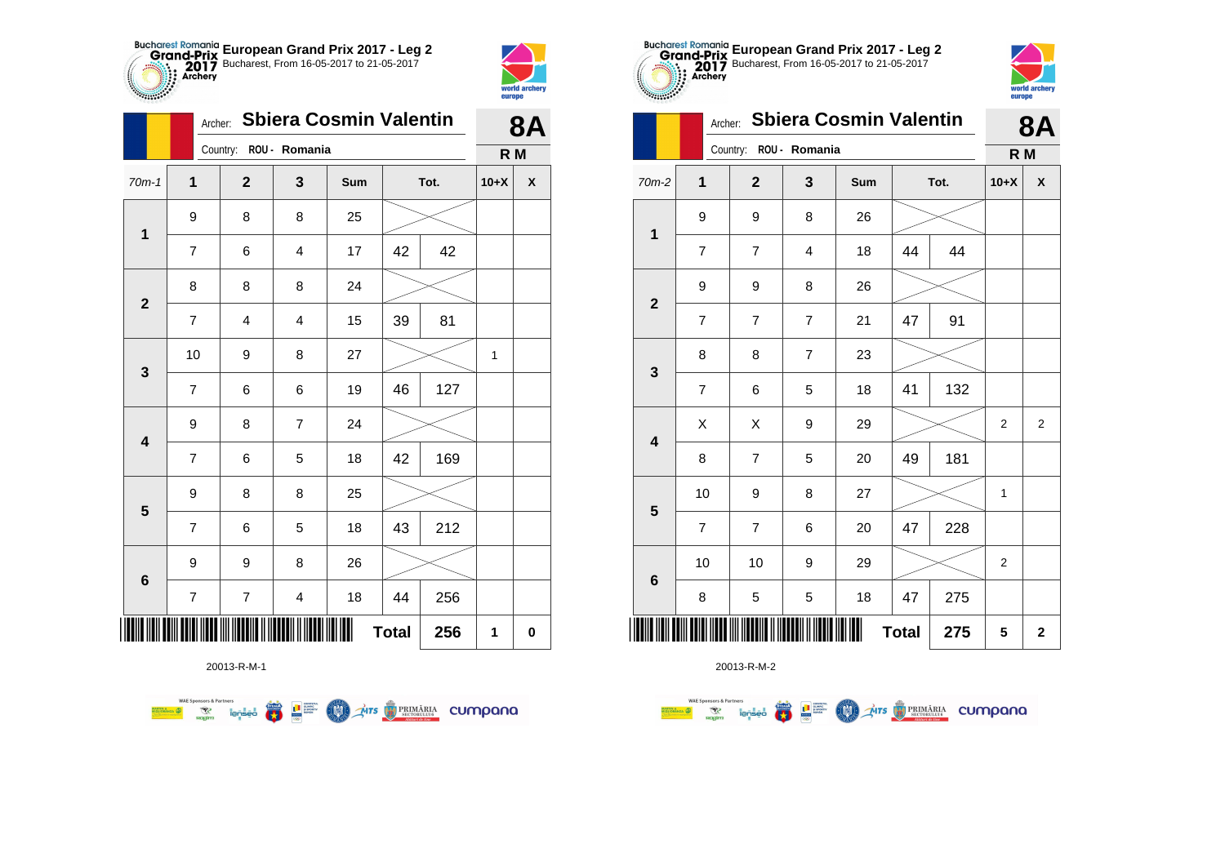



**TABLE** 

|                         |                | <b>Sbiera Cosmin Valentin</b><br>Archer: |                         |     |              |      |        |                    |  |  |
|-------------------------|----------------|------------------------------------------|-------------------------|-----|--------------|------|--------|--------------------|--|--|
|                         |                | Country: ROU - Romania                   |                         |     |              |      | R M    |                    |  |  |
| $70m-1$                 | $\mathbf{1}$   | $\mathbf{2}$                             | $\mathbf{3}$            | Sum |              | Tot. | $10+X$ | $\pmb{\mathsf{X}}$ |  |  |
| $\mathbf{1}$            | 9              | 8                                        | 8                       | 25  |              |      |        |                    |  |  |
|                         | $\overline{7}$ | 6                                        | 4                       | 17  | 42           | 42   |        |                    |  |  |
| $\mathbf{2}$            | 8              | 8                                        | 8                       | 24  |              |      |        |                    |  |  |
|                         | $\overline{7}$ | 4                                        | $\overline{\mathbf{4}}$ | 15  | 39           | 81   |        |                    |  |  |
| $\mathbf 3$             | 10             | 9                                        | 8                       | 27  |              |      | 1      |                    |  |  |
|                         | $\overline{7}$ | 6                                        | 6                       | 19  | 46           | 127  |        |                    |  |  |
| $\overline{\mathbf{4}}$ | 9              | 8                                        | $\overline{7}$          | 24  |              |      |        |                    |  |  |
|                         | $\overline{7}$ | 6                                        | 5                       | 18  | 42           | 169  |        |                    |  |  |
| $\overline{\mathbf{5}}$ | 9              | 8                                        | 8                       | 25  |              |      |        |                    |  |  |
|                         | $\overline{7}$ | 6                                        | 5                       | 18  | 43           | 212  |        |                    |  |  |
| 6                       | 9              | 9                                        | 8                       | 26  |              |      |        |                    |  |  |
|                         | $\overline{7}$ | $\boldsymbol{7}$                         | $\overline{\mathbf{4}}$ | 18  | 44           | 256  |        |                    |  |  |
| ∭∭                      |                |                                          |                         |     | <b>Total</b> | 256  | 1      | $\pmb{0}$          |  |  |

**COLORES DE PRIMÁRIA CUMPONO** 



20013-R-M-2

| .00000          | Archer:        | <b>Sbiera Cosmin Valentin</b> | 8Α             |     |              |      |                |                |
|-----------------|----------------|-------------------------------|----------------|-----|--------------|------|----------------|----------------|
|                 |                | Country:                      | ROU - Romania  |     |              |      | R M            |                |
| $70m-2$         | $\overline{1}$ | $\overline{2}$                | 3              | Sum |              | Tot. | $10+X$         | X              |
| $\mathbf 1$     | 9              | 9                             | 8              | 26  |              |      |                |                |
|                 | $\overline{7}$ | $\overline{7}$                | 4              | 18  | 44           | 44   |                |                |
| $\mathbf{2}$    | 9              | 9                             | 8              | 26  |              |      |                |                |
|                 | $\overline{7}$ | $\overline{7}$                | $\overline{7}$ | 21  | 47           | 91   |                |                |
| 3               | 8              | 8                             | $\overline{7}$ | 23  |              |      |                |                |
|                 | $\overline{7}$ | 6                             | 5              | 18  | 41           | 132  |                |                |
| 4               | X              | X                             | 9              | 29  |              |      | $\overline{2}$ | $\overline{2}$ |
|                 | 8              | $\overline{7}$                | 5              | 20  | 49           | 181  |                |                |
| 5               | 10             | 9                             | 8              | 27  |              |      | 1              |                |
|                 | $\overline{7}$ | $\overline{7}$                | 6              | 20  | 47           | 228  |                |                |
| $6\phantom{1}6$ | 10             | 10                            | 9              | 29  |              |      | $\overline{2}$ |                |
|                 | 8              | 5                             | 5              | 18  | 47           | 275  |                |                |
| ║║║             |                |                               |                |     | <b>Total</b> | 275  | 5              | $\mathbf 2$    |

**European Grand Prix 2017 - Leg 2** Bucharest, From 16-05-2017 to 21-05-2017

world archer

europe

20013-R-M-1

**Excession of the Second Contract of the Contract of Second Contract of the Contract of Second Contract of Second Contract of Second Contract of Second Contract of Second Contract of Second Contract of Second Contract of S**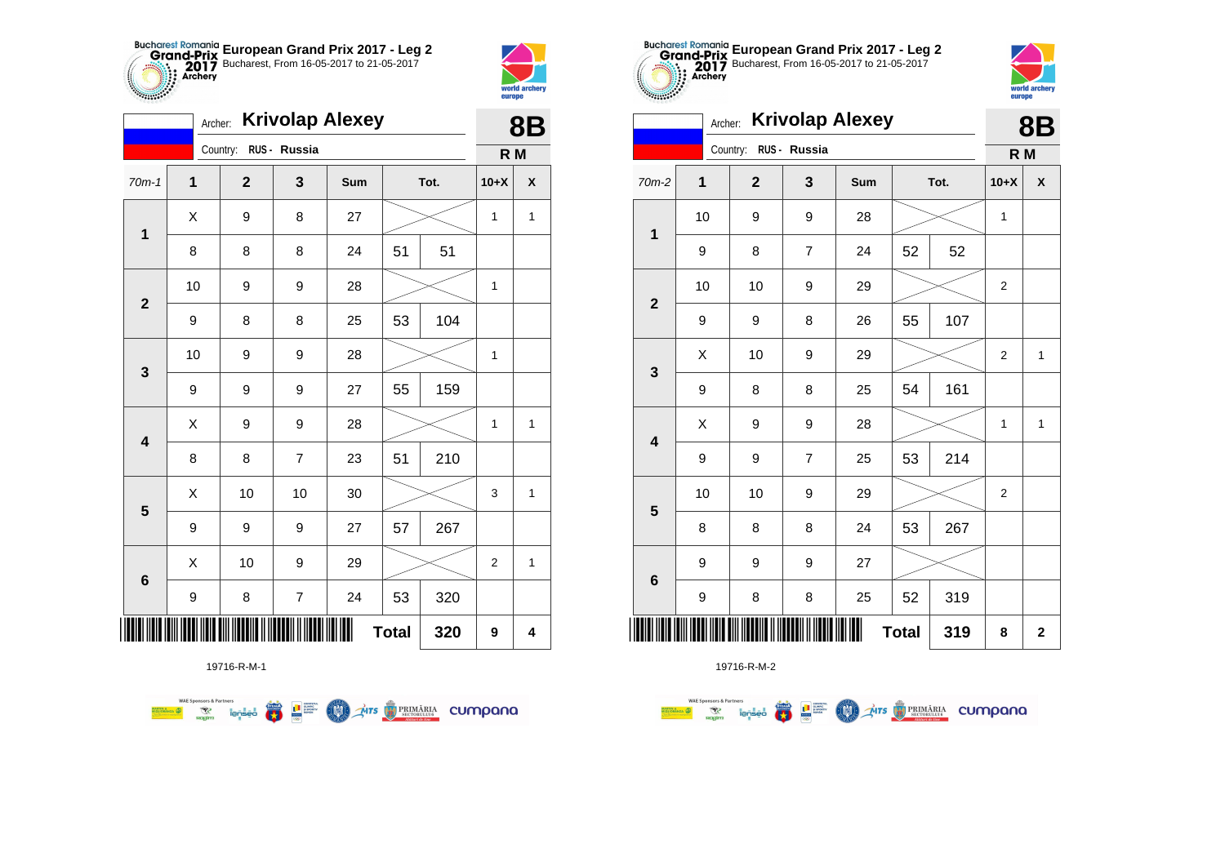



**8B**

|                         | <b>Krivolap Alexey</b><br>Archer: |             |             |                  |     |              |      |              |              |  |
|-------------------------|-----------------------------------|-------------|-------------|------------------|-----|--------------|------|--------------|--------------|--|
|                         |                                   |             | Country:    | RUS - Russia     |     |              |      | R M          |              |  |
| $70m-1$                 |                                   | $\mathbf 1$ | $\mathbf 2$ | 3                | Sum |              | Tot. | $10+X$       | χ            |  |
| $\mathbf 1$             |                                   | X           | 9           | 8                | 27  |              |      | 1            | 1            |  |
|                         |                                   | 8           | 8           | 8                | 24  | 51           | 51   |              |              |  |
| $\mathbf{2}$            |                                   | 10          | 9           | 9                | 28  |              |      | 1            |              |  |
|                         |                                   | 9           | 8           | 8                | 25  | 53           | 104  |              |              |  |
| 3                       |                                   | 10          | 9           | 9                | 28  |              |      | $\mathbf{1}$ |              |  |
|                         |                                   | 9           | 9           | 9                | 27  | 55           | 159  |              |              |  |
| 4                       |                                   | Χ           | 9           | 9                | 28  |              |      | $\mathbf{1}$ | $\mathbf{1}$ |  |
|                         |                                   | 8           | 8           | $\overline{7}$   | 23  | 51           | 210  |              |              |  |
| $\overline{\mathbf{5}}$ |                                   | X           | 10          | 10               | 30  |              |      | 3            | $\mathbf{1}$ |  |
|                         |                                   | 9           | 9           | 9                | 27  | 57           | 267  |              |              |  |
| $6\phantom{1}6$         |                                   | X           | 10          | 9                | 29  |              |      | 2            | 1            |  |
|                         |                                   | 9           | 8           | $\boldsymbol{7}$ | 24  | 53           | 320  |              |              |  |
| Ⅲ                       |                                   |             |             |                  |     | <b>Total</b> | 320  | 9            | 4            |  |



19716-R-M-2

| $\sim$ , and $\sim$     | <b>Krivolap Alexey</b><br>Archer: |                |                |     |              |      |                |                    |  |
|-------------------------|-----------------------------------|----------------|----------------|-----|--------------|------|----------------|--------------------|--|
|                         |                                   | Country:       | RUS - Russia   |     |              |      | R M            | <b>8B</b>          |  |
| 70m-2                   | 1                                 | $\overline{2}$ | 3              | Sum |              | Tot. | $10+X$         | $\pmb{\mathsf{X}}$ |  |
|                         | 10                                | 9              | 9              | 28  |              |      | 1              |                    |  |
| 1                       | 9                                 | 8              | $\overline{7}$ | 24  | 52           | 52   |                |                    |  |
| $\overline{\mathbf{2}}$ | 10                                | 10             | 9              | 29  |              |      | $\overline{c}$ |                    |  |
|                         | 9                                 | 9              | 8              | 26  | 55           | 107  |                |                    |  |
| $\mathbf{3}$            | X                                 | 10             | 9              | 29  |              |      | $\overline{2}$ | $\mathbf{1}$       |  |
|                         | 9                                 | 8              | 8              | 25  | 54           | 161  |                |                    |  |
| $\overline{\mathbf{4}}$ | X                                 | 9              | 9              | 28  |              |      | 1              | $\mathbf{1}$       |  |
|                         | 9                                 | 9              | $\overline{7}$ | 25  | 53           | 214  |                |                    |  |
| $\overline{\mathbf{5}}$ | 10                                | 10             | 9              | 29  |              |      | $\overline{2}$ |                    |  |
|                         | 8                                 | 8              | 8              | 24  | 53           | 267  |                |                    |  |
| $\bf 6$                 | 9                                 | 9              | 9              | 27  |              |      |                |                    |  |
|                         | 9                                 | 8              | 8              | 25  | 52           | 319  |                |                    |  |
|                         |                                   |                |                |     | <b>Total</b> | 319  | 8              | $\mathbf{2}$       |  |

**European Grand Prix 2017 - Leg 2** Bucharest, From 16-05-2017 to 21-05-2017



19716-R-M-1

**WAE Sponsors & Partners AITS** PRIMARIA CUMPONO  $\overline{\mathbf{r}}$ L<sup>a</sup> Supply M.

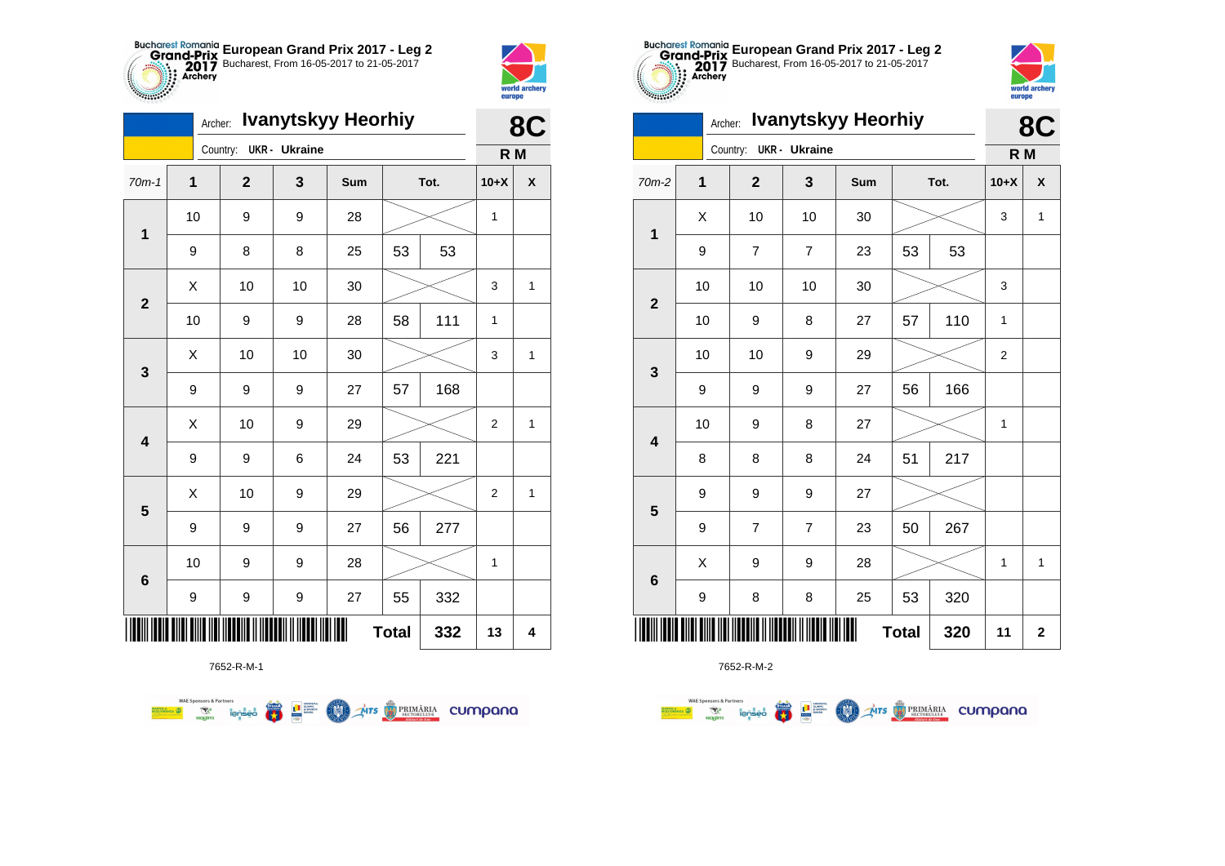



**Branch** 

|                         | <b>Ivanytskyy Heorhiy</b><br>Archer: |  |                |               |            |      |     |                | 8C                 |  |
|-------------------------|--------------------------------------|--|----------------|---------------|------------|------|-----|----------------|--------------------|--|
|                         |                                      |  | Country:       | UKR - Ukraine |            |      |     | R M            |                    |  |
| $70m-1$                 | $\overline{1}$                       |  | $\overline{2}$ | 3             | <b>Sum</b> | Tot. |     | $10+X$         | $\pmb{\mathsf{X}}$ |  |
| 1                       | 10                                   |  | 9              | 9             | 28         |      |     | $\mathbf{1}$   |                    |  |
|                         | 9                                    |  | 8              | 8             | 25         | 53   | 53  |                |                    |  |
| $\mathbf{2}$            | X                                    |  | 10             | 10            | 30         |      |     | 3              | 1                  |  |
|                         | 10                                   |  | 9              | 9             | 28         | 58   | 111 | $\mathbf{1}$   |                    |  |
| $\mathbf{3}$            | X                                    |  | 10             | 10            | 30         |      |     | 3              | 1                  |  |
|                         | 9                                    |  | 9              | 9             | 27         | 57   | 168 |                |                    |  |
| $\overline{\mathbf{4}}$ | Χ                                    |  | 10             | 9             | 29         |      |     | $\overline{2}$ | $\mathbf{1}$       |  |
|                         | 9                                    |  | 9              | 6             | 24         | 53   | 221 |                |                    |  |
| 5                       | X                                    |  | 10             | 9             | 29         |      |     | 2              | 1                  |  |
|                         | 9                                    |  | 9              | 9             | 27         | 56   | 277 |                |                    |  |
| $\bf 6$                 | 10                                   |  | 9              | 9             | 28         |      |     | $\mathbf 1$    |                    |  |
|                         | 9                                    |  | 9              | 9             | 27         | 55   | 332 |                |                    |  |
|                         | Ш<br>332<br><b>Total</b>             |  |                |               |            |      |     | 13             | 4                  |  |

**COND** 

**THE STRIMARIA CUMPANA** 



**Excession of the Contract of Contract of Contract of Contract of Contract of Contract of Contract of Contract o** 

**WAE Sponsors & Partners** 



7652-R-M-2

| ∼ |                                                          | ▴                       | ◡                | uuu         |    |     | <b>1 טד</b> י  | " |
|---|----------------------------------------------------------|-------------------------|------------------|-------------|----|-----|----------------|---|
|   | X                                                        | 10                      | 10               | $30\,$      |    |     | 3              | 1 |
|   | 9                                                        | $\boldsymbol{7}$        | $\boldsymbol{7}$ | 23          | 53 | 53  |                |   |
|   | 10                                                       | 10                      | $10$             | $30\,$      |    |     | 3              |   |
|   | 10                                                       | 9                       | 8                | 27          | 57 | 110 | $\mathbf{1}$   |   |
|   | $10\,$                                                   | 10                      | 9                | 29          |    |     | $\overline{c}$ |   |
|   | 9                                                        | 9                       | 9                | 27          | 56 | 166 |                |   |
|   | 10                                                       | 9                       | 8                | 27          |    |     | $\mathbf 1$    |   |
|   | 8                                                        | 8                       | 8                | 24          | 51 | 217 |                |   |
|   | 9                                                        | 9                       | 9                | 27          |    |     |                |   |
|   | 9                                                        | $\overline{\mathbf{7}}$ | $\overline{7}$   | 23          | 50 | 267 |                |   |
|   | X                                                        | 9                       | 9                | 28          |    |     | 1              | 1 |
|   | 9                                                        | 8                       | 8                | 25          | 53 | 320 |                |   |
|   | <u>DIN BINI BINI NIN NOBINI N NOBINI N NOBIN NIN NON</u> | 320                     | 11               | $\mathbf 2$ |    |     |                |   |



 $\Omega$ 

|                                 |             | 0U                     |                  |        |    |      |                  |                    |
|---------------------------------|-------------|------------------------|------------------|--------|----|------|------------------|--------------------|
|                                 |             | Country: UKR - Ukraine |                  |        |    |      | R M              |                    |
| $70m-2$                         | $\mathbf 1$ | $\mathbf{2}$           | 3                | Sum    |    | Tot. | $10+X$           | $\pmb{\mathsf{X}}$ |
| $\mathbf 1$                     | X           | 10                     | 10               | $30\,$ |    |      | 3                | $\mathbf{1}$       |
|                                 | 9           | $\overline{7}$         | $\boldsymbol{7}$ | 23     | 53 | 53   |                  |                    |
| $\mathbf{2}$                    | 10          | 10                     | 10               | $30\,$ |    |      | 3                |                    |
|                                 | 10          | 9                      | 8                | 27     | 57 | 110  | $\mathbf{1}$     |                    |
| $\mathbf 3$                     | 10          | 10                     | 9                | 29     |    |      | $\boldsymbol{2}$ |                    |
|                                 | 9           | 9                      | 9                | 27     | 56 | 166  |                  |                    |
| $\overline{\mathbf{4}}$         | 10          | 9                      | 8                | 27     |    |      | $\mathbf{1}$     |                    |
|                                 | 8           | 8                      | 8                | 24     | 51 | 217  |                  |                    |
| $5\phantom{1}$                  | 9           | 9                      | 9                | 27     |    |      |                  |                    |
|                                 | 9           | $\overline{7}$         | $\boldsymbol{7}$ | 23     | 50 | 267  |                  |                    |
| $\bf 6$                         | X           | 9                      | 9                | 28     |    |      | $\mathbf{1}$     | $\mathbf{1}$       |
|                                 | 9           | 8                      | 8                | 25     | 53 | 320  |                  |                    |
| III<br>Ш<br><b>Total</b><br>320 |             |                        |                  |        |    |      | 11               | $\mathbf 2$        |

**European Grand Prix 2017 - Leg 2** Bucharest, From 16-05-2017 to 21-05-2017

Archer: **Ivanytskyy Heorhiy**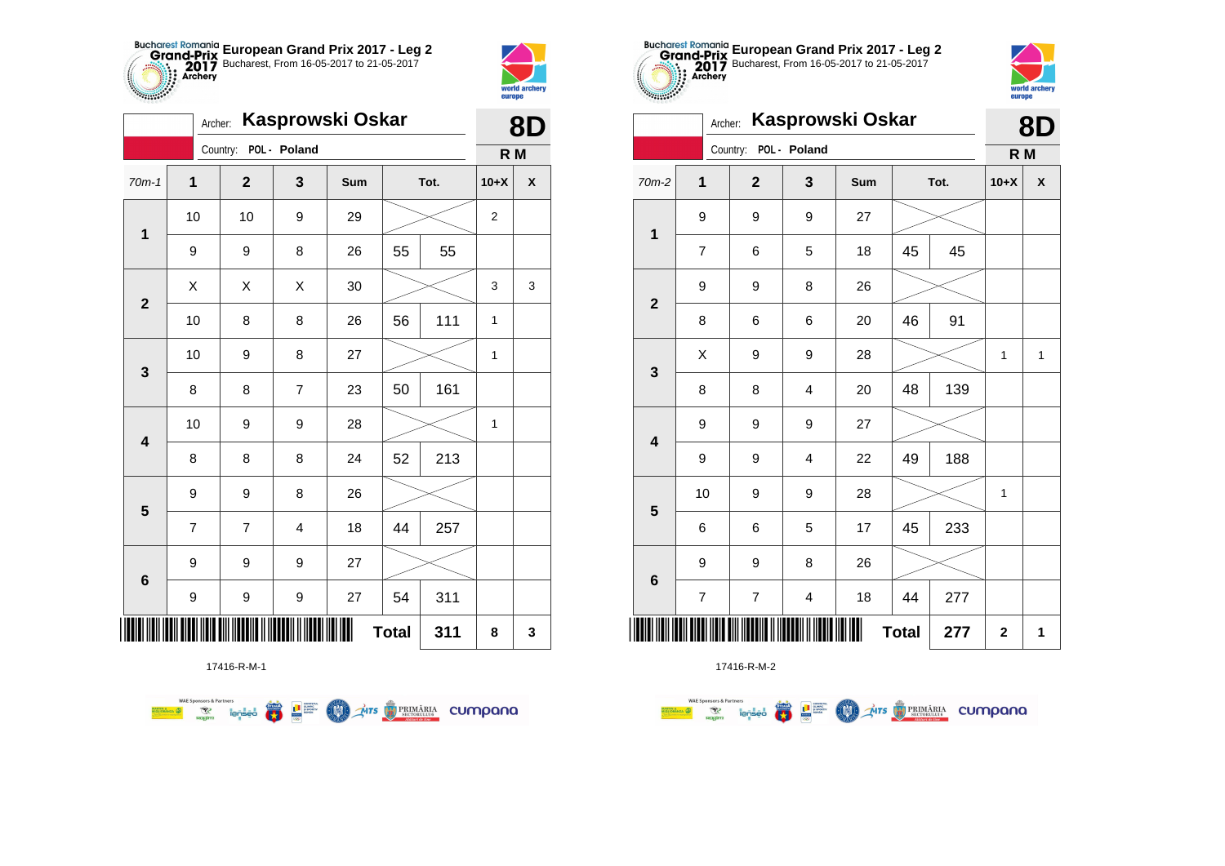



*<b>PARTICIPS* 

|                         | Kasprowski Oskar<br>Archer: |                |                |     |              |      |                |                    |  |
|-------------------------|-----------------------------|----------------|----------------|-----|--------------|------|----------------|--------------------|--|
|                         |                             | Country:       | POL - Poland   |     |              |      | R M            |                    |  |
| $70m-1$                 | $\mathbf 1$                 | $\mathbf 2$    | 3              | Sum |              | Tot. |                | $\pmb{\mathsf{X}}$ |  |
| 1                       | 10                          | 10             | 9              | 29  |              |      | $\overline{2}$ |                    |  |
|                         | 9                           | 9              | 8              | 26  | 55           | 55   |                |                    |  |
| $\overline{\mathbf{2}}$ | Χ                           | X              | Χ              | 30  |              |      | 3              | 3                  |  |
|                         | 10                          | 8              | 8              | 26  | 56           | 111  | 1              |                    |  |
| 3                       | 10                          | 9              | 8              | 27  |              |      | 1              |                    |  |
|                         | 8                           | 8              | $\overline{7}$ | 23  | 50           | 161  |                |                    |  |
| $\overline{\mathbf{4}}$ | 10                          | 9              | 9              | 28  |              |      | 1              |                    |  |
|                         | 8                           | 8              | 8              | 24  | 52           | 213  |                |                    |  |
| $\overline{\mathbf{5}}$ | 9                           | 9              | 8              | 26  |              |      |                |                    |  |
|                         | 7                           | $\overline{7}$ | 4              | 18  | 44           | 257  |                |                    |  |
| 6                       | 9                           | 9              | 9              | 27  |              |      |                |                    |  |
|                         | 9                           | 9              | 9              | 27  | 54           | 311  |                |                    |  |
| Ш                       |                             |                |                |     | <b>Total</b> | 311  | 8              | 3                  |  |

**COLORED PRIMARIA CUMPANA** 



17416-R-M-2

|                            | Kasprowski Oskar<br>Archer: |  |                |                         |     |      |     |                         |              |
|----------------------------|-----------------------------|--|----------------|-------------------------|-----|------|-----|-------------------------|--------------|
|                            |                             |  | Country:       | POL - Poland            |     |      |     | R M                     |              |
| 70m-2                      | 1                           |  | $\mathbf{2}$   | 3                       | Sum | Tot. |     | $10+X$                  | X            |
| $\mathbf{1}$               | 9                           |  | 9              | 9                       | 27  |      |     |                         |              |
|                            | $\overline{7}$              |  | 6              | 5                       | 18  | 45   | 45  |                         |              |
| $\overline{2}$             | 9                           |  | 9              | 8                       | 26  |      |     |                         |              |
|                            | 8                           |  | $\,6$          | 6                       | 20  | 46   | 91  |                         |              |
| 3                          | X                           |  | 9              | 9                       | 28  |      |     |                         | $\mathbf{1}$ |
|                            | 8                           |  | 8              | $\overline{\mathbf{4}}$ | 20  | 48   | 139 |                         |              |
| $\overline{\mathbf{4}}$    | 9                           |  | 9              | 9                       | 27  |      |     |                         |              |
|                            | 9                           |  | 9              | 4                       | 22  | 49   | 188 |                         |              |
| 5                          | 10                          |  | 9              | 9                       | 28  |      |     | 1                       |              |
|                            | 6                           |  | 6              | 5                       | 17  | 45   | 233 |                         |              |
|                            | 9                           |  | 9              | 8                       | 26  |      |     |                         |              |
| $6\phantom{1}6$            | $\overline{7}$              |  | $\overline{7}$ | $\overline{\mathbf{4}}$ | 18  | 44   | 277 |                         |              |
| <b>Total</b><br>277<br>║║║ |                             |  |                |                         |     |      |     | $\overline{\mathbf{2}}$ | 1            |

**European Grand Prix 2017 - Leg 2** Bucharest, From 16-05-2017 to 21-05-2017

world arche

europe

17416-R-M-1

**Example 19 and 1975**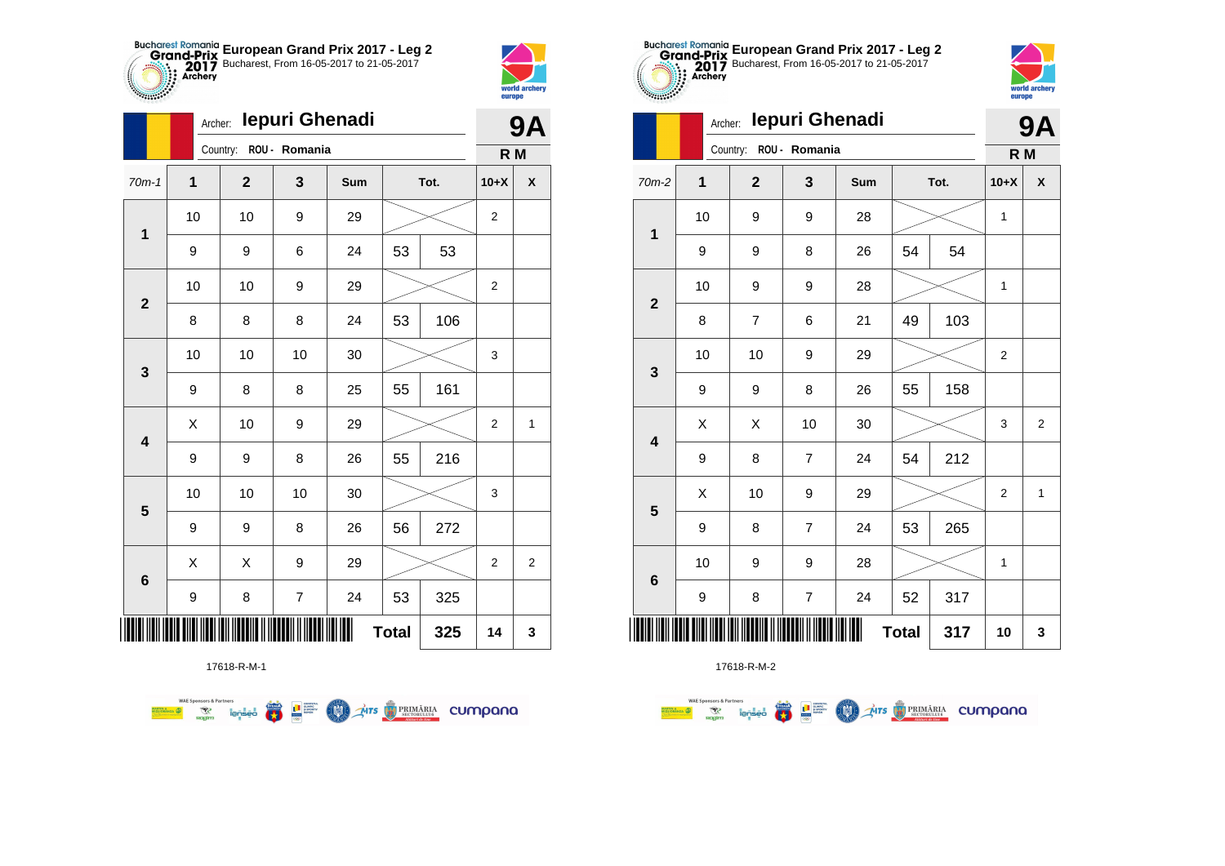



|              | Archer:     |                |                | 9Α  |              |      |                |                         |
|--------------|-------------|----------------|----------------|-----|--------------|------|----------------|-------------------------|
|              |             | Country:       | ROU - Romania  |     |              |      | R M            |                         |
| $70m-1$      | $\mathbf 1$ | $\overline{2}$ | 3              | Sum |              | Tot. | $10+X$         | X                       |
| $\mathbf 1$  | 10          | 10             | 9              | 29  |              |      | 2              |                         |
|              | 9           | 9              | 6              | 24  | 53           | 53   |                |                         |
| $\mathbf{2}$ | 10          | 10             | 9              | 29  |              |      | $\overline{2}$ |                         |
|              | 8           | 8              | 8              | 24  | 53           | 106  |                |                         |
| 3            | 10          | 10             | 10             | 30  |              |      | 3              |                         |
|              | 9           | 8              | 8              | 25  | 55           | 161  |                |                         |
| 4            | X           | 10             | 9              | 29  |              |      | 2              | 1                       |
|              | 9           | 9              | 8              | 26  | 55           | 216  |                |                         |
| 5            | 10          | 10             | 10             | 30  |              |      | 3              |                         |
|              | 9           | 9              | 8              | 26  | 56           | 272  |                |                         |
| 6            | X           | X              | 9              | 29  |              |      | 2              | $\overline{\mathbf{c}}$ |
|              | 9           | 8              | $\overline{7}$ | 24  | 53           | 325  |                |                         |
|              |             |                |                |     | <b>Total</b> | 325  | 14             | 3                       |

**THE STRIMARIA CUMPANA** 



17618-R-M-2

|                         |             | lepuri Ghenadi<br>Archer: |                         |     |              |      |                |                |  |  |
|-------------------------|-------------|---------------------------|-------------------------|-----|--------------|------|----------------|----------------|--|--|
|                         |             | Country:                  | ROU - Romania           |     |              |      | R M            |                |  |  |
| $70m-2$                 | $\mathbf 1$ | $\overline{2}$            | 3                       | Sum |              | Tot. | $10+X$         | X              |  |  |
| $\mathbf 1$             | 10          | 9                         | 9                       | 28  |              |      | 1              |                |  |  |
|                         | 9           | 9                         | 8                       | 26  | 54           | 54   |                |                |  |  |
| $\overline{2}$          | 10          | 9                         | 9                       | 28  |              |      | 1              |                |  |  |
|                         | 8           | $\overline{7}$            | 6                       | 21  | 49           | 103  |                |                |  |  |
| $\mathbf{3}$            | 10          | 10                        | 9                       | 29  |              |      | $\overline{c}$ |                |  |  |
|                         | 9           | $\boldsymbol{9}$          | 8                       | 26  | 55           | 158  |                |                |  |  |
| $\overline{\mathbf{4}}$ | X           | Χ                         | 10                      | 30  |              |      | 3              | $\overline{2}$ |  |  |
|                         | 9           | 8                         | $\overline{7}$          | 24  | 54           | 212  |                |                |  |  |
| 5                       | X           | 10                        | 9                       | 29  |              |      | $\overline{2}$ | $\mathbf{1}$   |  |  |
|                         | 9           | 8                         | $\overline{7}$          | 24  | 53           | 265  |                |                |  |  |
|                         | 10          | 9                         | 9                       | 28  |              |      | 1              |                |  |  |
| $6\phantom{1}6$         | 9           | 8                         | $\overline{\mathbf{7}}$ | 24  | 52           | 317  |                |                |  |  |
| IIII                    |             |                           |                         |     | <b>Total</b> | 317  | 10             | 3              |  |  |

**European Grand Prix 2017 - Leg 2** Bucharest, From 16-05-2017 to 21-05-2017

world archer

europe

Archer: **Iepuri Ghenadi**

第 9章

**COO** 

17618-R-M-1

**WAE Sponsors & Partners**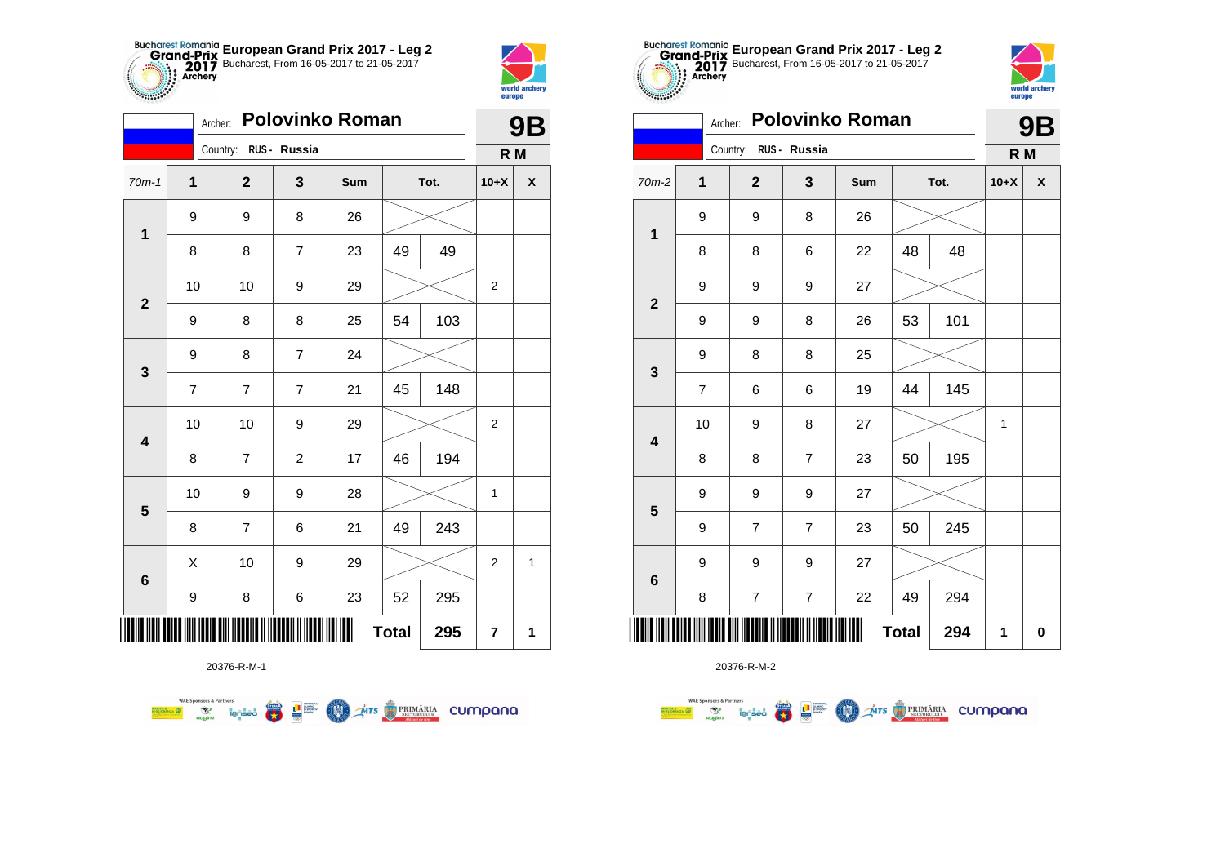



|                         | <b>Polovinko Roman</b><br>Archer: |                       |                  |     |              |      |                |             |  |  |  |
|-------------------------|-----------------------------------|-----------------------|------------------|-----|--------------|------|----------------|-------------|--|--|--|
|                         |                                   | Country: RUS - Russia |                  |     |              |      | R M            |             |  |  |  |
| $70m-1$                 | $\mathbf 1$                       | $\mathbf 2$           | 3                | Sum |              | Tot. | $10+X$         | X           |  |  |  |
| $\mathbf{1}$            | 9                                 | 9                     | 8                | 26  |              |      |                |             |  |  |  |
|                         | 8                                 | 8                     | $\overline{7}$   | 23  | 49           | 49   |                |             |  |  |  |
| $\mathbf{2}$            | 10                                | 10                    | 9                | 29  |              |      | $\overline{2}$ |             |  |  |  |
|                         | 9                                 | 8                     | 8                | 25  | 54           | 103  |                |             |  |  |  |
| 3                       | 9                                 | 8                     | $\overline{7}$   | 24  |              |      |                |             |  |  |  |
|                         | $\overline{7}$                    | $\overline{7}$        | $\overline{7}$   | 21  | 45           | 148  |                |             |  |  |  |
| 4                       | 10                                | 10                    | 9                | 29  |              |      | $\overline{2}$ |             |  |  |  |
|                         | 8                                 | $\overline{7}$        | $\boldsymbol{2}$ | 17  | 46           | 194  |                |             |  |  |  |
| $\overline{\mathbf{5}}$ | 10                                | 9                     | 9                | 28  |              |      | $\mathbf{1}$   |             |  |  |  |
|                         | 8                                 | 7                     | 6                | 21  | 49           | 243  |                |             |  |  |  |
| $6\phantom{1}6$         | Χ                                 | 10                    | 9                | 29  |              |      | $\overline{2}$ | $\mathbf 1$ |  |  |  |
|                         | 9                                 | 8                     | 6                | 23  | 52           | 295  |                |             |  |  |  |
| ║║║                     |                                   |                       |                  |     | <b>Total</b> | 295  | 7              | 1           |  |  |  |



20376-R-M-2

| cococo.                 | <b>Polovinko Roman</b><br>Archer: |                         |                |     |              |      |        |                    |  |  |  |
|-------------------------|-----------------------------------|-------------------------|----------------|-----|--------------|------|--------|--------------------|--|--|--|
|                         |                                   | Country: RUS - Russia   |                |     |              |      | R M    |                    |  |  |  |
| $70m-2$                 | 1                                 | $\overline{2}$          | 3              | Sum |              | Tot. | $10+X$ | $\pmb{\mathsf{X}}$ |  |  |  |
| $\mathbf 1$             | 9                                 | 9                       | 8              | 26  |              |      |        |                    |  |  |  |
|                         | 8                                 | 8                       | 6              | 22  | 48           | 48   |        |                    |  |  |  |
| $\overline{\mathbf{2}}$ | 9                                 | 9                       | 9              | 27  |              |      |        |                    |  |  |  |
|                         | 9                                 | 9                       | 8              | 26  | 101<br>53    |      |        |                    |  |  |  |
| 3                       | 9                                 | 8                       | 8              | 25  |              |      |        |                    |  |  |  |
|                         | $\overline{7}$                    | 6                       | 6              | 19  | 44           | 145  |        |                    |  |  |  |
| $\overline{\mathbf{4}}$ | 10                                | 9                       | 8              | 27  |              |      | 1      |                    |  |  |  |
|                         | 8                                 | 8                       | $\overline{7}$ | 23  | 50           | 195  |        |                    |  |  |  |
| 5                       | 9                                 | 9                       | 9              | 27  |              |      |        |                    |  |  |  |
|                         | 9                                 | $\overline{7}$          | $\overline{7}$ | 23  | 50           | 245  |        |                    |  |  |  |
| $6\phantom{1}6$         | 9                                 | 9                       | 9              | 27  |              |      |        |                    |  |  |  |
|                         | 8                                 | $\overline{\mathbf{7}}$ | 7              | 22  | 49           | 294  |        |                    |  |  |  |
|                         |                                   |                         |                |     | <b>Total</b> | 294  | 1      | $\bf{0}$           |  |  |  |

**European Grand Prix 2017 - Leg 2** Bucharest, From 16-05-2017 to 21-05-2017



|                         | Archer:<br>POIOVINKO KOMAN |                       |                  |                  |     |              |      |        | 9Β                 |  |  |
|-------------------------|----------------------------|-----------------------|------------------|------------------|-----|--------------|------|--------|--------------------|--|--|
|                         |                            | Country: RUS - Russia |                  |                  |     |              |      | R M    |                    |  |  |
| 1<br>70m-2              |                            |                       | $\overline{2}$   | 3                | Sum |              | Tot. | $10+X$ | $\pmb{\mathsf{X}}$ |  |  |
| $\mathbf{1}$            | 9                          |                       | 9                | 8                | 26  |              |      |        |                    |  |  |
|                         | 8                          |                       | 8                | 6                | 22  | 48           | 48   |        |                    |  |  |
| $\mathbf{2}$            | 9                          |                       | 9                | 9                | 27  |              |      |        |                    |  |  |
|                         | 9                          |                       | 9                | 8                | 26  | 53           | 101  |        |                    |  |  |
| $\mathbf{3}$            | 9                          |                       | 8                | 8                | 25  |              |      |        |                    |  |  |
|                         | $\overline{7}$             |                       | 6                | 6                | 19  | 44           | 145  |        |                    |  |  |
| $\overline{\mathbf{4}}$ | 10                         |                       | 9                | 8                | 27  |              |      | 1      |                    |  |  |
|                         | 8                          |                       | 8                | $\overline{7}$   | 23  | 50           | 195  |        |                    |  |  |
| $\overline{\mathbf{5}}$ | 9                          |                       | 9                | 9                | 27  |              |      |        |                    |  |  |
|                         | 9                          |                       | $\overline{7}$   | 7                | 23  | 50           | 245  |        |                    |  |  |
|                         | 9                          |                       | 9                | 9                | 27  |              |      |        |                    |  |  |
| $\bf 6$                 | 8                          |                       | $\boldsymbol{7}$ | $\boldsymbol{7}$ | 22  | 49           | 294  |        |                    |  |  |
| <b>TILL</b>             |                            |                       |                  |                  | Ш   | <b>Total</b> | 294  | 1      | $\mathbf 0$        |  |  |

20376-R-M-1

**WAE Sponsors & Partners AITS** PRIMARIA CUMPONO  $\overline{\mathbf{r}}$ L<sup>a</sup> Supply LON)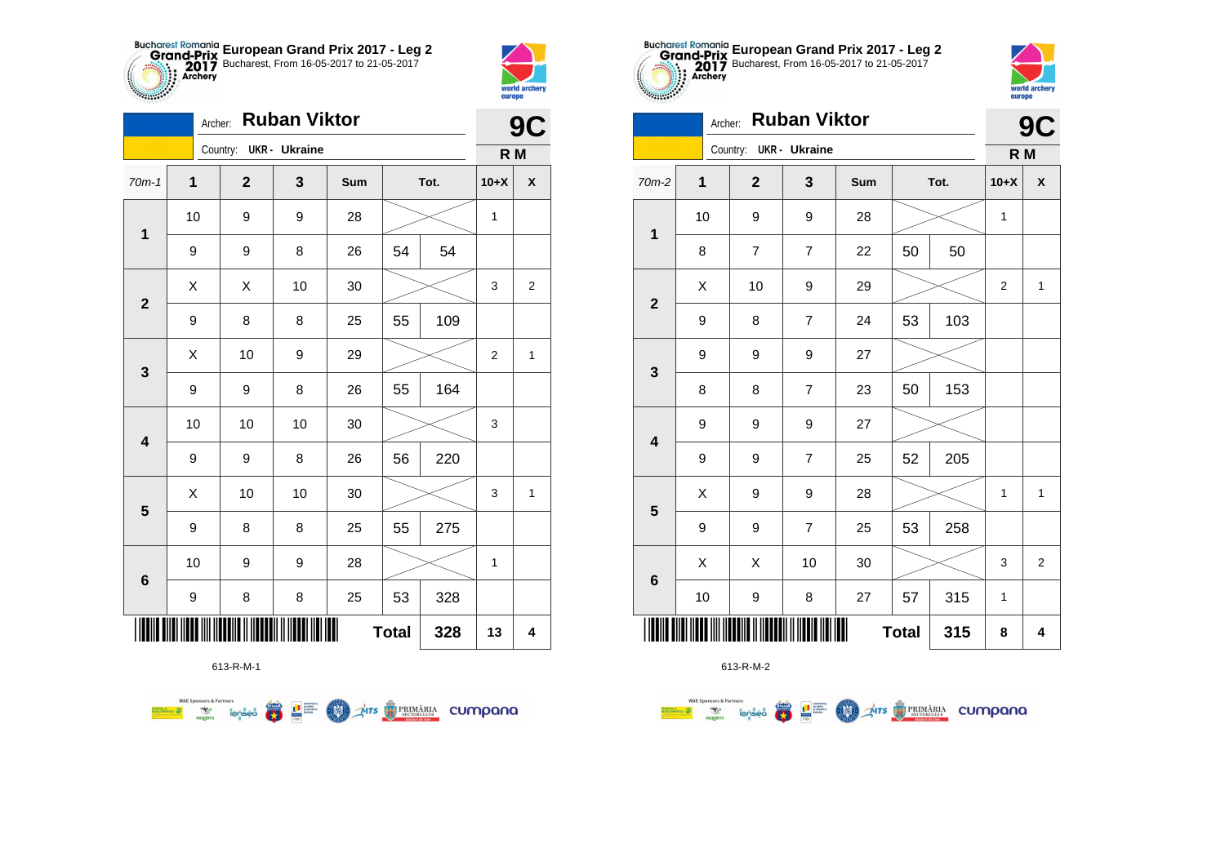



|                                | <b>Ruban Viktor</b><br>Archer: |                        |    |     |      |     |                |                |  |  |
|--------------------------------|--------------------------------|------------------------|----|-----|------|-----|----------------|----------------|--|--|
|                                |                                | Country: UKR - Ukraine |    |     |      |     | R M            |                |  |  |
| $70m-1$                        | $\mathbf 1$                    | $\mathbf{2}$           | 3  | Sum | Tot. |     | $10+X$         | X              |  |  |
| 1                              | 10                             | 9                      | 9  | 28  |      |     | 1              |                |  |  |
|                                | 9                              | 9                      | 8  | 26  | 54   | 54  |                |                |  |  |
| $\mathbf{2}$                   | X                              | Χ                      | 10 | 30  |      |     | 3              | $\overline{2}$ |  |  |
|                                | 9                              | 8                      | 8  | 25  | 55   | 109 |                |                |  |  |
| 3                              | Χ                              | 10                     | 9  | 29  |      |     | $\overline{2}$ | 1              |  |  |
|                                | 9                              | 9                      | 8  | 26  | 55   | 164 |                |                |  |  |
| $\overline{\mathbf{4}}$        | 10                             | 10                     | 10 | 30  |      |     | 3              |                |  |  |
|                                | 9                              | 9                      | 8  | 26  | 56   | 220 |                |                |  |  |
| 5                              | Χ                              | 10                     | 10 | 30  |      |     | 3              | 1              |  |  |
|                                | 9                              | 8                      | 8  | 25  | 55   | 275 |                |                |  |  |
| $\bf 6$                        | 10                             | 9                      | 9  | 28  |      |     | 1              |                |  |  |
|                                | 9                              | 8                      | 8  | 25  | 53   | 328 |                |                |  |  |
| Ⅲ<br><b>Total</b><br>328<br>13 |                                |                        |    |     |      |     |                |                |  |  |

**COLORED PRIMÄRIA CUMPANA** 

613-R-M-1

**WAE Sponsors & Partners** 



| 70m-2                                     | 1  | $\boldsymbol{2}$        | 3                | Sum    | Tot. |     | $10+X$       | $\pmb{\mathsf{x}}$ |  |
|-------------------------------------------|----|-------------------------|------------------|--------|------|-----|--------------|--------------------|--|
| $\mathbf{1}$                              | 10 | 9                       | 9                | 28     |      |     | 1            |                    |  |
|                                           | 8  | $\overline{\mathbf{7}}$ | $\boldsymbol{7}$ | 22     | 50   | 50  |              |                    |  |
| $\overline{\mathbf{2}}$                   | Χ  | 10                      | 9                | 29     |      |     | 2            | $\mathbf{1}$       |  |
|                                           | 9  | 8                       | $\boldsymbol{7}$ | 24     | 53   | 103 |              |                    |  |
| $\mathbf{3}$                              | 9  | 9                       | 9                | 27     |      |     |              |                    |  |
|                                           | 8  | 8                       | $\overline{7}$   | 23     | 50   | 153 |              |                    |  |
| $\overline{\mathbf{4}}$                   | 9  | 9                       | 9                | 27     |      |     |              |                    |  |
|                                           | 9  | 9                       | $\boldsymbol{7}$ | 25     | 52   | 205 |              |                    |  |
| $\overline{\mathbf{5}}$                   | X  | 9                       | 9                | 28     |      |     | $\mathbf{1}$ | $\mathbf{1}$       |  |
|                                           | 9  | 9                       | $\boldsymbol{7}$ | 25     | 53   | 258 |              |                    |  |
| $\bf 6$                                   | X  | X                       | 10               | $30\,$ |      |     | 3            | $\overline{2}$     |  |
| 10<br>9<br>8<br>27                        |    |                         |                  |        | 57   | 315 | 1            |                    |  |
| Ⅲ<br>║║║<br><b>Total</b><br>315<br>8<br>4 |    |                         |                  |        |      |     |              |                    |  |

**European Grand Prix 2017 - Leg 2** Bucharest, From 16-05-2017 to 21-05-2017

Archer: **Ruban Viktor**

Country: **UKR - Ukraine**

**STATISTICS** 



**9C**

**R M**

|                         | 9           | 9         | 9                       | 27 |              |     |
|-------------------------|-------------|-----------|-------------------------|----|--------------|-----|
| $\mathbf{3}$            | 8           | 8         | $\overline{7}$          | 23 | 50           | 153 |
| $\overline{\mathbf{4}}$ | $\mathsf g$ | 9         | 9                       | 27 |              |     |
|                         | 9           | 9         | $\boldsymbol{7}$        | 25 | 52           | 205 |
| ${\bf 5}$               | $\sf X$     | 9         | 9                       | 28 |              |     |
|                         | 9           | 9         | $\overline{\mathbf{7}}$ | 25 | 53           | 258 |
| 6                       | X           | X         | $10$                    | 30 |              |     |
|                         | 10          | 9         | 8                       | 27 | 57           | 315 |
|                         |             |           | $\  \cdot \ $           |    | <b>Total</b> | 315 |
|                         |             | 613-R-M-2 |                         |    |              |     |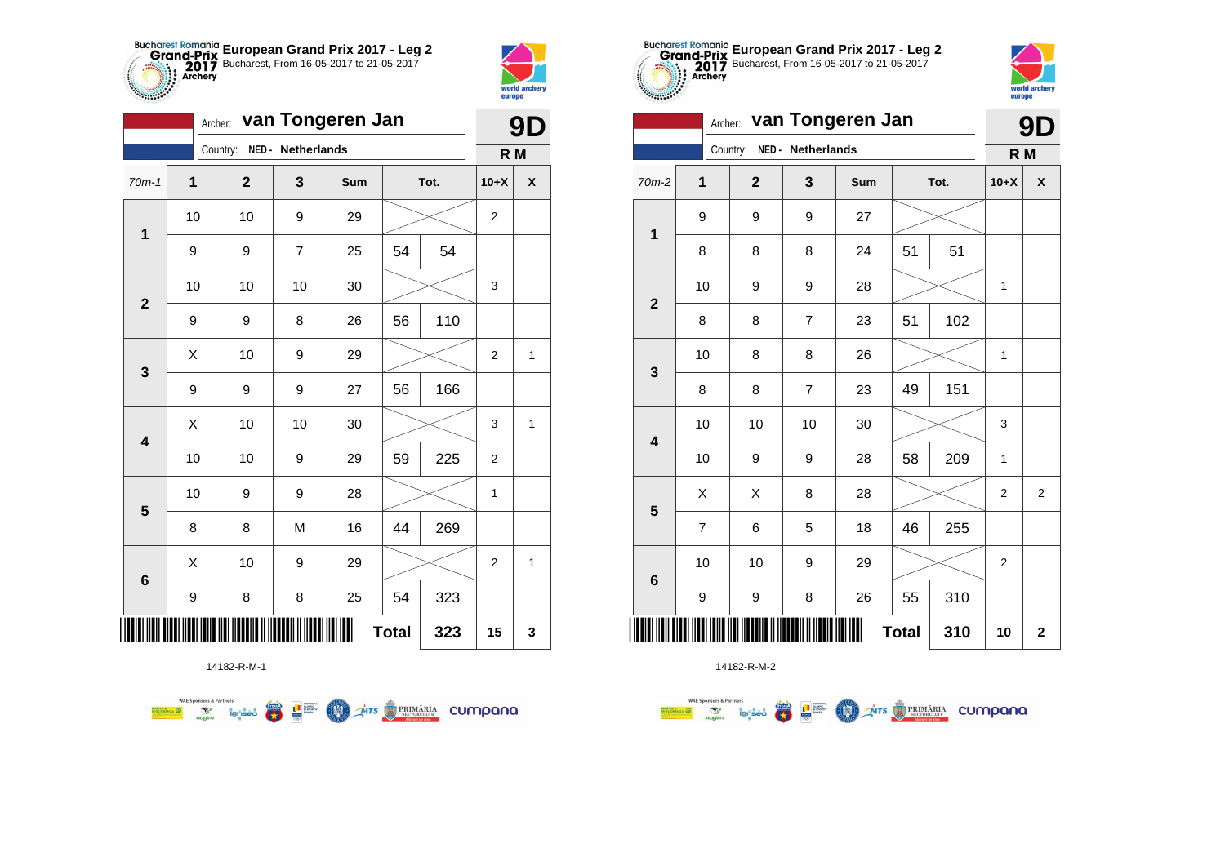



**9D**

|                | van Tongeren Jan<br>Archer: |                |                   |     |              |      |                |   |
|----------------|-----------------------------|----------------|-------------------|-----|--------------|------|----------------|---|
|                |                             | Country:       | NED - Netherlands |     |              |      | R M            |   |
| $70m-1$        | $\mathbf{1}$                | $\overline{2}$ | 3                 | Sum |              | Tot. | $10+X$         | X |
| $\mathbf 1$    | 10                          | 10             | 9                 | 29  |              |      | 2              |   |
|                | 9                           | 9              | $\overline{7}$    | 25  | 54           | 54   |                |   |
| $\mathbf{2}$   | 10                          | 10             | 10                | 30  |              |      | 3              |   |
|                | 9                           | 9              | 8                 | 26  | 56           | 110  |                |   |
| 3              | Χ                           | 10             | 9                 | 29  |              |      | 2              | 1 |
|                | $\boldsymbol{9}$            | 9              | 9                 | 27  | 56           | 166  |                |   |
| 4              | $\sf X$                     | 10             | 10                | 30  |              |      | 3              | 1 |
|                | 10                          | 10             | 9                 | 29  | 59           | 225  | $\overline{2}$ |   |
|                | 10                          | 9              | 9                 | 28  |              |      | $\mathbf{1}$   |   |
| 5              | 8                           | 8              | M                 | 16  | 44           | 269  |                |   |
|                | X                           | 10             | 9                 | 29  |              |      | 2              | 1 |
| $6\phantom{1}$ | 9                           | 8              | 8                 | 25  | 54           | 323  |                |   |
| Ш              |                             |                |                   |     | <b>Total</b> | 323  | 15             | 3 |



14182-R-M-2

| van Tongeren Jan<br>Archer: |                |    |              |                   |     |              |      | 9D             |                    |
|-----------------------------|----------------|----|--------------|-------------------|-----|--------------|------|----------------|--------------------|
|                             |                |    | Country:     | NED - Netherlands |     |              |      | R M            |                    |
| 70m-2                       | 1              |    | $\mathbf{2}$ | 3                 | Sum |              | Tot. | $10+X$         | $\pmb{\mathsf{X}}$ |
| $\overline{\mathbf{1}}$     | 9              |    | 9            | 9                 | 27  |              |      |                |                    |
|                             | 8              |    | 8            | 8                 | 24  | 51           | 51   |                |                    |
| $\mathbf{2}$                | 10             |    | 9            | 9                 | 28  |              |      | 1              |                    |
|                             | 8              |    | 8            | $\overline{7}$    | 23  | 51           | 102  |                |                    |
| $\mathbf{3}$                |                | 10 | 8            | 8                 | 26  |              |      | 1              |                    |
|                             | 8              |    | 8            | $\overline{7}$    | 23  | 49           | 151  |                |                    |
| $\overline{\mathbf{4}}$     |                | 10 | 10           | 10                | 30  |              |      | 3              |                    |
|                             | 10             |    | 9            | 9                 | 28  | 58           | 209  | 1              |                    |
| 5                           | Χ              |    | X            | 8                 | 28  |              |      | $\overline{2}$ | $\overline{2}$     |
|                             | $\overline{7}$ |    | 6            | 5                 | 18  | 46           | 255  |                |                    |
| $\bf 6$                     | 10             |    | 10           | 9                 | 29  |              |      | $\overline{2}$ |                    |
|                             | 9              |    | 9            | 8                 | 26  | 55           | 310  |                |                    |
|                             |                |    |              |                   |     | <b>Total</b> | 310  | 10             | $\mathbf 2$        |

**European Grand Prix 2017 - Leg 2** Bucharest, From 16-05-2017 to 21-05-2017

**WAE Sponsors & Partners**  $\overline{\mathbf{r}}$ L<sup>a</sup> Supply LON)

14182-R-M-1

**THE STRIMARIA CUMPANA** 

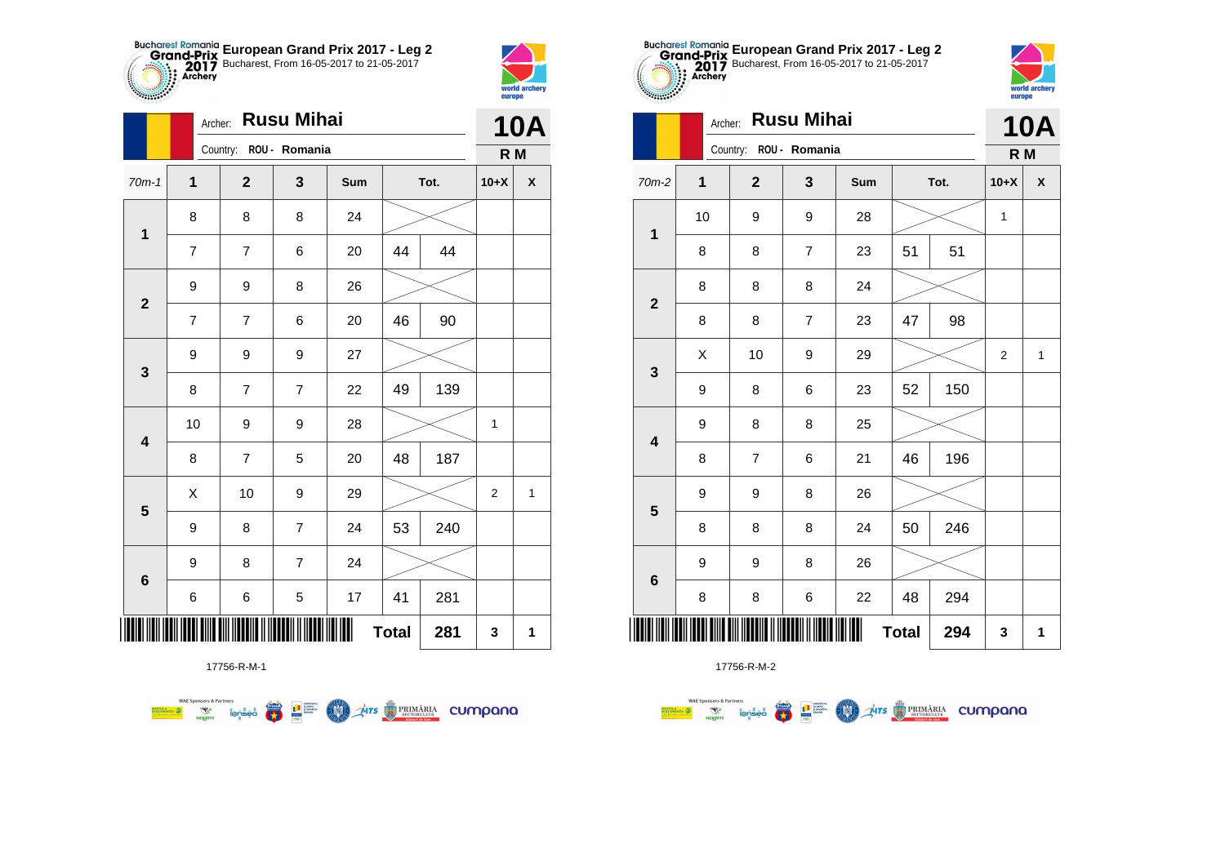



|                         |                  | <b>Rusu Mihai</b><br>Archer: |                |     |              |      |                |                    |  |  |  |  |
|-------------------------|------------------|------------------------------|----------------|-----|--------------|------|----------------|--------------------|--|--|--|--|
|                         |                  | Country: ROU - Romania       |                |     |              |      | R M            |                    |  |  |  |  |
| $70m-1$                 | $\mathbf{1}$     | $\boldsymbol{2}$             | 3              | Sum |              | Tot. | $10+X$         | $\pmb{\mathsf{X}}$ |  |  |  |  |
| $\mathbf 1$             | 8                | 8                            | 8              | 24  |              |      |                |                    |  |  |  |  |
|                         | $\overline{7}$   | 7                            | 6              | 20  | 44           | 44   |                |                    |  |  |  |  |
| $\mathbf{2}$            | $\boldsymbol{9}$ | 9                            | 8              | 26  |              |      |                |                    |  |  |  |  |
|                         | $\overline{7}$   | 7                            | 6              | 20  | 46           | 90   |                |                    |  |  |  |  |
| 3                       | 9                | 9                            | 9              | 27  |              |      |                |                    |  |  |  |  |
|                         | 8                | $\overline{\mathbf{7}}$      | $\overline{7}$ | 22  | 49           | 139  |                |                    |  |  |  |  |
| $\overline{\mathbf{4}}$ | 10               | 9                            | 9              | 28  |              |      | 1              |                    |  |  |  |  |
|                         | 8                | 7                            | 5              | 20  | 48           | 187  |                |                    |  |  |  |  |
| $\overline{\mathbf{5}}$ | X                | 10                           | 9              | 29  |              |      | $\overline{2}$ | $\mathbf{1}$       |  |  |  |  |
|                         | 9                | 8                            | $\overline{7}$ | 24  | 53           | 240  |                |                    |  |  |  |  |
| $\bf 6$                 | 9                | 8                            | $\overline{7}$ | 24  |              |      |                |                    |  |  |  |  |
|                         | 6                | 6                            | 5              | 17  | 41           | 281  |                |                    |  |  |  |  |
| ║║║                     |                  |                              |                | Ш   | <b>Total</b> | 281  | 3              | 1                  |  |  |  |  |

**COND** 

**AITS** PRIMÁRIA CUMPANO



17756-R-M-2

|                         |    | <b>Rusu Mihai</b><br>Archer: |                |     |              |      |                |                    |  |
|-------------------------|----|------------------------------|----------------|-----|--------------|------|----------------|--------------------|--|
|                         |    | Country:                     | ROU - Romania  |     |              |      | R M            |                    |  |
| 70m-2                   | 1  | $\mathbf{2}$                 | 3              | Sum |              | Tot. | $10+X$         | $\pmb{\mathsf{X}}$ |  |
| $\mathbf 1$             | 10 | 9                            | 9              | 28  |              |      | 1              |                    |  |
|                         | 8  | 8                            | $\overline{7}$ | 23  | 51           | 51   |                |                    |  |
| $\mathbf{2}$            | 8  | 8                            | 8              | 24  |              |      |                |                    |  |
|                         | 8  | 8                            | $\overline{7}$ | 23  | 47           | 98   |                |                    |  |
| $\mathbf 3$             | X  | 10                           | 9              | 29  |              |      | $\overline{2}$ | $\mathbf{1}$       |  |
|                         | 9  | 8                            | 6              | 23  | 52           | 150  |                |                    |  |
| $\overline{\mathbf{4}}$ | 9  | 8                            | 8              | 25  |              |      |                |                    |  |
|                         | 8  | $\overline{7}$               | 6              | 21  | 46           | 196  |                |                    |  |
| 5                       | 9  | 9                            | 8              | 26  |              |      |                |                    |  |
|                         | 8  | 8                            | 8              | 24  | 50           | 246  |                |                    |  |
| $\bf 6$                 | 9  | 9                            | 8              | 26  |              |      |                |                    |  |
|                         | 8  | 8                            | 6              | 22  | 48           | 294  |                |                    |  |
| ║║║                     |    |                              |                | Ш   | <b>Total</b> | 294  | 3              | 1                  |  |

**European Grand Prix 2017 - Leg 2** Bucharest, From 16-05-2017 to 21-05-2017

world archer

europe

Archer: **Rusu Mihai**

17756-R-M-1

**Example 19 address a large of the species of the species of the species of the species of the species of the species**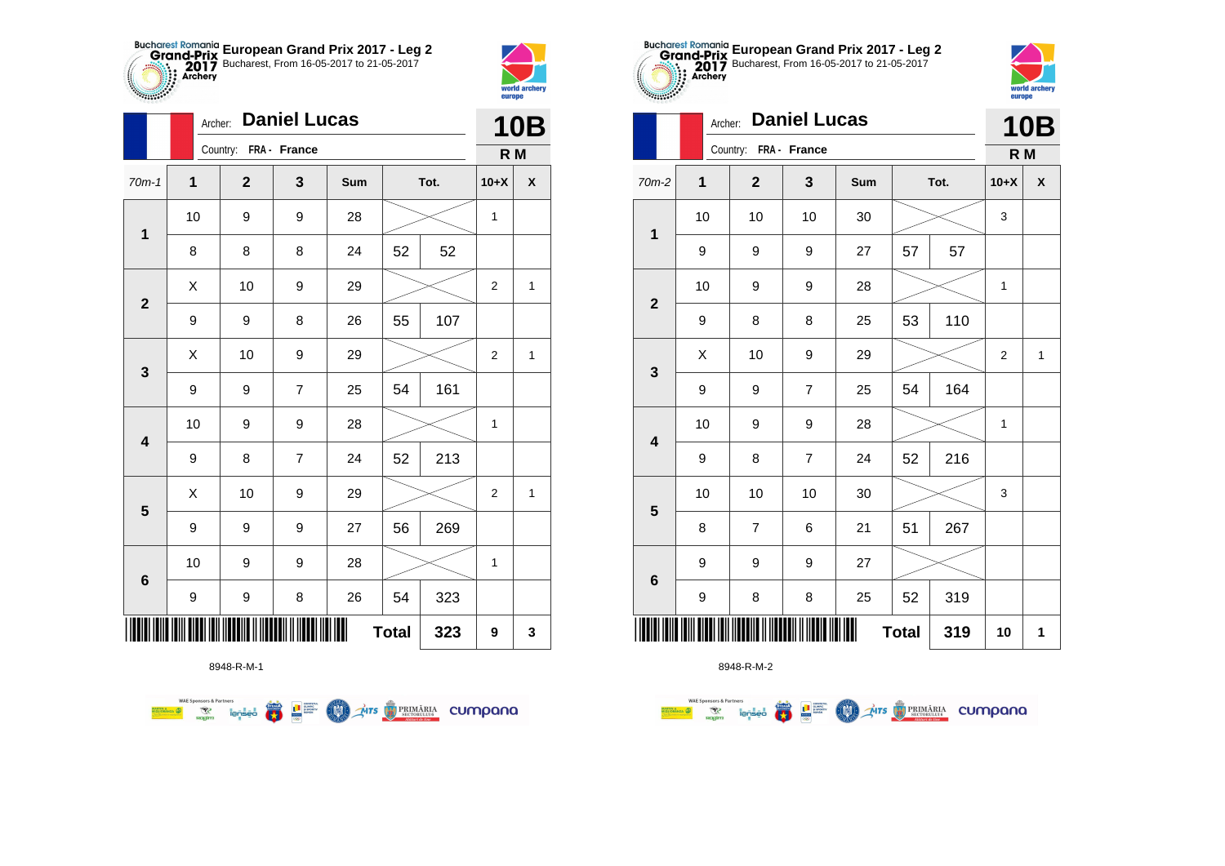



|                         |                  | <b>Daniel Lucas</b><br>Archer: |                |     |              |      |                |   |  |  |
|-------------------------|------------------|--------------------------------|----------------|-----|--------------|------|----------------|---|--|--|
|                         |                  | Country: FRA - France          |                |     |              |      | R M            |   |  |  |
| $70m-1$                 | $\mathbf{1}$     | $\mathbf{2}$                   | 3              | Sum |              | Tot. | $10+X$         | X |  |  |
| 1                       | 10               | 9                              | 9              | 28  |              |      | 1              |   |  |  |
|                         | 8                | 8                              | 8              | 24  | 52           | 52   |                |   |  |  |
| $\mathbf{2}$            | X                | 10                             | 9              | 29  |              |      | $\overline{2}$ | 1 |  |  |
|                         | $\boldsymbol{9}$ | 9                              | 8              | 26  | 55           | 107  |                |   |  |  |
| 3                       | Χ                | 10                             | 9              | 29  |              |      | $\overline{2}$ | 1 |  |  |
|                         | $\boldsymbol{9}$ | 9                              | $\overline{7}$ | 25  | 54           | 161  |                |   |  |  |
| $\overline{\mathbf{4}}$ | 10               | 9                              | 9              | 28  |              |      | 1              |   |  |  |
|                         | 9                | 8                              | $\overline{7}$ | 24  | 52           | 213  |                |   |  |  |
| $\overline{\mathbf{5}}$ | X                | 10                             | 9              | 29  |              |      | $\overline{2}$ | 1 |  |  |
|                         | 9                | 9                              | 9              | 27  | 56           | 269  |                |   |  |  |
| $6\phantom{1}6$         | 10               | 9                              | 9              | 28  |              |      | 1              |   |  |  |
|                         | 9                | 9                              | 8              | 26  | 54           | 323  |                |   |  |  |
|                         |                  |                                |                |     | <b>Total</b> | 323  | 9              | 3 |  |  |



8948-R-M-2

| $70m-2$                 | $\mathbf 1$ | $\mathbf{2}$            | $\mathbf{3}$             | Sum | Tot. |     | $10+X$                    | $\pmb{\mathsf{X}}$ |
|-------------------------|-------------|-------------------------|--------------------------|-----|------|-----|---------------------------|--------------------|
| $\mathbf{1}$            | 10          | $10$                    | 10                       | 30  |      |     | $\mathsf 3$               |                    |
|                         | 9           | 9                       | 9                        | 27  | 57   | 57  |                           |                    |
| $\mathbf{2}$            | 10          | 9                       | 9                        | 28  |      |     | 1                         |                    |
|                         | 9           | 8                       | 8                        | 25  | 53   | 110 |                           |                    |
| $\mathbf{3}$            | X           | 10                      | 9                        | 29  |      |     | $\mathbf 2$               | $\mathbf{1}$       |
|                         | 9           | 9                       | $\overline{7}$           | 25  | 54   | 164 |                           |                    |
| $\overline{\mathbf{4}}$ | 10          | 9                       | 9                        | 28  |      |     | 1                         |                    |
|                         | 9           | 8                       | $\overline{\mathcal{I}}$ | 24  | 52   | 216 |                           |                    |
| $\overline{\mathbf{5}}$ | 10          | 10                      | 10                       | 30  |      |     | $\ensuremath{\mathsf{3}}$ |                    |
|                         | 8           | $\overline{\mathbf{7}}$ | 6                        | 21  | 51   | 267 |                           |                    |
| $\bf 6$                 | 9           | 9                       | 9                        | 27  |      |     |                           |                    |
|                         | 9           | 8                       | 8                        | 25  | 52   | 319 |                           |                    |
|                         |             | 319                     | 10                       | 1   |      |     |                           |                    |

**European Grand Prix 2017 - Leg 2** Bucharest, From 16-05-2017 to 21-05-2017

> **10B R M**

world archery

europe

Archer: **Daniel Lucas**

Country: **FRA - France**

 $\overline{1}$ 

**THE** 

 $\overline{ }$ 

8948-R-M-1

■ □■

**COND** 

**THE STRIMARIA CUMPANA** 

**WAE Sponsors & Partners**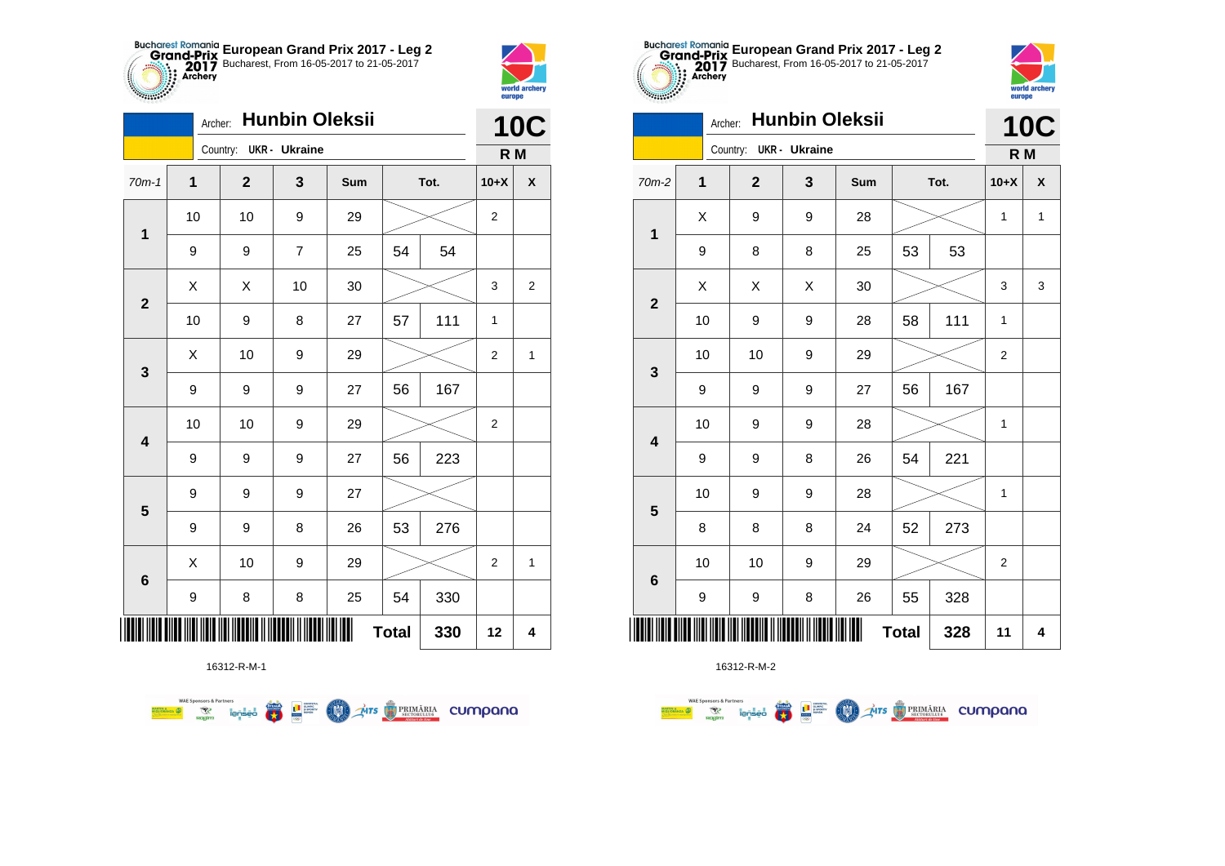



|                         | Archer:     |                        | <b>Hunbin Oleksii</b> |     |              |      |                | <b>10C</b>         |
|-------------------------|-------------|------------------------|-----------------------|-----|--------------|------|----------------|--------------------|
|                         |             | Country: UKR - Ukraine |                       |     |              |      | R M            |                    |
| $70m-1$                 | $\mathbf 1$ | $\mathbf 2$            | 3                     | Sum |              | Tot. | $10+X$         | $\pmb{\mathsf{X}}$ |
| $\mathbf 1$             | 10          | 10                     | 9                     | 29  |              |      | 2              |                    |
|                         | 9           | 9                      | $\overline{7}$        | 25  | 54           | 54   |                |                    |
| $\mathbf{2}$            | X           | X                      | 10                    | 30  |              |      | 3              | 2                  |
|                         | 10          | 9                      | 8                     | 27  | 57           | 111  | $\mathbf{1}$   |                    |
| 3                       | X           | 10                     | 9                     | 29  |              |      | 2              | $\mathbf 1$        |
|                         | 9           | 9                      | 9                     | 27  | 56           | 167  |                |                    |
| $\overline{\mathbf{4}}$ | 10          | 10                     | 9                     | 29  |              |      | $\overline{2}$ |                    |
|                         | 9           | 9                      | 9                     | 27  | 56           | 223  |                |                    |
| 5                       | 9           | 9                      | 9                     | 27  |              |      |                |                    |
|                         | 9           | 9                      | 8                     | 26  | 53           | 276  |                |                    |
| $6\phantom{1}6$         | X           | 10                     | 9                     | 29  |              |      | $\overline{2}$ | $\mathbf{1}$       |
|                         | 9           | 8                      | 8                     | 25  | 54           | 330  |                |                    |
| ┉                       |             |                        |                       |     | <b>Total</b> | 330  | 12             | 4                  |





|                         | <b>Hunbin Oleksii</b><br>Archer: |              |                        |   |     |              |      | <b>10C</b>     |                    |
|-------------------------|----------------------------------|--------------|------------------------|---|-----|--------------|------|----------------|--------------------|
|                         |                                  |              | Country: UKR - Ukraine |   |     |              |      | R M            |                    |
| 70m-2                   |                                  | $\mathbf{1}$ | $\mathbf{2}$           | 3 | Sum |              | Tot. | $10+X$         | $\pmb{\mathsf{X}}$ |
| $\mathbf 1$             |                                  | Χ            | 9                      | 9 | 28  |              |      | 1              | $\mathbf{1}$       |
|                         |                                  | 9            | 8                      | 8 | 25  | 53           | 53   |                |                    |
| $\mathbf{2}$            |                                  | Χ            | Χ                      | Χ | 30  |              |      | 3              | 3                  |
|                         |                                  | 10           | 9                      | 9 | 28  | 58           | 111  | 1              |                    |
| 3                       |                                  | 10           | 10                     | 9 | 29  |              |      | $\overline{2}$ |                    |
|                         |                                  | 9            | 9                      | 9 | 27  | 56           | 167  |                |                    |
| $\overline{\mathbf{4}}$ |                                  | 10           | 9                      | 9 | 28  |              |      | $\mathbf{1}$   |                    |
|                         |                                  | 9            | 9                      | 8 | 26  | 54           | 221  |                |                    |
| 5                       |                                  | 10           | 9                      | 9 | 28  |              |      | 1              |                    |
|                         |                                  | 8            | 8                      | 8 | 24  | 52           | 273  |                |                    |
| $6\phantom{1}6$         |                                  | 10           | 10                     | 9 | 29  |              |      | $\overline{2}$ |                    |
|                         |                                  | 9            | 9                      | 8 | 26  | 55           | 328  |                |                    |
| IIII                    |                                  |              |                        |   |     | <b>Total</b> | 328  | 11             | 4                  |

16312-R-M-2

**WAE Sponsors & Partners** 

MARTIN ANZA

**AITS** PRIMARIA CUMPANO  $\begin{array}{c} \begin{array}{c} \text{cosatrix} \\ \text{cosine} \\ \text{sinor} \\ \text{coselse} \end{array} \end{array}$ **Respirations** m **TEND** 

**WAE Sponsors & Partners FRA THE SUPPRE COMO** 

16312-R-M-1

Mrs PRIMÁRIA CUMpana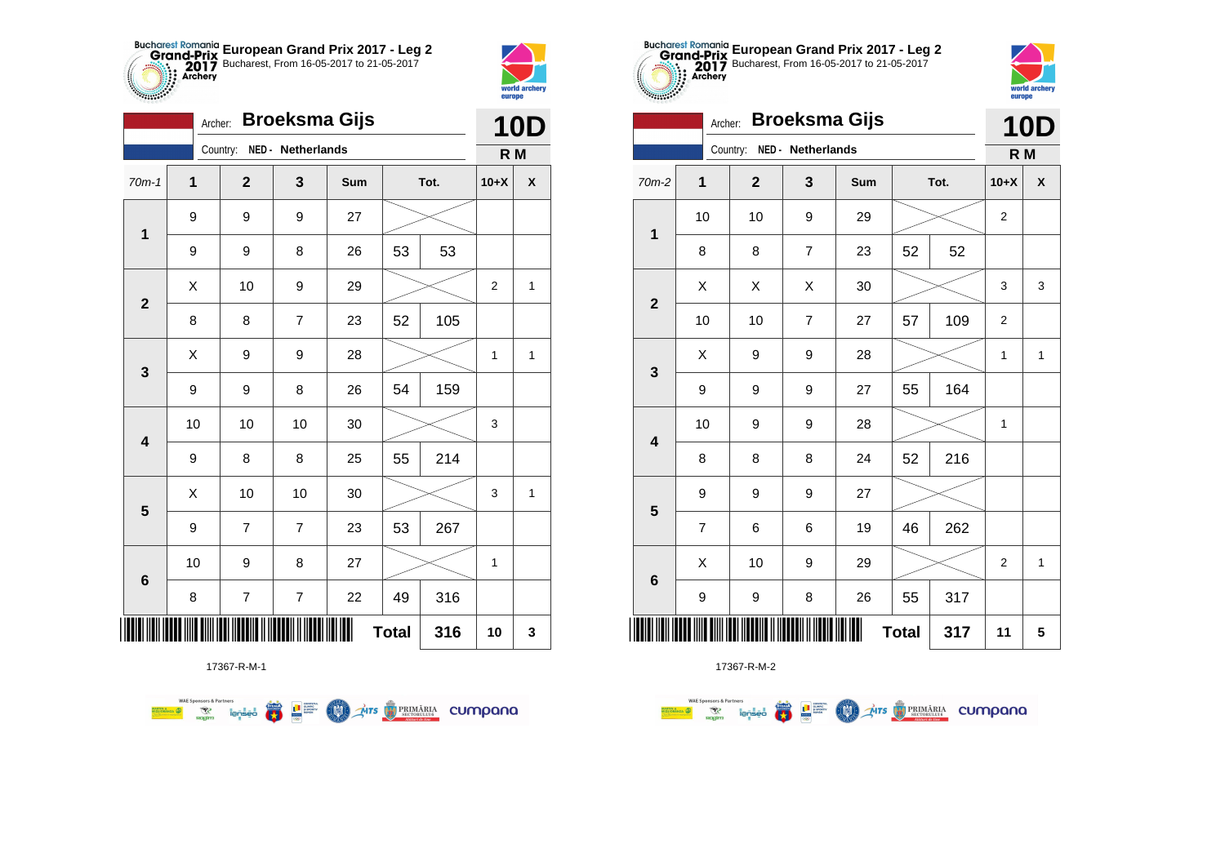



**THE** 

|                         | Archer:     |              | <b>10D</b>        |     |              |      |                |   |
|-------------------------|-------------|--------------|-------------------|-----|--------------|------|----------------|---|
|                         |             | Country:     | NED - Netherlands |     |              |      | R M            |   |
| $70m-1$                 | $\mathbf 1$ | $\mathbf{2}$ | 3                 | Sum |              | Tot. | $10+X$         | X |
| 1                       | 9           | 9            | 9                 | 27  |              |      |                |   |
|                         | 9           | 9            | 8                 | 26  | 53           | 53   |                |   |
| $\overline{\mathbf{2}}$ | X           | 10           | 9                 | 29  |              |      | $\overline{2}$ | 1 |
|                         | 8           | 8            | $\overline{7}$    | 23  | 52           | 105  |                |   |
| 3                       | Χ           | 9            | 9                 | 28  |              |      | $\mathbf{1}$   | 1 |
|                         | 9           | 9            | 8                 | 26  | 54           | 159  |                |   |
| $\overline{\mathbf{4}}$ | 10          | 10           | 10                | 30  |              |      | 3              |   |
|                         | 9           | 8            | 8                 | 25  | 55           | 214  |                |   |
| 5                       | X           | 10           | 10                | 30  |              |      | 3              | 1 |
|                         | 9           | 7            | $\overline{7}$    | 23  | 53           | 267  |                |   |
|                         | 10          | 9            | 8                 | 27  |              |      | $\mathbf 1$    |   |
| $6\phantom{1}6$         | 8           | 7            | $\overline{7}$    | 22  | 49           | 316  |                |   |
| Ш                       |             |              |                   |     | <b>Total</b> | 316  | 10             | 3 |

**THE STRIMARIA CUMPANA** 



17367-R-M-2

|                 | <b>Broeksma Gijs</b><br>Archer: |                               |                   |     |              |      |                |              |  |  |
|-----------------|---------------------------------|-------------------------------|-------------------|-----|--------------|------|----------------|--------------|--|--|
|                 |                                 | Country:                      | NED - Netherlands |     |              |      | R M            |              |  |  |
| $70m-2$         | 1                               | $\mathbf{2}$                  | 3                 | Sum |              | Tot. | $10+X$         | X            |  |  |
| 1               | 10                              | 10                            | 9                 | 29  |              |      | $\overline{2}$ |              |  |  |
|                 | 8                               | 8                             | $\overline{7}$    | 23  | 52           | 52   |                |              |  |  |
| $\mathbf{2}$    | Χ                               | Χ                             | Χ                 | 30  |              |      | 3              | 3            |  |  |
|                 | 10                              | 10                            | $\overline{7}$    | 27  | 57           | 109  | $\overline{2}$ |              |  |  |
| 3               | X                               | 9                             | 9                 | 28  |              |      | 1              | 1            |  |  |
|                 | 9                               | 9                             | 9                 | 27  | 55           | 164  |                |              |  |  |
| 4               | 10                              | 9                             | 9                 | 28  |              |      | 1              |              |  |  |
|                 | 8                               | 8                             | 8                 | 24  | 52           | 216  |                |              |  |  |
| 5               | 9                               | 9                             | 9                 | 27  |              |      |                |              |  |  |
|                 | $\overline{\mathbf{7}}$         | 6                             | 6                 | 19  | 46           | 262  |                |              |  |  |
| $6\phantom{1}6$ | X                               | 10                            | 9                 | 29  |              |      | $\overline{2}$ | $\mathbf{1}$ |  |  |
|                 | 9                               | 9                             | 8                 | 26  | 55           | 317  |                |              |  |  |
| ║║║             |                                 | <u> IIII DIIII DIIII DIII</u> |                   | ║║║ | <b>Total</b> | 317  | 11             | 5            |  |  |

**European Grand Prix 2017 - Leg 2** Bucharest, From 16-05-2017 to 21-05-2017

world arche

europe

17367-R-M-1

 $\left(\frac{\sinh\theta}{\cos\theta}\right)$ 

**THE SUPPRO** 

**COO** 

**WAE Sponsors & Partners**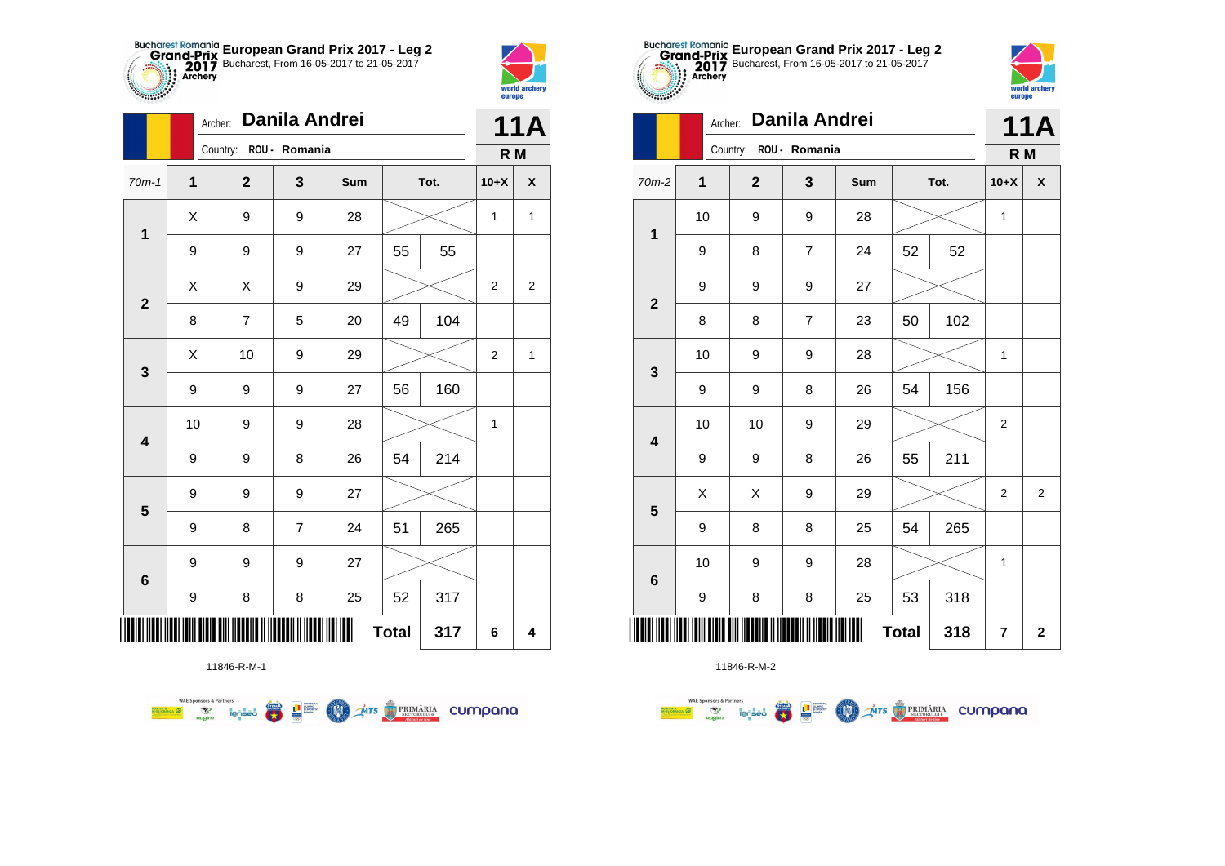



**THE** 

|                         |                         | Danila Andrei<br>Archer: |                        |     |              |      |                |                    |  |  |
|-------------------------|-------------------------|--------------------------|------------------------|-----|--------------|------|----------------|--------------------|--|--|
|                         |                         |                          | Country: ROU - Romania |     |              |      | R M            |                    |  |  |
| $70m-1$                 | $\overline{\mathbf{1}}$ | $\mathbf{2}$             | 3                      | Sum |              | Tot. | $10+X$         | $\pmb{\mathsf{X}}$ |  |  |
| $\mathbf 1$             | Χ                       | 9                        | 9                      | 28  |              |      | 1              | $\mathbf{1}$       |  |  |
|                         | 9                       | 9                        | 9                      | 27  | 55           | 55   |                |                    |  |  |
| $\mathbf{2}$            | X                       | X                        | 9                      | 29  |              |      | $\overline{2}$ | $\overline{2}$     |  |  |
|                         | 8                       | 7                        | 5                      | 20  | 49           | 104  |                |                    |  |  |
| 3                       | Χ                       | 10                       | 9                      | 29  |              |      | $\overline{2}$ | 1                  |  |  |
|                         | 9                       | 9                        | 9                      | 27  | 56           | 160  |                |                    |  |  |
| $\overline{\mathbf{4}}$ | 10                      | 9                        | 9                      | 28  |              |      | 1              |                    |  |  |
|                         | 9                       | 9                        | 8                      | 26  | 54           | 214  |                |                    |  |  |
| $\overline{\mathbf{5}}$ | 9                       | 9                        | 9                      | 27  |              |      |                |                    |  |  |
|                         | 9                       | 8                        | $\overline{7}$         | 24  | 51           | 265  |                |                    |  |  |
|                         | 9                       | 9                        | 9                      | 27  |              |      |                |                    |  |  |
| $\bf 6$                 | 9                       | 8                        | 8                      | 25  | 52           | 317  |                |                    |  |  |
| ∭                       |                         |                          |                        |     | <b>Total</b> | 317  | 6              | 4                  |  |  |



11846-R-M-1

**WAE Sponsors & Partners THE STRIMARIA CUMPANA** 篇 **LE SURPRE COO** 

11846-R-M-2

|                         |    | Danila Andrei<br>Archer:                    |                  |        |                    |     |                         |                |  |  |
|-------------------------|----|---------------------------------------------|------------------|--------|--------------------|-----|-------------------------|----------------|--|--|
|                         |    | Country:                                    | ROU - Romania    |        |                    |     | R M                     |                |  |  |
| 70m-2                   | 1  | $\overline{\mathbf{2}}$<br>3<br>Sum<br>Tot. |                  | $10+X$ | $\pmb{\mathsf{X}}$ |     |                         |                |  |  |
| $\mathbf 1$             | 10 | 9                                           | 9                | 28     |                    |     | 1                       |                |  |  |
|                         | 9  | 8                                           | $\overline{7}$   | 24     | 52                 | 52  |                         |                |  |  |
| $\overline{2}$          | 9  | 9                                           | 9                | 27     |                    |     |                         |                |  |  |
|                         | 8  | 8                                           | $\overline{7}$   | 23     | 50                 | 102 |                         |                |  |  |
| $\mathbf 3$             | 10 | 9                                           | 9                | 28     |                    |     | 1                       |                |  |  |
|                         | 9  | 9                                           | 8                | 26     | 54                 | 156 |                         |                |  |  |
| $\overline{\mathbf{4}}$ | 10 | 10                                          | 9                | 29     |                    |     | $\overline{2}$          |                |  |  |
|                         | 9  | 9                                           | 8                | 26     | 55                 | 211 |                         |                |  |  |
| $\overline{\mathbf{5}}$ | X  | X                                           | $\boldsymbol{9}$ | 29     |                    |     | $\overline{2}$          | $\overline{2}$ |  |  |
|                         | 9  | 8                                           | 8                | 25     | 54                 | 265 |                         |                |  |  |
| $6\phantom{1}6$         | 10 | 9                                           | 9                | 28     |                    |     | 1                       |                |  |  |
|                         | 9  | 8                                           | 8                | 25     | 53                 | 318 |                         |                |  |  |
|                         |    |                                             |                  |        | <b>Total</b>       | 318 | $\overline{\mathbf{r}}$ | $\mathbf{2}$   |  |  |

**European Grand Prix 2017 - Leg 2** Bucharest, From 16-05-2017 to 21-05-2017

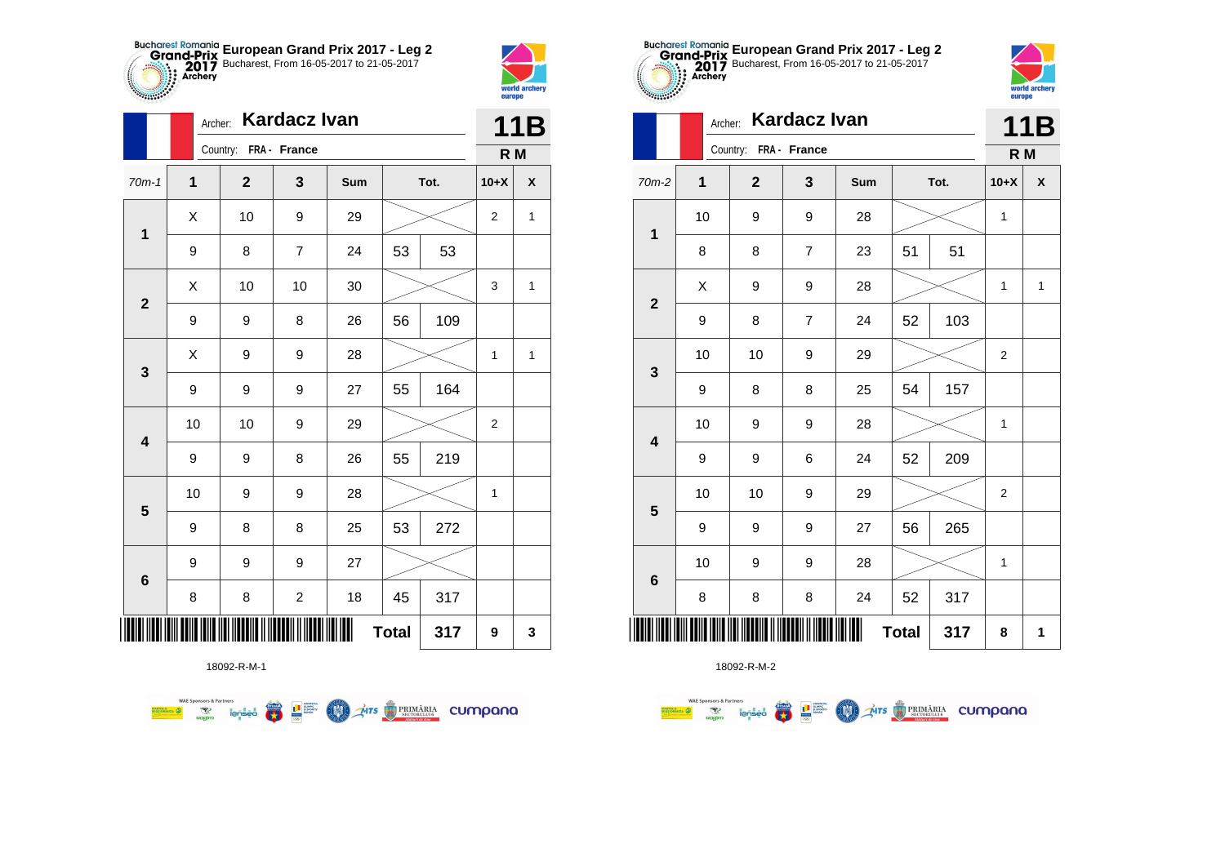



|                         | Archer:          | <b>Kardacz Ivan</b>   |                         |     | <b>11B</b>   |      |                |                    |
|-------------------------|------------------|-----------------------|-------------------------|-----|--------------|------|----------------|--------------------|
|                         |                  | Country: FRA - France |                         |     |              |      | R M            |                    |
| $70m-1$                 | $\mathbf{1}$     | $\mathbf{2}$          | 3                       | Sum |              | Tot. | $10+X$         | $\pmb{\mathsf{X}}$ |
| 1                       | X                | 10                    | 9                       | 29  |              |      | $\overline{2}$ | $\mathbf{1}$       |
|                         | 9                | 8                     | $\overline{7}$          | 24  | 53           | 53   |                |                    |
| $\mathbf{2}$            | X                | 10                    | 10                      | 30  |              |      | 3              | $\mathbf{1}$       |
|                         | 9                | 9                     | 8                       | 26  | 56           | 109  |                |                    |
| 3                       | Χ                | 9                     | 9                       | 28  |              |      | 1              | $\mathbf{1}$       |
|                         | $\boldsymbol{9}$ | 9                     | 9                       | 27  | 55           | 164  |                |                    |
| $\overline{\mathbf{4}}$ | 10               | 10                    | 9                       | 29  |              |      | $\overline{c}$ |                    |
|                         | 9                | 9                     | 8                       | 26  | 55           | 219  |                |                    |
| 5                       | 10               | 9                     | 9                       | 28  |              |      | $\mathbf{1}$   |                    |
|                         | $\boldsymbol{9}$ | 8                     | 8                       | 25  | 53           | 272  |                |                    |
| $\bf 6$                 | 9                | 9                     | 9                       | 27  |              |      |                |                    |
|                         | 8                | 8                     | $\overline{\mathbf{c}}$ | 18  | 45           | 317  |                |                    |
| Ⅲ                       |                  |                       |                         |     | <b>Total</b> | 317  | 9              | 3                  |

**THE STRIMARIA CUMPANA** 

18092-R-M-1

● ■

**COND** 

**WAE Sponsors & Partners** 



18092-R-M-2

|                         |    | Country:<br>FRA - France |                  | R M |              |      |                |                    |
|-------------------------|----|--------------------------|------------------|-----|--------------|------|----------------|--------------------|
| $70m-2$                 | 1  | $\mathbf 2$              | $\mathbf{3}$     | Sum |              | Tot. | $10+X$         | $\pmb{\mathsf{X}}$ |
|                         | 10 | 9                        | 9                | 28  |              |      | 1              |                    |
| $\mathbf 1$             | 8  | 8                        | $\boldsymbol{7}$ | 23  | 51           | 51   |                |                    |
|                         | X  | 9                        | 9                | 28  |              |      | 1              | $\mathbf{1}$       |
| $\mathbf{2}$            | 9  | 8                        | $\boldsymbol{7}$ | 24  | 52           | 103  |                |                    |
|                         | 10 | 10                       | 9                | 29  |              |      | $\overline{2}$ |                    |
| $\mathbf{3}$            | 9  | 8                        | 8                | 25  | 54           | 157  |                |                    |
|                         | 10 | 9                        | 9                | 28  |              |      | $\mathbf 1$    |                    |
| $\overline{\mathbf{4}}$ | 9  | 9                        | 6                | 24  | 52           | 209  |                |                    |
|                         | 10 | 10                       | 9                | 29  |              |      | 2              |                    |
| ${\bf 5}$               | 9  | 9                        | 9                | 27  | 56           | 265  |                |                    |
|                         | 10 | 9                        | 9                | 28  |              |      | 1              |                    |
| $\bf 6$                 | 8  | 8                        | 8                | 24  | 52           | 317  |                |                    |
| WW                      |    |                          |                  | Ш   | <b>Total</b> | 317  | 8              | 1                  |



|                         |             | <b>Kardacz Ivan</b><br>Archer: |                  |     |              |      |                |                    |  |
|-------------------------|-------------|--------------------------------|------------------|-----|--------------|------|----------------|--------------------|--|
|                         |             | Country: FRA - France          |                  |     |              |      | R M            |                    |  |
| $70m-2$                 | $\mathbf 1$ | $\mathbf{2}$                   | 3                | Sum |              | Tot. | $10+X$         | $\pmb{\mathsf{x}}$ |  |
| $\mathbf 1$             | 10          | 9                              | 9                | 28  |              |      |                |                    |  |
|                         | 8           | 8                              | $\boldsymbol{7}$ | 23  | 51           | 51   |                |                    |  |
| $\mathbf{2}$            | X           | 9                              | 9                | 28  |              |      | 1              | $\mathbf{1}$       |  |
|                         | 9           | 8                              | $\overline{7}$   | 24  | 52           | 103  |                |                    |  |
| $\mathbf{3}$            | 10          | 10                             | 9                | 29  |              |      | $\overline{c}$ |                    |  |
|                         | 9           | 8                              | 8                | 25  | 54           | 157  |                |                    |  |
| $\overline{\mathbf{4}}$ | 10          | 9                              | 9                | 28  |              |      | 1              |                    |  |
|                         | 9           | 9                              | 6                | 24  | 52           | 209  |                |                    |  |
| $\overline{\mathbf{5}}$ | 10          | 10                             | 9                | 29  |              |      | $\overline{2}$ |                    |  |
|                         | 9           | 9                              | 9                | 27  | 56           | 265  |                |                    |  |
| $\bf 6$                 | 10          | 9                              | 9                | 28  |              |      | 1              |                    |  |
|                         | 8           | 8                              | 8                | 24  | 52           | 317  |                |                    |  |
| ║║║                     |             |                                |                  |     | <b>Total</b> | 317  | 8              | 1                  |  |

**European Grand Prix 2017 - Leg 2** Bucharest, From 16-05-2017 to 21-05-2017

Archer: **Kardacz Ivan**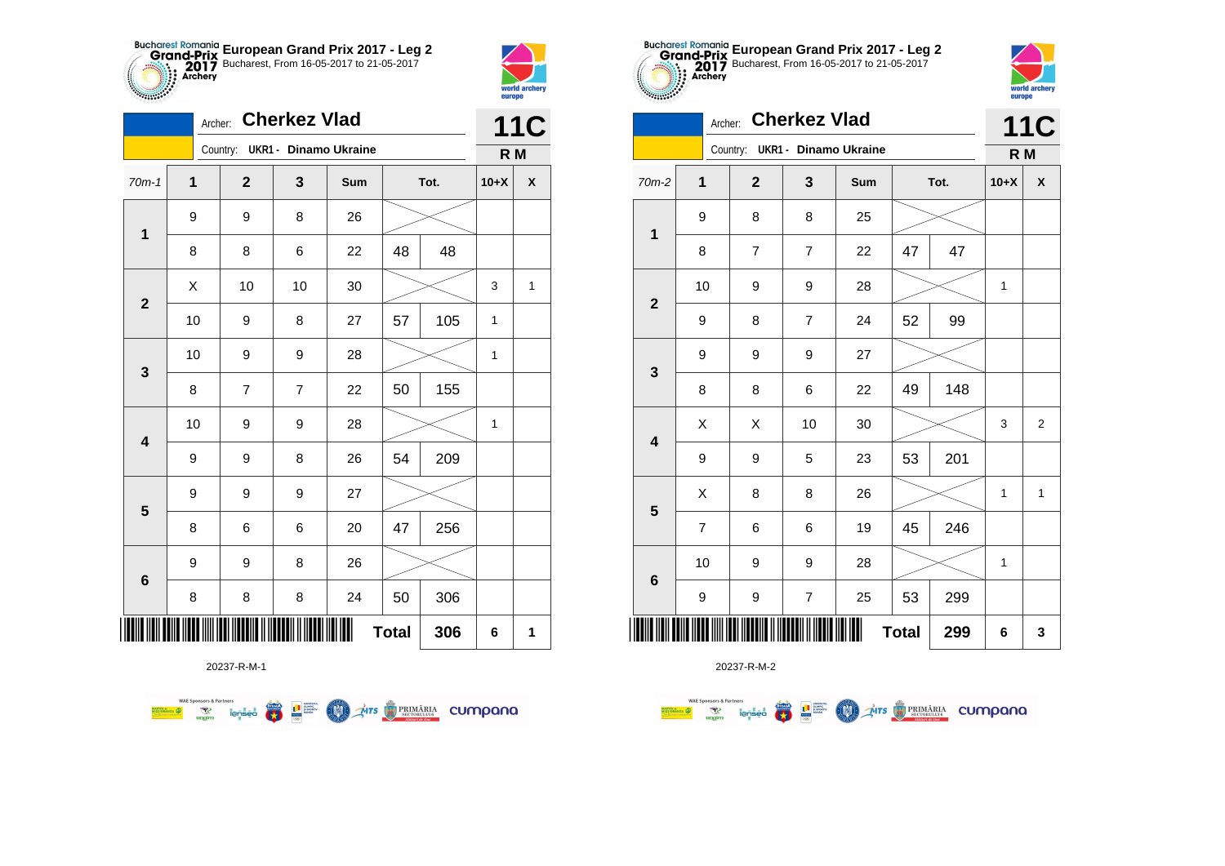



|                         | <b>Cherkez Vlad</b><br>Archer: |  |                |                                |     |              |      |        | <b>11C</b>         |
|-------------------------|--------------------------------|--|----------------|--------------------------------|-----|--------------|------|--------|--------------------|
|                         |                                |  |                | Country: UKR1 - Dinamo Ukraine |     |              |      | R M    |                    |
| $70m-1$                 | 1                              |  | $\mathbf{2}$   | 3                              | Sum |              | Tot. | $10+X$ | $\pmb{\mathsf{X}}$ |
| $\mathbf 1$             | 9                              |  | 9              | 8                              | 26  |              |      |        |                    |
|                         | 8                              |  | 8              | 6                              | 22  | 48           | 48   |        |                    |
| $\mathbf{2}$            | Χ                              |  | 10             | 10                             | 30  |              |      | 3      | 1                  |
|                         | 10                             |  | 9              | 8                              | 27  | 57           | 105  | 1      |                    |
| 3                       | 10                             |  | 9              | 9                              | 28  |              |      | 1      |                    |
|                         | 8                              |  | $\overline{7}$ | $\overline{7}$                 | 22  | 50           | 155  |        |                    |
| $\overline{\mathbf{4}}$ | 10                             |  | 9              | 9                              | 28  |              |      | 1      |                    |
|                         | 9                              |  | 9              | 8                              | 26  | 54           | 209  |        |                    |
|                         | 9                              |  | 9              | 9                              | 27  |              |      |        |                    |
| $\overline{\mathbf{5}}$ | 8                              |  | 6              | 6                              | 20  | 47           | 256  |        |                    |
|                         | 9                              |  | 9              | 8                              | 26  |              |      |        |                    |
| $\bf 6$                 | 8                              |  | 8              | 8                              | 24  | 50           | 306  |        |                    |
| ║║║                     |                                |  |                |                                |     | <b>Total</b> | 306  | 6      | 1                  |

**COLORED PRIMARIA CUMPANA** 



20237-R-M-2

| 0.00000                 | <b>Cherkez Vlad</b><br>Archer: |                                |                |            |              |      |        |                    |  |
|-------------------------|--------------------------------|--------------------------------|----------------|------------|--------------|------|--------|--------------------|--|
|                         |                                | Country: UKR1 - Dinamo Ukraine |                |            |              |      |        | R M                |  |
| $70m-2$                 | 1                              | $\overline{2}$                 | 3              | <b>Sum</b> |              | Tot. | $10+X$ | $\pmb{\mathsf{X}}$ |  |
| $\mathbf 1$             | 9                              | 8                              | 8              | 25         |              |      |        |                    |  |
|                         | 8                              | $\overline{7}$                 | $\overline{7}$ | 22         | 47           | 47   |        |                    |  |
| $\overline{\mathbf{2}}$ | 10                             | 9                              | 9              | 28         |              |      | 1      |                    |  |
|                         | 9                              | 8                              | $\overline{7}$ | 24         | 52           | 99   |        |                    |  |
| 3                       | 9                              | 9                              | 9              | 27         |              |      |        |                    |  |
|                         | 8                              | 8                              | 6              | 22         | 49           | 148  |        |                    |  |
| $\overline{\mathbf{4}}$ | X                              | X                              | 10             | 30         |              |      | 3      | $\overline{2}$     |  |
|                         | 9                              | 9                              | 5              | 23         | 53           | 201  |        |                    |  |
| 5                       | X                              | 8                              | 8              | 26         |              |      | 1      | 1                  |  |
|                         | 7                              | 6                              | 6              | 19         | 45           | 246  |        |                    |  |
| $6\phantom{1}6$         | 10                             | 9                              | 9              | 28         |              |      | 1      |                    |  |
|                         | 9                              | 9                              | $\overline{7}$ | 25         | 53           | 299  |        |                    |  |
|                         |                                |                                |                |            | <b>Total</b> | 299  | 6      | 3                  |  |

**European Grand Prix 2017 - Leg 2** Bucharest, From 16-05-2017 to 21-05-2017

> world arche **Alliana**

20237-R-M-1

**Example 19 and 1975**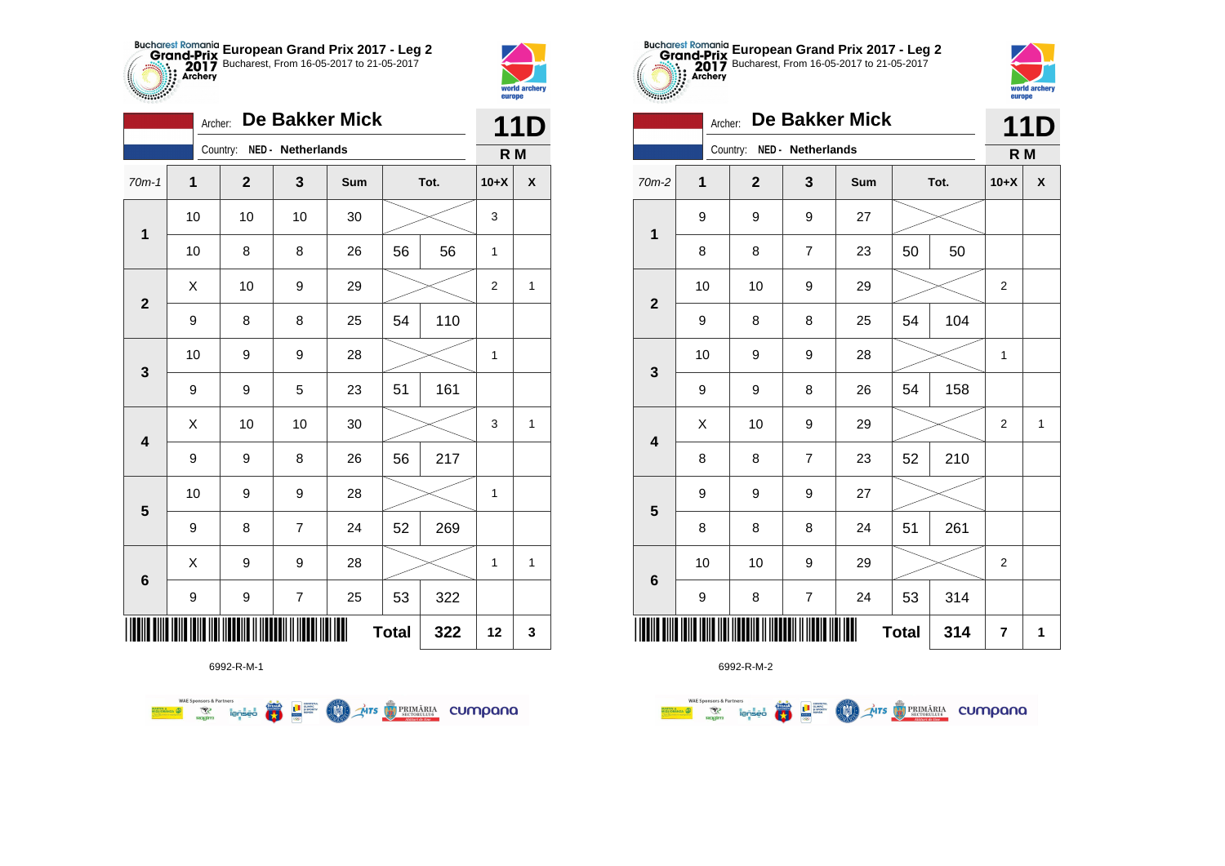



|                         | <b>De Bakker Mick</b><br>Archer: |             |                         |     |              |      |                |   |
|-------------------------|----------------------------------|-------------|-------------------------|-----|--------------|------|----------------|---|
|                         |                                  | Country:    | NED - Netherlands       |     |              |      | R M            |   |
| $70m-1$                 | 1                                | $\mathbf 2$ | 3                       | Sum |              | Tot. | $10+X$         | X |
| $\mathbf 1$             | 10                               | 10          | 10                      | 30  |              |      | 3              |   |
|                         | 10                               | 8           | 8                       | 26  | 56           | 56   | 1              |   |
| $\mathbf{2}$            | Χ                                | 10          | 9                       | 29  |              |      | $\overline{2}$ | 1 |
|                         | 9                                | 8           | 8                       | 25  | 54           | 110  |                |   |
| 3                       | 10                               | 9           | 9                       | 28  |              |      | 1              |   |
|                         | 9                                | 9           | 5                       | 23  | 51           | 161  |                |   |
| $\overline{\mathbf{4}}$ | X                                | 10          | 10                      | 30  |              |      | 3              | 1 |
|                         | 9                                | 9           | 8                       | 26  | 56           | 217  |                |   |
| $\overline{\mathbf{5}}$ | 10                               | 9           | 9                       | 28  |              |      | 1              |   |
|                         | 9                                | 8           | $\overline{7}$          | 24  | 52           | 269  |                |   |
|                         | X                                | 9           | 9                       | 28  |              |      | 1              | 1 |
| 6                       | 9                                | 9           | $\overline{\mathbf{7}}$ | 25  | 53           | 322  |                |   |
|                         |                                  |             |                         |     | <b>Total</b> | 322  | 12             | 3 |



6992-R-M-2

|                         |                | <b>De Bakker Mick</b><br>Archer: |             |                         |     |              |      |                | <b>11D</b>   |
|-------------------------|----------------|----------------------------------|-------------|-------------------------|-----|--------------|------|----------------|--------------|
|                         |                |                                  | Country:    | NED - Netherlands       |     |              |      | R <sub>M</sub> |              |
| $70m-2$                 | $\overline{1}$ |                                  | $\mathbf 2$ | 3                       | Sum |              | Tot. | $10+X$         | χ            |
| $\mathbf 1$             | 9              |                                  | 9           | 9                       | 27  |              |      |                |              |
|                         | 8              |                                  | 8           | $\overline{7}$          | 23  | 50           | 50   |                |              |
| $\mathbf{2}$            | 10             |                                  | 10          | 9                       | 29  |              |      | 2              |              |
|                         | 9              |                                  | 8           | 8                       | 25  | 54           | 104  |                |              |
| $\mathbf{3}$            | 10             |                                  | 9           | 9                       | 28  |              |      | 1              |              |
|                         | 9              |                                  | 9           | 8                       | 26  | 54           | 158  |                |              |
| $\overline{\mathbf{4}}$ | X              |                                  | 10          | 9                       | 29  |              |      | 2              | $\mathbf{1}$ |
|                         | 8              |                                  | 8           | $\overline{7}$          | 23  | 52           | 210  |                |              |
| $\overline{\mathbf{5}}$ | 9              |                                  | 9           | 9                       | 27  |              |      |                |              |
|                         | 8              |                                  | 8           | 8                       | 24  | 51           | 261  |                |              |
| $\bf 6$                 | 10             |                                  | 10          | 9                       | 29  |              |      | 2              |              |
|                         | 9              |                                  | 8           | $\overline{\mathbf{7}}$ | 24  | 53           | 314  |                |              |
|                         |                |                                  |             |                         | II  | <b>Total</b> | 314  | 7              | 1            |



|                         |             | Country:     | NED - Netherlands       |     |              |      | R M            |              |  |  |
|-------------------------|-------------|--------------|-------------------------|-----|--------------|------|----------------|--------------|--|--|
| $70m-2$                 | $\mathbf 1$ | $\mathbf{2}$ | 3                       | Sum |              | Tot. | $10+X$         | X            |  |  |
| $\mathbf 1$             | 9           | 9            | 9                       | 27  |              |      |                |              |  |  |
|                         | 8           | 8            | $\overline{\mathbf{7}}$ | 23  | 50<br>50     |      |                |              |  |  |
| $\mathbf{2}$            | 10          | 10           | 9                       | 29  |              |      | 2              |              |  |  |
|                         | 9           | 8            | 8                       | 25  | 54           | 104  |                |              |  |  |
|                         | 10          | 9            | 9                       | 28  |              |      | 1              |              |  |  |
| $\mathbf{3}$            | 9           | 9            | 8                       | 26  | 54           | 158  |                |              |  |  |
| $\overline{\mathbf{4}}$ | Χ           | 10           | 9                       | 29  |              |      | $\overline{c}$ | $\mathbf{1}$ |  |  |
|                         | 8           | 8            | $\overline{\mathbf{7}}$ | 23  | 52           | 210  |                |              |  |  |
| $\overline{\mathbf{5}}$ | 9           | 9            | 9                       | 27  |              |      |                |              |  |  |
|                         | 8           | 8            | 8                       | 24  | 51           | 261  |                |              |  |  |
| $\bf 6$                 | 10          | 10           | 9                       | 29  |              |      | 2              |              |  |  |
|                         | 9           | 8            | 7                       | 24  | 53           | 314  |                |              |  |  |
| ║║║║                    |             |              |                         |     | <b>Total</b> | 314  | 7              | 1            |  |  |

**European Grand Prix 2017 - Leg 2** Bucharest, From 16-05-2017 to 21-05-2017

6992-R-M-1

**WAE Sponsors & Partners THE STRIMARIA CUMPANA** ● ■ **COND**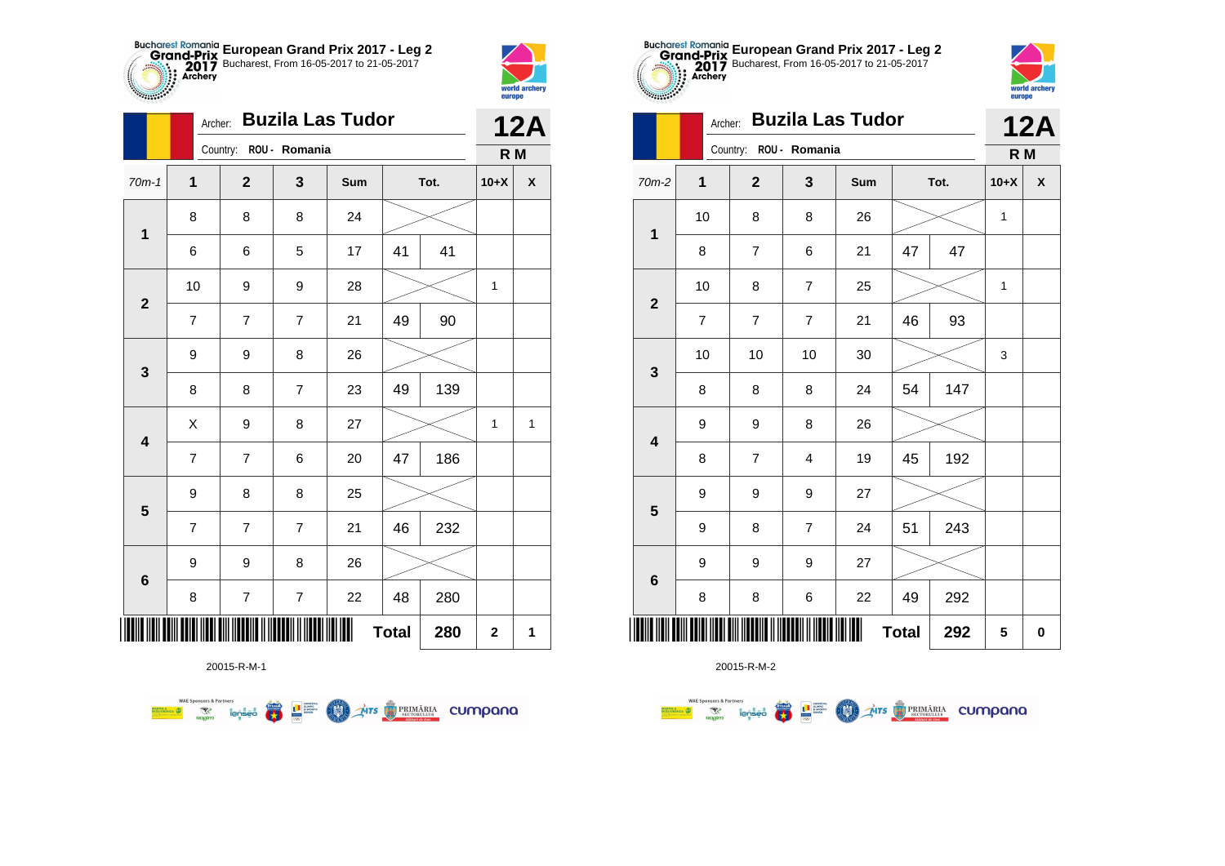



**THE** 

|                         |                | <b>Buzila Las Tudor</b><br>Archer: |                          |     |              |      |                         |              |  |
|-------------------------|----------------|------------------------------------|--------------------------|-----|--------------|------|-------------------------|--------------|--|
|                         |                | Country: ROU - Romania             |                          |     |              |      | R M                     |              |  |
| $70m-1$                 | 1              | $\mathbf 2$                        | 3                        | Sum |              | Tot. | $10+X$                  | X            |  |
| $\mathbf 1$             | 8              | 8                                  | 8                        | 24  |              |      |                         |              |  |
|                         | 6              | 6                                  | 5                        | 17  | 41           | 41   |                         |              |  |
|                         | 10             | 9                                  | 9                        | 28  |              |      | 1                       |              |  |
| $\mathbf{2}$            | 7              | 7                                  | $\overline{7}$           | 21  | 49           | 90   |                         |              |  |
| 3                       | 9              | 9                                  | 8                        | 26  |              |      |                         |              |  |
|                         | 8              | 8                                  | $\overline{7}$           | 23  | 49           | 139  |                         |              |  |
| $\overline{\mathbf{4}}$ | X              | 9                                  | 8                        | 27  |              |      | $\mathbf{1}$            | $\mathbf{1}$ |  |
|                         | $\overline{7}$ | $\overline{7}$                     | 6                        | 20  | 47           | 186  |                         |              |  |
| $\overline{\mathbf{5}}$ | 9              | 8                                  | 8                        | 25  |              |      |                         |              |  |
|                         | $\overline{7}$ | 7                                  | $\overline{7}$           | 21  | 46           | 232  |                         |              |  |
|                         | 9              | 9                                  | 8                        | 26  |              |      |                         |              |  |
| $\bf 6$                 | 8              | $\overline{7}$                     | $\overline{\mathcal{I}}$ | 22  | 48           | 280  |                         |              |  |
| ║║║                     |                |                                    |                          |     | <b>Total</b> | 280  | $\overline{\mathbf{2}}$ | 1            |  |

**THE STRIMARIA CUMPANA** 



20015-R-M-2

|              |             | $^{\prime}$ , $^{\prime}$ , $^{\prime}$ , $^{\prime}$ , $^{\prime}$ |                         |                         |     | IZA          |      |        |                    |
|--------------|-------------|---------------------------------------------------------------------|-------------------------|-------------------------|-----|--------------|------|--------|--------------------|
|              |             |                                                                     | Country: ROU - Romania  |                         |     |              |      | R M    |                    |
| $70m-2$      | $\mathbf 1$ |                                                                     | $\mathbf 2$             | $\mathbf{3}$            | Sum |              | Tot. | $10+X$ | $\pmb{\mathsf{X}}$ |
| $\mathbf 1$  |             | 10                                                                  | 8                       | 8                       | 26  |              |      | 1      |                    |
|              |             | 8                                                                   | $\overline{\mathbf{7}}$ | 6                       | 21  | 47           | 47   |        |                    |
|              |             | 10                                                                  | 8                       | $\boldsymbol{7}$        | 25  |              |      | 1      |                    |
| $\mathbf{2}$ |             | $\overline{\mathbf{7}}$                                             | $\boldsymbol{7}$        | $\boldsymbol{7}$        | 21  | 46           | 93   |        |                    |
|              |             | 10                                                                  | 10                      | 10                      | 30  |              |      | 3      |                    |
| $\mathbf 3$  |             | 8                                                                   | 8                       | 8                       | 24  | 54           | 147  |        |                    |
|              | 9           |                                                                     | 9                       | 8                       | 26  |              |      |        |                    |
| 4            |             | 8                                                                   | $\overline{7}$          | 4                       | 19  | 45           | 192  |        |                    |
|              |             | 9                                                                   | 9                       | 9                       | 27  |              |      |        |                    |
| ${\bf 5}$    | 9           |                                                                     | 8                       | $\overline{\mathbf{7}}$ | 24  | 51           | 243  |        |                    |
|              | 9           |                                                                     | 9                       | 9                       | 27  |              |      |        |                    |
| $\bf 6$      |             | 8                                                                   | 8                       | 6                       | 22  | 49           | 292  |        |                    |
|              |             |                                                                     |                         |                         | Ш   | <b>Total</b> | 292  | 5      | 0                  |



|                         | Archer: |                     | <b>12A</b>             |     |    |      |        |                    |
|-------------------------|---------|---------------------|------------------------|-----|----|------|--------|--------------------|
|                         |         |                     | Country: ROU - Romania |     |    |      | R M    |                    |
| 70m-2                   | 1       | $\overline{2}$      | 3                      | Sum |    | Tot. | $10+X$ | $\pmb{\mathsf{X}}$ |
|                         | 10      | 8                   | 8                      | 26  |    |      | 1      |                    |
| 1                       | 8       | $\overline{7}$      | 6                      | 21  | 47 | 47   |        |                    |
| $\overline{\mathbf{2}}$ | 10      | 8                   | $\overline{7}$         | 25  |    |      | 1      |                    |
|                         | 7       | $\overline{7}$      | $\overline{7}$         | 21  | 46 | 93   |        |                    |
| 3                       | 10      | 10                  | 10                     | 30  |    |      | 3      |                    |
|                         | 8       | 8                   | 8                      | 24  | 54 | 147  |        |                    |
| $\overline{\mathbf{4}}$ | 9       | 9                   | 8                      | 26  |    |      |        |                    |
|                         | 8       | $\overline{7}$      | 4                      | 19  | 45 | 192  |        |                    |
| 5                       | 9       | 9                   | 9                      | 27  |    |      |        |                    |
|                         | 9       | 8                   | $\overline{7}$         | 24  | 51 | 243  |        |                    |
| $6\phantom{1}6$         | 9       | 9                   | 9                      | 27  |    |      |        |                    |
|                         | 8       | $\bf8$              | 6                      | 22  | 49 | 292  |        |                    |
| ║║║                     |         | <b>Total</b><br>292 |                        |     |    |      |        |                    |

**European Grand Prix 2017 - Leg 2** Bucharest, From 16-05-2017 to 21-05-2017

20015-R-M-1

 $\left(\frac{\sinh\theta}{\cos\theta}\right)$ 

**LE SUPPRE** 

**COO** 

**WAE Sponsors & Partners**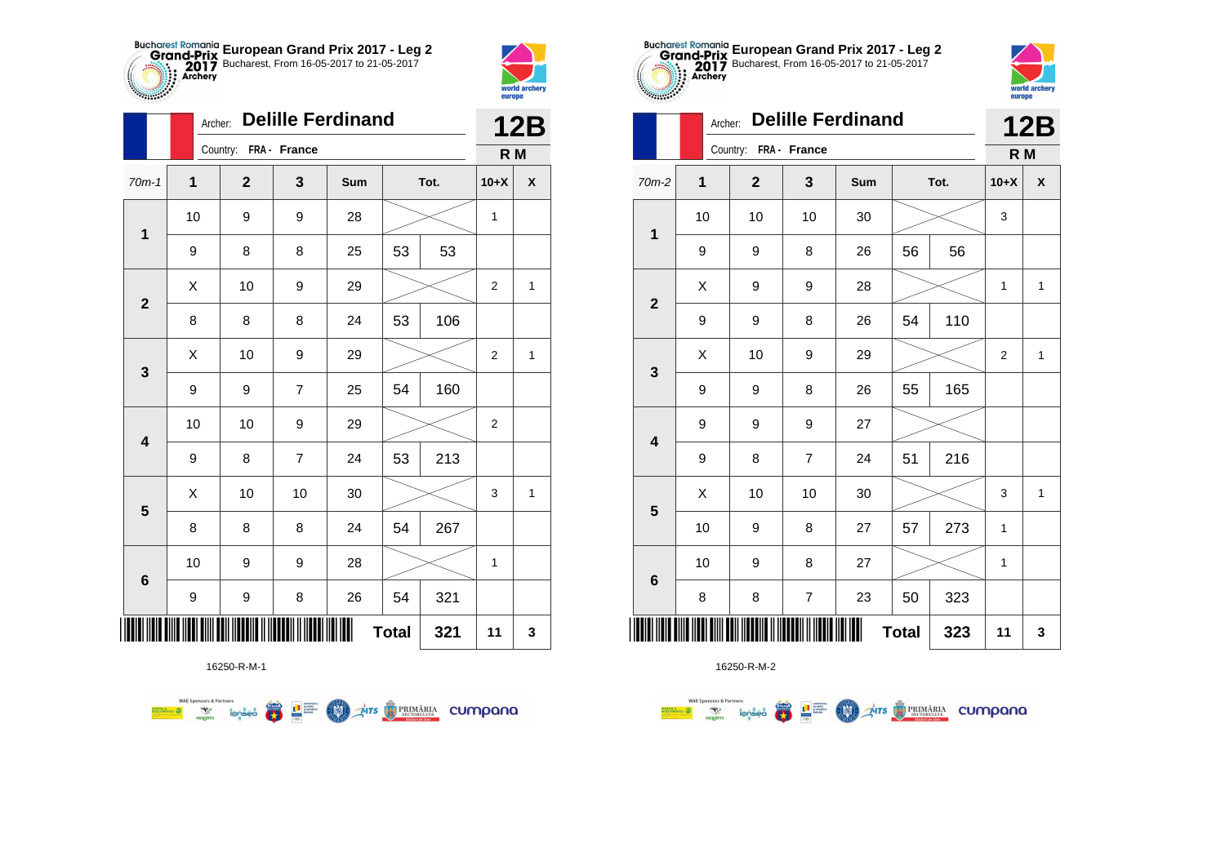



**STATISTICS** 

|                         | Archer: | <b>Delille Ferdinand</b> |                |     | <b>12B</b>   |      |                |                    |
|-------------------------|---------|--------------------------|----------------|-----|--------------|------|----------------|--------------------|
|                         |         | Country: FRA - France    |                |     |              |      | R <sub>M</sub> |                    |
| $70m-1$                 | 1       | $\mathbf 2$              | 3              | Sum |              | Tot. | $10+X$         | $\pmb{\mathsf{X}}$ |
| 1                       | 10      | 9                        | 9              | 28  |              |      | $\mathbf{1}$   |                    |
|                         | 9       | 8                        | 8              | 25  | 53           | 53   |                |                    |
| $\mathbf{2}$            | X       | 10                       | 9              | 29  |              |      | $\overline{2}$ | $\mathbf{1}$       |
|                         | 8       | 8                        | 8              | 24  | 53           | 106  |                |                    |
| 3                       | X       | 10                       | 9              | 29  |              |      | 2              | 1                  |
|                         | 9       | 9                        | 7              | 25  | 54           | 160  |                |                    |
| $\overline{\mathbf{4}}$ | 10      | 10                       | 9              | 29  |              |      | $\overline{2}$ |                    |
|                         | 9       | 8                        | $\overline{7}$ | 24  | 53           | 213  |                |                    |
| 5                       | Χ       | 10                       | 10             | 30  |              |      | 3              | $\mathbf{1}$       |
|                         | 8       | 8                        | 8              | 24  | 54           | 267  |                |                    |
| $\bf 6$                 | 10      | 9                        | 9              | 28  |              |      | 1              |                    |
|                         | 9       | 9                        | 8              | 26  | 54           | 321  |                |                    |
| Ⅲ                       |         |                          |                |     | <b>Total</b> | 321  | 11             | 3                  |



16250-R-M-2

|                         |    | AICHEL. |                       |                  | 12B |              |      |                  |                    |
|-------------------------|----|---------|-----------------------|------------------|-----|--------------|------|------------------|--------------------|
|                         |    |         | Country: FRA - France |                  |     |              |      | R M              |                    |
| 70m-2                   | 1  |         | $\mathbf{2}$          | 3                | Sum |              | Tot. | $10+X$           | $\pmb{\mathsf{X}}$ |
| $\mathbf 1$             | 10 |         | 10                    | 10               | 30  |              |      | 3                |                    |
|                         | 9  |         | 9                     | 8                | 26  | 56           | 56   |                  |                    |
| $\mathbf{2}$            | X  |         | 9                     | 9                | 28  |              |      | 1                | $\mathbf{1}$       |
|                         | 9  |         | 9                     | 8                | 26  | 54           | 110  |                  |                    |
| $\mathbf{3}$            | X  |         | 10                    | 9                | 29  |              |      | $\boldsymbol{2}$ | $\mathbf{1}$       |
|                         | 9  |         | 9                     | 8                | 26  | 55           | 165  |                  |                    |
| $\overline{\mathbf{4}}$ | 9  |         | 9                     | 9                | 27  |              |      |                  |                    |
|                         | 9  |         | 8                     | $\overline{7}$   | 24  | 51           | 216  |                  |                    |
| $\overline{\mathbf{5}}$ | Χ  |         | 10                    | 10               | 30  |              |      | 3                | $\mathbf{1}$       |
|                         | 10 |         | 9                     | 8                | 27  | 57           | 273  | 1                |                    |
| $\bf 6$                 | 10 |         | 9                     | 8                | 27  |              |      | 1                |                    |
|                         | 8  |         | 8                     | $\boldsymbol{7}$ | 23  | 50           | 323  |                  |                    |
|                         |    |         |                       |                  | Ⅲ   | <b>Total</b> | 323  | 11               | 3                  |

**European Grand Prix 2017 - Leg 2** Bucharest, From 16-05-2017 to 21-05-2017



|                         | Archer:     |                       |                | <b>12B</b> |              |      |                |                           |
|-------------------------|-------------|-----------------------|----------------|------------|--------------|------|----------------|---------------------------|
|                         |             | Country: FRA - France |                |            |              |      | R M            |                           |
| 70m-2                   | $\mathbf 1$ | $\mathbf{2}$          | 3              | Sum        |              | Tot. | $10+X$         | $\boldsymbol{\mathsf{x}}$ |
| $\mathbf 1$             | 10          | 10                    | 10             | 30         |              |      | 3              |                           |
|                         | 9           | 9                     | 8              | 26         | 56           | 56   |                |                           |
| $\mathbf{2}$            | Χ           | 9                     | 9              | 28         |              |      | $\mathbf{1}$   | $\mathbf{1}$              |
|                         | 9           | 9                     | 8              | 26         | 54           | 110  |                |                           |
| 3                       | X           | 10                    | 9              | 29         |              |      | $\overline{c}$ | $\mathbf{1}$              |
|                         | 9           | 9                     | 8              | 26         | 55           | 165  |                |                           |
| $\overline{\mathbf{4}}$ | 9           | 9                     | 9              | 27         |              |      |                |                           |
|                         | 9           | 8                     | $\overline{7}$ | 24         | 51           | 216  |                |                           |
| $\overline{\mathbf{5}}$ | Χ           | 10                    | 10             | 30         |              |      | 3              | 1                         |
|                         | 10          | 9                     | 8              | 27         | 57           | 273  | 1              |                           |
|                         | 10          | 9                     | 8              | 27         |              |      | 1              |                           |
| $\bf 6$                 | 8           | 8                     | 7              | 23         | 50           | 323  |                |                           |
|                         |             |                       |                |            | <b>Total</b> | 323  | 11             | 3                         |

16250-R-M-1

**WAE Sponsors & Partners THE STRIMARIA CUMPANA FRA THE SUPPRE COND**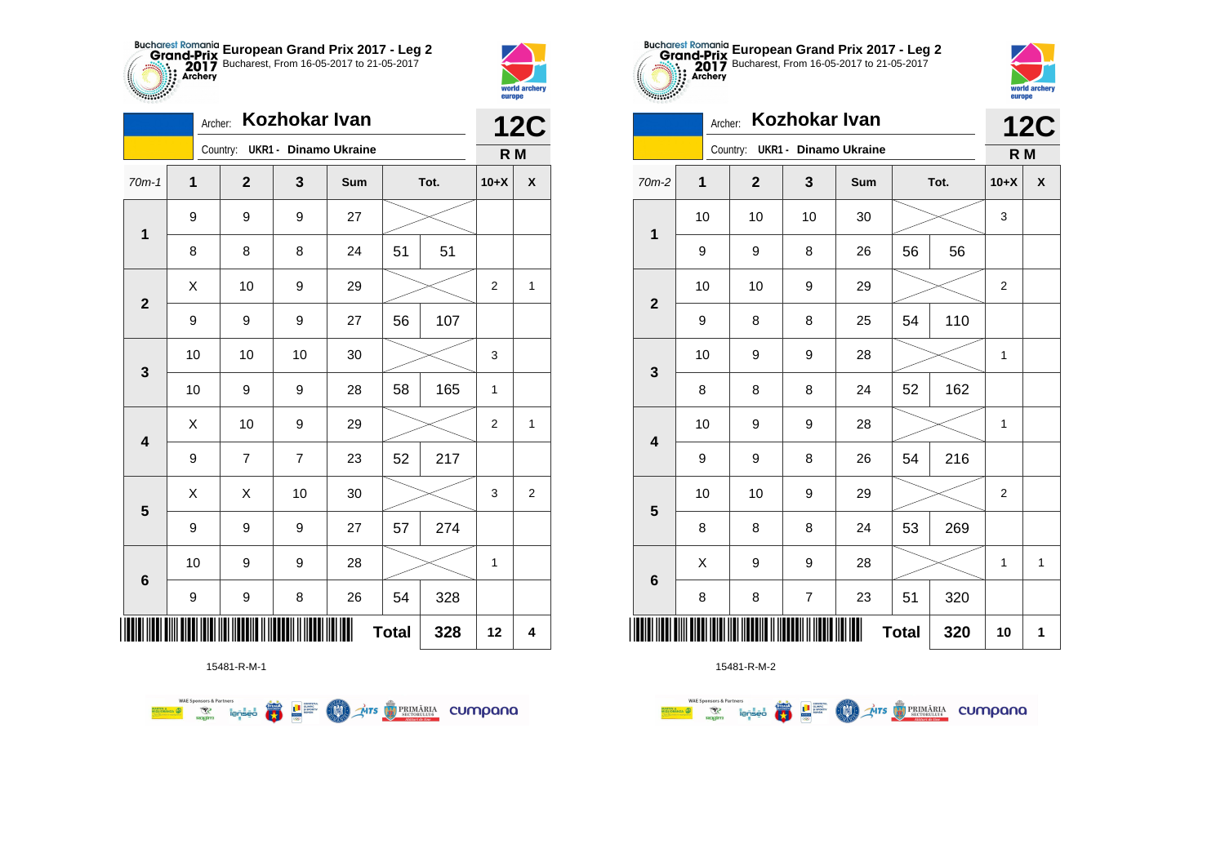



| Kozhokar Ivan<br>Archer: |    |  |                                |                |     |              |      | <b>12C</b>     |                |
|--------------------------|----|--|--------------------------------|----------------|-----|--------------|------|----------------|----------------|
|                          |    |  | Country: UKR1 - Dinamo Ukraine |                |     |              |      | R M            |                |
| $70m-1$                  | 1  |  | $\mathbf 2$                    | 3              | Sum |              | Tot. | $10+X$         | X              |
|                          | 9  |  | 9                              | 9              | 27  |              |      |                |                |
| $\mathbf 1$              | 8  |  | 8                              | 8              | 24  | 51           | 51   |                |                |
| $\mathbf 2$              | X  |  | 10                             | 9              | 29  |              |      | 2              | $\mathbf{1}$   |
|                          | 9  |  | 9                              | 9              | 27  | 56           | 107  |                |                |
| $\mathbf{3}$             | 10 |  | 10                             | 10             | 30  |              |      | 3              |                |
|                          | 10 |  | 9                              | 9              | 28  | 58           | 165  | 1              |                |
| $\overline{\mathbf{4}}$  | Χ  |  | 10                             | 9              | 29  |              |      | $\overline{2}$ | $\mathbf{1}$   |
|                          | 9  |  | $\overline{7}$                 | $\overline{7}$ | 23  | 52           | 217  |                |                |
| 5                        | X  |  | Χ                              | 10             | 30  |              |      | 3              | $\overline{c}$ |
|                          | 9  |  | 9                              | 9              | 27  | 57           | 274  |                |                |
| 6                        | 10 |  | 9                              | 9              | 28  |              |      | 1              |                |
|                          | 9  |  | 9                              | 8              | 26  | 54           | 328  |                |                |
| ║║║                      |    |  |                                |                | Ш   | <b>Total</b> | 328  | 12             | 4              |

**THITS EXPRIMARIA CUMPANA** 



15481-R-M-2

| $\sim$                  |         | <b>curepo</b> |                              |     |          |      |                |              |
|-------------------------|---------|---------------|------------------------------|-----|----------|------|----------------|--------------|
|                         | Archer: |               | Kozhokar Ivan                |     |          |      |                | <b>12C</b>   |
|                         |         | Country:      | <b>UKR1 - Dinamo Ukraine</b> |     |          |      | R M            |              |
| $70m-2$                 | 1       | $\mathbf{2}$  | 3                            | Sum |          | Tot. | $10+X$         | X            |
| 1                       | 10      | 10            | 10                           | 30  |          |      | 3              |              |
|                         | 9       | 9             | 8                            | 26  | 56<br>56 |      |                |              |
| $\mathbf{2}$            | 10      | 10            | 9                            | 29  |          |      | $\overline{2}$ |              |
|                         | 9       | 8             | 8                            | 25  | 54       | 110  |                |              |
| 3                       | 10      | 9             | 9                            | 28  |          |      | 1              |              |
|                         | 8       | 8             | 8                            | 24  | 52       | 162  |                |              |
| $\overline{\mathbf{4}}$ | 10      | 9             | 9                            | 28  |          |      | 1              |              |
|                         | 9       | 9             | 8                            | 26  | 54       | 216  |                |              |
| 5                       | 10      | 10            | 9                            | 29  |          |      | $\overline{2}$ |              |
|                         | 8       | 8             | 8                            | 24  | 53       | 269  |                |              |
| $\bf 6$                 | Χ       | 9             | 9                            | 28  |          |      | 1              | $\mathbf{1}$ |
|                         | 8       | 8             | 7                            | 23  | 51       | 320  |                |              |
|                         | 320     | 10            | 1                            |     |          |      |                |              |

**European Grand Prix 2017 - Leg 2** Bucharest, From 16-05-2017 to 21-05-2017

world arche



赢

**L** B SPORTER

**COO** 

**WAE Sponsors & Partners**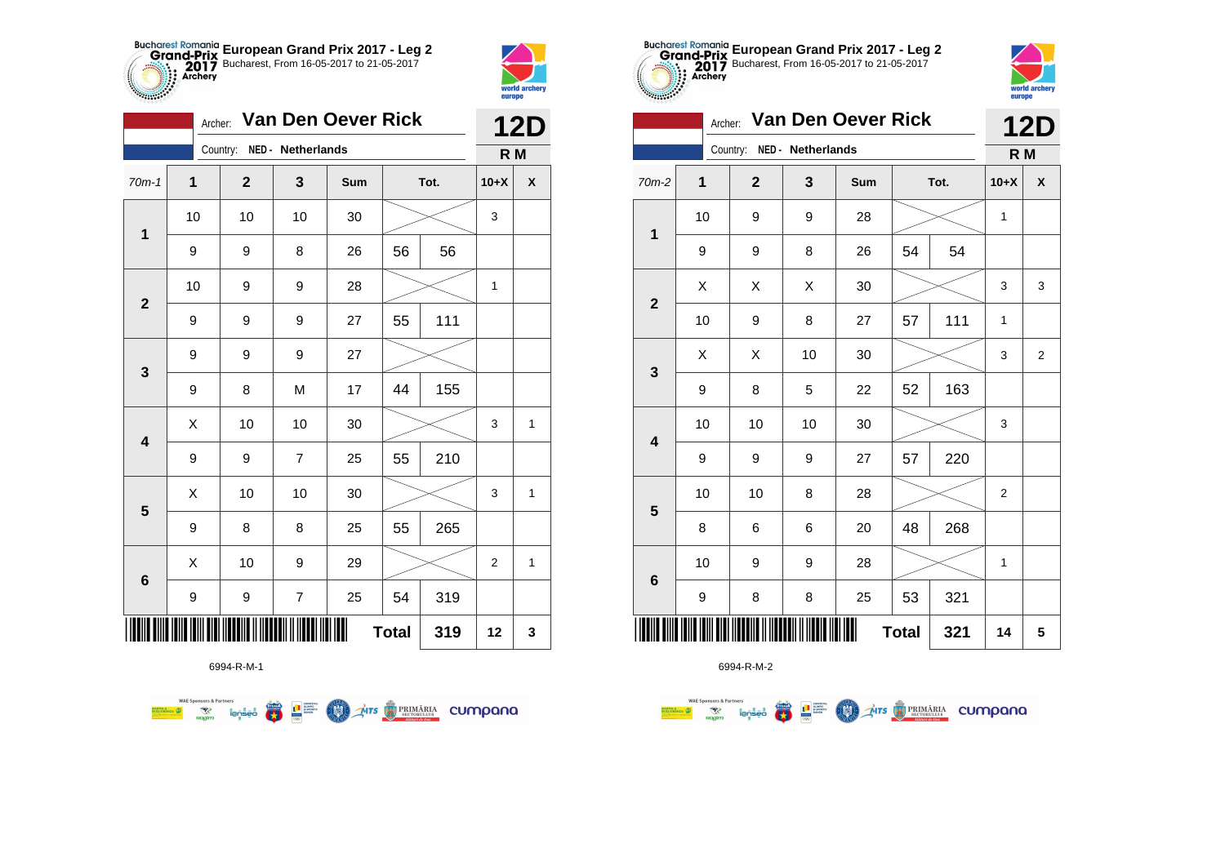



**TABLE** 

| Van Den Oever Rick<br>Archer: |    |                            |                |     |              |      |                  | <b>12D</b>         |
|-------------------------------|----|----------------------------|----------------|-----|--------------|------|------------------|--------------------|
|                               |    | Country: NED - Netherlands |                |     |              |      | R M              |                    |
| $70m-1$                       | 1  | $\mathbf{2}$               | 3              | Sum |              | Tot. | $10+X$           | $\pmb{\mathsf{X}}$ |
|                               | 10 | 10                         | 10             | 30  |              |      | 3                |                    |
| $\mathbf 1$                   | 9  | 9                          | 8              | 26  | 56           | 56   |                  |                    |
| $\mathbf{2}$                  | 10 | 9                          | 9              | 28  |              |      | 1                |                    |
|                               | 9  | 9                          | 9              | 27  | 55           | 111  |                  |                    |
| 3                             | 9  | 9                          | 9              | 27  |              |      |                  |                    |
|                               | 9  | 8                          | M              | 17  | 44           | 155  |                  |                    |
| $\overline{\mathbf{4}}$       | Χ  | $10$                       | 10             | 30  |              |      | 3                | $\mathbf{1}$       |
|                               | 9  | 9                          | $\overline{7}$ | 25  | 55           | 210  |                  |                    |
|                               | X  | 10                         | 10             | 30  |              |      | 3                | 1                  |
| 5                             | 9  | 8                          | 8              | 25  | 55           | 265  |                  |                    |
|                               | Χ  | 10                         | 9              | 29  |              |      | $\boldsymbol{2}$ | 1                  |
| 6                             | 9  | 9                          | $\overline{7}$ | 25  | 54           | 319  |                  |                    |
|                               |    |                            |                | Ш   | <b>Total</b> | 319  | 12               | 3                  |

**Exercise on the Second Parties of the Conservation Company of the Conservation Company of the Conservation Company** 



6994-R-M-2

| $-00000$                | Van Den Oever Rick | <b>12D</b>                 |    |     |              |      |              |   |
|-------------------------|--------------------|----------------------------|----|-----|--------------|------|--------------|---|
|                         |                    | Country: NED - Netherlands |    |     |              |      | R M          |   |
| $70m-2$                 | $\overline{1}$     | $\overline{2}$             | 3  | Sum |              | Tot. | $10+X$       | X |
| $\overline{\mathbf{1}}$ | 10                 | 9                          | 9  | 28  |              |      | $\mathbf{1}$ |   |
| 9                       |                    | 9                          | 8  | 26  | 54           | 54   |              |   |
| $\overline{2}$          | Χ                  | Χ                          | X  | 30  |              |      | 3            | 3 |
|                         | 10                 | 9                          | 8  | 27  | 57           | 111  | $\mathbf{1}$ |   |
| 3                       | X                  | X                          | 10 | 30  |              |      | 3            | 2 |
|                         | 9                  | 8                          | 5  | 22  | 52           | 163  |              |   |
| $\overline{\mathbf{4}}$ | 10                 | 10                         | 10 | 30  |              |      | 3            |   |
|                         | 9                  | 9                          | 9  | 27  | 57           | 220  |              |   |
| 5                       | 10                 | 10                         | 8  | 28  |              |      | 2            |   |
|                         | 8                  | 6                          | 6  | 20  | 48           | 268  |              |   |
| $6\phantom{1}$          | 10                 | 9                          | 9  | 28  |              |      | $\mathbf{1}$ |   |
|                         | 9                  | 8                          | 8  | 25  | 53           | 321  |              |   |
|                         |                    |                            |    |     | <b>Total</b> | 321  | 14           | 5 |

**European Grand Prix 2017 - Leg 2** Bucharest, From 16-05-2017 to 21-05-2017

> world archer europe

6994-R-M-1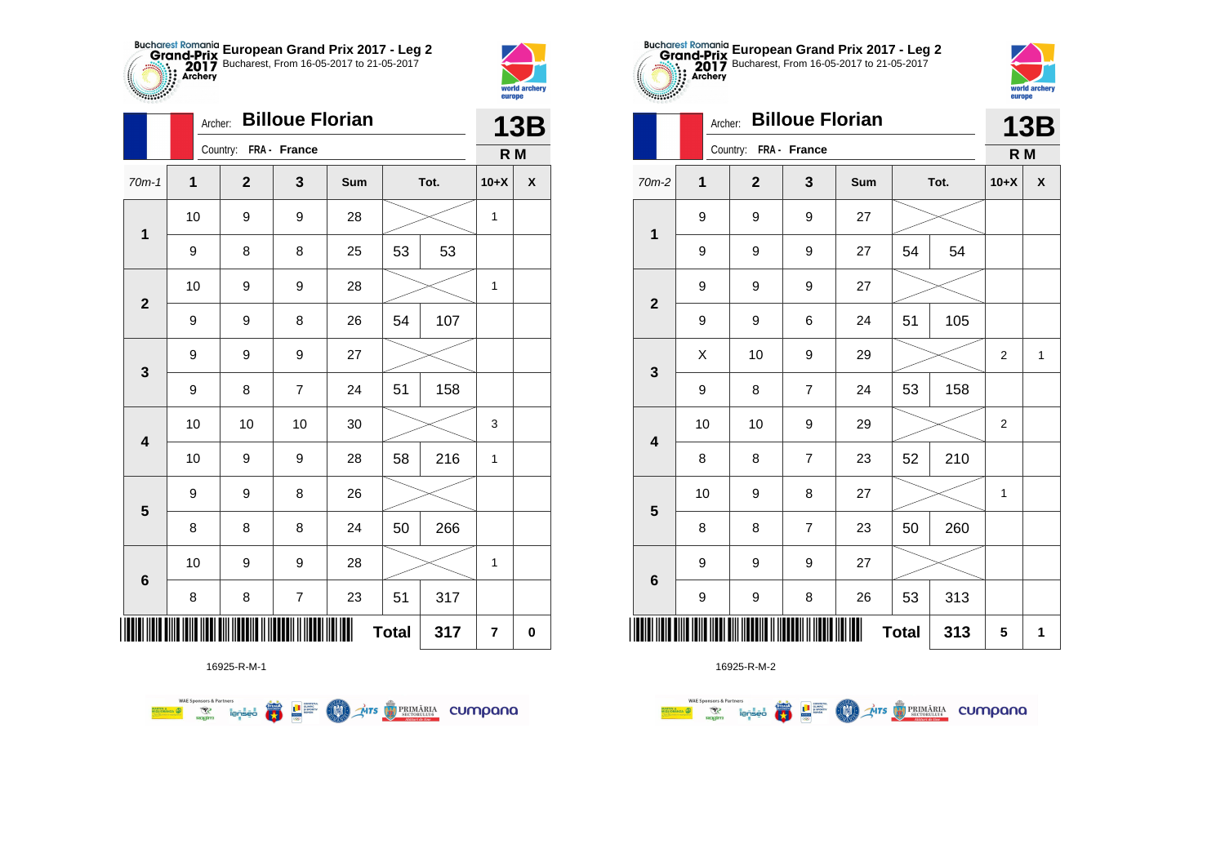



|                | Archer:     |                       |                | <b>13B</b> |              |      |                         |   |
|----------------|-------------|-----------------------|----------------|------------|--------------|------|-------------------------|---|
|                |             | Country: FRA - France |                |            |              |      | R M                     |   |
| $70m-1$        | $\mathbf 1$ | $\overline{2}$        | 3              | Sum        |              | Tot. | $10+X$                  | X |
| $\mathbf 1$    | 10          | 9                     | 9              | 28         |              |      | $\mathbf{1}$            |   |
|                | 9           | 8                     | 8              | 25         | 53           | 53   |                         |   |
| $\mathbf{2}$   | 10          | 9                     | 9              | 28         |              |      | $\mathbf{1}$            |   |
|                | 9           | 9                     | 8              | 26         | 54           | 107  |                         |   |
| 3              | 9           | 9                     | 9              | 27         |              |      |                         |   |
|                | 9           | 8                     | $\overline{7}$ | 24         | 51           | 158  |                         |   |
| 4              | 10          | 10                    | 10             | 30         |              |      | 3                       |   |
|                | 10          | 9                     | 9              | 28         | 58           | 216  | $\mathbf{1}$            |   |
| 5              | 9           | 9                     | 8              | 26         |              |      |                         |   |
|                | 8           | 8                     | 8              | 24         | 50           | 266  |                         |   |
| $6\phantom{1}$ | 10          | 9                     | 9              | 28         |              |      | 1                       |   |
|                | 8           | 8                     | $\overline{7}$ | 23         | 51           | 317  |                         |   |
| ┉              |             |                       |                |            | <b>Total</b> | 317  | $\overline{\mathbf{r}}$ | 0 |



16925-R-M-2

|                         |    | Country: FRA - France                              |                  |        |              |     |                  |                    |
|-------------------------|----|----------------------------------------------------|------------------|--------|--------------|-----|------------------|--------------------|
| $70m-2$                 | 1  | $\mathbf{2}$                                       | $\mathbf{3}$     | Sum    | Tot.         |     | $10+X$           | $\pmb{\mathsf{X}}$ |
| $\mathbf 1$             | 9  | 9                                                  | 9                | $27\,$ |              |     |                  |                    |
|                         | 9  | 9                                                  | 9                | 27     | 54           | 54  |                  |                    |
| $\overline{\mathbf{2}}$ | 9  | 9                                                  | 9                | 27     |              |     |                  |                    |
|                         | 9  | 9                                                  | 6                | 24     | 51           | 105 |                  |                    |
| $\mathbf{3}$            | Χ  | 10                                                 | 9                | 29     |              |     | $\boldsymbol{2}$ | $\mathbf{1}$       |
|                         | 9  | 8                                                  | $\boldsymbol{7}$ | 24     | 53           | 158 |                  |                    |
| $\overline{\mathbf{4}}$ | 10 | 10                                                 | 9                | 29     |              |     | $\boldsymbol{2}$ |                    |
|                         | 8  | 8                                                  | $\overline{7}$   | 23     | 52           | 210 |                  |                    |
| $5\phantom{1}$          | 10 | 9                                                  | 8                | 27     |              |     | 1                |                    |
|                         | 8  | 8                                                  | $\boldsymbol{7}$ | 23     | 50           | 260 |                  |                    |
| $\bf 6$                 | 9  | 9                                                  | 9                | 27     |              |     |                  |                    |
|                         | 9  | 9                                                  | 8                | 26     | 53           | 313 |                  |                    |
|                         |    | <u> IIIII IIII IIII IIII IIII II IIIIII III II</u> |                  | Ш      | <b>Total</b> | 313 | 5                | 1                  |

**European Grand Prix 2017 - Leg 2** Bucharest, From 16-05-2017 to 21-05-2017

**13B**

world archer wuriu al<br>europe

Archer: **Billoue Florian**

16925-R-M-1

**WAE Sponsors & Partners 第1**章  $\mathcal{A}$ irs  $\bigcirc$  PRIMĂRIA CUMPONO **COND**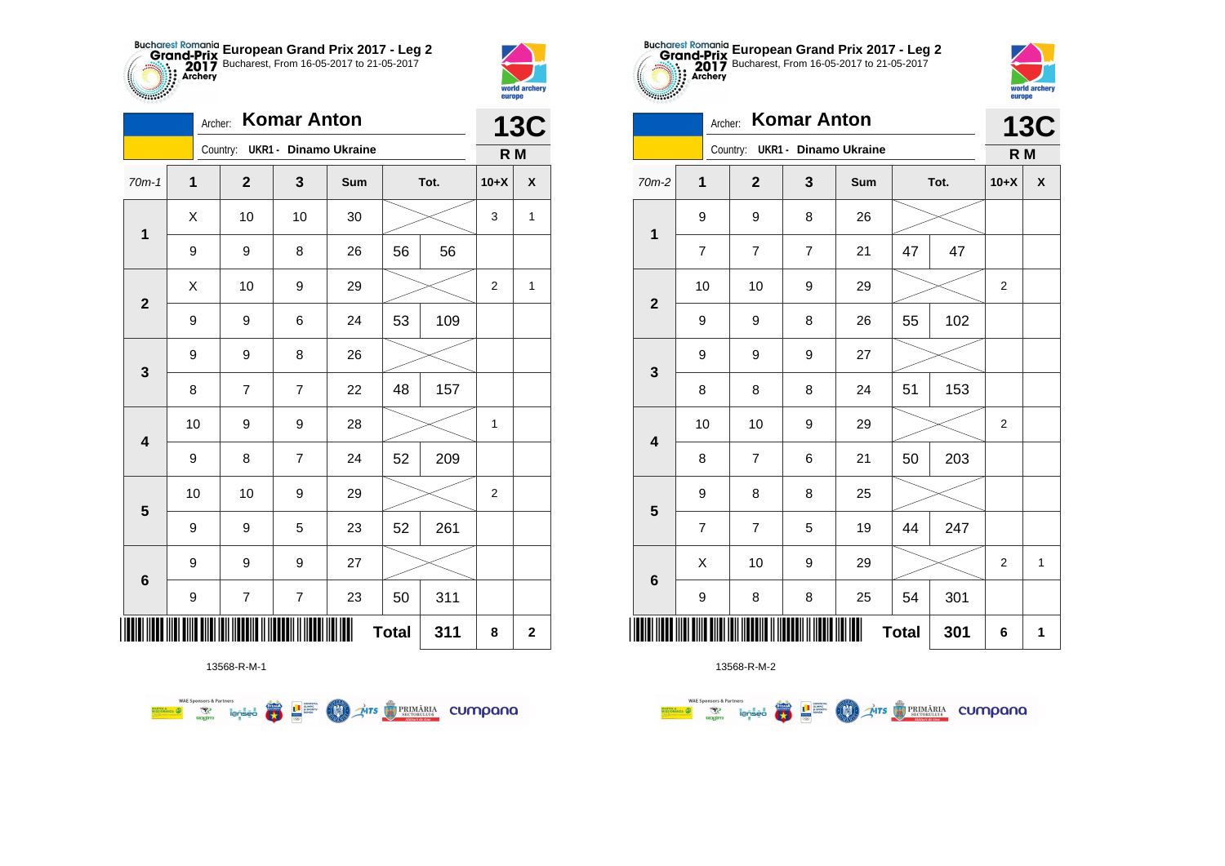



|                         | Archer:      |                                |                         | <b>13C</b> |              |      |                |                    |
|-------------------------|--------------|--------------------------------|-------------------------|------------|--------------|------|----------------|--------------------|
|                         |              | Country: UKR1 - Dinamo Ukraine |                         |            |              |      | R M            |                    |
| $70m-1$                 | $\mathbf{1}$ | $\mathbf 2$                    | 3                       | Sum        |              | Tot. | $10+X$         | $\pmb{\mathsf{X}}$ |
| 1                       | X            | 10                             | 10                      | 30         |              |      | 3              | $\mathbf{1}$       |
|                         | 9            | 9                              | 8                       | 26         | 56           | 56   |                |                    |
| $\mathbf{2}$            | X            | 10                             | 9                       | 29         |              |      | $\overline{2}$ | 1                  |
|                         | 9            | 9                              | 6                       | 24         | 53           | 109  |                |                    |
| 3                       | 9            | 9                              | 8                       | 26         |              |      |                |                    |
|                         | 8            | $\overline{7}$                 | $\overline{7}$          | 22         | 48           | 157  |                |                    |
| $\overline{\mathbf{4}}$ | 10           | 9                              | 9                       | 28         |              |      | $\mathbf{1}$   |                    |
|                         | 9            | 8                              | $\overline{7}$          | 24         | 52           | 209  |                |                    |
| $\overline{\mathbf{5}}$ | 10           | 10                             | 9                       | 29         |              |      | $\mathbf{2}$   |                    |
|                         | 9            | 9                              | 5                       | 23         | 52           | 261  |                |                    |
| $\bf 6$                 | 9            | 9                              | 9                       | 27         |              |      |                |                    |
|                         | 9            | $\boldsymbol{7}$               | $\overline{\mathbf{7}}$ | 23         | 50           | 311  |                |                    |
| ║║║                     |              |                                |                         |            | <b>Total</b> | 311  | 8              | $\mathbf 2$        |

**COND** 

**THE STRIMARIA CUMPANA** 



13568-R-M-2

|                         | <b>UKR1 - Dinamo Ukraine</b><br>Country: |                  |                |     |    |      | R M            |                    |
|-------------------------|------------------------------------------|------------------|----------------|-----|----|------|----------------|--------------------|
| $70m-2$                 | 1                                        | $\mathbf{2}$     | 3              | Sum |    | Tot. | $10+X$         | $\pmb{\mathsf{X}}$ |
| $\mathbf 1$             | 9                                        | 9                | 8              | 26  |    |      |                |                    |
|                         | 7                                        | 7                | $\overline{7}$ | 21  | 47 | 47   |                |                    |
|                         | 10                                       | 10               | 9              | 29  |    |      | 2              |                    |
| $\mathbf{2}$            | 9                                        | 9                | 8              | 26  | 55 | 102  |                |                    |
| $\mathbf 3$             | 9                                        | 9                | 9              | 27  |    |      |                |                    |
|                         | 8                                        | 8                | 8              | 24  | 51 | 153  |                |                    |
| $\overline{\mathbf{4}}$ | 10                                       | 10               | 9              | 29  |    |      | 2              |                    |
|                         | 8                                        | $\boldsymbol{7}$ | 6              | 21  | 50 | 203  |                |                    |
| $\overline{\mathbf{5}}$ | 9                                        | 8                | 8              | 25  |    |      |                |                    |
|                         | 7                                        | $\overline{7}$   | 5              | 19  | 44 | 247  |                |                    |
| $\bf 6$                 | X                                        | 10               | 9              | 29  |    |      | $\overline{2}$ | $\mathbf{1}$       |
|                         | 9                                        | 8                | 8              | 25  | 54 | 301  |                |                    |
| ║║║                     | <b>Total</b><br>301                      |                  |                |     |    |      | 6              | 1                  |

**European Grand Prix 2017 - Leg 2** Bucharest, From 16-05-2017 to 21-05-2017

**13C**

world archery<br>europe

Archer: **Komar Anton**

13568-R-M-1

**Examples and Second Second Second Second Second Second Second Second Second Second Second Second Second Second Second Second Second Second Second Second Second Second Second Second Second Second Second Second Second Secon**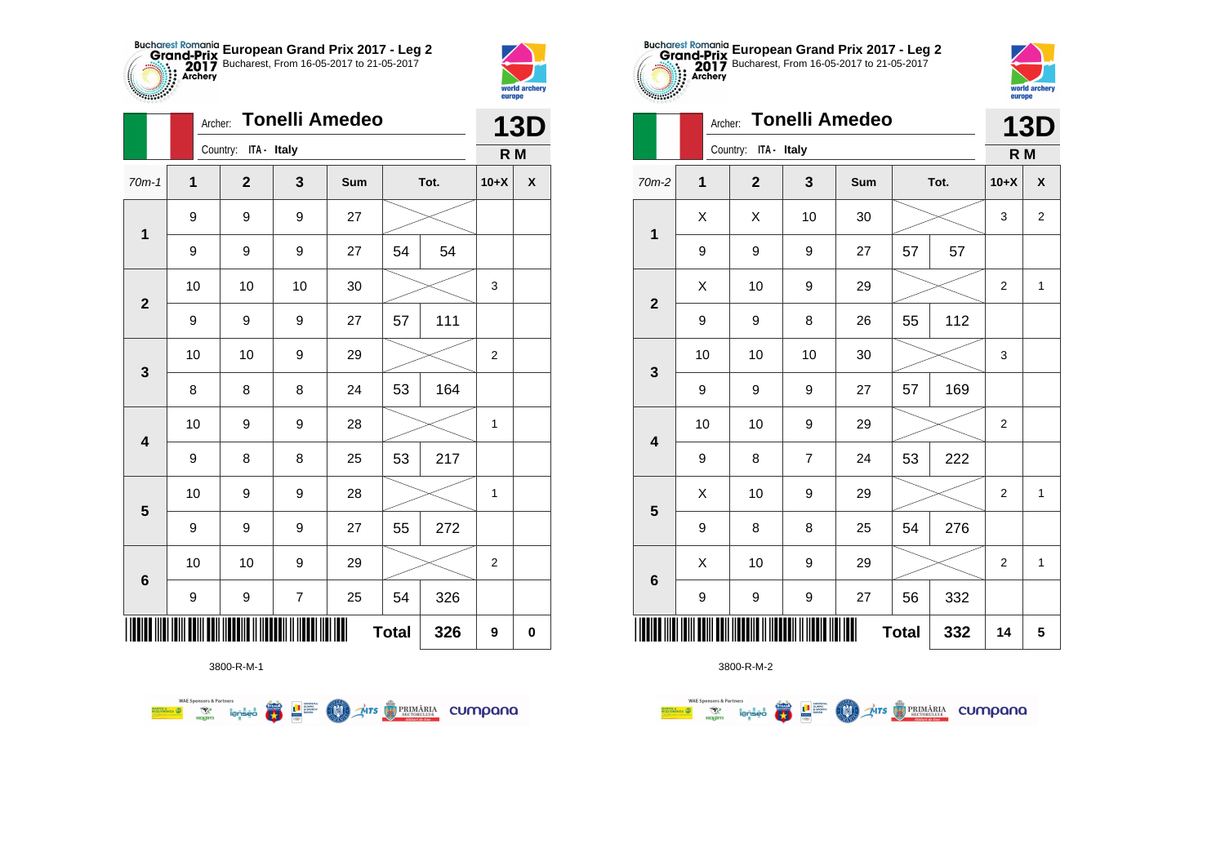



|                         |    | <b>Tonelli Amedeo</b><br>Archer: |                  |     |              |      |                |                    |  |
|-------------------------|----|----------------------------------|------------------|-----|--------------|------|----------------|--------------------|--|
|                         |    | Country: ITA - Italy             |                  |     |              |      | R M            |                    |  |
| $70m-1$                 | 1  | $\mathbf 2$                      | 3                | Sum |              | Tot. | $10+X$         | $\pmb{\mathsf{X}}$ |  |
| 1                       | 9  | 9                                | 9                | 27  |              |      |                |                    |  |
|                         | 9  | 9                                | 9                | 27  | 54           | 54   |                |                    |  |
| $\mathbf{2}$            | 10 | 10                               | 10               | 30  |              |      | 3              |                    |  |
|                         | 9  | 9                                | 9                | 27  | 57           | 111  |                |                    |  |
| $\mathbf{3}$            | 10 | 10                               | 9                | 29  |              |      | $\overline{c}$ |                    |  |
|                         | 8  | 8                                | 8                | 24  | 53           | 164  |                |                    |  |
| $\overline{\mathbf{4}}$ | 10 | 9                                | 9                | 28  |              |      | 1              |                    |  |
|                         | 9  | 8                                | 8                | 25  | 53           | 217  |                |                    |  |
| $\overline{\mathbf{5}}$ | 10 | 9                                | 9                | 28  |              |      | $\mathbf{1}$   |                    |  |
|                         | 9  | 9                                | 9                | 27  | 55           | 272  |                |                    |  |
| $6\phantom{1}6$         | 10 | 10                               | 9                | 29  |              |      | $\overline{2}$ |                    |  |
|                         | 9  | 9                                | $\boldsymbol{7}$ | 25  | 54           | 326  |                |                    |  |
|                         |    |                                  |                  |     | <b>Total</b> | 326  | 9              | $\pmb{0}$          |  |



3800-R-M-2

|                         |              |                                    |                | europe                |              |     |                |              |
|-------------------------|--------------|------------------------------------|----------------|-----------------------|--------------|-----|----------------|--------------|
|                         | Archer:      |                                    |                | <b>Tonelli Amedeo</b> |              |     |                | <b>13D</b>   |
|                         |              | Country:<br>ITA - Italy            |                |                       |              |     | R M            |              |
| $70m-2$                 | $\mathbf{1}$ | $\overline{2}$<br>Tot.<br>3<br>Sum |                |                       | $10+X$       | X   |                |              |
| 1                       | Χ            | X                                  | 10             | 30                    |              |     | 3              | 2            |
|                         | 9            | 9                                  | 9              | 27                    | 57           | 57  |                |              |
| $\mathbf{2}$            | Χ            | 10                                 | 9              | 29                    |              |     | $\overline{2}$ | $\mathbf{1}$ |
|                         | 9            | 9                                  | 8              | 26                    | 55           | 112 |                |              |
| $\mathbf{3}$            | 10           | 10                                 | 10             | 30                    |              |     | 3              |              |
|                         | 9            | 9                                  | 9              | 27                    | 57           | 169 |                |              |
| $\overline{\mathbf{4}}$ | 10           | 10                                 | 9              | 29                    |              |     | 2              |              |
|                         | 9            | 8                                  | $\overline{7}$ | 24                    | 53           | 222 |                |              |
|                         | X            | 10                                 | 9              | 29                    |              |     | $\overline{2}$ | $\mathbf{1}$ |
| $5\phantom{1}$          | 9            | 8                                  | 8              | 25                    | 54           | 276 |                |              |
| $6\phantom{1}$          | Χ            | 10                                 | 9              | 29                    |              |     | $\overline{2}$ | $\mathbf{1}$ |
|                         | 9            | 9                                  | 9              | 27                    | 56           | 332 |                |              |
|                         |              |                                    |                |                       | <b>Total</b> | 332 | 14             | 5            |

**European Grand Prix 2017 - Leg 2** Bucharest, From 16-05-2017 to 21-05-2017



|                           | <b>Tonelli Amedeo</b><br>Archer: |     |              |                |     |      |     |                | <b>13D</b>     |  |
|---------------------------|----------------------------------|-----|--------------|----------------|-----|------|-----|----------------|----------------|--|
|                           |                                  | R M |              |                |     |      |     |                |                |  |
| $m-2$                     | 1                                |     | $\mathbf{2}$ | 3              | Sum | Tot. |     | $10+X$         | X              |  |
|                           | Χ                                |     | X            | 10             | 30  |      |     | 3              | $\overline{2}$ |  |
| 1                         | 9                                |     | 9            | 9              | 27  | 57   | 57  |                |                |  |
| $\overline{\mathbf{2}}$   | X                                |     | 10           | 9              | 29  |      |     | $\overline{c}$ | $\mathbf{1}$   |  |
|                           | 9                                |     | 9            | 8              | 26  | 55   | 112 |                |                |  |
| 3                         | 10                               |     | 10           | 10             | 30  |      |     | 3              |                |  |
|                           | 9                                |     | 9            | 9              | 27  | 57   | 169 |                |                |  |
| 4                         | 10                               |     | 10           | 9              | 29  |      |     | 2              |                |  |
|                           | 9                                |     | 8            | $\overline{7}$ | 24  | 53   | 222 |                |                |  |
| 5                         | X                                |     | 10           | 9              | 29  |      |     | $\overline{2}$ | $\mathbf{1}$   |  |
|                           | 9                                |     | 8            | 8              | 25  | 54   | 276 |                |                |  |
| 6                         | X                                |     | 10           | 9              | 29  |      |     | $\overline{2}$ | $\mathbf{1}$   |  |
|                           | 9                                |     | 9            | 9              | 27  | 56   | 332 |                |                |  |
| ║║<br><b>Total</b><br>332 |                                  |     |              |                |     | 14   | 5   |                |                |  |



**WAE Sponsors & Partners Example 19 and 1975 THE STRIMARIA CUMPANA COND**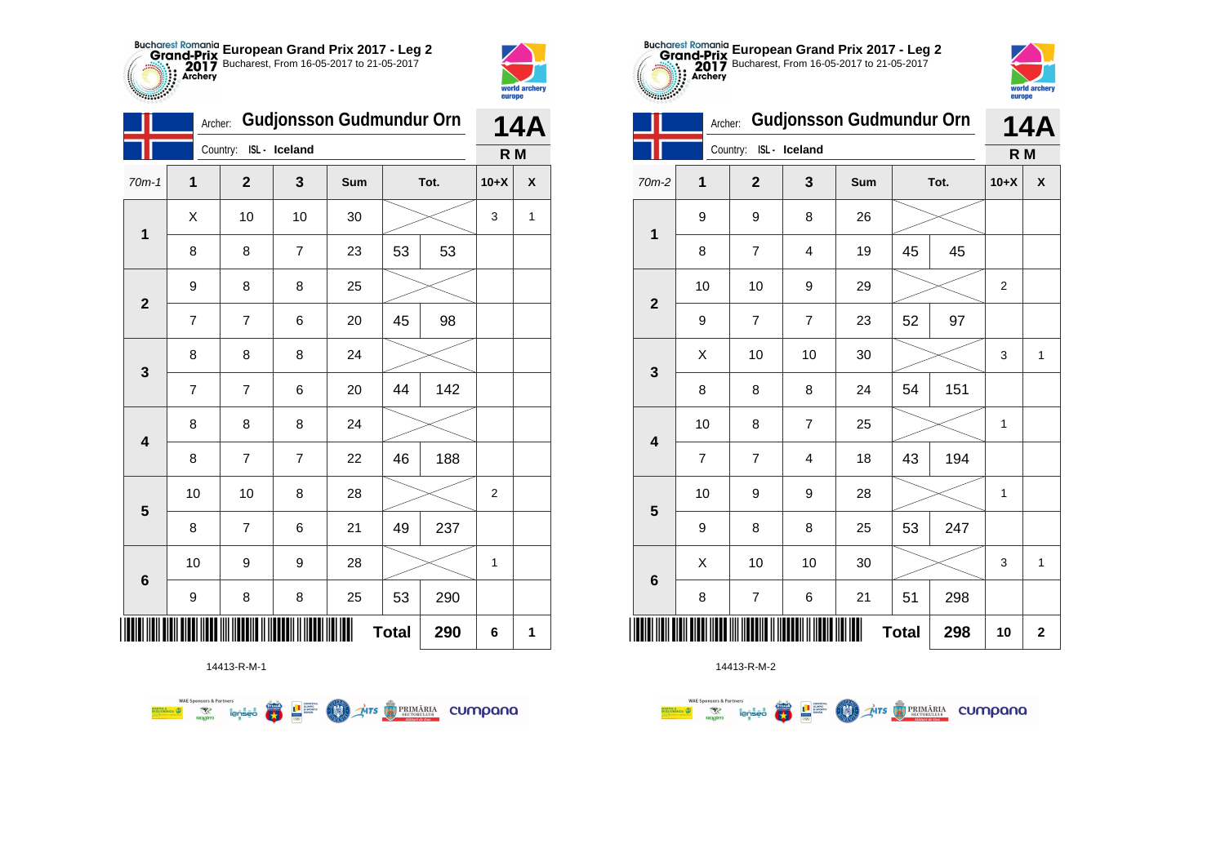



**THE** 

|                                                                        | Archer:        |                        | Gudjonsson Gudmundur Orn |     |              |     |                | 14A |  |  |
|------------------------------------------------------------------------|----------------|------------------------|--------------------------|-----|--------------|-----|----------------|-----|--|--|
|                                                                        |                | Country: ISL - Iceland |                          |     |              |     |                | R M |  |  |
| $70m-1$                                                                | 1              | $\mathbf{2}$           | 3                        | Sum | Tot.         |     | $10+X$         | X   |  |  |
|                                                                        | Χ              | 10                     | 10                       | 30  |              |     | 3              | 1   |  |  |
| $\mathbf{1}$<br>$\mathbf{2}$<br>3<br>4<br>$\overline{\mathbf{5}}$<br>6 | 8              | 8                      | $\overline{7}$           | 23  | 53           | 53  |                |     |  |  |
|                                                                        | 9              | 8                      | 8                        | 25  |              |     |                |     |  |  |
|                                                                        | $\overline{7}$ | $\overline{7}$         | 6                        | 20  | 45           | 98  |                |     |  |  |
|                                                                        | 8              | 8                      | 8                        | 24  |              |     |                |     |  |  |
|                                                                        | $\overline{7}$ | $\overline{7}$         | 6                        | 20  | 44           | 142 |                |     |  |  |
|                                                                        | 8              | 8                      | 8                        | 24  |              |     |                |     |  |  |
|                                                                        | 8              | $\overline{7}$         | $\overline{7}$           | 22  | 46           | 188 |                |     |  |  |
|                                                                        | 10             | 10                     | 8                        | 28  |              |     | $\overline{2}$ |     |  |  |
|                                                                        | 8              | $\overline{7}$         | 6                        | 21  | 49           | 237 |                |     |  |  |
|                                                                        | $10$           | 9                      | 9                        | 28  |              |     | $\mathbf{1}$   |     |  |  |
|                                                                        | 9              | 8                      | 8                        | 25  | 53           | 290 |                |     |  |  |
|                                                                        |                |                        |                          |     | <b>Total</b> | 290 | 6              | 1   |  |  |

**COL** Ars **TRIMÁRIA** CUMpana



14413-R-M-2

|                          | <b>Gudjonsson Gudmundur Orn</b><br>Archer: |                          |                |     |      |     | <b>14A</b>     |   |  |
|--------------------------|--------------------------------------------|--------------------------|----------------|-----|------|-----|----------------|---|--|
|                          |                                            | ISL- Iceland<br>Country: |                |     |      |     | R <sub>M</sub> |   |  |
| 70m-2                    | 1                                          | $\overline{2}$           | 3              | Sum | Tot. |     | $10+X$         | X |  |
| $\mathbf{1}$             | 9                                          | 9                        | 8              | 26  |      |     |                |   |  |
|                          | 8                                          | $\overline{7}$           | 4              | 19  | 45   | 45  |                |   |  |
| $\overline{2}$           | 10                                         | 10                       | 9              | 29  |      |     | $\overline{2}$ |   |  |
|                          | 9                                          | $\overline{7}$           | $\overline{7}$ | 23  | 52   | 97  |                |   |  |
| 3                        | X                                          | 10                       | 10             | 30  |      |     | 3              | 1 |  |
|                          | 8                                          | 8                        | 8              | 24  | 54   | 151 |                |   |  |
| $\overline{\mathbf{4}}$  | 10                                         | 8                        | $\overline{7}$ | 25  |      |     | 1              |   |  |
|                          | $\overline{7}$                             | $\overline{7}$           | $\overline{4}$ | 18  | 43   | 194 |                |   |  |
| 5                        | 10                                         | 9                        | 9              | 28  |      |     | 1              |   |  |
|                          | 9                                          | 8                        | 8              | 25  | 53   | 247 |                |   |  |
| $6\phantom{1}6$          | X                                          | 10                       | 10             | 30  |      |     | 3              | 1 |  |
|                          | 8                                          | $\overline{\mathcal{I}}$ | 6              | 21  | 51   | 298 |                |   |  |
| Ш<br><b>Total</b><br>298 |                                            |                          |                |     |      | 10  | $\mathbf{2}$   |   |  |

**European Grand Prix 2017 - Leg 2** Bucharest, From 16-05-2017 to 21-05-2017

> world archer europe

14413-R-M-1

**Excession of the Second Contract of the Contract of Second Contract of the Contract of Second Contract of Second Contract of Second Contract of Second Contract of Second Contract of Second Contract of Second Contract of S**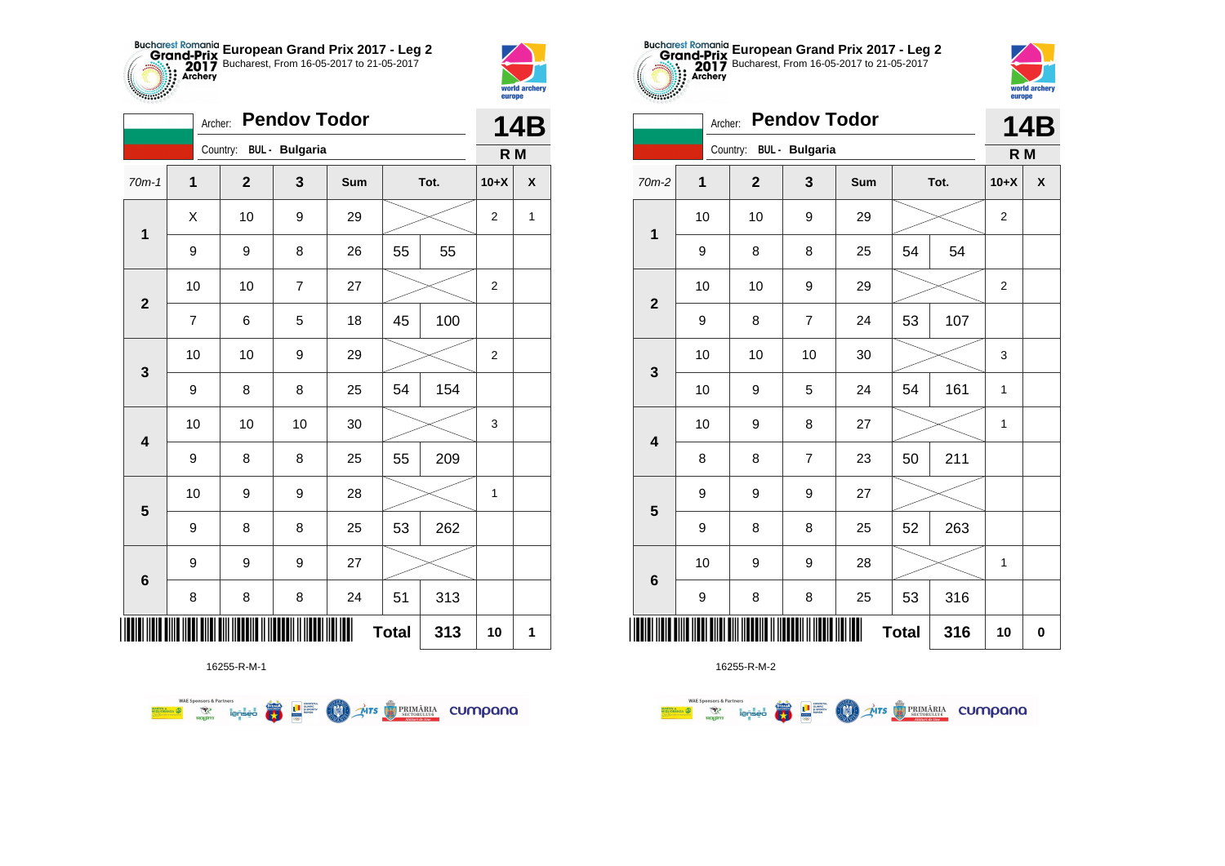



|                         | Archer:        |                         | <b>Pendov Todor</b> |     |              |      | <b>14B</b>     |              |  |
|-------------------------|----------------|-------------------------|---------------------|-----|--------------|------|----------------|--------------|--|
|                         |                | Country: BUL - Bulgaria |                     |     |              |      | R M            |              |  |
| $70m-1$                 | $\mathbf{1}$   | $\mathbf{2}$            | 3                   | Sum |              | Tot. | $10+X$         | X            |  |
| $\mathbf 1$             | X              | 10                      | 9                   | 29  |              |      | 2              | $\mathbf{1}$ |  |
|                         | 9              | 9                       | 8                   | 26  | 55           | 55   |                |              |  |
| $\overline{\mathbf{2}}$ | 10             | 10                      | $\overline{7}$      | 27  |              |      | 2              |              |  |
|                         | $\overline{7}$ | 6                       | 5                   | 18  | 45           | 100  |                |              |  |
| 3                       | 10             | 10                      | 9                   | 29  |              |      | $\overline{2}$ |              |  |
|                         | 9              | 8                       | 8                   | 25  | 54           | 154  |                |              |  |
| $\overline{\mathbf{4}}$ | 10             | 10                      | 10                  | 30  |              |      | 3              |              |  |
|                         | 9              | 8                       | 8                   | 25  | 55           | 209  |                |              |  |
| $\overline{\mathbf{5}}$ | 10             | 9                       | 9                   | 28  |              |      | $\mathbf{1}$   |              |  |
|                         | 9              | 8                       | 8                   | 25  | 53           | 262  |                |              |  |
| $6\phantom{1}6$         | 9              | 9                       | 9                   | 27  |              |      |                |              |  |
|                         | 8              | 8                       | 8                   | 24  | 51           | 313  |                |              |  |
| Ш                       |                |                         |                     |     | <b>Total</b> | 313  | 10             | 1            |  |

**THE STRIMARIA CUMPANA** 



16255-R-M-2

| cococo.                 | Archer:             |              | <b>Pendov Todor</b>     |     |      |     |        | <b>14B</b> |  |
|-------------------------|---------------------|--------------|-------------------------|-----|------|-----|--------|------------|--|
|                         |                     |              | Country: BUL - Bulgaria |     |      |     | R M    |            |  |
| 70m-2                   | 1                   | $\mathbf{2}$ | 3                       | Sum | Tot. |     | $10+X$ | X          |  |
| 1                       | 10                  | 10           | 9                       | 29  |      |     | 2      |            |  |
|                         | 9                   | 8            | 8                       | 25  | 54   | 54  |        |            |  |
| $\overline{\mathbf{2}}$ | 10                  | 10           | 9                       | 29  |      |     | 2      |            |  |
|                         | 9                   | 8            | $\overline{7}$          | 24  | 53   | 107 |        |            |  |
| $\mathbf 3$             | 10                  | 10           | 10                      | 30  |      |     | 3      |            |  |
|                         | 10                  | 9            | 5                       | 24  | 54   | 161 | 1      |            |  |
| $\overline{\mathbf{4}}$ | 10                  | 9            | 8                       | 27  |      |     | 1      |            |  |
|                         | 8                   | 8            | $\overline{7}$          | 23  | 50   | 211 |        |            |  |
| 5                       | 9                   | 9            | $\boldsymbol{9}$        | 27  |      |     |        |            |  |
|                         | 9                   | 8            | 8                       | 25  | 52   | 263 |        |            |  |
| $6\phantom{1}6$         | 10                  | 9            | 9                       | 28  |      |     | 1      |            |  |
|                         | 9                   | 8            | 8                       | 25  | 53   | 316 |        |            |  |
|                         | <b>Total</b><br>316 |              |                         |     |      |     |        |            |  |

**European Grand Prix 2017 - Leg 2** Bucharest, From 16-05-2017 to 21-05-2017

world archer

**Alliana** 

16255-R-M-1

**FRA** 

**L** B SPORTER

**COO** 

**WAE Sponsors & Partners**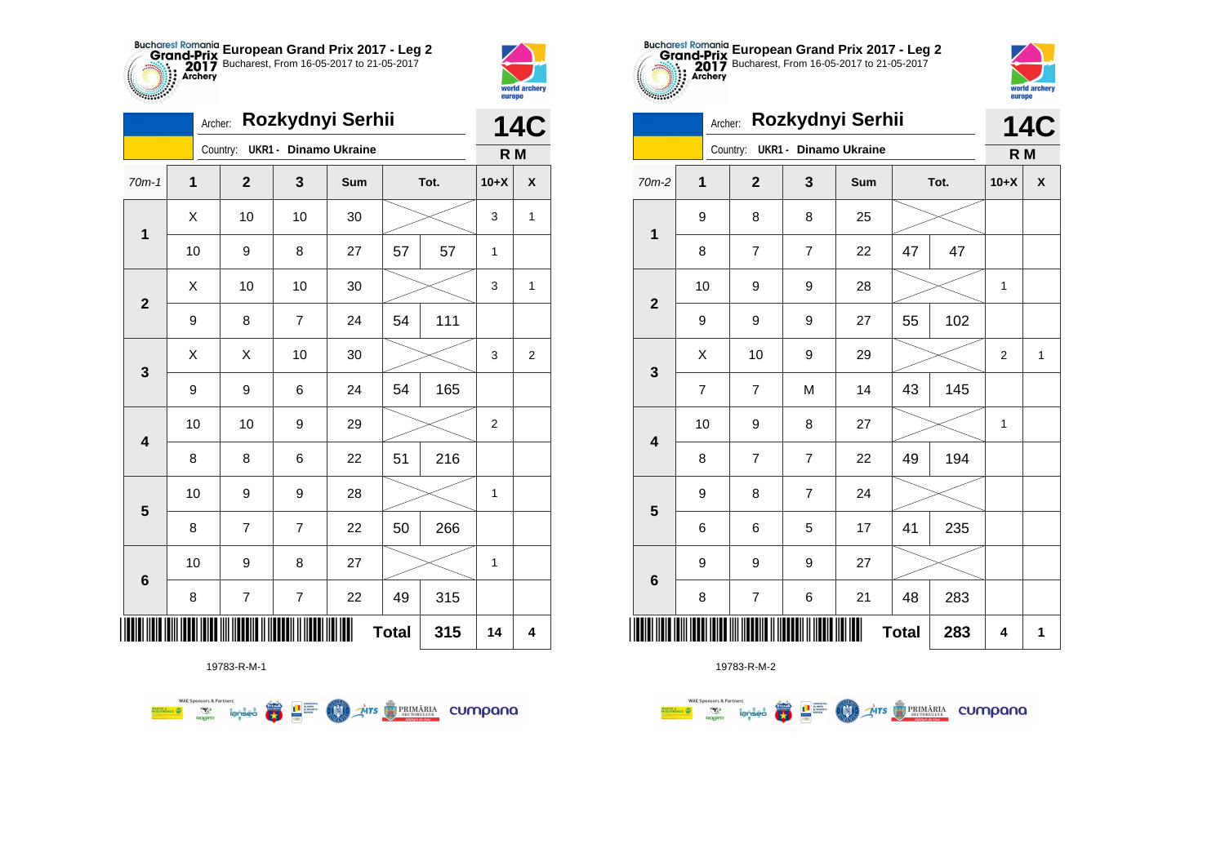



|                         | Archer:             |                |                          | Rozkydnyi Serhii |    |      | <b>14C</b>   |   |  |
|-------------------------|---------------------|----------------|--------------------------|------------------|----|------|--------------|---|--|
|                         |                     | Country:       | UKR1 - Dinamo Ukraine    |                  |    |      | R M          |   |  |
| $70m-1$                 | $\mathbf{1}$        | $\mathbf{2}$   | 3                        | Sum              |    | Tot. | $10+X$       | X |  |
| $\mathbf{1}$            | Χ                   | 10             | 10                       | 30               |    |      | 3            | 1 |  |
|                         | 10                  | 9              | 8                        | 27               | 57 | 57   | 1            |   |  |
|                         | X                   | 10             | 10                       | 30               |    |      | 3            | 1 |  |
| $\mathbf{2}$            | 9                   | 8              | $\overline{7}$           | 24               | 54 | 111  |              |   |  |
| 3                       | Χ                   | Χ              | 10                       | 30               |    |      | 3            | 2 |  |
|                         | 9                   | 9              | 6                        | 24               | 54 | 165  |              |   |  |
| $\overline{\mathbf{4}}$ | 10                  | 10             | 9                        | 29               |    |      | 2            |   |  |
|                         | 8                   | 8              | 6                        | 22               | 51 | 216  |              |   |  |
| 5                       | 10                  | 9              | 9                        | 28               |    |      | $\mathbf{1}$ |   |  |
|                         | 8                   | $\overline{7}$ | $\overline{7}$           | 22               | 50 | 266  |              |   |  |
| 6                       | 10                  | 9              | 8                        | 27               |    |      | 1            |   |  |
|                         | 8                   | 7              | $\overline{\mathcal{I}}$ | 22               | 49 | 315  |              |   |  |
| ║║║                     | <b>Total</b><br>315 |                |                          |                  |    |      |              |   |  |

**COLORES DE PRIMÁRIA CUMPONO** 



19783-R-M-2

|                         | Archer: |                |                              | Rozkydnyi Serhii |              |      |        | <b>14C</b> |  |
|-------------------------|---------|----------------|------------------------------|------------------|--------------|------|--------|------------|--|
|                         |         | Country:       | <b>UKR1 - Dinamo Ukraine</b> |                  |              |      | R M    |            |  |
| $70m-2$                 | 1       | $\mathbf{2}$   | 3                            | Sum              |              | Tot. | $10+X$ | X          |  |
| 1                       | 9       | 8              | 8                            | 25               |              |      |        |            |  |
|                         | 8       | 7              | $\overline{7}$               | 22               | 47           | 47   |        |            |  |
| $\mathbf{2}$            | 10      | 9              | 9                            | 28               |              |      | 1      |            |  |
|                         | 9       | 9              | 9                            | 27               | 55           | 102  |        |            |  |
| 3                       | X       | 10             | 9                            | 29               |              |      | 2      | 1          |  |
|                         | 7       | $\overline{7}$ | M                            | 14               | 43           | 145  |        |            |  |
| $\overline{\mathbf{4}}$ | 10      | 9              | 8                            | 27               |              |      | 1      |            |  |
|                         | 8       | 7              | 7                            | 22               | 49           | 194  |        |            |  |
|                         | 9       | 8              | $\overline{7}$               | 24               |              |      |        |            |  |
| 5                       | 6       | 6              | 5                            | 17               | 41           | 235  |        |            |  |
|                         | 9       | 9              | 9                            | 27               |              |      |        |            |  |
| $6\phantom{1}6$         | 8       | $\overline{7}$ | 6                            | 21               | 48           | 283  |        |            |  |
|                         |         |                |                              |                  | <b>Total</b> | 283  | 4      | 1          |  |

**European Grand Prix 2017 - Leg 2** Bucharest, From 16-05-2017 to 21-05-2017

world archa

19783-R-M-1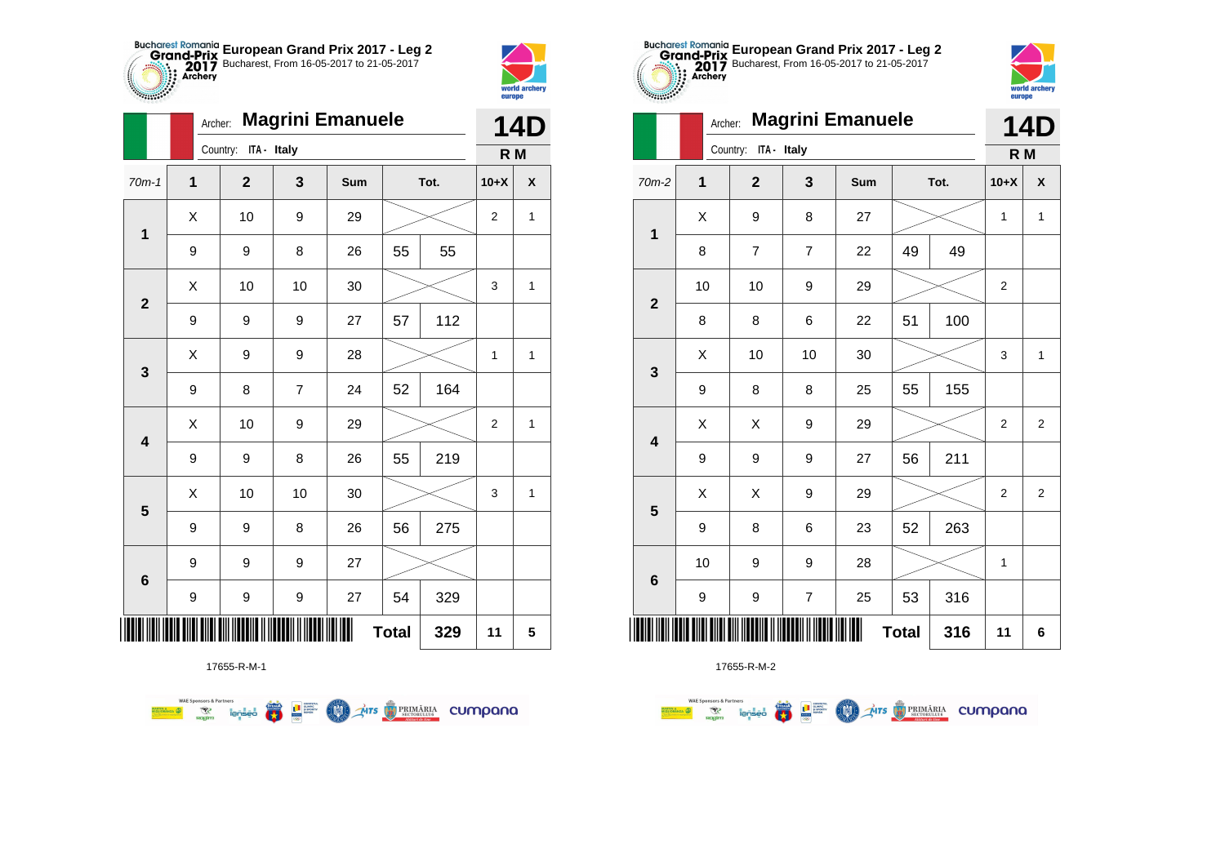



|                         | Archer:      |                      |                | <b>Magrini Emanuele</b> |              |      |                | <b>14D</b> |
|-------------------------|--------------|----------------------|----------------|-------------------------|--------------|------|----------------|------------|
|                         |              | Country: ITA - Italy |                |                         |              |      | R M            |            |
| $70m-1$                 | $\mathbf{1}$ | $\mathbf{2}$         | 3              | Sum                     |              | Tot. | $10+X$         | X          |
| $\mathbf{1}$            | X            | 10                   | 9              | 29                      |              |      | $\overline{2}$ | 1          |
|                         | 9            | 9                    | 8              | 26                      | 55           | 55   |                |            |
| $\overline{\mathbf{2}}$ | X            | 10                   | 10             | 30                      |              |      | 3              | 1          |
|                         | 9            | 9                    | 9              | 27                      | 57           | 112  |                |            |
| 3                       | X            | 9                    | 9              | 28                      |              |      | 1              | 1          |
|                         | 9            | 8                    | $\overline{7}$ | 24                      | 52           | 164  |                |            |
| $\overline{\mathbf{4}}$ | Χ            | 10                   | 9              | 29                      |              |      | $\mathbf 2$    | 1          |
|                         | 9            | 9                    | 8              | 26                      | 55           | 219  |                |            |
| 5                       | X            | 10                   | 10             | 30                      |              |      | 3              | 1          |
|                         | 9            | 9                    | 8              | 26                      | 56           | 275  |                |            |
| 6                       | 9            | 9                    | 9              | 27                      |              |      |                |            |
|                         | 9            | 9                    | 9              | 27                      | 54           | 329  |                |            |
| ∭                       |              |                      |                |                         | <b>Total</b> | 329  | 11             | 5          |



17655-R-M-2

| <b><i>PERSONAL PROPERTY AND RESPECT</i></b> |         |                         |                |                         |    |      |                | world archery<br>europe |
|---------------------------------------------|---------|-------------------------|----------------|-------------------------|----|------|----------------|-------------------------|
|                                             | Archer: |                         |                | <b>Magrini Emanuele</b> |    |      |                | <b>14D</b>              |
|                                             |         | ITA - Italy<br>Country: |                |                         |    |      | R <sub>M</sub> |                         |
| $70m-2$                                     | 1       | $\overline{2}$          | 3              | Sum                     |    | Tot. | $10+X$         | X                       |
| $\mathbf 1$                                 | X       | 9                       | 8              | 27                      |    |      | 1              | 1                       |
|                                             | 8       | $\overline{7}$          | $\overline{7}$ | 22                      | 49 | 49   |                |                         |
| $\overline{2}$                              | 10      | 10                      | 9              | 29                      |    |      | $\overline{2}$ |                         |
|                                             | 8       | 8                       | 6              | 22                      | 51 | 100  |                |                         |
| 3                                           | Χ       | 10                      | 10             | 30                      |    |      | 3              | $\mathbf{1}$            |
|                                             | 9       | 8                       | 8              | 25                      | 55 | 155  |                |                         |
| 4                                           | Χ       | Χ                       | 9              | 29                      |    |      | $\overline{2}$ | $\overline{2}$          |
|                                             | 9       | 9                       | 9              | 27                      | 56 | 211  |                |                         |
| 5                                           | X       | X                       | 9              | 29                      |    |      | $\overline{2}$ | $\overline{2}$          |
|                                             | 9       | 8                       | 6              | 23                      | 52 | 263  |                |                         |
| $6\phantom{1}6$                             | 10      | 9                       | 9              | 28                      |    |      | 1              |                         |
|                                             | 9       | 9                       | $\overline{7}$ | 25                      | 53 | 316  |                |                         |
|                                             |         |                         | 316            | 11                      | 6  |      |                |                         |

**European Grand Prix 2017 - Leg 2** Bucharest, From 16-05-2017 to 21-05-2017



17655-R-M-1

**WAE Sponsors & Partners THE STRIMARIA CUMPANA**  $\overline{\mathbf{r}}$ **LE SUPPRE** COO .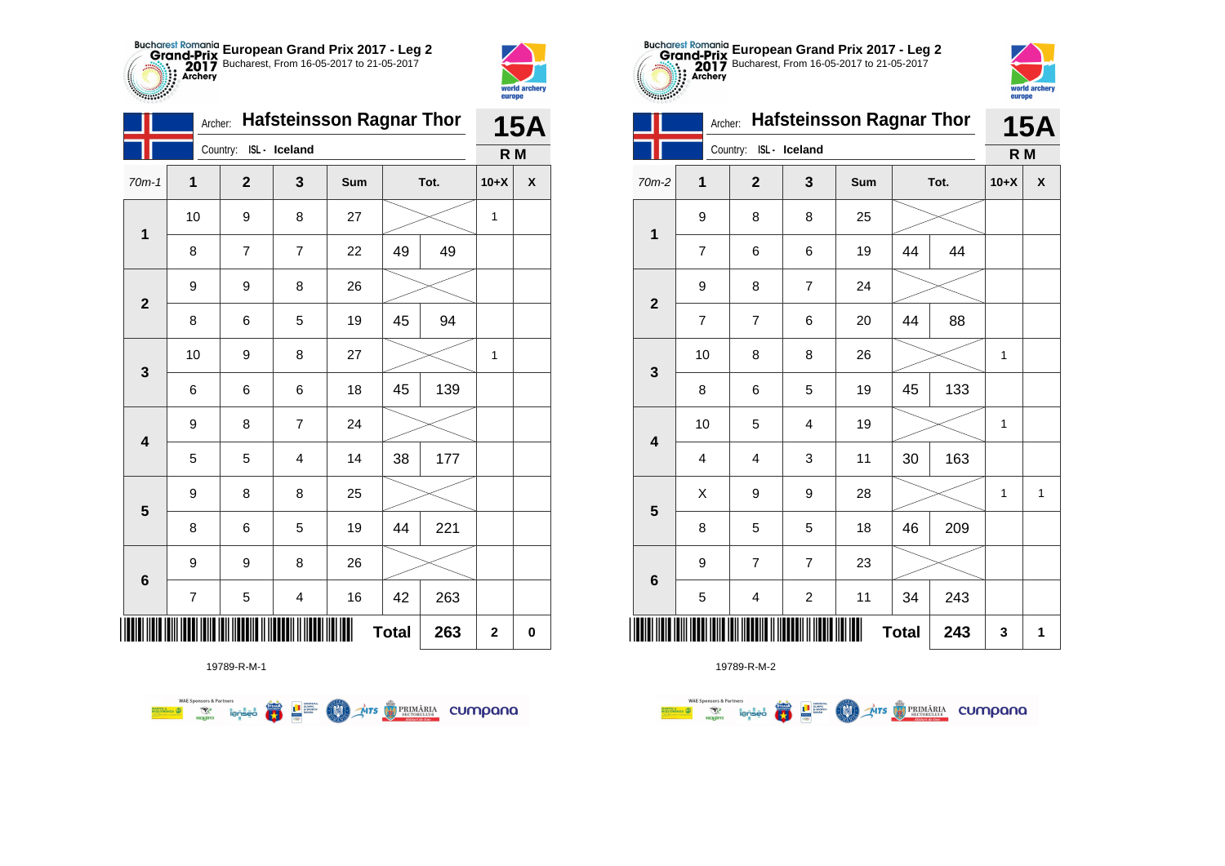

| <b>Santa</b>            |                |                        |                                 |            |              |      |                         | world archery<br>europe |
|-------------------------|----------------|------------------------|---------------------------------|------------|--------------|------|-------------------------|-------------------------|
|                         | Archer:        |                        | <b>Hafsteinsson Ragnar Thor</b> |            |              |      |                         | <b>15A</b>              |
|                         |                | Country: ISL - Iceland |                                 |            |              |      | R <sub>M</sub>          |                         |
| $70m-1$                 | 1              | $\overline{2}$         | 3                               | <b>Sum</b> |              | Tot. | $10+X$                  | X                       |
| 1                       | 10             | 9                      | 8                               | 27         |              |      | 1                       |                         |
|                         | 8              | $\overline{7}$         | 7                               | 22         | 49           | 49   |                         |                         |
| $\overline{2}$          | 9              | 9                      | 8                               | 26         |              |      |                         |                         |
|                         | 8              | 6                      | 5                               | 19         | 45           | 94   |                         |                         |
| 3                       | 10             | 9                      | 8                               | 27         |              |      | 1                       |                         |
|                         | 6              | 6                      | 6                               | 18         | 45           | 139  |                         |                         |
| $\overline{\mathbf{4}}$ | 9              | 8                      | 7                               | 24         |              |      |                         |                         |
|                         | 5              | 5                      | 4                               | 14         | 38           | 177  |                         |                         |
| 5                       | 9              | 8                      | 8                               | 25         |              |      |                         |                         |
|                         | 8              | 6                      | 5                               | 19         | 44           | 221  |                         |                         |
| $6\phantom{1}6$         | 9              | 9                      | 8                               | 26         |              |      |                         |                         |
|                         | $\overline{7}$ | 5                      | 4                               | 16         | 42           | 263  |                         |                         |
|                         |                |                        |                                 |            | <b>Total</b> | 263  | $\overline{\mathbf{2}}$ | 0                       |





|                         | 9                       | 8                       | 8                         | 25   |              |     |   |              |
|-------------------------|-------------------------|-------------------------|---------------------------|------|--------------|-----|---|--------------|
|                         | $\overline{\mathbf{7}}$ | 6                       | 6                         | 19   | 44           | 44  |   |              |
|                         | 9                       | 8                       | $\overline{7}$            | 24   |              |     |   |              |
| $\overline{\mathbf{r}}$ | $\overline{7}$          | $\boldsymbol{7}$        | 6                         | 20   | 44           | 88  |   |              |
| }                       | $10$                    | 8                       | 8                         | 26   |              |     | 1 |              |
|                         | 8                       | 6                       | 5                         | 19   | 45           | 133 |   |              |
| ļ                       | 10                      | 5                       | $\overline{\mathbf{4}}$   | 19   |              |     | 1 |              |
|                         | $\overline{\mathbf{4}}$ | $\overline{\mathbf{4}}$ | $\ensuremath{\mathsf{3}}$ | 11   | 30           | 163 |   |              |
| 5                       | X                       | 9                       | 9                         | 28   |              |     | 1 | $\mathbf{1}$ |
|                         | 8                       | 5                       | 5                         | 18   | 46           | 209 |   |              |
| ć                       | 9                       | $\boldsymbol{7}$        | $\overline{7}$            | 23   |              |     |   |              |
|                         | 5                       | 4                       | $\overline{\mathbf{c}}$   | 11   | 34           | 243 |   |              |
|                         |                         |                         |                           | <br> | <b>Total</b> | 243 | 3 | 1            |



|                         |                | Archer:                 |                         | <b>Hafsteinsson Ragnar Thor</b> |              |      |              | <b>15A</b> |
|-------------------------|----------------|-------------------------|-------------------------|---------------------------------|--------------|------|--------------|------------|
|                         |                | Country: ISL - Iceland  |                         |                                 |              |      | R M          |            |
| $70m-2$                 | 1              | $\overline{2}$          | 3                       | Sum                             |              | Tot. | $10+X$       | X          |
| $\mathbf{1}$            | 9              | 8                       | 8                       | 25                              |              |      |              |            |
|                         | $\overline{7}$ | 6                       | 6                       | 19                              | 44           | 44   |              |            |
| $\overline{\mathbf{2}}$ | 9              | 8                       | $\overline{7}$          | 24                              |              |      |              |            |
|                         | 7              | 7                       | 6                       | 20                              | 44           | 88   |              |            |
| $\mathbf{3}$            | 10             | 8                       | 8                       | 26                              |              |      | $\mathbf{1}$ |            |
|                         | 8              | 6                       | 5                       | 19                              | 45           | 133  |              |            |
| $\overline{\mathbf{4}}$ | 10             | 5                       | 4                       | 19                              |              |      | $\mathbf{1}$ |            |
|                         | $\overline{4}$ | 4                       | 3                       | 11                              | 30           | 163  |              |            |
| $5\phantom{1}$          | X              | 9                       | 9                       | 28                              |              |      | 1            | 1          |
|                         | 8              | 5                       | 5                       | 18                              | 46           | 209  |              |            |
| $6\phantom{1}$          | 9              | $\overline{7}$          | $\overline{7}$          | 23                              |              |      |              |            |
|                         | 5              | $\overline{\mathbf{4}}$ | $\overline{\mathbf{c}}$ | 11                              | 34           | 243  |              |            |
|                         |                |                         |                         |                                 | <b>Total</b> | 243  | 3            | 1          |

**European Grand Prix 2017 - Leg 2** Bucharest, From 16-05-2017 to 21-05-2017

Archer: **Hafsteinsson Ragnar Thor**

19789-R-M-1

**WAE Sponsors & Partners THE SUBJECT OF STREET THE STRIMARIA CUMPANA**  $\left(\frac{\sinh\theta}{\cos\theta}\right)$ **COND**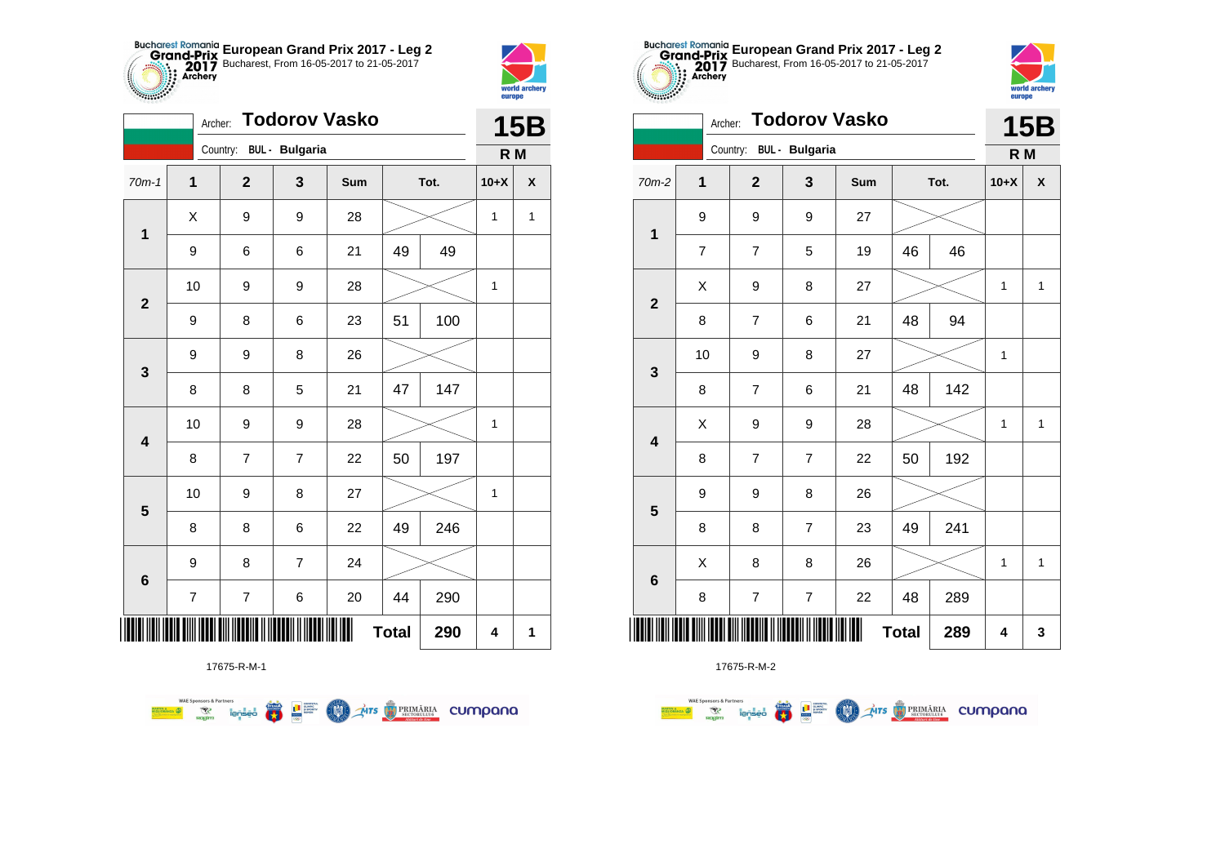



**THE** 

|                         | Archer:                  |                         |                | <b>Todorov Vasko</b> |              |      |              | <b>15B</b>         |
|-------------------------|--------------------------|-------------------------|----------------|----------------------|--------------|------|--------------|--------------------|
|                         |                          | Country: BUL - Bulgaria |                |                      |              |      | R M          |                    |
| $70m-1$                 | $\mathbf{1}$             | $\overline{2}$          | $\mathbf{3}$   | Sum                  |              | Tot. | $10+X$       | $\pmb{\mathsf{X}}$ |
| $\mathbf 1$             | Χ                        | 9                       | 9              | 28                   |              |      | 1            | $\mathbf{1}$       |
|                         | 9                        | 6                       | 6              | 21                   | 49           | 49   |              |                    |
| $\mathbf{2}$            | 10                       | 9                       | 9              | 28                   |              |      | 1            |                    |
|                         | 9                        | 8                       | 6              | 23                   | 51           | 100  |              |                    |
| 3                       | 9                        | 9                       | 8              | 26                   |              |      |              |                    |
|                         | 8                        | 8                       | 5              | 21                   | 47           | 147  |              |                    |
| $\overline{\mathbf{4}}$ | 10                       | 9                       | 9              | 28                   |              |      | $\mathbf{1}$ |                    |
|                         | 8                        | $\overline{7}$          | $\overline{7}$ | 22                   | 50           | 197  |              |                    |
| $\overline{\mathbf{5}}$ | 10                       | 9                       | 8              | 27                   |              |      | $\mathbf 1$  |                    |
|                         | 8                        | 8                       | 6              | 22                   | 49           | 246  |              |                    |
| $\bf 6$                 | 9                        | 8                       | 7              | 24                   |              |      |              |                    |
|                         | $\overline{\mathcal{I}}$ | 7                       | 6              | 20                   | 44           | 290  |              |                    |
| Ш                       |                          |                         |                |                      | <b>Total</b> | 290  | 4            | 1                  |



17675-R-M-2

|         |                          | Country:                 | <b>BUL</b> - Bulgaria   |     |              |      | R M    |              |
|---------|--------------------------|--------------------------|-------------------------|-----|--------------|------|--------|--------------|
| $2 - 2$ | 1                        | $\mathbf{2}$             | $\mathbf{3}$            | Sum |              | Tot. | $10+X$ | χ            |
|         | 9                        | 9                        | 9                       | 27  |              |      |        |              |
|         | $\overline{\mathcal{I}}$ | $\overline{\mathcal{I}}$ | 5                       | 19  | 46           | 46   |        |              |
|         | X                        | 9                        | 8                       | 27  |              |      | 1      | $\mathbf{1}$ |
|         | 8                        | $\overline{7}$           | 6                       | 21  | 48           | 94   |        |              |
|         | 10                       | 9                        | 8                       | 27  |              |      | 1      |              |
|         | 8                        | $\overline{7}$           | 6                       | 21  | 48           | 142  |        |              |
|         | X                        | 9                        | 9                       | 28  |              |      | 1      | 1            |
|         | 8                        | $\overline{\mathbf{7}}$  | $\boldsymbol{7}$        | 22  | 50           | 192  |        |              |
|         | 9                        | 9                        | 8                       | 26  |              |      |        |              |
|         | 8                        | 8                        | $\overline{7}$          | 23  | 49           | 241  |        |              |
|         | X                        | 8                        | 8                       | 26  |              |      | 1      | $\mathbf{1}$ |
|         | 8                        | $\overline{7}$           | $\overline{\mathbf{7}}$ | 22  | 48           | 289  |        |              |
|         |                          |                          |                         | Ⅲ   | <b>Total</b> | 289  | 4      | 3            |



**15B**

| $70m-2$                 | $\mathbf 1$    | $\mathbf{2}$             | $\mathbf 3$              | Sum    |              | Tot. | $10+X$      | $\boldsymbol{\mathsf{x}}$ |
|-------------------------|----------------|--------------------------|--------------------------|--------|--------------|------|-------------|---------------------------|
|                         | 9              | 9                        | 9                        | 27     |              |      |             |                           |
| $\mathbf 1$             | $\overline{7}$ | $\overline{\mathcal{I}}$ | 5                        | 19     | 46           | 46   |             |                           |
| $\mathbf 2$             | Χ              | 9                        | 8                        | $27\,$ |              |      | $\mathbf 1$ | $\mathbf{1}$              |
|                         | 8              | $\boldsymbol{7}$         | 6                        | 21     | 48           | 94   |             |                           |
|                         | 10             | 9                        | 8                        | $27\,$ |              |      | $\mathbf 1$ |                           |
| 3                       | 8              | $\boldsymbol{7}$         | 6                        | 21     | 48           | 142  |             |                           |
| $\overline{\mathbf{4}}$ | X              | 9                        | 9                        | 28     |              |      | $\mathbf 1$ | $\mathbf{1}$              |
|                         | 8              | $\overline{\mathcal{I}}$ | $\overline{\mathbf{7}}$  | 22     | 50           | 192  |             |                           |
| $\overline{\mathbf{5}}$ | 9              | 9                        | 8                        | 26     |              |      |             |                           |
|                         | 8              | 8                        | 7                        | 23     | 49           | 241  |             |                           |
|                         | Χ              | 8                        | 8                        | 26     |              |      | $\mathbf 1$ | $\mathbf{1}$              |
| $\bf 6$                 | $\bf 8$        | $\overline{\mathbf{7}}$  | $\overline{\mathcal{I}}$ | 22     | 48           | 289  |             |                           |
|                         |                |                          |                          | I      | <b>Total</b> | 289  | 4           | 3                         |

**European Grand Prix 2017 - Leg 2** Bucharest, From 16-05-2017 to 21-05-2017

Archer: **Todorov Vasko**

17675-R-M-1

**WAE Sponsors & Partners THE STRIMARIA CUMPANA** 赢 **THE SUPPRE MAN**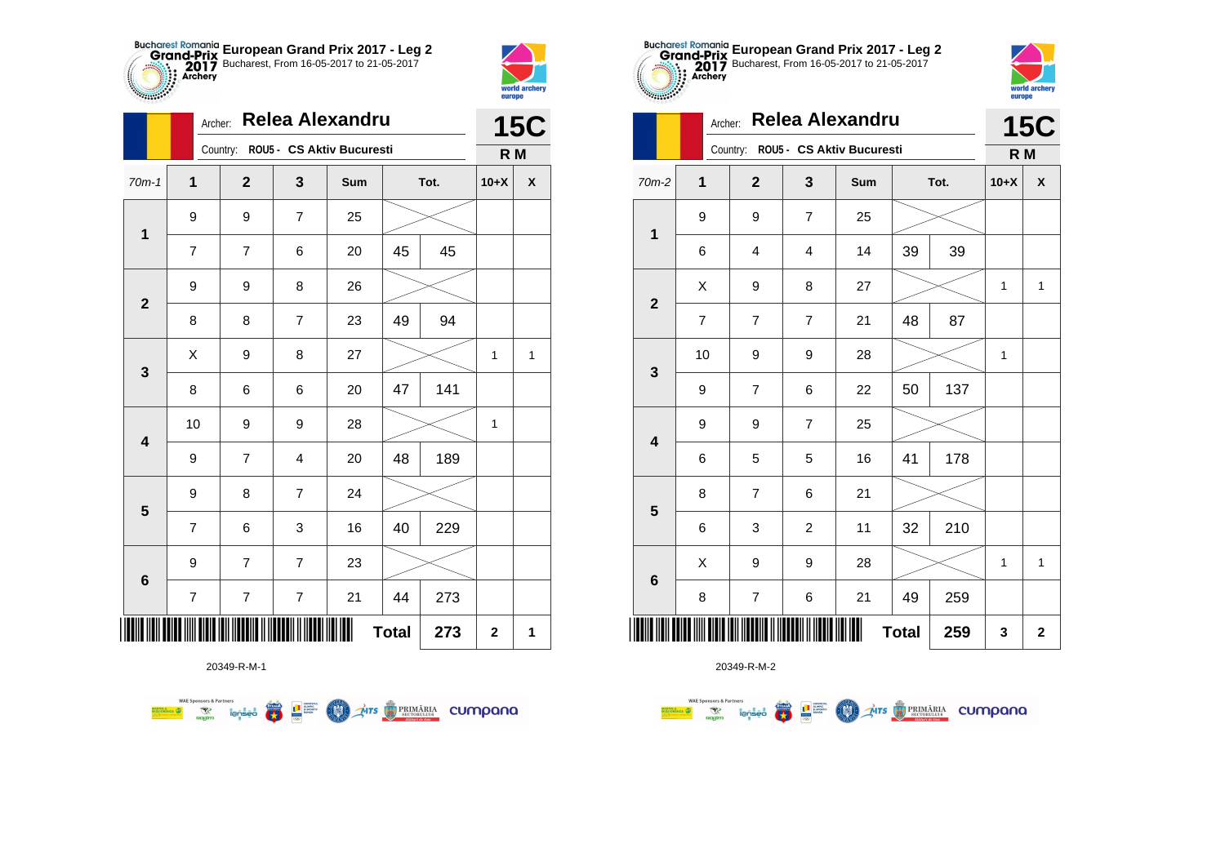



|                         |                  | Relea Alexandru<br>Archer: |                  |                                    |              |      |              |              |  |  |
|-------------------------|------------------|----------------------------|------------------|------------------------------------|--------------|------|--------------|--------------|--|--|
|                         |                  |                            |                  | Country: ROU5 - CS Aktiv Bucuresti |              |      | R M          |              |  |  |
| $70m-1$                 | $\mathbf{1}$     | $\overline{2}$             | 3                | Sum                                |              | Tot. | $10+X$       | X            |  |  |
| $\mathbf 1$             | 9                | 9                          | $\overline{7}$   | 25                                 |              |      |              |              |  |  |
|                         | $\overline{7}$   | 7                          | 6                | 20                                 | 45           | 45   |              |              |  |  |
| $\overline{\mathbf{2}}$ | 9                | 9                          | 8                | 26                                 |              |      |              |              |  |  |
|                         | 8                | 8                          | 7                | 23                                 | 49           | 94   |              |              |  |  |
| 3                       | Χ                | 9                          | 8                | 27                                 |              |      | $\mathbf 1$  | $\mathbf{1}$ |  |  |
|                         | 8                | 6                          | 6                | 20                                 | 47           | 141  |              |              |  |  |
| $\overline{\mathbf{4}}$ | 10               | 9                          | 9                | 28                                 |              |      | $\mathbf{1}$ |              |  |  |
|                         | 9                | $\overline{7}$             | 4                | 20                                 | 48           | 189  |              |              |  |  |
| $\overline{\mathbf{5}}$ | 9                | 8                          | $\overline{7}$   | 24                                 |              |      |              |              |  |  |
|                         | $\overline{7}$   | 6                          | 3                | 16                                 | 40           | 229  |              |              |  |  |
|                         | $\boldsymbol{9}$ | $\overline{7}$             | $\overline{7}$   | 23                                 |              |      |              |              |  |  |
| 6                       | $\boldsymbol{7}$ | $\overline{\mathcal{I}}$   | $\boldsymbol{7}$ | 21                                 | 44           | 273  |              |              |  |  |
| ║║║                     |                  |                            |                  | Ш                                  | <b>Total</b> | 273  | $\mathbf 2$  | 1            |  |  |

**THE STRIMARIA CUMPANA** 



20349-R-M-2

|                         |    | Relea Alexandru<br>Archer: |                  |                           |              |      |        |                    |  |  |
|-------------------------|----|----------------------------|------------------|---------------------------|--------------|------|--------|--------------------|--|--|
|                         |    | Country:                   |                  | ROU5 - CS Aktiv Bucuresti |              |      | R M    |                    |  |  |
| 70m-2                   | 1  | $\overline{\mathbf{2}}$    | 3                | Sum                       |              | Tot. | $10+X$ | $\pmb{\mathsf{X}}$ |  |  |
| $\mathbf 1$             | 9  | $\boldsymbol{9}$           | $\overline{7}$   | 25                        |              |      |        |                    |  |  |
|                         | 6  | 4                          | 4                | 14                        | 39           | 39   |        |                    |  |  |
| $\mathbf{2}$            | X  | 9                          | 8                | 27                        |              |      | 1      | 1                  |  |  |
|                         | 7  | $\overline{7}$             | $\overline{7}$   | 21                        | 48           | 87   |        |                    |  |  |
| $\mathbf{3}$            | 10 | 9                          | 9                | 28                        |              |      | 1      |                    |  |  |
|                         | 9  | $\overline{7}$             | 6                | 22                        | 50           | 137  |        |                    |  |  |
| $\overline{\mathbf{4}}$ | 9  | 9                          | $\overline{7}$   | 25                        |              |      |        |                    |  |  |
|                         | 6  | 5                          | 5                | 16                        | 41           | 178  |        |                    |  |  |
| 5                       | 8  | $\overline{7}$             | 6                | 21                        |              |      |        |                    |  |  |
|                         | 6  | 3                          | $\boldsymbol{2}$ | 11                        | 32           | 210  |        |                    |  |  |
| $6\phantom{1}6$         | X  | 9                          | 9                | 28                        |              |      | 1      | $\mathbf{1}$       |  |  |
|                         | 8  | $\boldsymbol{7}$           | 6                | 21                        | 49           | 259  |        |                    |  |  |
|                         |    |                            |                  | Ш                         | <b>Total</b> | 259  | 3      | $\boldsymbol{2}$   |  |  |

**European Grand Prix 2017 - Leg 2** Bucharest, From 16-05-2017 to 21-05-2017

world archery<br>europe

Archer: **Relea Alexandru**

20349-R-M-1

第 9章

**COND** 

**WAE Sponsors & Partners**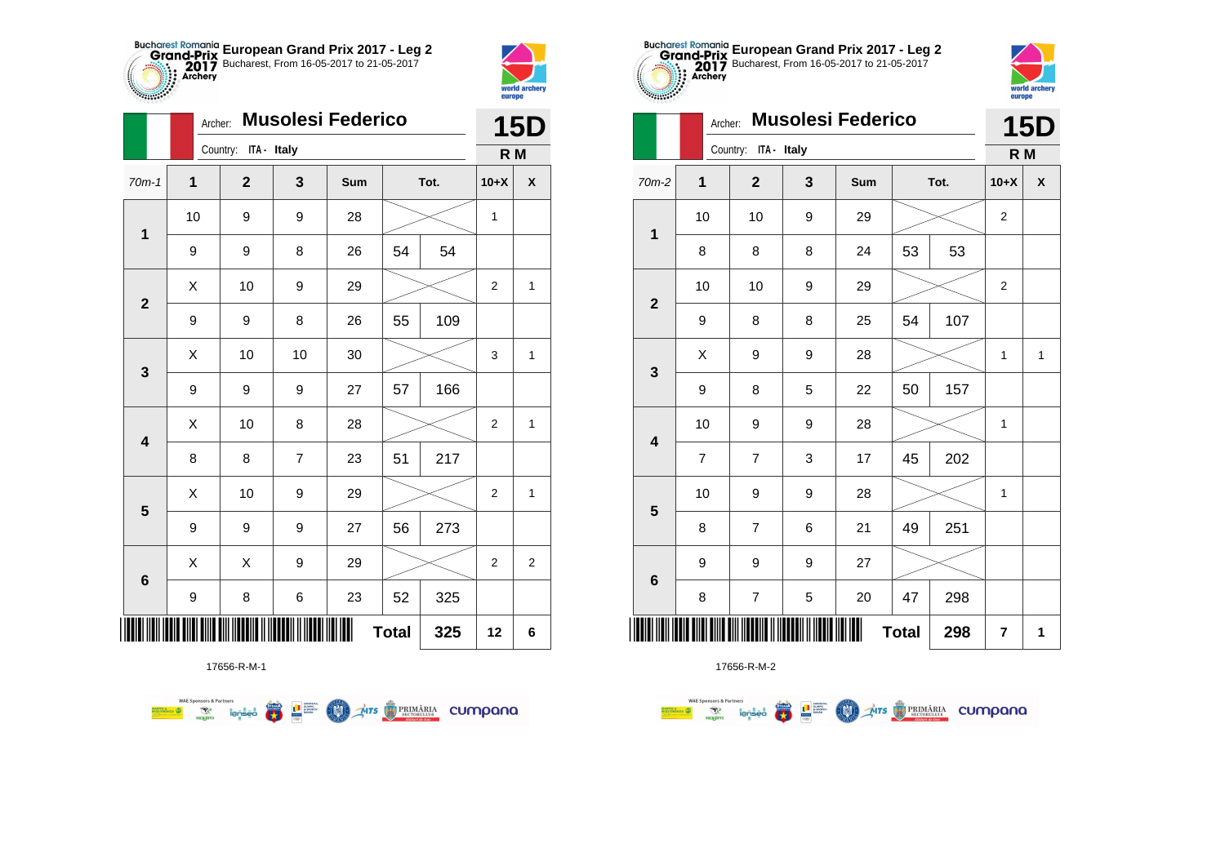



|                         | Archer:      | <b>Musolesi Federico</b> |                |     | <b>15D</b>   |      |                |                  |
|-------------------------|--------------|--------------------------|----------------|-----|--------------|------|----------------|------------------|
|                         |              | Country: ITA - Italy     |                |     |              |      | R M            |                  |
| $70m-1$                 | $\mathbf{1}$ | $\overline{\mathbf{2}}$  | 3              | Sum |              | Tot. | $10+X$         | X                |
| 1                       | 10           | 9                        | 9              | 28  |              |      | 1              |                  |
|                         | 9            | 9                        | 8              | 26  | 54           | 54   |                |                  |
| $\overline{2}$          | X            | 10                       | 9              | 29  |              |      | $\overline{2}$ | 1                |
|                         | 9            | 9                        | 8              | 26  | 55           | 109  |                |                  |
| 3                       | Χ            | 10                       | 10             | 30  |              |      | 3              | 1                |
|                         | 9            | 9                        | 9              | 27  | 57           | 166  |                |                  |
| 4                       | X            | 10                       | 8              | 28  |              |      | $\overline{2}$ | $\mathbf{1}$     |
|                         | 8            | 8                        | $\overline{7}$ | 23  | 51           | 217  |                |                  |
| $\overline{\mathbf{5}}$ | Χ            | 10                       | 9              | 29  |              |      | $\overline{2}$ | 1                |
|                         | 9            | 9                        | 9              | 27  | 56           | 273  |                |                  |
| $6\phantom{1}6$         | X            | X                        | 9              | 29  |              |      | $\overline{2}$ | $\boldsymbol{2}$ |
|                         | 9            | 8                        | 6              | 23  | 52           | 325  |                |                  |
| Ш                       |              |                          |                |     | <b>Total</b> | 325  | 12             | 6                |



17656-R-M-2

|                         |                |                         | ╹┙レ          |     |              |      |                |                    |
|-------------------------|----------------|-------------------------|--------------|-----|--------------|------|----------------|--------------------|
|                         |                | Country: ITA - Italy    |              |     |              |      | R M            |                    |
| 2                       | $\mathbf 1$    | $\mathbf{2}$            | $\mathbf{3}$ | Sum |              | Tot. |                | $\pmb{\mathsf{X}}$ |
| $\mathbf 1$             | 10             | 10                      | 9            | 29  |              |      | $\overline{c}$ |                    |
|                         | 8              | 8                       | 8            | 24  | 53           | 53   |                |                    |
| $\boldsymbol{2}$        | 10             | 10                      | 9            | 29  |              |      | 2              |                    |
|                         | 9              | 8                       | 8            | 25  | 54           | 107  |                |                    |
|                         | Χ              | 9                       | 9            | 28  |              |      | 1              | $\mathbf{1}$       |
| $\mathbf 3$             | 9              | 8                       | 5            | 22  | 50           | 157  |                |                    |
| $\overline{\mathbf{4}}$ | 10             | 9                       | 9            | 28  |              |      | 1              |                    |
|                         | $\overline{7}$ | $\overline{7}$          | 3            | 17  | 45           | 202  |                |                    |
| ${\bf 5}$               | 10             | 9                       | 9            | 28  |              |      | $\mathbf{1}$   |                    |
|                         | 8              | $\overline{7}$          | 6            | 21  | 49           | 251  |                |                    |
|                         | 9              | 9                       | 9            | 27  |              |      |                |                    |
| $\bf 6$                 | 8              | $\overline{\mathbf{7}}$ | 5            | 20  | 47           | 298  |                |                    |
|                         |                |                         |              | Ш   | <b>Total</b> | 298  | 7              | 1                  |
|                         |                |                         |              |     |              |      |                |                    |

**European Grand Prix 2017 - Leg 2** Bucharest, From 16-05-2017 to 21-05-2017

Archer: **Musolesi Federico**



eurone

|                         |                |                         |              |     | ╹┙┙          |      |                         |              |
|-------------------------|----------------|-------------------------|--------------|-----|--------------|------|-------------------------|--------------|
|                         |                | Country:<br>ITA - Italy |              |     |              |      | R M                     |              |
| 70m-2                   | $\mathbf 1$    | $\overline{2}$          | $\mathbf{3}$ | Sum |              | Tot. |                         | $\mathsf{X}$ |
| $\mathbf 1$             | 10             | 10                      | 9            | 29  |              |      | $\boldsymbol{2}$        |              |
|                         | 8              | 8                       | 8            | 24  | 53           | 53   |                         |              |
| $\mathbf{2}$            | 10             | 10                      | 9            | 29  |              |      | $\overline{2}$          |              |
|                         | 9              | 8                       | 8            | 25  | 54           | 107  |                         |              |
|                         | X              | 9                       | 9            | 28  |              |      | 1                       | $\mathbf{1}$ |
| $\mathbf{3}$            | 9              | 8                       | 5            | 22  | 50           | 157  |                         |              |
|                         | 10             | 9                       | 9            | 28  |              |      | 1                       |              |
| $\overline{\mathbf{4}}$ | $\overline{7}$ | $\overline{7}$          | 3            | 17  | 45           | 202  |                         |              |
|                         | 10             | 9                       | 9            | 28  |              |      | 1                       |              |
| $\overline{\mathbf{5}}$ | 8              | $\overline{7}$          | 6            | 21  | 49           | 251  |                         |              |
|                         | 9              | 9                       | 9            | 27  |              |      |                         |              |
| $6\phantom{1}6$         | 8              | $\overline{\mathbf{7}}$ | 5            | 20  | 47           | 298  |                         |              |
| ║║║                     |                |                         |              |     | <b>Total</b> | 298  | $\overline{\mathbf{r}}$ | 1            |

17656-R-M-1

**WAE Sponsors & Partners**  $\mathcal{A}$ irs  $\bigcirc$  PRIMĂRIA CUMPONO **E THE SUPPROPERTY COND**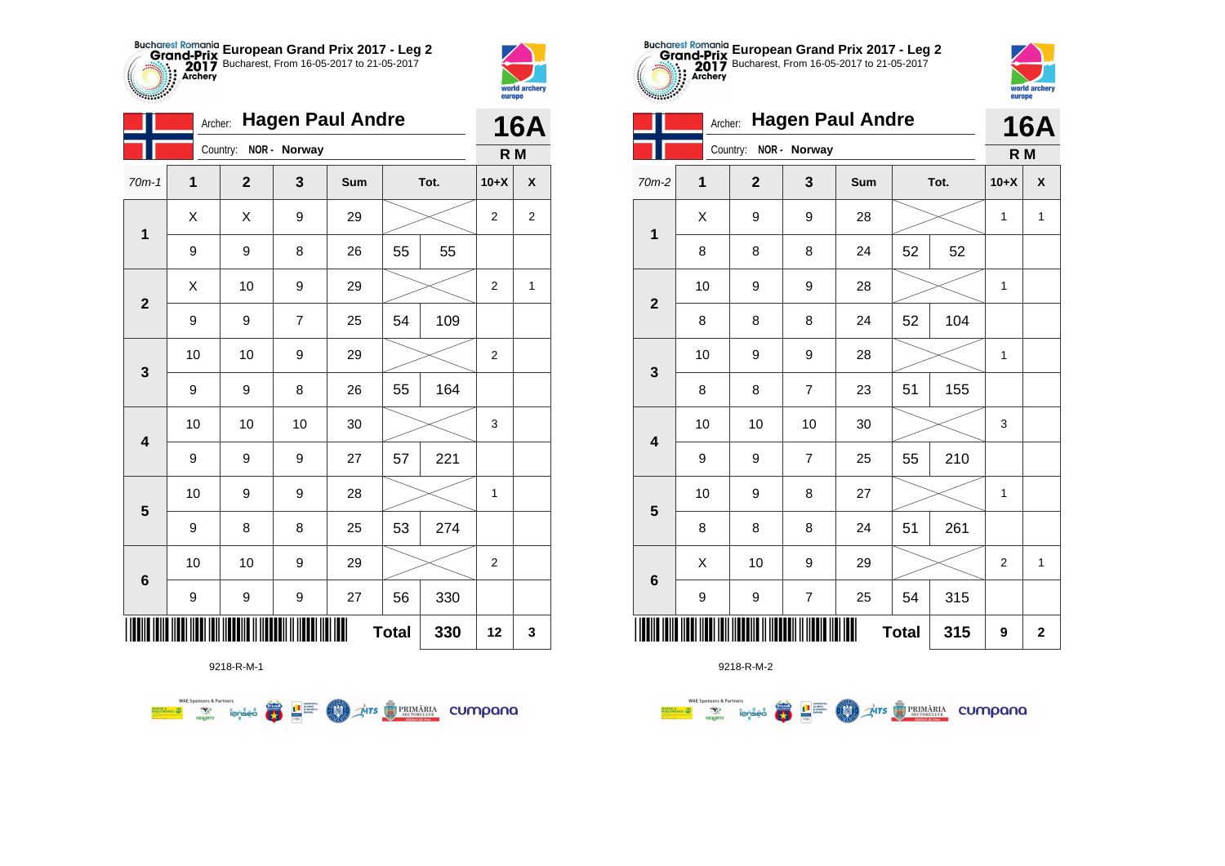



|                | Archer:        |                       |                | <b>16A</b> |              |     |                  |                |
|----------------|----------------|-----------------------|----------------|------------|--------------|-----|------------------|----------------|
|                |                | Country: NOR - Norway |                |            |              |     | R M              |                |
| $70m-1$        | $\overline{1}$ | $\mathbf{2}$          | 3              | Sum        | Tot.         |     | $10+X$           | χ              |
| $\mathbf{1}$   | X              | Χ                     | 9              | 29         |              |     | $\boldsymbol{2}$ | $\overline{c}$ |
|                | 9              | 9                     | 8              | 26         | 55           | 55  |                  |                |
| $\overline{2}$ | Χ              | 10                    | 9              | 29         |              |     | 2                | 1              |
|                | 9              | 9                     | $\overline{7}$ | 25         | 54           | 109 |                  |                |
| 3              | 10             | 10                    | 9              | 29         |              |     | $\overline{2}$   |                |
|                | 9              | 9                     | 8              | 26         | 55           | 164 |                  |                |
| 4              | 10             | 10                    | 10             | 30         |              |     | 3                |                |
|                | 9              | 9                     | 9              | 27         | 57           | 221 |                  |                |
| 5              | 10             | 9                     | 9              | 28         |              |     | 1                |                |
|                | 9              | 8                     | 8              | 25         | 53           | 274 |                  |                |
|                | 10             | 10                    | 9              | 29         |              |     | $\overline{c}$   |                |
| $\bf 6$        | 9              | 9                     | 9              | 27         | 56           | 330 |                  |                |
|                |                |                       |                |            | <b>Total</b> | 330 | 12               | 3              |

**COND** 

**THITS BETORIARIA CUMPANA** 



9218-R-M-2

|                         |              |                         |                         | Archer: Hagen Paul Andre |              |     |        | <b>16A</b>   |
|-------------------------|--------------|-------------------------|-------------------------|--------------------------|--------------|-----|--------|--------------|
|                         |              | Country:                | NOR - Norway            |                          |              |     | R M    |              |
| 70m-2                   | $\mathbf{1}$ | $\overline{\mathbf{2}}$ | 3                       | Sum                      | Tot.         |     | $10+X$ | X            |
| $\mathbf 1$             | X            | 9                       | 9                       | 28                       |              |     | 1      | $\mathbf{1}$ |
|                         | 8            | 8                       | 8                       | 24                       | 52           | 52  |        |              |
|                         | 10           | 9                       | 9                       | 28                       |              |     | 1      |              |
| $\overline{2}$          | 8            | 8                       | 8                       | 24                       | 52           | 104 |        |              |
|                         | 10           | 9                       | 9                       | 28                       |              |     | 1      |              |
| $\mathbf{3}$            | 8            | 8                       | $\overline{7}$          | 23                       | 51           | 155 |        |              |
| $\overline{\mathbf{4}}$ | 10           | 10                      | 10                      | 30                       |              |     | 3      |              |
|                         | 9            | 9                       | 7                       | 25                       | 55           | 210 |        |              |
| 5                       | 10           | 9                       | 8                       | 27                       |              |     | 1      |              |
|                         | 8            | 8                       | 8                       | 24                       | 51           | 261 |        |              |
| $\bf 6$                 | X            | 10                      | 9                       | 29                       |              |     | 2      | $\mathbf{1}$ |
|                         | 9            | 9                       | $\overline{\mathbf{7}}$ | 25                       | 54           | 315 |        |              |
|                         |              |                         |                         |                          | <b>Total</b> | 315 | 9      | $\mathbf{2}$ |

**European Grand Prix 2017 - Leg 2** Bucharest, From 16-05-2017 to 21-05-2017

world arche

**Allians** 

9218-R-M-1

**Excession of the special contract of the contract of the special contract of the special contract of the special contract of the special contract of the special contract of the special contract of the special contract of**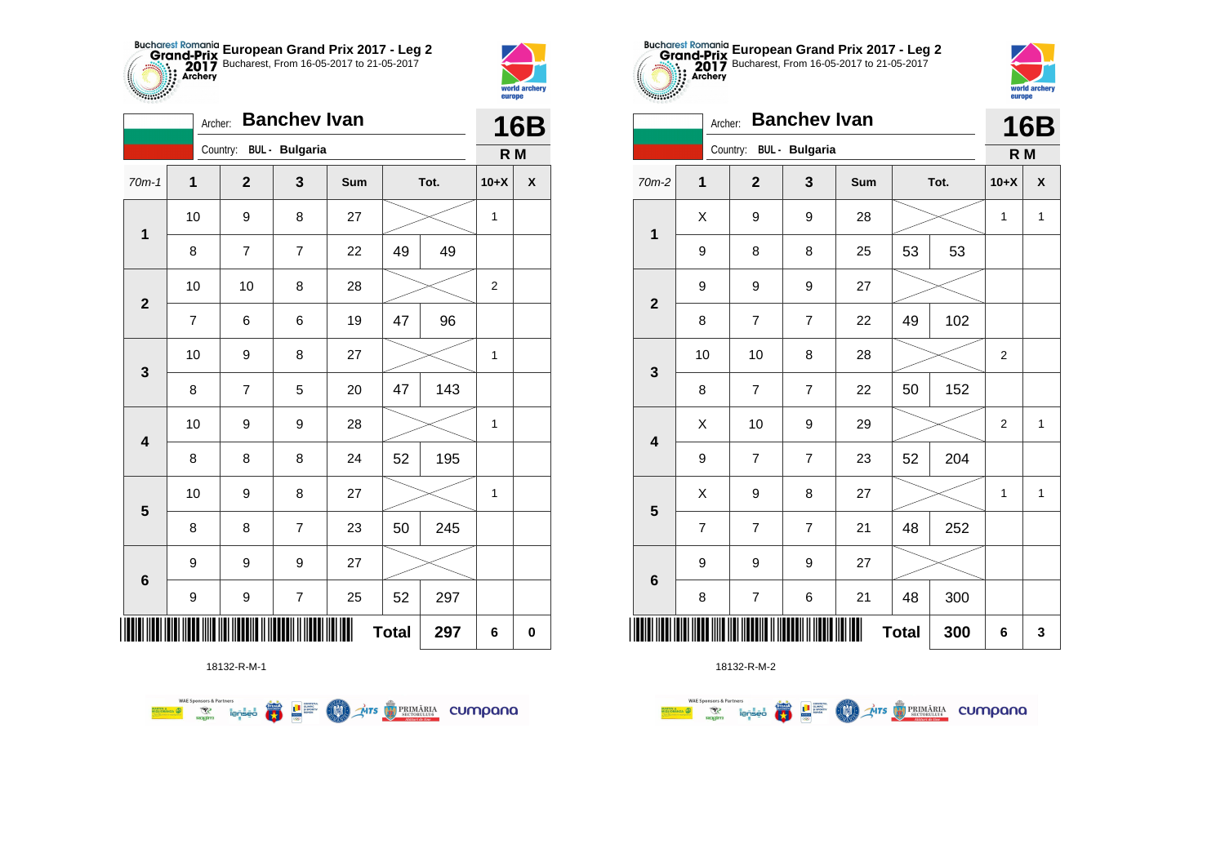



|                         | <b>Banchev Ivan</b><br>Archer: |              |                          |            |              |     |                |   |  |  |
|-------------------------|--------------------------------|--------------|--------------------------|------------|--------------|-----|----------------|---|--|--|
|                         |                                | Country:     | <b>BUL</b> - Bulgaria    |            |              |     | R M            |   |  |  |
| $70m-1$                 | $\mathbf{1}$                   | $\mathbf{2}$ | 3                        | <b>Sum</b> | Tot.         |     | $10+X$         | X |  |  |
| $\mathbf{1}$            | 10                             | 9            | 8                        | 27         |              |     | 1              |   |  |  |
|                         | 8                              | 7            | $\overline{7}$           | 22         | 49           | 49  |                |   |  |  |
| $\mathbf{2}$            | 10                             | 10           | 8                        | 28         |              |     | $\overline{2}$ |   |  |  |
|                         | $\overline{7}$                 | 6            | 6                        | 19         | 47           | 96  |                |   |  |  |
| 3                       | 10                             | 9            | 8                        | 27         |              |     | $\mathbf{1}$   |   |  |  |
|                         | 8                              | 7            | 5                        | 20         | 47           | 143 |                |   |  |  |
| $\overline{\mathbf{4}}$ | 10                             | 9            | 9                        | 28         |              |     | $\mathbf{1}$   |   |  |  |
|                         | 8                              | 8            | 8                        | 24         | 52           | 195 |                |   |  |  |
| 5                       | 10                             | 9            | 8                        | 27         |              |     | $\mathbf 1$    |   |  |  |
|                         | 8                              | 8            | $\overline{7}$           | 23         | 50           | 245 |                |   |  |  |
|                         | 9                              | 9            | 9                        | 27         |              |     |                |   |  |  |
| $6\phantom{1}6$         | 9                              | 9            | $\overline{\mathcal{I}}$ | 25         | 52           | 297 |                |   |  |  |
| Ⅲ                       |                                |              |                          |            | <b>Total</b> | 297 | 6              | 0 |  |  |

**THE STRIMARIA CUMPANA** 



18132-R-M-2

| coppe <sub>c</sub>      | <b>Banchev Ivan</b><br>Archer: |                |                         |     |              |      |                |              |  |  |
|-------------------------|--------------------------------|----------------|-------------------------|-----|--------------|------|----------------|--------------|--|--|
|                         |                                |                | Country: BUL - Bulgaria |     |              |      | R <sub>M</sub> | <b>16B</b>   |  |  |
| $70m-2$                 | $\overline{1}$                 | $\overline{2}$ | 3                       | Sum |              | Tot. | $10+X$         | X            |  |  |
| $\mathbf 1$             | X                              | 9              | 9                       | 28  |              |      | $\mathbf{1}$   | 1            |  |  |
|                         | 9                              | 8              | 8                       | 25  | 53           | 53   |                |              |  |  |
| $\overline{2}$          | 9                              | 9              | 9                       | 27  |              |      |                |              |  |  |
|                         | 8                              | $\overline{7}$ | $\overline{7}$          | 22  | 49           | 102  |                |              |  |  |
| 3                       | 10                             | 10             | 8                       | 28  |              |      | $\overline{2}$ |              |  |  |
|                         | 8                              | 7              | $\overline{7}$          | 22  | 50           | 152  |                |              |  |  |
| $\overline{\mathbf{4}}$ | X                              | 10             | 9                       | 29  |              |      | $\overline{2}$ | $\mathbf{1}$ |  |  |
|                         | 9                              | $\overline{7}$ | $\overline{7}$          | 23  | 52           | 204  |                |              |  |  |
| 5                       | X                              | 9              | 8                       | 27  |              |      | 1              | 1            |  |  |
|                         | $\overline{7}$                 | $\overline{7}$ | $\overline{7}$          | 21  | 48           | 252  |                |              |  |  |
| $6\phantom{1}6$         | 9                              | 9              | 9                       | 27  |              |      |                |              |  |  |
|                         | 8                              | $\overline{7}$ | $\,6$                   | 21  | 48           | 300  |                |              |  |  |
|                         |                                |                |                         |     | <b>Total</b> | 300  | 6              | 3            |  |  |

**European Grand Prix 2017 - Leg 2** Bucharest, From 16-05-2017 to 21-05-2017

world arche

**Allians** 

18132-R-M-1

 $\left(\frac{\sinh\theta}{\cos\theta}\right)$ 

L<sup>a</sup> super

**COO** 

**WAE Sponsors & Partners**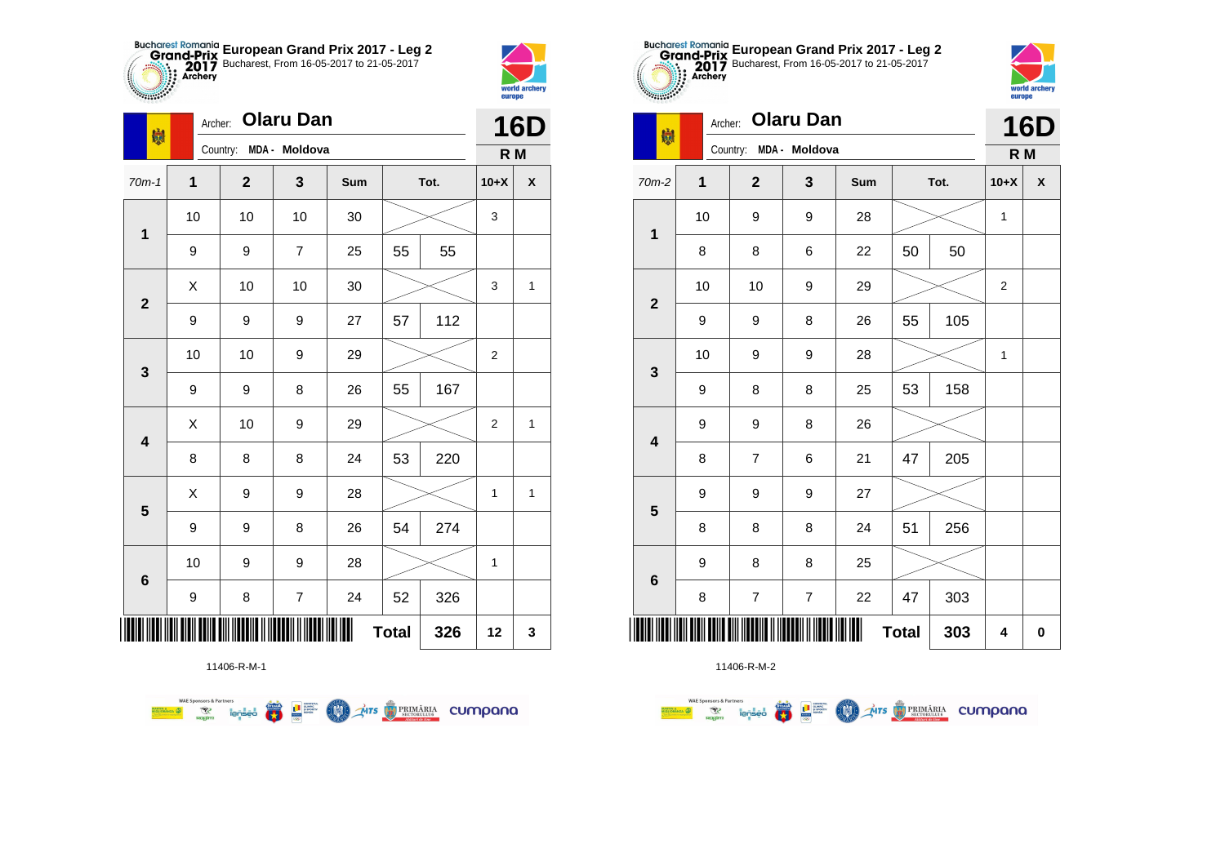



| 喇                       | Archer:      |                |                        | <b>16D</b> |              |      |                |                    |
|-------------------------|--------------|----------------|------------------------|------------|--------------|------|----------------|--------------------|
|                         |              |                | Country: MDA - Moldova |            |              |      | R M            |                    |
| $70m-1$                 | $\mathbf{1}$ | $\overline{2}$ | $\mathbf{3}$           | Sum        |              | Tot. | $10+X$         | $\pmb{\mathsf{X}}$ |
| $\mathbf 1$             | 10           | 10             | 10                     | 30         |              |      | 3              |                    |
|                         | 9            | 9              | $\overline{7}$         | 25         | 55           | 55   |                |                    |
| $\mathbf{2}$            | Χ            | 10             | 10                     | 30         |              |      | 3              | 1                  |
|                         | 9            | 9              | 9                      | 27         | 57           | 112  |                |                    |
| 3                       | 10           | 10             | 9                      | 29         |              |      | 2              |                    |
|                         | 9            | 9              | 8                      | 26         | 55           | 167  |                |                    |
| $\overline{\mathbf{4}}$ | X            | 10             | 9                      | 29         |              |      | $\overline{2}$ | 1                  |
|                         | 8            | 8              | 8                      | 24         | 53           | 220  |                |                    |
| $\overline{\mathbf{5}}$ | Χ            | 9              | 9                      | 28         |              |      | 1              | $\mathbf{1}$       |
|                         | 9            | 9              | 8                      | 26         | 54           | 274  |                |                    |
| $\bf 6$                 | 10           | 9              | 9                      | 28         |              |      | 1              |                    |
|                         | 9            | 8              | $\overline{7}$         | 24         | 52           | 326  |                |                    |
| ∭                       |              |                |                        |            | <b>Total</b> | 326  | 12             | 3                  |



 $\overline{\mathbf{r}}$ **THE SUBBRETON BURGARY**  **COND** 

**WAE Sponsors & Partners** 



11406-R-M-2

| <b>SAMPLE</b>   |         | europe                   |                  |     |              |      |                  |            |
|-----------------|---------|--------------------------|------------------|-----|--------------|------|------------------|------------|
| 喇               | Archer: |                          | <b>Olaru Dan</b> |     |              |      |                  | <b>16D</b> |
|                 |         | Country:                 | MDA - Moldova    |     |              |      | R M              |            |
| 70m-2           | 1       | $\mathbf{2}$             | 3                | Sum |              | Tot. | $10+X$           | X          |
| 1               | 10      | 9                        | 9                | 28  |              |      | 1                |            |
|                 | 8       | 8                        | 6                | 22  | 50           | 50   |                  |            |
| $\overline{2}$  | 10      | 10                       | 9                | 29  |              |      | $\boldsymbol{2}$ |            |
|                 | 9       | 9                        | 8                | 26  | 55           | 105  |                  |            |
| $\mathbf{3}$    | 10      | 9                        | 9                | 28  |              |      | 1                |            |
|                 | 9       | 8                        | 8                | 25  | 53           | 158  |                  |            |
| 4               | 9       | 9                        | 8                | 26  |              |      |                  |            |
|                 | 8       | $\overline{7}$           | 6                | 21  | 47           | 205  |                  |            |
| 5               | 9       | 9                        | 9                | 27  |              |      |                  |            |
|                 | 8       | 8                        | 8                | 24  | 51           | 256  |                  |            |
| $6\phantom{1}6$ | 9       | 8                        | 8                | 25  |              |      |                  |            |
|                 | 8       | $\overline{\mathcal{I}}$ | 7                | 22  | 47           | 303  |                  |            |
|                 |         |                          |                  |     | <b>Total</b> | 303  | 4                | $\bf{0}$   |

**European Grand Prix 2017 - Leg 2** Bucharest, From 16-05-2017 to 21-05-2017



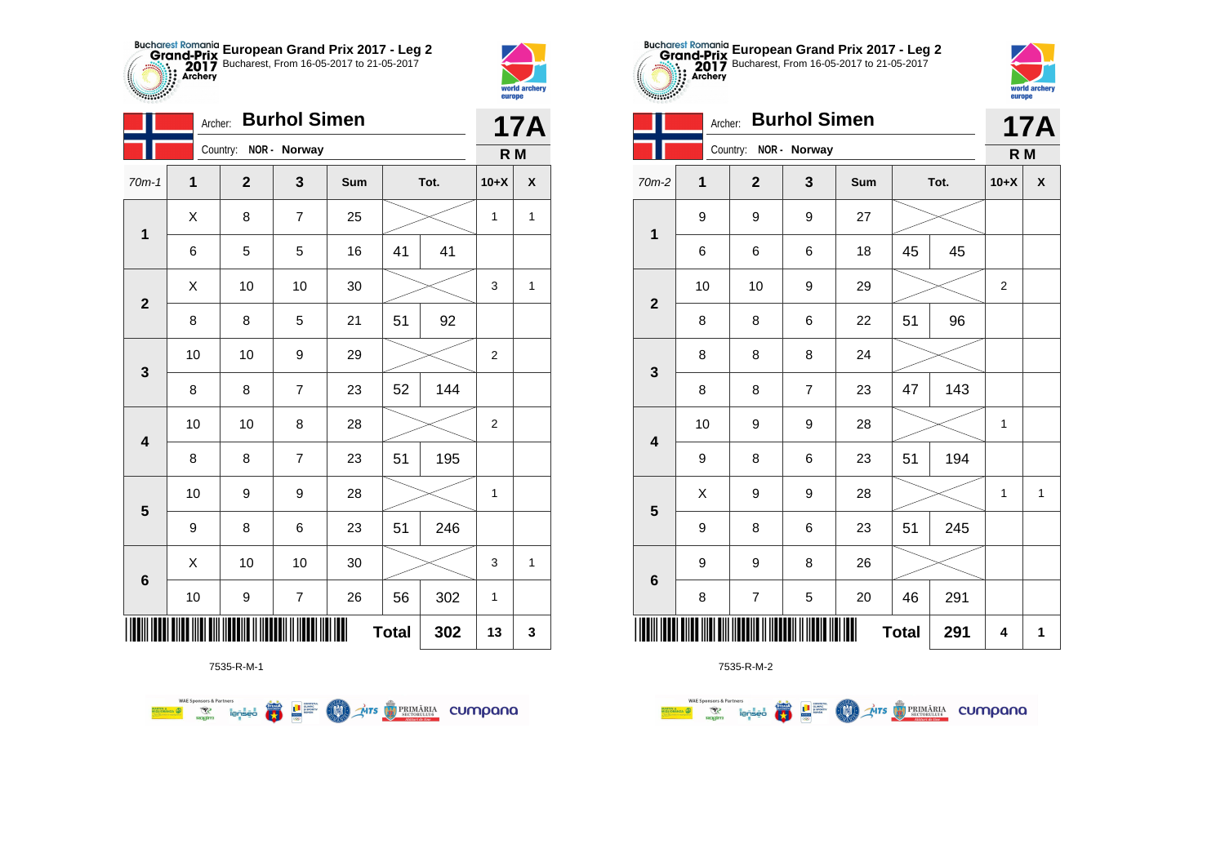



2783

|                         |    | <b>Burhol Simen</b><br>Archer: |                |     |              |     |                |              |  |  |
|-------------------------|----|--------------------------------|----------------|-----|--------------|-----|----------------|--------------|--|--|
|                         |    | Country: NOR - Norway          |                |     |              |     | R M            | <b>17A</b>   |  |  |
| $70m-1$                 | 1  | $\mathbf{2}$                   | 3              | Sum | Tot.         |     | $10+X$         | X            |  |  |
| $\mathbf 1$             | X  | 8                              | $\overline{7}$ | 25  |              |     | 1              | $\mathbf{1}$ |  |  |
|                         | 6  | 5                              | 5              | 16  | 41           | 41  |                |              |  |  |
| $\overline{2}$          | Χ  | 10                             | 10             | 30  |              |     | 3              | 1            |  |  |
|                         | 8  | 8                              | 5              | 21  | 51           | 92  |                |              |  |  |
| $\mathbf{3}$            | 10 | 10                             | 9              | 29  |              |     | $\overline{2}$ |              |  |  |
|                         | 8  | 8                              | $\overline{7}$ | 23  | 52           | 144 |                |              |  |  |
| $\overline{\mathbf{4}}$ | 10 | 10                             | 8              | 28  |              |     | $\overline{2}$ |              |  |  |
|                         | 8  | 8                              | $\overline{7}$ | 23  | 51           | 195 |                |              |  |  |
| 5                       | 10 | 9                              | 9              | 28  |              |     | 1              |              |  |  |
|                         | 9  | 8                              | 6              | 23  | 51           | 246 |                |              |  |  |
| $6\phantom{1}6$         | Χ  | 10                             | 10             | 30  |              |     | 3              | $\mathbf{1}$ |  |  |
|                         | 10 | 9                              | $\overline{7}$ | 26  | 56           | 302 | $\mathbf{1}$   |              |  |  |
|                         |    |                                |                |     | <b>Total</b> | 302 | 13             | 3            |  |  |



**WAE Sponsors & Partners** 





7535-R-M-2

| <b>Burhol Simen</b><br>Archer: |    |                |                |     |    |      |                | <b>17A</b>   |  |
|--------------------------------|----|----------------|----------------|-----|----|------|----------------|--------------|--|
|                                |    | Country:       | NOR - Norway   |     |    |      | R <sub>M</sub> |              |  |
| 70m-2                          | 1  | $\overline{2}$ | 3              | Sum |    | Tot. | $10+X$         | X            |  |
| $\mathbf 1$                    | 9  | 9              | 9              | 27  |    |      |                |              |  |
|                                | 6  | 6              | 6              | 18  | 45 | 45   |                |              |  |
| $\overline{2}$                 | 10 | 10             | 9              | 29  |    |      | 2              |              |  |
|                                | 8  | 8              | 6              | 22  | 51 | 96   |                |              |  |
| $\mathbf{3}$                   | 8  | 8              | 8              | 24  |    |      |                |              |  |
|                                | 8  | 8              | $\overline{7}$ | 23  | 47 | 143  |                |              |  |
| $\overline{\mathbf{4}}$        | 10 | 9              | 9              | 28  |    |      | $\mathbf{1}$   |              |  |
|                                | 9  | 8              | 6              | 23  | 51 | 194  |                |              |  |
| 5                              | Χ  | 9              | 9              | 28  |    |      | 1              | $\mathbf{1}$ |  |
|                                | 9  | 8              | 6              | 23  | 51 | 245  |                |              |  |
| $6\phantom{1}6$                | 9  | 9              | 8              | 26  |    |      |                |              |  |
|                                | 8  | $\overline{7}$ | 5              | 20  | 46 | 291  |                |              |  |
| 291<br><b>Total</b>            |    |                |                |     |    |      | 4              | 1            |  |

**European Grand Prix 2017 - Leg 2** Bucharest, From 16-05-2017 to 21-05-2017



|                         | O  | O              | O                | 10 | 40           | 40  |                          |
|-------------------------|----|----------------|------------------|----|--------------|-----|--------------------------|
| $\overline{2}$          | 10 | 10             | 9                | 29 |              |     | $\overline{\phantom{a}}$ |
|                         | 8  | 8              | 6                | 22 | 51           | 96  |                          |
| $\mathbf{3}$            | 8  | 8              | 8                | 24 |              |     |                          |
|                         | 8  | 8              | $\boldsymbol{7}$ | 23 | 47           | 143 |                          |
| $\overline{\mathbf{4}}$ | 10 | 9              | 9                | 28 |              |     | $\cdot$                  |
|                         | 9  | 8              | 6                | 23 | 51           | 194 |                          |
| 5                       | X  | 9              | 9                | 28 |              |     |                          |
|                         | 9  | 8              | 6                | 23 | 51           | 245 |                          |
| $6\phantom{a}$          | 9  | 9              | 8                | 26 |              |     |                          |
|                         | 8  | $\overline{7}$ | 5                | 20 | 46           | 291 |                          |
|                         |    |                |                  |    | <b>Total</b> | 291 | é                        |
|                         |    | 7535-R-M-2     |                  |    |              |     |                          |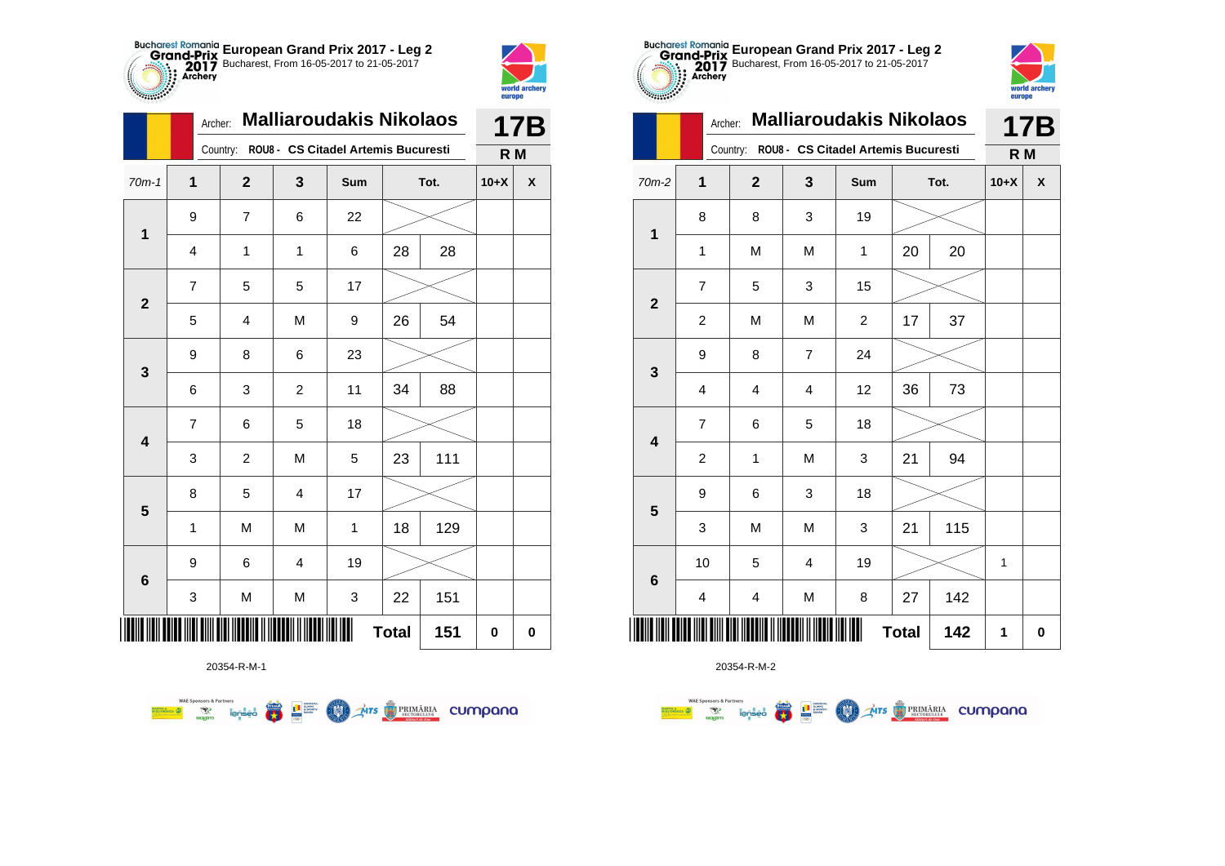



**TABLE** 

|              | Archer:        | <b>Malliaroudakis Nikolaos</b> | <b>17B</b>     |                                              |              |      |                |                    |
|--------------|----------------|--------------------------------|----------------|----------------------------------------------|--------------|------|----------------|--------------------|
|              |                |                                |                | Country: ROU8 - CS Citadel Artemis Bucuresti |              |      | R <sub>M</sub> |                    |
| $70m-1$      | 1              | $\mathbf 2$                    | 3              | Sum                                          |              | Tot. | $10+X$         | $\pmb{\mathsf{X}}$ |
| $\mathbf 1$  | 9              | 7                              | 6              | 22                                           |              |      |                |                    |
|              | 4              | 1                              | 1              | 6                                            | 28           | 28   |                |                    |
| $\mathbf{2}$ | $\overline{7}$ | 5                              | 5              | 17                                           |              |      |                |                    |
|              | 5              | 4                              | M              | 9                                            | 26           | 54   |                |                    |
| 3            | 9              | 8                              | 6              | 23                                           |              |      |                |                    |
|              | 6              | 3                              | 2              | 11                                           | 34           | 88   |                |                    |
| 4            | $\overline{7}$ | 6                              | 5              | 18                                           |              |      |                |                    |
|              | 3              | $\overline{c}$                 | M              | 5                                            | 23           | 111  |                |                    |
| 5            | 8              | 5                              | 4              | 17                                           |              |      |                |                    |
|              | 1              | M                              | M              | $\mathbf 1$                                  | 18           | 129  |                |                    |
| 6            | 9              | 6                              | $\overline{4}$ | 19                                           |              |      |                |                    |
|              | 3              | M                              | M              | 3                                            | 22           | 151  |                |                    |
| ║║║          |                |                                |                |                                              | <b>Total</b> | 151  | $\mathbf 0$    | $\pmb{0}$          |

**THE STRIMARIA CUMPANA** 



20354-R-M-2

| $-0.0000$               | Archer:                 | <b>Malliaroudakis Nikolaos</b> | 17B            |                                     |    |      |        |   |
|-------------------------|-------------------------|--------------------------------|----------------|-------------------------------------|----|------|--------|---|
|                         |                         | Country:                       |                | ROU8 - CS Citadel Artemis Bucuresti |    |      | R M    |   |
| $70m-2$                 | 1                       | $\overline{2}$                 | 3              | Sum                                 |    | Tot. | $10+X$ | X |
| $\mathbf 1$             | 8                       | 8                              | 3              | 19                                  |    |      |        |   |
|                         | $\mathbf{1}$            | M                              | M              | 1                                   | 20 | 20   |        |   |
| $\mathbf{2}$            | $\overline{7}$          | 5                              | 3              | 15                                  |    |      |        |   |
|                         | $\overline{c}$          | M                              | M              | $\overline{c}$                      | 17 | 37   |        |   |
| 3                       | 9                       | 8                              | $\overline{7}$ | 24                                  |    |      |        |   |
|                         | $\overline{4}$          | 4                              | 4              | 12                                  | 36 | 73   |        |   |
| $\overline{\mathbf{4}}$ | $\overline{7}$          | 6                              | 5              | 18                                  |    |      |        |   |
|                         | $\overline{c}$          | 1                              | M              | 3                                   | 21 | 94   |        |   |
| 5                       | 9                       | 6                              | 3              | 18                                  |    |      |        |   |
|                         | 3                       | M                              | M              | 3                                   | 21 | 115  |        |   |
|                         | 10                      | 5                              | 4              | 19                                  |    |      | 1      |   |
| $6\phantom{1}6$         | $\overline{\mathbf{4}}$ | $\overline{\mathbf{4}}$        | M              | 8                                   | 27 | 142  |        |   |
|                         |                         | 142                            | 1              | $\bf{0}$                            |    |      |        |   |

**European Grand Prix 2017 - Leg 2** Bucharest, From 16-05-2017 to 21-05-2017

world arche

europe

20354-R-M-1

**FRA** 

**THE SUPPRE** 

**COND** 

**WAE Sponsors & Partners**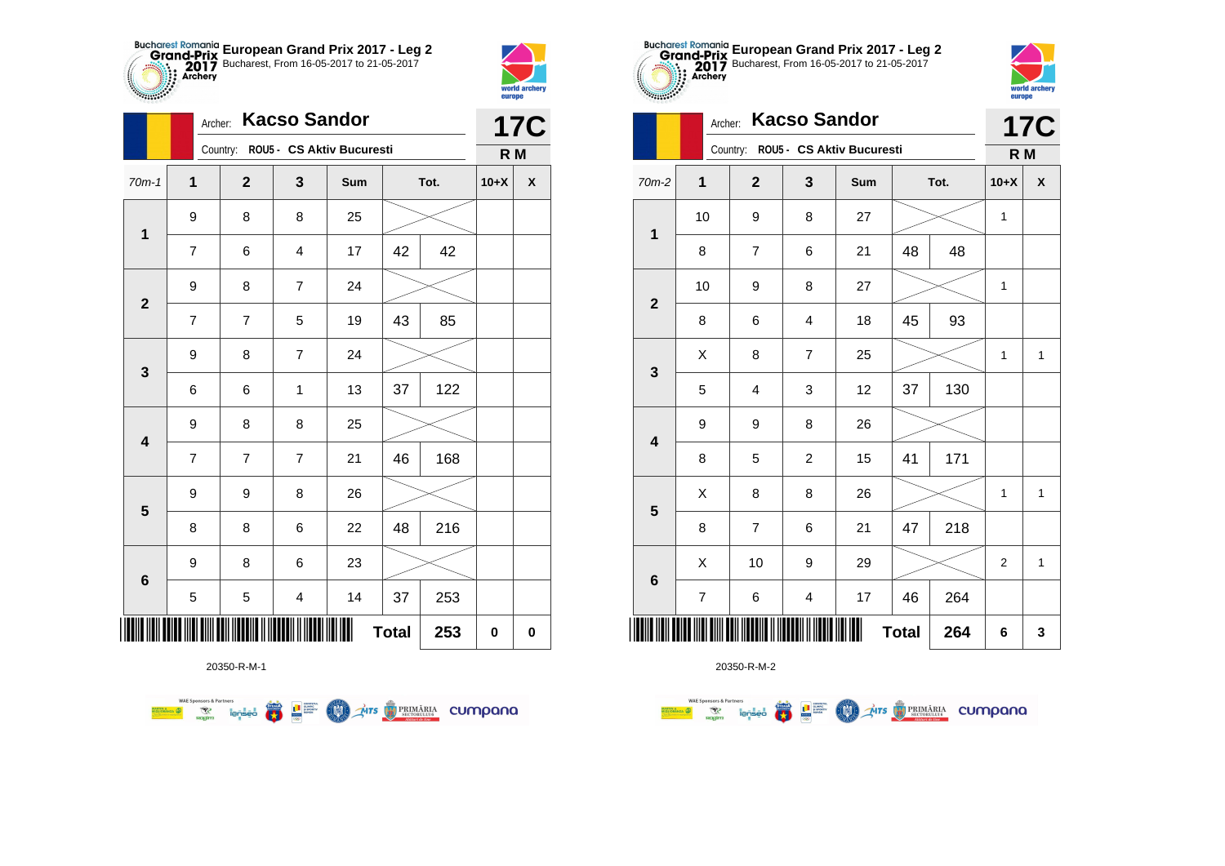



|                         |                | <b>Kacso Sandor</b><br>Archer: |                         |                                    |              |      |           |            |  |  |
|-------------------------|----------------|--------------------------------|-------------------------|------------------------------------|--------------|------|-----------|------------|--|--|
|                         |                |                                |                         | Country: ROU5 - CS Aktiv Bucuresti |              |      | R M       | <b>17C</b> |  |  |
| $70m-1$                 | 1              | $\mathbf{2}$                   | 3                       | Sum                                |              | Tot. | $10+X$    | X          |  |  |
| $\mathbf{1}$            | 9              | 8                              | 8                       | 25                                 |              |      |           |            |  |  |
|                         | 7              | 6                              | 4                       | 17                                 | 42           | 42   |           |            |  |  |
| $\mathbf{2}$            | 9              | 8                              | $\overline{7}$          | 24                                 |              |      |           |            |  |  |
|                         | $\overline{7}$ | 7                              | 5                       | 19                                 | 43           | 85   |           |            |  |  |
| 3                       | 9              | 8                              | $\overline{7}$          | 24                                 |              |      |           |            |  |  |
|                         | 6              | 6                              | 1                       | 13                                 | 37           | 122  |           |            |  |  |
| $\overline{\mathbf{4}}$ | 9              | 8                              | 8                       | 25                                 |              |      |           |            |  |  |
|                         | $\overline{7}$ | 7                              | $\overline{7}$          | 21                                 | 46           | 168  |           |            |  |  |
| $\overline{\mathbf{5}}$ | 9              | 9                              | 8                       | 26                                 |              |      |           |            |  |  |
|                         | 8              | 8                              | 6                       | 22                                 | 48           | 216  |           |            |  |  |
| 6                       | 9              | 8                              | 6                       | 23                                 |              |      |           |            |  |  |
|                         | 5              | 5                              | $\overline{\mathbf{4}}$ | 14                                 | 37           | 253  |           |            |  |  |
| ║║║                     |                |                                |                         |                                    | <b>Total</b> | 253  | $\pmb{0}$ | 0          |  |  |

**THE STRIMARIA CUMPANA** 

20350-R-M-1

第 9章

**COND** 

**WAE Sponsors & Partners** 



20350-R-M-2

|                         | Archer:                 | <b>Kacso Sandor</b>     |                         | <b>17C</b>                         |              |      |                |              |
|-------------------------|-------------------------|-------------------------|-------------------------|------------------------------------|--------------|------|----------------|--------------|
|                         |                         |                         |                         | Country: ROU5 - CS Aktiv Bucuresti |              |      | R <sub>M</sub> |              |
| 70m-2                   | 1                       | $\mathbf{2}$            | 3                       | Sum                                |              | Tot. | $10+X$         | χ            |
| $\mathbf{1}$            | 10                      | 9                       | 8                       | 27                                 |              |      | 1              |              |
|                         | 8                       | $\overline{7}$          | 6                       | 21                                 | 48           | 48   |                |              |
| $\overline{2}$          | 10                      | 9                       | 8                       | 27                                 |              |      | 1              |              |
|                         | 8                       | 6                       | 4                       | 18                                 | 45           | 93   |                |              |
|                         | Χ                       | 8                       | $\overline{7}$          | 25                                 |              |      | $\mathbf{1}$   | $\mathbf{1}$ |
| 3                       | 5                       | $\overline{\mathbf{4}}$ | 3                       | 12                                 | 37           | 130  |                |              |
| $\overline{\mathbf{4}}$ | 9                       | 9                       | 8                       | 26                                 |              |      |                |              |
|                         | 8                       | 5                       | $\overline{c}$          | 15                                 | 41           | 171  |                |              |
| 5                       | X                       | 8                       | 8                       | 26                                 |              |      | 1              | 1            |
|                         | 8                       | $\overline{7}$          | 6                       | 21                                 | 47           | 218  |                |              |
|                         | X                       | 10                      | 9                       | 29                                 |              |      | 2              | $\mathbf{1}$ |
| $6\phantom{1}6$         | $\overline{\mathbf{7}}$ | 6                       | $\overline{\mathbf{4}}$ | 17                                 | 46           | 264  |                |              |
| ║║║                     |                         |                         |                         |                                    | <b>Total</b> | 264  | 6              | 3            |

**European Grand Prix 2017 - Leg 2** Bucharest, From 16-05-2017 to 21-05-2017

world archer

europe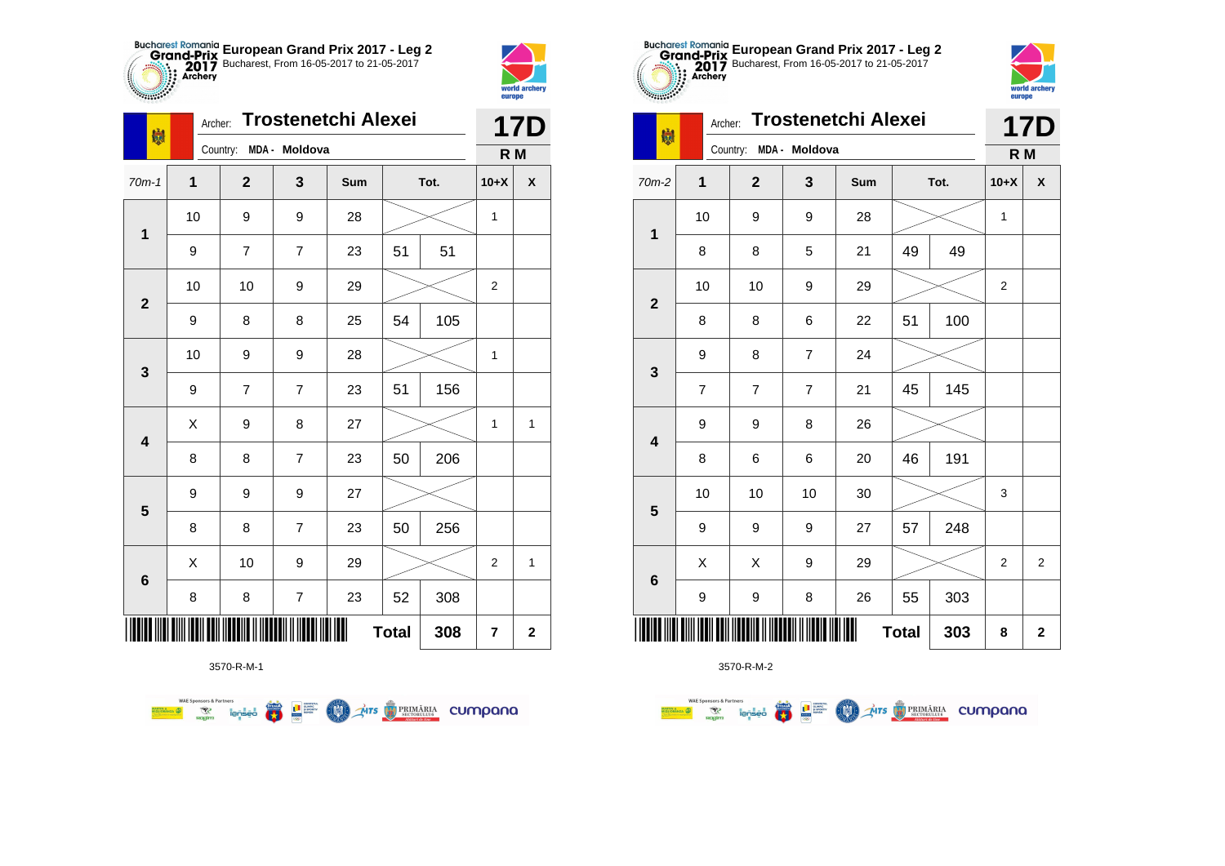



**Branch** 

| 喇                       | Archer:      |                | <b>17D</b>       |     |              |      |                  |              |
|-------------------------|--------------|----------------|------------------|-----|--------------|------|------------------|--------------|
|                         |              | Country:       | MDA - Moldova    |     |              |      | R M              |              |
| $70m-1$                 | $\mathbf{1}$ | $\mathbf{2}$   | 3                | Sum |              | Tot. | $10+X$           | X            |
|                         | 10           | 9              | 9                | 28  |              |      | $\mathbf{1}$     |              |
| $\mathbf 1$             | 9            | 7              | 7                | 23  | 51           | 51   |                  |              |
| $\mathbf 2$             | 10           | 10             | 9                | 29  |              |      | $\overline{2}$   |              |
|                         | 9            | 8              | 8                | 25  | 54           | 105  |                  |              |
| 3                       | 10           | 9              | 9                | 28  |              |      | $\mathbf{1}$     |              |
|                         | 9            | $\overline{7}$ | $\overline{7}$   | 23  | 51           | 156  |                  |              |
| $\overline{\mathbf{4}}$ | Χ            | 9              | 8                | 27  |              |      | $\mathbf{1}$     | $\mathbf{1}$ |
|                         | 8            | 8              | $\overline{7}$   | 23  | 50           | 206  |                  |              |
| 5                       | 9            | 9              | 9                | 27  |              |      |                  |              |
|                         | 8            | 8              | $\overline{7}$   | 23  | 50           | 256  |                  |              |
| 6                       | Χ            | 10             | 9                | 29  |              |      | $\boldsymbol{2}$ | $\mathbf{1}$ |
|                         | 8            | 8              | $\boldsymbol{7}$ | 23  | 52           | 308  |                  |              |
|                         |              |                |                  |     | <b>Total</b> | 308  | 7                | $\mathbf 2$  |

**COL** Ars **TRIMÁRIA** CUMpana



3570-R-M-2

|                         | <b>Trostenetchi Alexei</b><br>Archer:<br>喇 |                |                |     |              |      |                | <b>17D</b>     |
|-------------------------|--------------------------------------------|----------------|----------------|-----|--------------|------|----------------|----------------|
|                         |                                            | Country:       | MDA - Moldova  |     |              |      | R <sub>M</sub> |                |
| 70m-2                   | $\overline{\mathbf{1}}$                    | $\mathbf{2}$   | 3              | Sum |              | Tot. | $10+X$         | X              |
| $\mathbf 1$             | 10                                         | 9              | 9              | 28  |              |      | 1              |                |
|                         | 8                                          | 8              | 5              | 21  | 49           | 49   |                |                |
| $\overline{2}$          | 10                                         | 10             | 9              | 29  |              |      | 2              |                |
|                         | 8                                          | 8              | 6              | 22  | 51           | 100  |                |                |
| 3                       | 9                                          | 8              | $\overline{7}$ | 24  |              |      |                |                |
|                         | $\overline{7}$                             | $\overline{7}$ | 7              | 21  | 45           | 145  |                |                |
| $\overline{\mathbf{4}}$ | 9                                          | 9              | 8              | 26  |              |      |                |                |
|                         | 8                                          | 6              | 6              | 20  | 46           | 191  |                |                |
| 5                       | 10                                         | 10             | 10             | 30  |              |      | 3              |                |
|                         | 9                                          | 9              | 9              | 27  | 57           | 248  |                |                |
| $\bf 6$                 | X                                          | X              | 9              | 29  |              |      | $\overline{2}$ | $\overline{2}$ |
|                         | 9                                          | 9              | 8              | 26  | 55           | 303  |                |                |
| <br>                    |                                            |                |                | Ш   | <b>Total</b> | 303  | 8              | $\mathbf 2$    |

**European Grand Prix 2017 - Leg 2** Bucharest, From 16-05-2017 to 21-05-2017

world arche

europe

3570-R-M-1

**Excession of the Second Contract of the Contract of Second Contract of the Contract of Second Contract of Second Contract of Second Contract of Second Contract of Second Contract of Second Contract of Second Contract of S**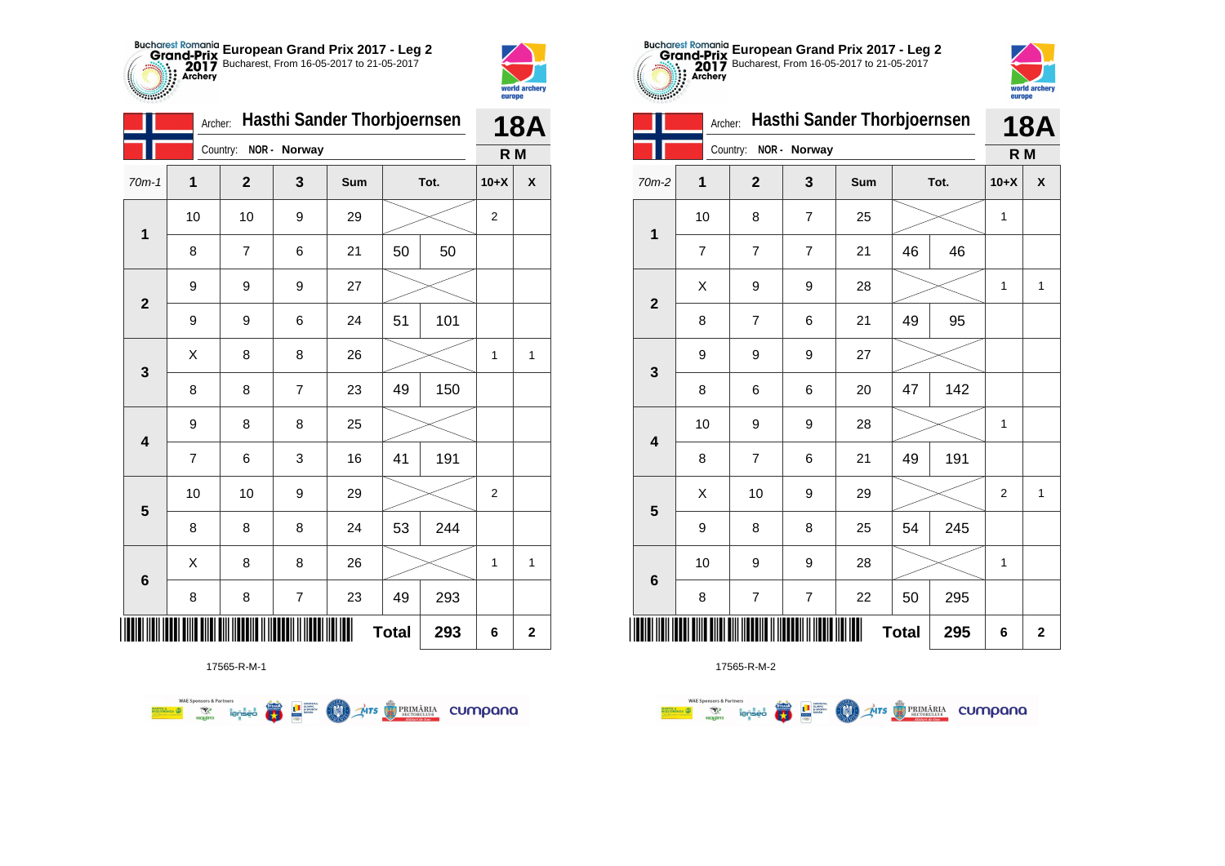



**THE** a ma

|                         |                     | Hasthi Sander Thorbjoernsen<br>Archer: |                          |     |      |     |                  |                    |
|-------------------------|---------------------|----------------------------------------|--------------------------|-----|------|-----|------------------|--------------------|
|                         |                     | Country:                               | NOR - Norway             |     |      |     | R M              |                    |
| $70m-1$                 | 1                   | $\mathbf{2}$                           | 3                        | Sum | Tot. |     | $10+X$           | $\pmb{\mathsf{X}}$ |
| 1                       | 10                  | 10                                     | 9                        | 29  |      |     | $\boldsymbol{2}$ |                    |
|                         | 8                   | 7                                      | 6                        | 21  | 50   | 50  |                  |                    |
| $\mathbf{2}$            | 9                   | 9                                      | 9                        | 27  |      |     |                  |                    |
|                         | 9                   | 9                                      | 6                        | 24  | 51   | 101 |                  |                    |
| $\mathbf{3}$            | X                   | 8                                      | 8                        | 26  |      |     | 1                | 1                  |
|                         | 8                   | 8                                      | $\overline{7}$           | 23  | 49   | 150 |                  |                    |
| $\overline{\mathbf{4}}$ | 9                   | 8                                      | 8                        | 25  |      |     |                  |                    |
|                         | $\overline{7}$      | 6                                      | 3                        | 16  | 41   | 191 |                  |                    |
| $5\phantom{1}$          | 10                  | 10                                     | 9                        | 29  |      |     | $\boldsymbol{2}$ |                    |
|                         | 8                   | 8                                      | 8                        | 24  | 53   | 244 |                  |                    |
|                         | Χ                   | 8                                      | 8                        | 26  |      |     | 1                | $\mathbf{1}$       |
| $\bf 6$                 | 8                   | 8                                      | $\overline{\mathcal{I}}$ | 23  | 49   | 293 |                  |                    |
|                         | <b>Total</b><br>293 |                                        |                          |     |      |     |                  | $\mathbf 2$        |



17565-R-M-2

| Ш<br>Country:<br>NOR - Norway |                         |                          |                |     |              |      | R M          |              |
|-------------------------------|-------------------------|--------------------------|----------------|-----|--------------|------|--------------|--------------|
| n-2                           | $\overline{\mathbf{1}}$ | $\overline{\mathbf{2}}$  | 3              | Sum |              | Tot. | $10+X$       | X            |
|                               | 10                      | 8                        | $\overline{7}$ | 25  |              |      | $\mathbf{1}$ |              |
|                               | $\overline{7}$          | 7                        | 7              | 21  | 46           | 46   |              |              |
| $\overline{\mathbf{r}}$       | Χ                       | 9                        | 9              | 28  |              |      | $\mathbf{1}$ | $\mathbf{1}$ |
|                               | 8                       | $\overline{\mathbf{7}}$  | 6              | 21  | 49           | 95   |              |              |
| 3                             | 9                       | 9                        | 9              | 27  |              |      |              |              |
|                               | 8                       | 6                        | 6              | 20  | 47           | 142  |              |              |
| ļ                             | 10                      | 9                        | 9              | 28  |              |      | $\mathbf{1}$ |              |
|                               | 8                       | $\overline{\mathcal{I}}$ | 6              | 21  | 49           | 191  |              |              |
| 5                             | Χ                       | 10                       | 9              | 29  |              |      | $\mathbf 2$  | $\mathbf{1}$ |
|                               | 9                       | 8                        | 8              | 25  | 54           | 245  |              |              |
| ć                             | 10                      | 9                        | 9              | 28  |              |      | $\mathbf{1}$ |              |
|                               | 8                       | $\overline{\mathbf{7}}$  | $\overline{7}$ | 22  | 50           | 295  |              |              |
|                               |                         |                          |                | Ш   | <b>Total</b> | 295  | 6            | $\mathbf 2$  |
|                               |                         |                          |                |     |              |      |              |              |



|                         |    | Hasthi Sander Thorbjoernsen<br>Archer: |                |     |              |     |                | <b>18A</b>   |
|-------------------------|----|----------------------------------------|----------------|-----|--------------|-----|----------------|--------------|
|                         |    | Country:                               | NOR - Norway   |     |              |     | R M            |              |
| $70m-2$                 | 1  | $\mathbf{2}$                           | 3              | Sum | Tot.         |     | $10+X$         | X            |
| $\mathbf 1$             | 10 | 8                                      | $\overline{7}$ | 25  |              |     | $\mathbf{1}$   |              |
|                         | 7  | 7                                      | 7              | 21  | 46           | 46  |                |              |
| $\overline{2}$          | Χ  | 9                                      | 9              | 28  |              |     | 1              | 1            |
|                         | 8  | $\overline{7}$                         | 6              | 21  | 49           | 95  |                |              |
| 3                       | 9  | 9                                      | 9              | 27  |              |     |                |              |
|                         | 8  | 6                                      | 6              | 20  | 47           | 142 |                |              |
| $\overline{\mathbf{4}}$ | 10 | 9                                      | 9              | 28  |              |     | 1              |              |
|                         | 8  | $\overline{7}$                         | 6              | 21  | 49           | 191 |                |              |
| 5                       | X  | 10                                     | 9              | 29  |              |     | $\overline{2}$ | $\mathbf{1}$ |
|                         | 9  | 8                                      | 8              | 25  | 54           | 245 |                |              |
| $6\phantom{1}6$         | 10 | 9                                      | 9              | 28  |              |     | 1              |              |
|                         | 8  | $\overline{7}$                         | $\overline{7}$ | 22  | 50           | 295 |                |              |
| ║║║                     |    |                                        |                | Ш   | <b>Total</b> | 295 | 6              | $\mathbf 2$  |

**European Grand Prix 2017 - Leg 2** Bucharest, From 16-05-2017 to 21-05-2017

17565-R-M-1

**WAE Sponsors & Partners THE STRIMARIA CUMPANA**  $\left(\frac{\sinh\theta}{\cos\theta}\right)$ **LE SUPPRE COO**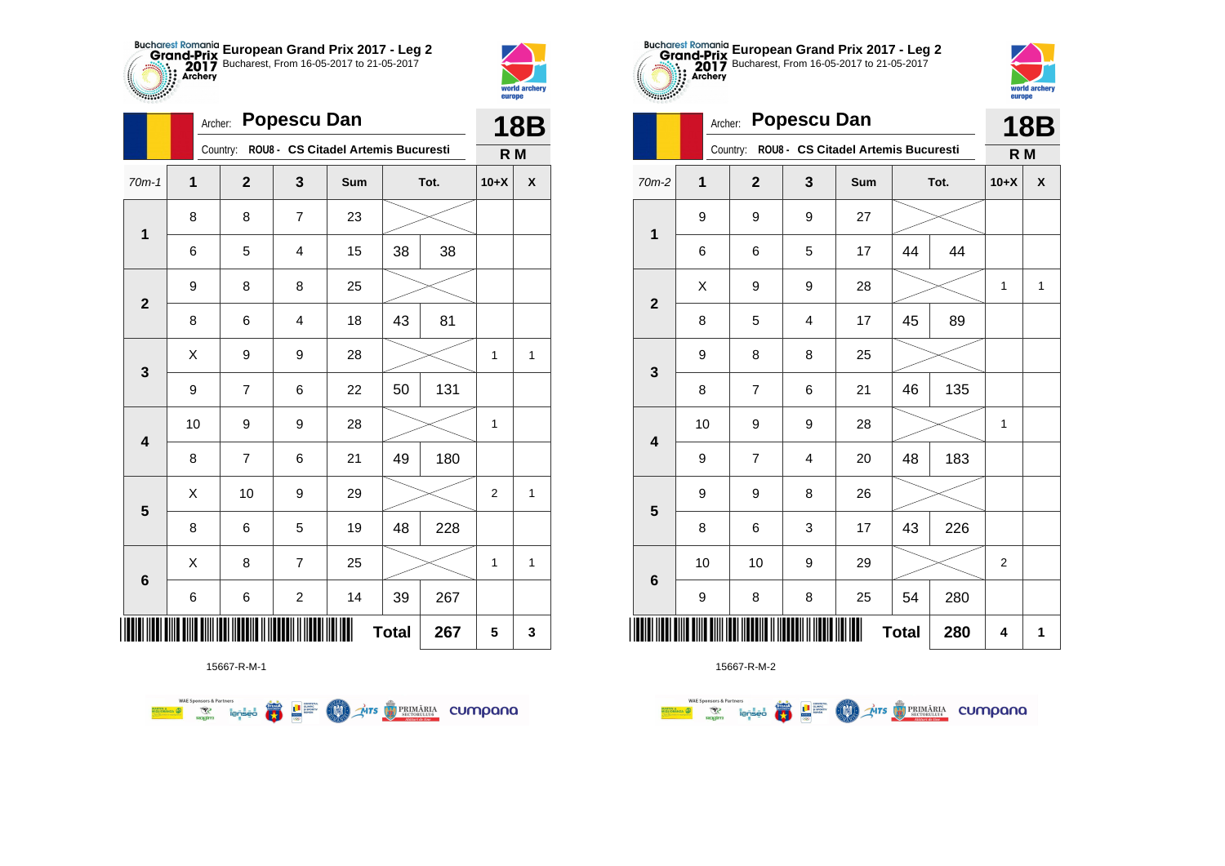



|                         |                  | <b>Popescu Dan</b><br>Archer: |                         |                                     |              |      |              |            |  |  |
|-------------------------|------------------|-------------------------------|-------------------------|-------------------------------------|--------------|------|--------------|------------|--|--|
|                         |                  | Country:                      |                         | ROU8 - CS Citadel Artemis Bucuresti |              |      | R M          | <b>18B</b> |  |  |
| $70m-1$                 | 1                | $\mathbf{2}$                  | 3                       | Sum                                 |              | Tot. | $10+X$       | X          |  |  |
| $\mathbf 1$             | 8                | 8                             | $\overline{\mathbf{7}}$ | 23                                  |              |      |              |            |  |  |
|                         | 6                | 5                             | 4                       | 15                                  | 38<br>38     |      |              |            |  |  |
| $\mathbf{2}$            | 9                | 8                             | 8                       | 25                                  |              |      |              |            |  |  |
|                         | 8                | 6                             | 4                       | 18                                  | 43           | 81   |              |            |  |  |
| 3                       | Χ                | 9                             | 9                       | 28                                  |              |      | $\mathbf{1}$ | 1          |  |  |
|                         | $\boldsymbol{9}$ | $\overline{7}$                | 6                       | 22                                  | 50           | 131  |              |            |  |  |
| 4                       | 10               | 9                             | 9                       | 28                                  |              |      | $\mathbf{1}$ |            |  |  |
|                         | 8                | $\overline{7}$                | 6                       | 21                                  | 49           | 180  |              |            |  |  |
| $\overline{\mathbf{5}}$ | Χ                | 10                            | 9                       | 29                                  |              |      | 2            | 1          |  |  |
|                         | 8                | 6                             | 5                       | 19                                  | 48           | 228  |              |            |  |  |
| 6                       | Χ                | 8                             | $\overline{7}$          | 25                                  |              |      | $\mathbf{1}$ | 1          |  |  |
|                         | 6                | 6                             | $\overline{\mathbf{c}}$ | 14                                  | 39           | 267  |              |            |  |  |
| ║║║                     |                  |                               |                         |                                     | <b>Total</b> | 267  | 5            | 3          |  |  |

**THE STRIMARIA CUMPANA** 



● ■

**COO** 

**WAE Sponsors & Partners** 



15667-R-M-2

| $m-2$                   | 1  | $\mathbf{2}$             | 3                       | Sum            | Tot.         |     | $10+X$           | $\pmb{\mathsf{X}}$ |
|-------------------------|----|--------------------------|-------------------------|----------------|--------------|-----|------------------|--------------------|
| $\mathbf 1$             | 9  | 9                        | $\boldsymbol{9}$        | 27             |              |     |                  |                    |
|                         | 6  | 6                        | 5                       | 17             | 44           | 44  |                  |                    |
| $\overline{\mathbf{2}}$ | Χ  | 9                        | 9                       | 28             |              |     | 1                | $\mathbf{1}$       |
|                         | 8  | $\mathbf 5$              | $\overline{\mathbf{4}}$ | 17             | 45           | 89  |                  |                    |
| 3                       | 9  | 8                        | 8                       | 25             |              |     |                  |                    |
|                         | 8  | $\overline{\mathcal{I}}$ | 6                       | 21             | 46           | 135 |                  |                    |
| $\overline{\mathbf{4}}$ | 10 | 9                        | 9                       | 28             |              |     | 1                |                    |
|                         | 9  | $\overline{\mathcal{I}}$ | $\overline{\mathbf{4}}$ | 20             | 48           | 183 |                  |                    |
| 5                       | 9  | 9                        | 8                       | 26             |              |     |                  |                    |
|                         | 8  | 6                        | 3                       | 17             | 43           | 226 |                  |                    |
| 6                       | 10 | 10                       | $\boldsymbol{9}$        | 29             |              |     | $\boldsymbol{2}$ |                    |
|                         | 9  | 8                        | 8                       | 25             | 54           | 280 |                  |                    |
|                         |    |                          |                         | $\blacksquare$ | <b>Total</b> | 280 | 4                | 1                  |



**18B R M**

| $70m-2$                 | 1      | $\mathbf 2$             | 3                       | Sum |              | Tot. | $10+X$         | X            |
|-------------------------|--------|-------------------------|-------------------------|-----|--------------|------|----------------|--------------|
|                         | 9      | 9                       | 9                       | 27  |              |      |                |              |
| $\mathbf 1$             | 6      | 6                       | 5                       | 17  | 44           | 44   |                |              |
| $\mathbf{2}$            | Χ      | 9                       | 9                       | 28  |              |      | $\mathbf{1}$   | $\mathbf{1}$ |
|                         | 8      | 5                       | $\overline{\mathbf{4}}$ | 17  | 45           | 89   |                |              |
| $\mathbf{3}$            | 9      | 8                       | 8                       | 25  |              |      |                |              |
|                         | 8      | $\overline{\mathbf{7}}$ | 6                       | 21  | 46           | 135  |                |              |
| $\overline{\mathbf{4}}$ | $10\,$ | 9                       | 9                       | 28  |              |      | $\mathbf{1}$   |              |
|                         | 9      | $\overline{\mathbf{7}}$ | 4                       | 20  | 48           | 183  |                |              |
| 5                       | 9      | 9                       | 8                       | 26  |              |      |                |              |
|                         | 8      | 6                       | 3                       | 17  | 43           | 226  |                |              |
| $\bf 6$                 | $10$   | $10$                    | 9                       | 29  |              |      | $\overline{c}$ |              |
|                         | 9      | 8                       | 8                       | 25  | 54           | 280  |                |              |
|                         |        |                         |                         | Ш   | <b>Total</b> | 280  | 4              | $\mathbf{1}$ |

**European Grand Prix 2017 - Leg 2** Bucharest, From 16-05-2017 to 21-05-2017

Country: **ROU8 - CS Citadel Artemis Bucuresti**

Archer: **Popescu Dan**

**TABLE**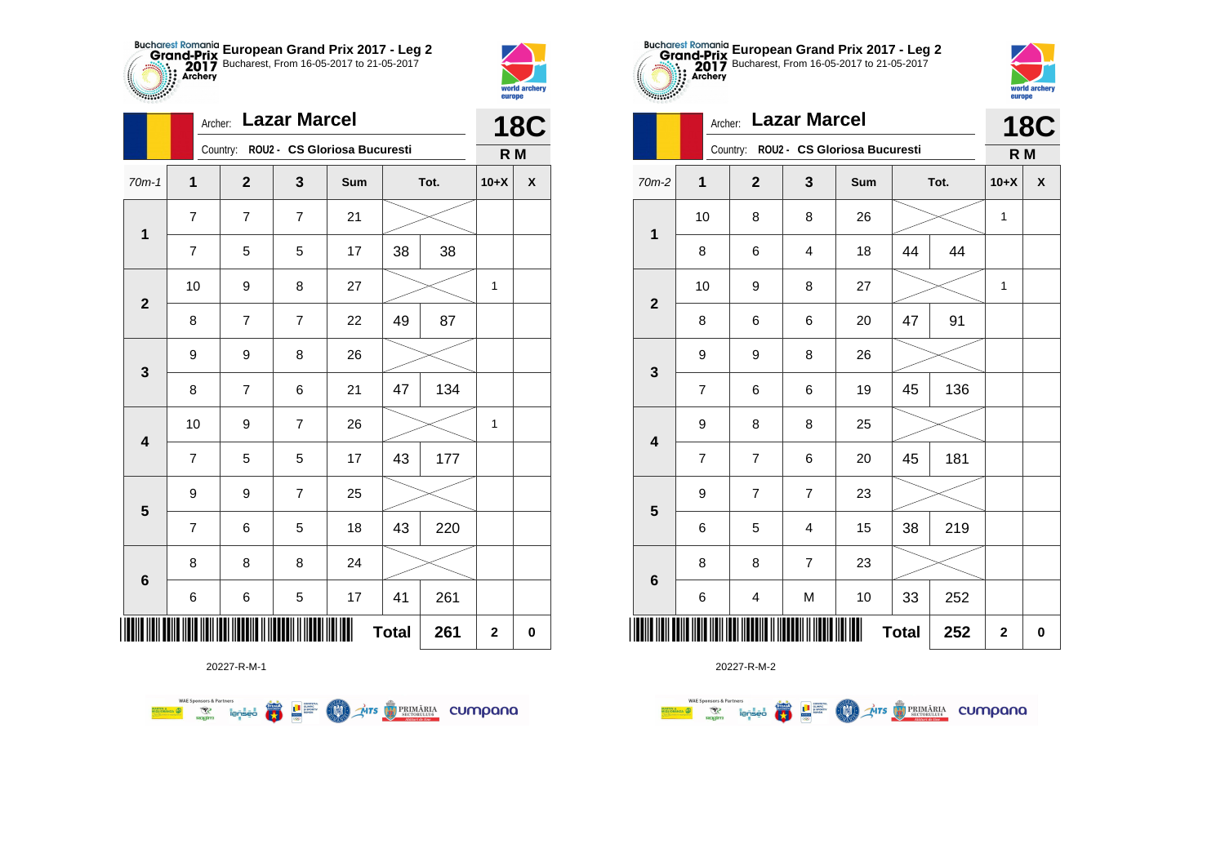



|                         |                | <b>Lazar Marcel</b><br>Archer: |                |                                       |              |      |              |                    |  |  |
|-------------------------|----------------|--------------------------------|----------------|---------------------------------------|--------------|------|--------------|--------------------|--|--|
|                         |                |                                |                | Country: ROU2 - CS Gloriosa Bucuresti |              |      | R M          |                    |  |  |
| $70m-1$                 | 1              | $\mathbf{2}$                   | 3              | Sum                                   |              | Tot. | $10+X$       | $\pmb{\mathsf{X}}$ |  |  |
|                         | $\overline{7}$ | $\overline{7}$                 | $\overline{7}$ | 21                                    |              |      |              |                    |  |  |
| $\mathbf 1$             | $\overline{7}$ | 5                              | 5              | 17                                    | 38           | 38   |              |                    |  |  |
| $\mathbf{2}$            | 10             | 9                              | 8              | 27                                    |              |      | $\mathbf{1}$ |                    |  |  |
|                         | 8              | 7                              | $\overline{7}$ | 22                                    | 49           | 87   |              |                    |  |  |
| 3                       | 9              | 9                              | 8              | 26                                    |              |      |              |                    |  |  |
|                         | 8              | $\overline{7}$                 | 6              | 21                                    | 47           | 134  |              |                    |  |  |
| $\overline{\mathbf{4}}$ | 10             | 9                              | $\overline{7}$ | 26                                    |              |      | $\mathbf{1}$ |                    |  |  |
|                         | $\overline{7}$ | 5                              | 5              | 17                                    | 43           | 177  |              |                    |  |  |
|                         | 9              | 9                              | $\overline{7}$ | 25                                    |              |      |              |                    |  |  |
| $\overline{\mathbf{5}}$ | $\overline{7}$ | 6                              | 5              | 18                                    | 43           | 220  |              |                    |  |  |
|                         | 8              | 8                              | 8              | 24                                    |              |      |              |                    |  |  |
| $6\phantom{1}6$         | 6              | 6                              | $\mathbf 5$    | 17                                    | 41           | 261  |              |                    |  |  |
| Ⅲ                       |                |                                |                |                                       | <b>Total</b> | 261  | $\mathbf 2$  | $\pmb{0}$          |  |  |



20227-R-M-2

|                         | Country: ROU2 - CS Gloriosa Bucuresti |                | R M            |     |    |      |        |   |
|-------------------------|---------------------------------------|----------------|----------------|-----|----|------|--------|---|
| 2                       | $\mathbf 1$                           | $\mathbf{2}$   | 3              | Sum |    | Tot. | $10+X$ | X |
| $\mathbf{1}$            | 10                                    | 8              | 8              | 26  |    |      | 1      |   |
|                         | 8                                     | 6              | 4              | 18  | 44 | 44   |        |   |
| $\mathbf{2}$            | 10                                    | 9              | 8              | 27  |    |      | 1      |   |
|                         | 8                                     | 6              | 6              | 20  | 47 | 91   |        |   |
| $\mathbf{3}$            | 9                                     | 9              | 8              | 26  |    |      |        |   |
|                         | $\overline{7}$                        | 6              | 6              | 19  | 45 | 136  |        |   |
| $\overline{\mathbf{4}}$ | 9                                     | 8              | 8              | 25  |    |      |        |   |
|                         | $\overline{\mathbf{7}}$               | $\overline{7}$ | 6              | 20  | 45 | 181  |        |   |
| $\overline{\mathbf{5}}$ | 9                                     | $\overline{7}$ | $\overline{7}$ | 23  |    |      |        |   |
|                         | 6                                     | 5              | 4              | 15  | 38 | 219  |        |   |
| $\bf 6$                 | 8                                     | 8              | $\overline{7}$ | 23  |    |      |        |   |
|                         | 6                                     | 4              | M              | 10  | 33 | 252  |        |   |
|                         | $\mathbf 2$                           | 0              |                |     |    |      |        |   |



**18C**

| $70m-2$                 | $\mathbf 1$              | $\mathbf{2}$            | 3                       | Sum    |              | Tot. | $10+X$       | X        |
|-------------------------|--------------------------|-------------------------|-------------------------|--------|--------------|------|--------------|----------|
|                         | $10$                     | 8                       | 8                       | 26     |              |      | $\mathbf{1}$ |          |
| $\mathbf 1$             | 8                        | 6                       | $\overline{\mathbf{4}}$ | 18     | 44           | 44   |              |          |
|                         | $10$                     | 9                       | 8                       | 27     |              |      | $\mathbf{1}$ |          |
| $\mathbf{2}$            | 8                        | 6                       | 6                       | $20\,$ | 47           | 91   |              |          |
| $\mathbf{3}$            | 9                        | 9                       | 8                       | 26     |              |      |              |          |
|                         | $\overline{7}$           | 6                       | 6                       | 19     | 45           | 136  |              |          |
| $\overline{\mathbf{4}}$ | 9                        | 8                       | 8                       | 25     |              |      |              |          |
|                         | $\overline{\mathcal{I}}$ | $\overline{\mathbf{7}}$ | 6                       | 20     | 45           | 181  |              |          |
| 5                       | 9                        | $\boldsymbol{7}$        | $\boldsymbol{7}$        | 23     |              |      |              |          |
|                         | 6                        | 5                       | $\overline{\mathbf{4}}$ | 15     | 38           | 219  |              |          |
| $\bf 6$                 | 8                        | 8                       | $\overline{7}$          | 23     |              |      |              |          |
|                         | 6                        | 4                       | ${\sf M}$               | $10$   | 33           | 252  |              |          |
|                         |                          |                         |                         | I      | <b>Total</b> | 252  | $\mathbf 2$  | $\bf{0}$ |

**European Grand Prix 2017 - Leg 2** Bucharest, From 16-05-2017 to 21-05-2017

Archer: **Lazar Marcel**

20227-R-M-1

**WAE Sponsors & Partners THE STRIMARIA CUMPANA** ● ■ **COND**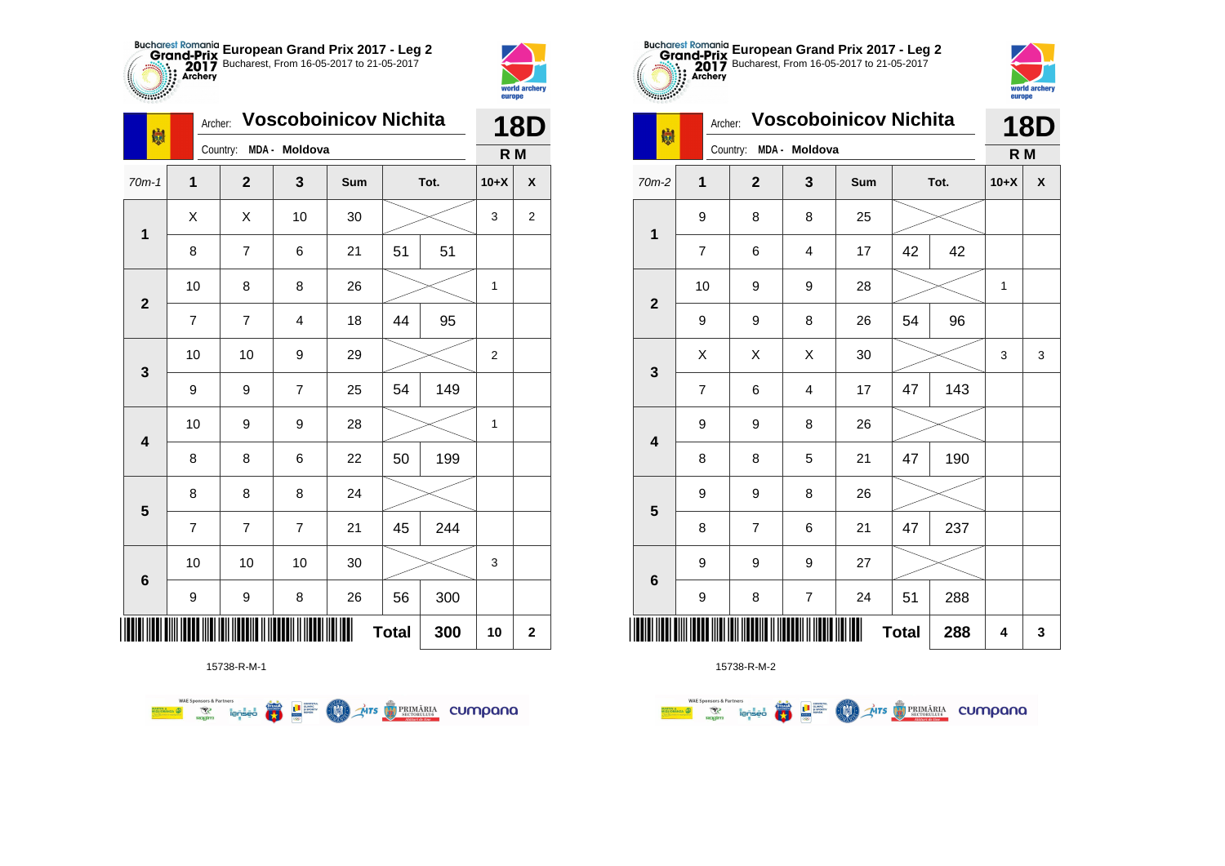



| 喇            |                | <b>Voscoboinicov Nichita</b><br>Archer: |                |     |              |      |        |                  |
|--------------|----------------|-----------------------------------------|----------------|-----|--------------|------|--------|------------------|
|              |                | Country:                                | MDA - Moldova  |     |              |      | R M    |                  |
| $70m-1$      | 1              | $\mathbf{2}$                            | 3              | Sum |              | Tot. | $10+X$ | X                |
|              | Χ              | X                                       | 10             | 30  |              |      | 3      | $\boldsymbol{2}$ |
| $\mathbf 1$  | 8              | 7                                       | 6              | 21  | 51           | 51   |        |                  |
| $\mathbf{2}$ | 10             | 8                                       | 8              | 26  |              |      | 1      |                  |
|              | $\overline{7}$ | 7                                       | 4              | 18  | 44           | 95   |        |                  |
| 3            | 10             | 10                                      | 9              | 29  |              |      | 2      |                  |
|              | 9              | 9                                       | $\overline{7}$ | 25  | 54           | 149  |        |                  |
| 4            | 10             | 9                                       | 9              | 28  |              |      | 1      |                  |
|              | 8              | 8                                       | 6              | 22  | 50           | 199  |        |                  |
| 5            | 8              | 8                                       | 8              | 24  |              |      |        |                  |
|              | $\overline{7}$ | 7                                       | $\overline{7}$ | 21  | 45           | 244  |        |                  |
| 6            | 10             | 10                                      | 10             | 30  |              |      | 3      |                  |
|              | 9              | 9                                       | 8              | 26  | 56           | 300  |        |                  |
| ∭            |                |                                         |                |     | <b>Total</b> | 300  | 10     | $\mathbf 2$      |

**COLORED PRIMARIA CUMPANA** 



15738-R-M-2

| $-2117.28$              |                | europe              |                |                              |              |      |        |            |
|-------------------------|----------------|---------------------|----------------|------------------------------|--------------|------|--------|------------|
| 喇                       | Archer:        |                     |                | <b>Voscoboinicov Nichita</b> |              |      |        | <b>18D</b> |
|                         |                | Country:<br>$MDA -$ | Moldova        |                              |              |      | R M    |            |
| 70m-2                   | 1              | $\overline{2}$      | 3              | Sum                          |              | Tot. | $10+X$ | X          |
|                         | 9              | 8                   | 8              | 25                           |              |      |        |            |
| $\mathbf 1$             | 7              | 6                   | 4              | 17                           | 42           | 42   |        |            |
|                         | 10             | 9                   | 9              | 28                           |              |      | 1      |            |
| $\mathbf{2}$            | 9              | 9                   | 8              | 26                           | 54           | 96   |        |            |
|                         | X              | X                   | X              | 30                           |              |      | 3      | 3          |
| 3                       | $\overline{7}$ | 6                   | 4              | 17                           | 47           | 143  |        |            |
|                         | 9              | 9                   | 8              | 26                           |              |      |        |            |
| $\overline{\mathbf{4}}$ | 8              | 8                   | 5              | 21                           | 47           | 190  |        |            |
| 5                       | 9              | 9                   | 8              | 26                           |              |      |        |            |
|                         | 8              | $\overline{7}$      | 6              | 21                           | 47           | 237  |        |            |
|                         | 9              | 9                   | 9              | 27                           |              |      |        |            |
| $6\phantom{1}6$         | 9              | 8                   | $\overline{7}$ | 24                           | 51           | 288  |        |            |
|                         |                |                     |                |                              | <b>Total</b> | 288  | 4      | 3          |

**European Grand Prix 2017 - Leg 2** Bucharest, From 16-05-2017 to 21-05-2017

world archa

15738-R-M-1

**Example 19 and 1975**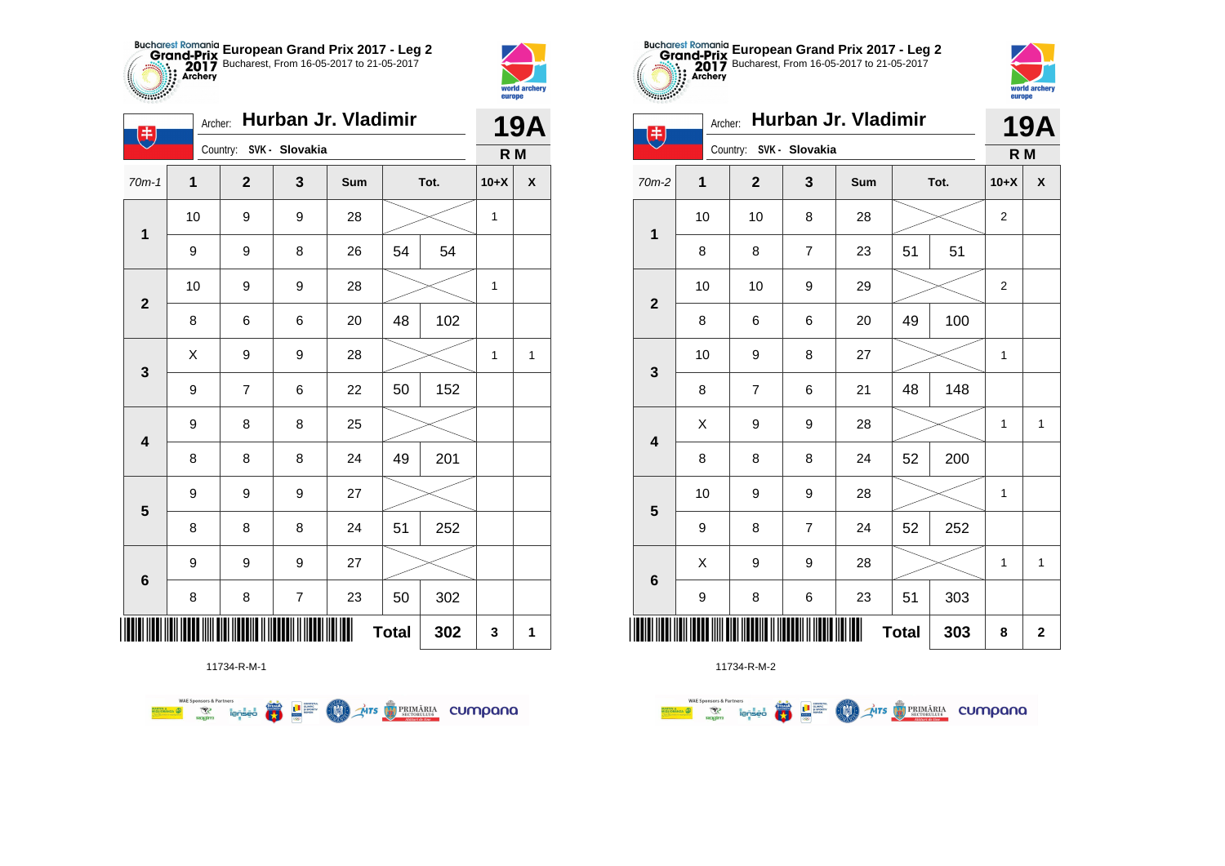



|                         | Hurban Jr. Vladimir<br>Archer:<br>$\left( \frac{1}{2} \right)$ |                |                         |     |              |     |              |                    |  |  |
|-------------------------|----------------------------------------------------------------|----------------|-------------------------|-----|--------------|-----|--------------|--------------------|--|--|
|                         |                                                                |                | Country: SVK - Slovakia |     |              |     | R M          |                    |  |  |
| $70m-1$                 | $\mathbf{1}$                                                   | $\overline{2}$ | $\mathbf 3$             | Sum | Tot.         |     | $10+X$       | $\pmb{\mathsf{X}}$ |  |  |
|                         | 10                                                             | 9              | 9                       | 28  |              |     | $\mathbf{1}$ |                    |  |  |
| $\mathbf{1}$            | 9                                                              | 9              | 8                       | 26  | 54           | 54  |              |                    |  |  |
| $\mathbf{2}$            | 10                                                             | 9              | 9                       | 28  |              |     | 1            |                    |  |  |
|                         | 8                                                              | 6              | 6                       | 20  | 48           | 102 |              |                    |  |  |
| 3                       | X                                                              | 9              | 9                       | 28  |              |     | $\mathbf 1$  | $\mathbf{1}$       |  |  |
|                         | 9                                                              | $\overline{7}$ | 6                       | 22  | 50           | 152 |              |                    |  |  |
| $\overline{\mathbf{4}}$ | 9                                                              | 8              | 8                       | 25  |              |     |              |                    |  |  |
|                         | 8                                                              | 8              | 8                       | 24  | 49           | 201 |              |                    |  |  |
| $\overline{\mathbf{5}}$ | 9                                                              | 9              | 9                       | 27  |              |     |              |                    |  |  |
|                         | 8                                                              | 8              | 8                       | 24  | 51           | 252 |              |                    |  |  |
|                         | $\boldsymbol{9}$                                               | 9              | 9                       | 27  |              |     |              |                    |  |  |
| $\bf 6$                 | 8                                                              | 8              | $\boldsymbol{7}$        | 23  | 50           | 302 |              |                    |  |  |
|                         |                                                                |                |                         |     | <b>Total</b> | 302 | 3            | 1                  |  |  |



11734-R-M-2

|                         | Country: SVK - Slovakia |                | R M              |     |              |      |        |              |
|-------------------------|-------------------------|----------------|------------------|-----|--------------|------|--------|--------------|
| $0m-2$                  | 1                       | $\mathbf{2}$   | $\mathbf 3$      | Sum |              | Tot. | $10+X$ | χ            |
| $\mathbf{1}$            | 10                      | 10             | 8                | 28  |              |      |        |              |
|                         | 8                       | 8              | $\overline{7}$   | 23  | 51           | 51   |        |              |
| $\overline{\mathbf{2}}$ | 10                      | 10             | $\boldsymbol{9}$ | 29  |              |      | 2      |              |
|                         | 8                       | 6              | 6                | 20  | 49           | 100  |        |              |
| $\mathbf{3}$            | 10                      | 9              | 8                | 27  |              |      | 1      |              |
|                         | 8                       | $\overline{7}$ | 6                | 21  | 48           | 148  |        |              |
| $\overline{\mathbf{4}}$ | X                       | 9              | 9                | 28  |              |      | 1      | $\mathbf{1}$ |
|                         | 8                       | 8              | 8                | 24  | 52           | 200  |        |              |
| $\overline{\mathbf{5}}$ | 10                      | 9              | $\boldsymbol{9}$ | 28  |              |      | 1      |              |
|                         | 9                       | 8              | $\overline{7}$   | 24  | 52           | 252  |        |              |
|                         | X                       | 9              | $\boldsymbol{9}$ | 28  |              |      | 1      | $\mathbf{1}$ |
| $\bf 6$                 | 9                       | 8              | 6                | 23  | 51           | 303  |        |              |
| $\  \ $                 |                         |                |                  | Ш   | <b>Total</b> | 303  | 8      | $\mathbf 2$  |



| $\ddot{\bm{x}}$         | Hurban Jr. Vladimir<br>Archer: |                         |                |     |              |      |                | <b>19A</b>         |
|-------------------------|--------------------------------|-------------------------|----------------|-----|--------------|------|----------------|--------------------|
|                         |                                | Country: SVK - Slovakia |                |     |              |      | R M            |                    |
| $70m-2$                 | $\mathbf 1$                    | $\mathbf{2}$            | 3              | Sum |              | Tot. | $10+X$         | $\pmb{\mathsf{X}}$ |
| $\mathbf 1$             | 10                             | 10                      | 8              | 28  |              |      | $\overline{c}$ |                    |
|                         | 8                              | 8                       | $\overline{7}$ | 23  | 51           | 51   |                |                    |
| $\overline{2}$          | 10                             | 10                      | 9              | 29  |              |      | $\overline{2}$ |                    |
|                         | 8                              | 6                       | 6              | 20  | 49           | 100  |                |                    |
| $\mathbf 3$             | 10                             | 9                       | 8              | 27  |              |      | 1              |                    |
|                         | 8                              | $\overline{7}$          | 6              | 21  | 48           | 148  |                |                    |
| $\overline{\mathbf{4}}$ | X                              | 9                       | 9              | 28  |              |      | 1              | $\mathbf{1}$       |
|                         | 8                              | 8                       | 8              | 24  | 52           | 200  |                |                    |
| $\overline{\mathbf{5}}$ | 10                             | 9                       | 9              | 28  |              |      | 1              |                    |
|                         | 9                              | 8                       | $\overline{7}$ | 24  | 52           | 252  |                |                    |
|                         | X                              | 9                       | 9              | 28  |              |      | 1              | $\mathbf{1}$       |
| $\bf 6$                 | 9                              | 8                       | 6              | 23  | 51           | 303  |                |                    |
| ║║║                     |                                |                         |                | Ш   | <b>Total</b> | 303  | 8              | $\mathbf 2$        |

**European Grand Prix 2017 - Leg 2** Bucharest, From 16-05-2017 to 21-05-2017

Archer: **Hurban Jr. Vladimir**

11734-R-M-1

**WAE Sponsors & Partners THE STRIMARIA CUMPANA**  $\overline{\mathbf{r}}$ **LE SUPPRE** LON)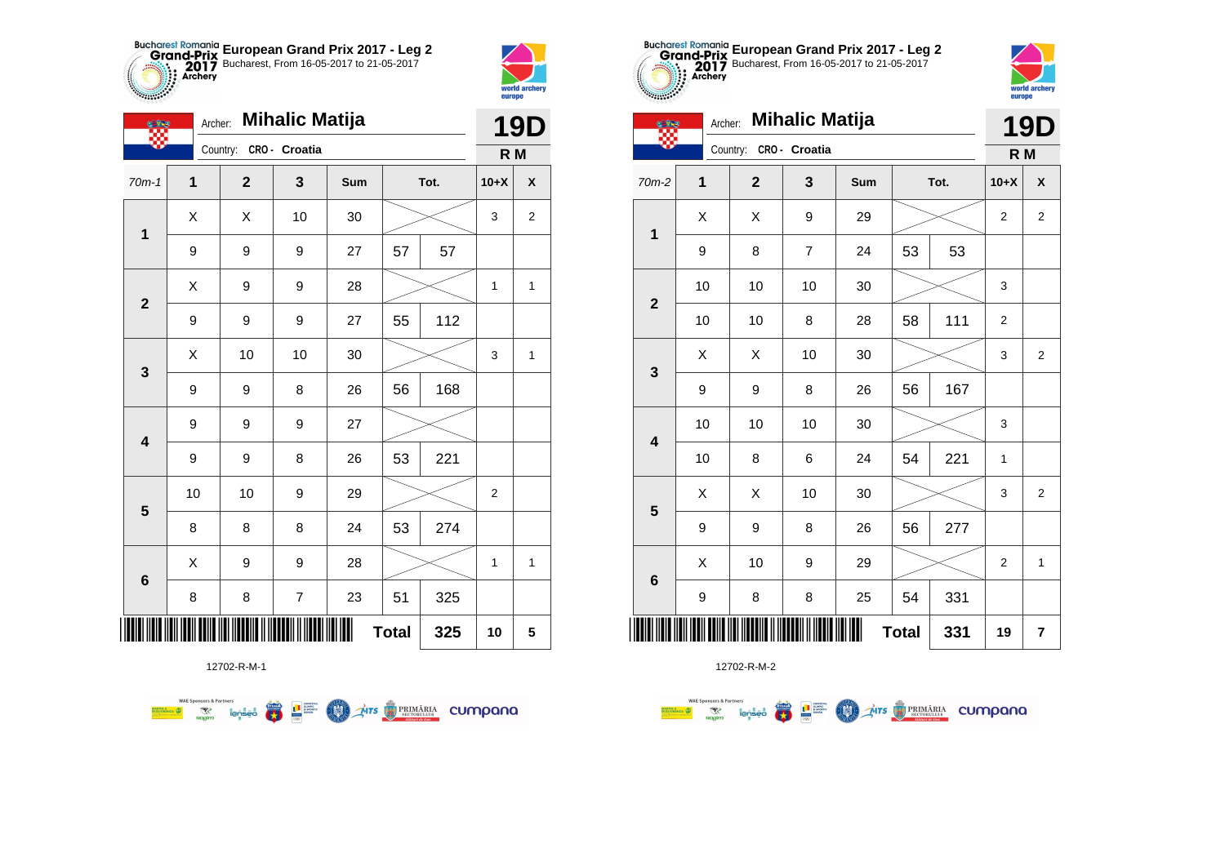



**THE** 

|                         | Archer: | <b>Mihalic Matija</b>   |                |     | <b>19D</b>   |      |                |                |
|-------------------------|---------|-------------------------|----------------|-----|--------------|------|----------------|----------------|
|                         |         | Country: CRO - Croatia  |                |     |              |      | R M            |                |
| $70m-1$                 | 1       | $\overline{\mathbf{2}}$ | 3              | Sum |              | Tot. | $10+X$         | X              |
| 1                       | X       | X                       | 10             | 30  |              |      | 3              | $\overline{2}$ |
|                         | 9       | 9                       | 9              | 27  | 57           | 57   |                |                |
| $\mathbf{2}$            | X       | 9                       | 9              | 28  |              |      | 1              | 1              |
|                         | 9       | 9                       | 9              | 27  | 55           | 112  |                |                |
| $\mathbf{3}$            | X       | 10                      | 10             | 30  |              |      | 3              | 1              |
|                         | 9       | 9                       | 8              | 26  | 56           | 168  |                |                |
| $\overline{\mathbf{4}}$ | 9       | 9                       | 9              | 27  |              |      |                |                |
|                         | 9       | 9                       | 8              | 26  | 53           | 221  |                |                |
| $5\phantom{1}$          | 10      | 10                      | 9              | 29  |              |      | $\overline{2}$ |                |
|                         | 8       | 8                       | 8              | 24  | 53           | 274  |                |                |
|                         | X       | 9                       | 9              | 28  |              |      | 1              | $\mathbf{1}$   |
| $\bf 6$                 | 8       | 8                       | $\overline{7}$ | 23  | 51           | 325  |                |                |
|                         |         |                         |                |     | <b>Total</b> | 325  | 10             | 5              |

**THE STRIMARIA CUMPANA** 



12702-R-M-2

|                 | <b>Mihalic Matija</b><br>Archer:<br><b>CERS</b> |          |              |                |     |              |      |                | <b>19D</b>     |
|-----------------|-------------------------------------------------|----------|--------------|----------------|-----|--------------|------|----------------|----------------|
|                 |                                                 | Country: |              | CRO - Croatia  |     |              |      | R <sub>M</sub> |                |
| 70m-2           | 1                                               |          | $\mathbf{2}$ | 3              | Sum |              | Tot. | $10+X$         | X              |
| $\mathbf 1$     | Χ                                               |          | X            | 9              | 29  |              |      | $\overline{2}$ | $\overline{2}$ |
|                 | 9                                               |          | 8            | $\overline{7}$ | 24  | 53           | 53   |                |                |
| $\mathbf{2}$    | 10                                              |          | 10           | 10             | 30  |              |      | 3              |                |
|                 | 10                                              |          | 10           | 8              | 28  | 58           | 111  | $\overline{2}$ |                |
| 3               | X                                               |          | X            | 10             | 30  |              |      | 3              | $\overline{2}$ |
|                 | 9                                               |          | 9            | 8              | 26  | 56           | 167  |                |                |
| 4               | 10                                              |          | 10           | 10             | 30  |              |      | 3              |                |
|                 | 10                                              |          | 8            | 6              | 24  | 54           | 221  | 1              |                |
| 5               | X                                               |          | X            | 10             | 30  |              |      | 3              | $\overline{2}$ |
|                 | 9                                               |          | 9            | 8              | 26  | 56           | 277  |                |                |
| $6\phantom{1}6$ | X                                               |          | 10           | 9              | 29  |              |      | $\overline{2}$ | $\mathbf{1}$   |
|                 | 9                                               |          | 8            | 8              | 25  | 54           | 331  |                |                |
| ║║║             |                                                 |          |              |                | ║║  | <b>Total</b> | 331  | 19             | $\overline{7}$ |

**European Grand Prix 2017 - Leg 2** Bucharest, From 16-05-2017 to 21-05-2017

world archer

eurone

12702-R-M-1

**E** 

L<sup>a</sup> super

**COND** 

**WAE Sponsors & Partners**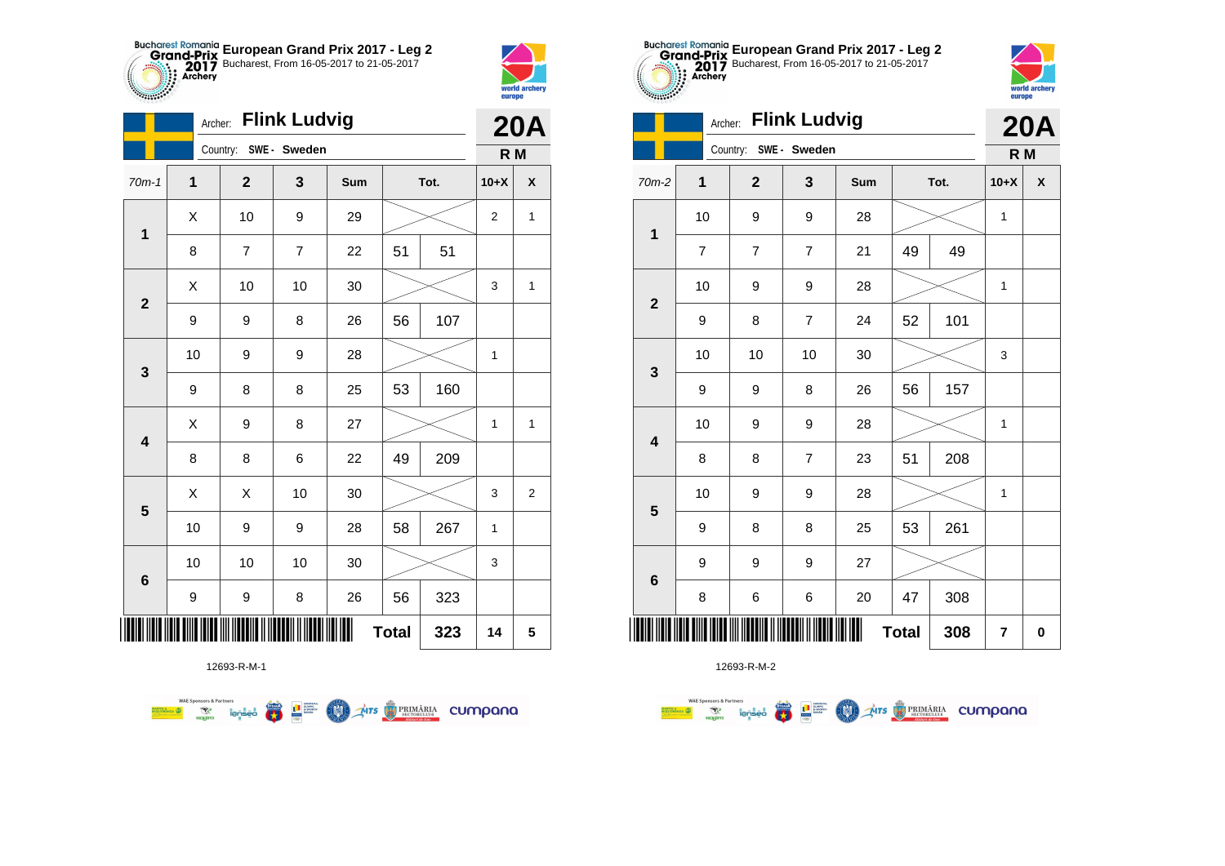



|                         |             |                       | <b>20A</b>     |     |              |      |        |                    |
|-------------------------|-------------|-----------------------|----------------|-----|--------------|------|--------|--------------------|
|                         |             | Country: SWE - Sweden |                |     |              |      | R M    |                    |
| $70m-1$                 | $\mathbf 1$ | $\mathbf{2}$          | 3              | Sum |              | Tot. | $10+X$ | $\pmb{\mathsf{X}}$ |
| $\mathbf 1$             | Χ           | 10                    | 9              | 29  |              |      | 2      | $\mathbf{1}$       |
|                         | 8           | $\overline{7}$        | $\overline{7}$ | 22  | 51           | 51   |        |                    |
| $\mathbf{2}$            | X           | 10                    | 10             | 30  |              |      | 3      | $\mathbf{1}$       |
|                         | 9           | 9                     | 8              | 26  | 56           | 107  |        |                    |
| 3                       | 10          | 9                     | 9              | 28  |              |      | 1      |                    |
|                         | 9           | 8                     | 8              | 25  | 53           | 160  |        |                    |
| $\overline{\mathbf{4}}$ | Χ           | 9                     | 8              | 27  |              |      | 1      | $\mathbf{1}$       |
|                         | 8           | 8                     | 6              | 22  | 49           | 209  |        |                    |
| 5                       | X           | Χ                     | 10             | 30  |              |      | 3      | $\overline{2}$     |
|                         | 10          | 9                     | 9              | 28  | 58           | 267  | 1      |                    |
| $6\phantom{1}6$         | 10          | 10                    | 10             | 30  |              |      | 3      |                    |
|                         | 9           | 9                     | 8              | 26  | 56           | 323  |        |                    |
| ∭                       |             |                       |                |     | <b>Total</b> | 323  | 14     | 5                  |

12693-R-M-1

第 9章

**COND** 

**THE STRIMARIA CUMPANA** 

**WAE Sponsors & Partners** 



12693-R-M-2

|                         | Godniny.                |                | R M                     |                |              |      |        |                    |
|-------------------------|-------------------------|----------------|-------------------------|----------------|--------------|------|--------|--------------------|
| $m-2$                   | 1                       | $\mathbf{2}$   | $\mathbf{3}$            | Sum            |              | Tot. | $10+X$ | $\pmb{\mathsf{X}}$ |
| $\mathbf{1}$            | $10$                    | 9              | 9                       | 28             |              |      | 1      |                    |
|                         | $\overline{\mathbf{7}}$ | $\overline{7}$ | $\overline{\mathbf{7}}$ | 21             | 49           | 49   |        |                    |
| $\overline{\mathbf{2}}$ | 10                      | 9              | 9                       | 28             |              |      | 1      |                    |
|                         | 9                       | 8              | $\overline{7}$          | 24             | 52           | 101  |        |                    |
|                         | 10                      | 10             | 10                      | 30             |              |      | 3      |                    |
| $\mathbf{3}$            | 9                       | 9              | 8                       | 26             | 56           | 157  |        |                    |
|                         | 10                      | 9              | 9                       | 28             |              |      | 1      |                    |
| $\overline{\mathbf{4}}$ | 8                       | 8              | $\overline{7}$          | 23             | 51           | 208  |        |                    |
|                         | 10                      | 9              | 9                       | 28             |              |      | 1      |                    |
| $5\phantom{1}$          | 9                       | 8              | 8                       | 25             | 53           | 261  |        |                    |
|                         | 9                       | 9              | 9                       | 27             |              |      |        |                    |
| $6\phantom{1}$          | 8                       | 6              | 6                       | 20             | 47           | 308  |        |                    |
|                         |                         |                |                         | $\blacksquare$ | <b>Total</b> | 308  | 7      | $\mathbf 0$        |



|                         |                | Archer:               | <b>Flink Ludvig</b> |     |              |      |                         | <b>20A</b>         |
|-------------------------|----------------|-----------------------|---------------------|-----|--------------|------|-------------------------|--------------------|
|                         |                | Country: SWE - Sweden |                     |     |              |      | R M                     |                    |
| 70m-2                   | $\mathbf{1}$   | $\mathbf 2$           | 3                   | Sum |              | Tot. | $10+X$                  | $\pmb{\mathsf{X}}$ |
| $\mathbf{1}$            | 10             | 9                     | 9                   | 28  |              |      | $\mathbf 1$             |                    |
|                         | $\overline{7}$ | 7                     | $\overline{7}$      | 21  | 49           | 49   |                         |                    |
| $\mathbf{2}$            | 10             | 9                     | 9                   | 28  |              |      | 1                       |                    |
|                         | 9              | 8                     | $\overline{7}$      | 24  | 52           | 101  |                         |                    |
| $\mathbf{3}$            | 10             | 10                    | 10                  | 30  |              |      | 3                       |                    |
|                         | 9              | 9                     | 8                   | 26  | 56           | 157  |                         |                    |
| $\overline{\mathbf{4}}$ | 10             | 9                     | 9                   | 28  |              |      | 1                       |                    |
|                         | 8              | 8                     | $\overline{7}$      | 23  | 51           | 208  |                         |                    |
| $\overline{\mathbf{5}}$ | 10             | 9                     | 9                   | 28  |              |      | 1                       |                    |
|                         | 9              | 8                     | 8                   | 25  | 53           | 261  |                         |                    |
| $\bf 6$                 | 9              | 9                     | 9                   | 27  |              |      |                         |                    |
|                         | 8              | 6                     | 6                   | 20  | 47           | 308  |                         |                    |
| ║║║                     |                |                       |                     |     | <b>Total</b> | 308  | $\overline{\mathbf{r}}$ | $\pmb{0}$          |

**European Grand Prix 2017 - Leg 2** Bucharest, From 16-05-2017 to 21-05-2017

Archer: **Flink Ludvig**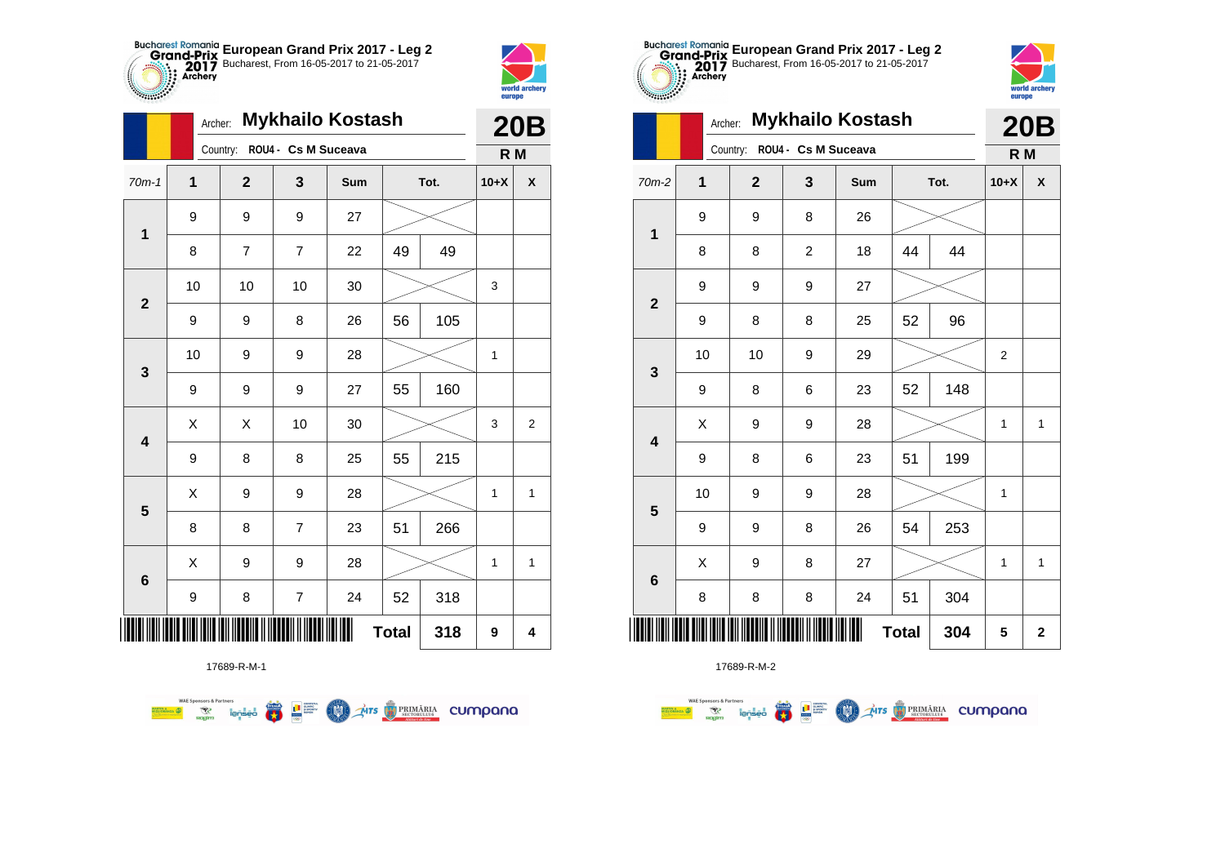



|                         | Archer:     |                              |                         | <b>Mykhailo Kostash</b> |              |      |        | <b>20B</b>         |
|-------------------------|-------------|------------------------------|-------------------------|-------------------------|--------------|------|--------|--------------------|
|                         |             | Country: ROU4 - Cs M Suceava |                         |                         |              |      | R M    |                    |
| $70m-1$                 | $\mathbf 1$ | $\mathbf{2}$                 | 3                       | Sum                     |              | Tot. | $10+X$ | $\pmb{\mathsf{X}}$ |
| 1                       | 9           | 9                            | 9                       | 27                      |              |      |        |                    |
|                         | 8           | 7                            | $\overline{7}$          | 22                      | 49           | 49   |        |                    |
| $\overline{2}$          | 10          | 10                           | 10                      | 30                      |              |      | 3      |                    |
|                         | 9           | 9                            | 8                       | 26                      | 56           | 105  |        |                    |
| 3                       | 10          | 9                            | 9                       | 28                      |              |      | 1      |                    |
|                         | 9           | 9                            | 9                       | 27                      | 55           | 160  |        |                    |
| $\overline{\mathbf{4}}$ | X           | X                            | 10                      | 30                      |              |      | 3      | 2                  |
|                         | 9           | 8                            | 8                       | 25                      | 55           | 215  |        |                    |
| $\overline{\mathbf{5}}$ | X           | 9                            | 9                       | 28                      |              |      | 1      | 1                  |
|                         | 8           | 8                            | $\overline{7}$          | 23                      | 51           | 266  |        |                    |
| $\bf 6$                 | X           | 9                            | 9                       | 28                      |              |      | 1      | 1                  |
|                         | 9           | 8                            | $\overline{\mathbf{7}}$ | 24                      | 52           | 318  |        |                    |
| ║║║                     |             |                              |                         |                         | <b>Total</b> | 318  | 9      | 4                  |



17689-R-M-2

|              |                          |  | ∠∪∟          |                     |     |    |      |              |                    |
|--------------|--------------------------|--|--------------|---------------------|-----|----|------|--------------|--------------------|
|              |                          |  | Country:     | ROU4 - Cs M Suceava |     |    |      | R M          |                    |
| $70m-2$      | 1                        |  | $\mathbf{2}$ | 3                   | Sum |    | Tot. | $10+X$       | $\pmb{\mathsf{X}}$ |
| $\mathbf 1$  | 9                        |  | 9            | 8                   | 26  |    |      |              |                    |
|              | 8                        |  | 8            | $\overline{c}$      | 18  | 44 | 44   |              |                    |
|              | 9                        |  | 9            | 9                   | 27  |    |      |              |                    |
| $\mathbf{2}$ | 9                        |  | 8            | 8                   | 25  | 52 | 96   |              |                    |
|              | 10                       |  | 10           | $\boldsymbol{9}$    | 29  |    |      | 2            |                    |
| $\mathbf 3$  | 9                        |  | 8            | 6                   | 23  | 52 | 148  |              |                    |
|              | Χ                        |  | 9            | 9                   | 28  |    |      | $\mathbf{1}$ | $\mathbf{1}$       |
| 4            | 9                        |  | 8            | 6                   | 23  | 51 | 199  |              |                    |
| ${\bf 5}$    | 10                       |  | 9            | 9                   | 28  |    |      | $\mathbf{1}$ |                    |
|              | 9                        |  | 9            | 8                   | 26  | 54 | 253  |              |                    |
|              | Χ                        |  | 9            | 8                   | 27  |    |      | $\mathbf{1}$ | $\mathbf{1}$       |
| 6            | 8                        |  | 8            | 8                   | 24  | 51 | 304  |              |                    |
| ║║           | ║<br><b>Total</b><br>304 |  |              |                     |     |    |      | 5            | $\mathbf{2}$       |

world archer europe

|                         |    | <b>Mykhailo Kostash</b><br>Archer:<br>ROU4 - Cs M Suceava |                  |     |              |      |                |              |  |  |
|-------------------------|----|-----------------------------------------------------------|------------------|-----|--------------|------|----------------|--------------|--|--|
|                         |    | Country:                                                  |                  |     |              |      | R M            |              |  |  |
| $70m-2$                 | 1  | $\mathbf 2$                                               | 3                | Sum |              | Tot. | $10+X$         | X            |  |  |
| $\mathbf 1$             | 9  | 9                                                         | 8                | 26  |              |      |                |              |  |  |
|                         | 8  | 8                                                         | $\boldsymbol{2}$ | 18  | 44           | 44   |                |              |  |  |
| $\overline{2}$          | 9  | 9                                                         | 9                | 27  |              |      |                |              |  |  |
|                         | 9  | 8                                                         | 8                | 25  | 52           | 96   |                |              |  |  |
| 3                       | 10 | 10                                                        | 9                | 29  |              |      | $\overline{2}$ |              |  |  |
|                         | 9  | 8                                                         | 6                | 23  | 52           | 148  |                |              |  |  |
| $\overline{\mathbf{4}}$ | X  | 9                                                         | 9                | 28  |              |      | 1              | $\mathbf{1}$ |  |  |
|                         | 9  | 8                                                         | 6                | 23  | 51           | 199  |                |              |  |  |
| 5                       | 10 | 9                                                         | 9                | 28  |              |      | 1              |              |  |  |
|                         | 9  | 9                                                         | 8                | 26  | 54           | 253  |                |              |  |  |
| $\bf 6$                 | X  | 9                                                         | 8                | 27  |              |      | 1              | $\mathbf{1}$ |  |  |
|                         | 8  | 8                                                         | 8                | 24  | 51           | 304  |                |              |  |  |
| ║║║                     |    |                                                           |                  |     | <b>Total</b> | 304  | 5              | $\mathbf 2$  |  |  |

**European Grand Prix 2017 - Leg 2** Bucharest, From 16-05-2017 to 21-05-2017

17689-R-M-1

**THE SUBJECT OF STREET** 

**COO** 

 $\left(\frac{\sinh\theta}{\cos\theta}\right)$ 

**THE STRIMARIA CUMPANA** 

**WAE Sponsors & Partners**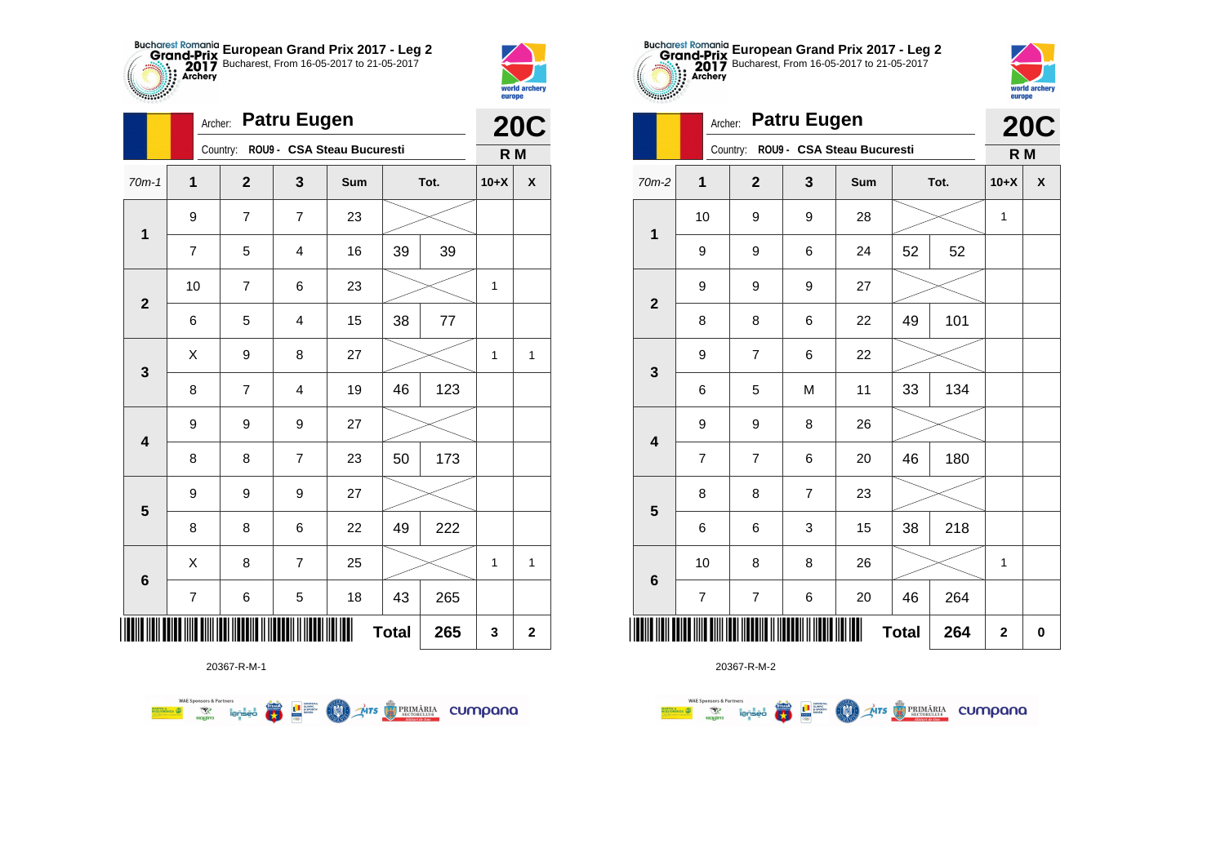



2783

|                         |    | Archer:                             | <b>Patru Eugen</b> |     |              |         |        | <b>20C</b>         |
|-------------------------|----|-------------------------------------|--------------------|-----|--------------|---------|--------|--------------------|
|                         |    | Country: ROU9 - CSA Steau Bucuresti |                    |     |              |         | R M    |                    |
| $70m-1$                 | 1  | $\mathbf{2}$                        | 3                  | Sum |              | Tot.    | $10+X$ | $\pmb{\mathsf{X}}$ |
| $\mathbf 1$             | 9  | $\overline{7}$                      | $\overline{7}$     | 23  |              |         |        |                    |
|                         | 7  | 5                                   | 4                  | 16  | 39           | 39      |        |                    |
| $\mathbf{2}$            | 10 | $\overline{\mathbf{7}}$             | 6                  | 23  |              |         | 1      |                    |
|                         | 6  | 5                                   | 4                  | 15  | 38           | $77 \,$ |        |                    |
| $\mathbf{3}$            | X  | 9                                   | 8                  | 27  |              |         | 1      | 1                  |
|                         | 8  | $\overline{7}$                      | 4                  | 19  | 46           | 123     |        |                    |
| $\overline{\mathbf{4}}$ | 9  | 9                                   | 9                  | 27  |              |         |        |                    |
|                         | 8  | 8                                   | $\overline{7}$     | 23  | 50           | 173     |        |                    |
|                         | 9  | 9                                   | 9                  | 27  |              |         |        |                    |
| $\overline{\mathbf{5}}$ | 8  | 8                                   | 6                  | 22  | 49           | 222     |        |                    |
|                         | X  | 8                                   | 7                  | 25  |              |         | 1      | 1                  |
| $\bf 6$                 | 7  | 6                                   | 5                  | 18  | 43           | 265     |        |                    |
| Ш                       |    |                                     |                    |     | <b>Total</b> | 265     | 3      | $\mathbf 2$        |

**COLORED PRIMARIA CUMPANA** 



20367-R-M-2

| .00000                  | Archer:                  | <b>Patru Eugen</b>       |                |                            | <b>20C</b>   |      |              |          |
|-------------------------|--------------------------|--------------------------|----------------|----------------------------|--------------|------|--------------|----------|
|                         |                          | Country:                 |                | ROU9 - CSA Steau Bucuresti |              |      | R M          |          |
| 70m-2                   | $\mathbf{1}$             | $\overline{2}$           | 3              | Sum                        |              | Tot. | $10+X$       | X        |
| $\mathbf{1}$            | 10                       | 9                        | 9              | 28                         |              |      | 1            |          |
|                         | 9                        | 9                        | 6              | 24                         | 52           | 52   |              |          |
| $\overline{2}$          | 9                        | 9                        | 9              | 27                         |              |      |              |          |
|                         | 8                        | 8                        | 6              | 22                         | 49           | 101  |              |          |
| 3                       | 9                        | $\overline{7}$           | 6              | 22                         |              |      |              |          |
|                         | 6                        | 5                        | M              | 11                         | 33           | 134  |              |          |
| $\overline{\mathbf{4}}$ | 9                        | 9                        | 8              | 26                         |              |      |              |          |
|                         | $\overline{7}$           | $\overline{7}$           | 6              | 20                         | 46           | 180  |              |          |
| 5                       | 8                        | 8                        | $\overline{7}$ | 23                         |              |      |              |          |
|                         | 6                        | 6                        | 3              | 15                         | 38           | 218  |              |          |
| $6\phantom{1}6$         | 10                       | 8                        | 8              | 26                         |              |      | 1            |          |
|                         | $\overline{\mathcal{I}}$ | $\overline{\mathcal{I}}$ | $\,6$          | 20                         | 46           | 264  |              |          |
|                         |                          |                          |                |                            | <b>Total</b> | 264  | $\mathbf{2}$ | $\bf{0}$ |

**European Grand Prix 2017 - Leg 2** Bucharest, From 16-05-2017 to 21-05-2017

world archer

europe

20367-R-M-1

**Excession of the Second Contract of the Contract of Second Contract of the Contract of Second Contract of Second Contract of Second Contract of Second Contract of Second Contract of Second Contract of Second Contract of S**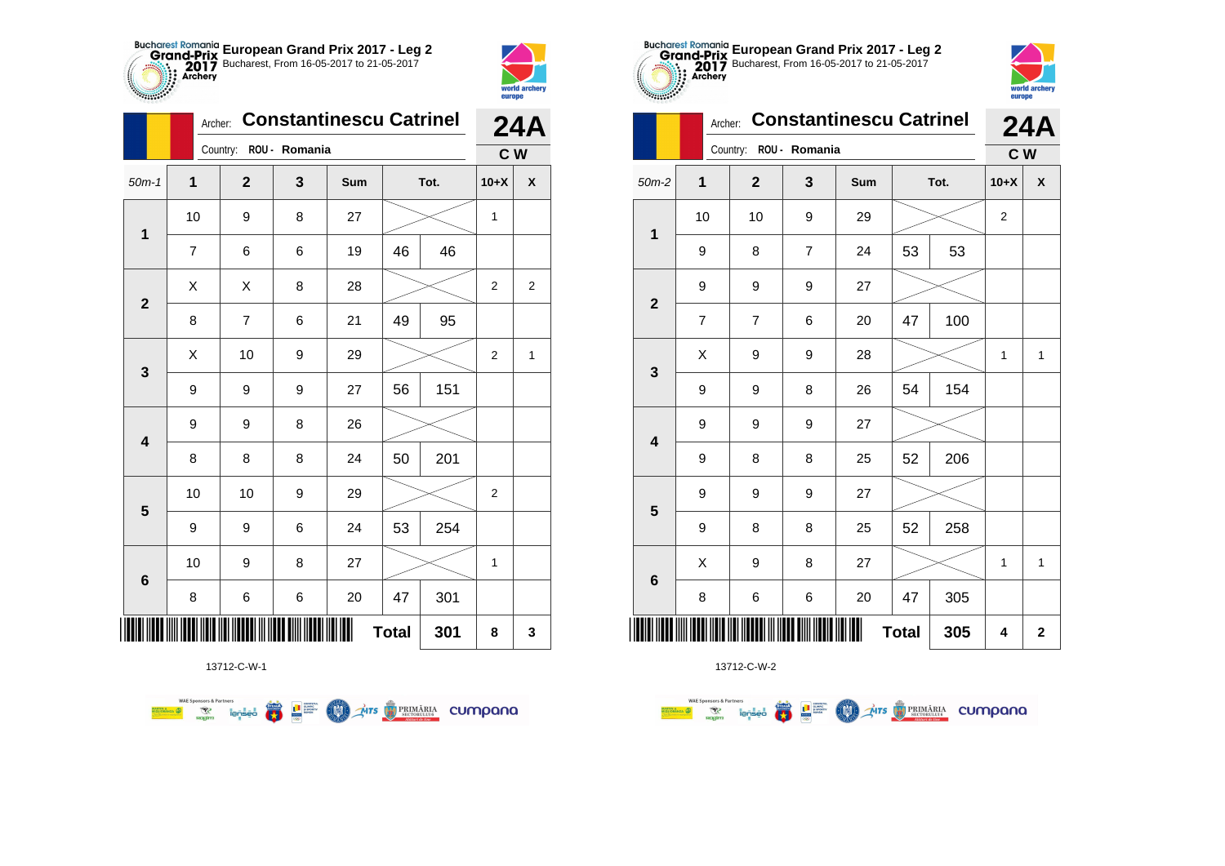



**THO** 

|                         | Archer: |                | <b>Constantinescu Catrinel</b> |     | <b>24A</b>   |      |                |                    |
|-------------------------|---------|----------------|--------------------------------|-----|--------------|------|----------------|--------------------|
|                         |         | Country:       | ROU - Romania                  |     |              |      | C <sub>W</sub> |                    |
| $50m-1$                 | 1       | $\overline{2}$ | 3                              | Sum |              | Tot. | $10+X$         | $\pmb{\mathsf{X}}$ |
| $\mathbf 1$             | 10      | 9              | 8                              | 27  |              |      | 1              |                    |
|                         | 7       | 6              | 6                              | 19  | 46           | 46   |                |                    |
| $\overline{2}$          | Χ       | Χ              | 8                              | 28  |              |      | $\overline{2}$ | $\overline{2}$     |
|                         | 8       | $\overline{7}$ | 6                              | 21  | 49           | 95   |                |                    |
| 3                       | Χ       | 10             | 9                              | 29  |              |      | $\overline{2}$ | 1                  |
|                         | 9       | 9              | 9                              | 27  | 56           | 151  |                |                    |
| $\overline{\mathbf{4}}$ | 9       | 9              | 8                              | 26  |              |      |                |                    |
|                         | 8       | 8              | 8                              | 24  | 50           | 201  |                |                    |
| $\overline{\mathbf{5}}$ | 10      | 10             | 9                              | 29  |              |      | 2              |                    |
|                         | 9       | 9              | 6                              | 24  | 53           | 254  |                |                    |
| $\bf 6$                 | 10      | 9              | 8                              | 27  |              |      | 1              |                    |
|                         | 8       | 6              | 6                              | 20  | 47           | 301  |                |                    |
| ║║║                     |         |                |                                |     | <b>Total</b> | 301  | 8              | 3                  |

**THE STRIMARIA CUMPANA** 



13712-C-W-2

|                         | Archer:        |                        | <b>Constantinescu Catrinel</b> | <b>24A</b> |              |      |                |                |
|-------------------------|----------------|------------------------|--------------------------------|------------|--------------|------|----------------|----------------|
|                         |                | Country: ROU - Romania |                                |            |              |      |                | c <sub>w</sub> |
| $50m-2$                 | $\mathbf 1$    | $\mathbf{2}$           | 3                              | Sum        |              | Tot. | $10+X$         | X              |
| $\mathbf 1$             | 10             | 10                     | 9                              | 29         |              |      | $\overline{2}$ |                |
|                         | 9              | 8                      | 7                              | 24         | 53           | 53   |                |                |
| $\overline{2}$          | 9              | 9                      | 9                              | 27         |              |      |                |                |
|                         | $\overline{7}$ | $\overline{7}$         | 6                              | 20         | 47           | 100  |                |                |
| 3                       | X              | 9                      | 9                              | 28         |              |      | 1              | $\mathbf{1}$   |
|                         | 9              | 9                      | 8                              | 26         | 54           | 154  |                |                |
| $\overline{\mathbf{4}}$ | 9              | 9                      | 9                              | 27         |              |      |                |                |
|                         | 9              | 8                      | 8                              | 25         | 52           | 206  |                |                |
| 5                       | 9              | 9                      | 9                              | 27         |              |      |                |                |
|                         | 9              | 8                      | 8                              | 25         | 52           | 258  |                |                |
| $6\phantom{1}6$         | Χ              | 9                      | 8                              | 27         |              |      | 1              | $\mathbf{1}$   |
|                         | 8              | 6                      | 6                              | 20         | 47           | 305  |                |                |
| IIII                    |                |                        |                                | Ш          | <b>Total</b> | 305  | 4              | $\mathbf 2$    |

**European Grand Prix 2017 - Leg 2** Bucharest, From 16-05-2017 to 21-05-2017

world archer

europe

13712-C-W-1

 $\left(\frac{\sinh\theta}{\cos\theta}\right)$ 

**L** B SPORTER

**COO** 

**WAE Sponsors & Partners**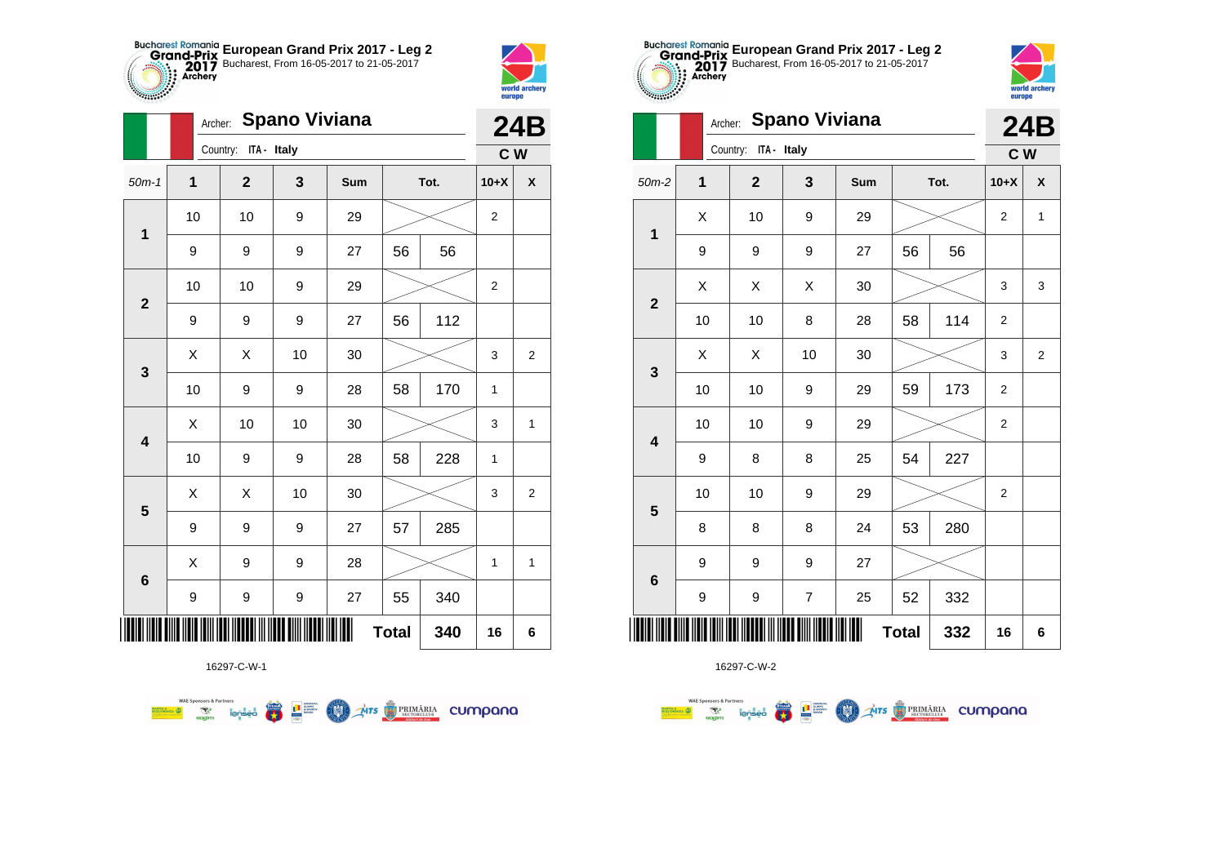



|                         |              | Archer:              | <b>Spano Viviana</b> |     |              |      |                | <b>24B</b>     |
|-------------------------|--------------|----------------------|----------------------|-----|--------------|------|----------------|----------------|
|                         |              | Country: ITA - Italy |                      |     |              |      | C W            |                |
| $50m-1$                 | $\mathbf{1}$ | $\mathbf{2}$         | $\mathbf{3}$         | Sum |              | Tot. | $10+X$         | X              |
| $\mathbf 1$             | 10           | 10                   | 9                    | 29  |              |      | 2              |                |
|                         | 9            | 9                    | 9                    | 27  | 56           | 56   |                |                |
| $\mathbf{2}$            | 10           | 10                   | 9                    | 29  |              |      | $\overline{2}$ |                |
|                         | 9            | 9                    | 9                    | 27  | 56           | 112  |                |                |
| 3                       | X            | X                    | 10                   | 30  |              |      | 3              | $\overline{2}$ |
|                         | 10           | 9                    | 9                    | 28  | 58           | 170  | 1              |                |
| 4                       | Χ            | 10                   | 10                   | 30  |              |      | 3              | $\mathbf{1}$   |
|                         | 10           | 9                    | 9                    | 28  | 58           | 228  | 1              |                |
| $\overline{\mathbf{5}}$ | X            | X                    | 10                   | 30  |              |      | 3              | 2              |
|                         | 9            | 9                    | 9                    | 27  | 57           | 285  |                |                |
|                         | X            | 9                    | 9                    | 28  |              |      | $\mathbf{1}$   | 1              |
| $6\phantom{1}6$         | 9            | 9                    | 9                    | 27  | 55           | 340  |                |                |
| ∭                       |              |                      |                      |     | <b>Total</b> | 340  | 16             | 6              |

**AITS** PRIMARIA CUMPONO



16297-C-W-2

|                         |         | europe                           |                      |    |        |     |                  |                |
|-------------------------|---------|----------------------------------|----------------------|----|--------|-----|------------------|----------------|
|                         | Archer: |                                  | <b>Spano Viviana</b> |    |        |     |                  | <b>24B</b>     |
|                         |         | Country:<br>ITA - Italy          |                      |    |        |     | C W              |                |
| $50m-2$                 | 1       | $\mathbf{2}$<br>Tot.<br>3<br>Sum |                      |    | $10+X$ | X   |                  |                |
| $\mathbf 1$             | X       | 10                               | 9                    | 29 |        |     | $\overline{2}$   | 1              |
|                         | 9       | 9                                | 9                    | 27 | 56     | 56  |                  |                |
| $\mathbf{2}$            | X       | X                                | Χ                    | 30 |        |     | 3                | 3              |
|                         | 10      | 10                               | 8                    | 28 | 58     | 114 | $\overline{2}$   |                |
|                         | X       | X                                | 10                   | 30 |        |     | 3                | $\overline{2}$ |
| $\mathbf 3$             | 10      | 10                               | $\boldsymbol{9}$     | 29 | 59     | 173 | $\overline{2}$   |                |
| $\overline{\mathbf{4}}$ | 10      | 10                               | 9                    | 29 |        |     | $\boldsymbol{2}$ |                |
|                         | 9       | 8                                | 8                    | 25 | 54     | 227 |                  |                |
|                         | 10      | 10                               | 9                    | 29 |        |     | $\boldsymbol{2}$ |                |
| $\overline{\mathbf{5}}$ | 8       | 8                                | 8                    | 24 | 53     | 280 |                  |                |
|                         | 9       | 9                                | 9                    | 27 |        |     |                  |                |
| $6\phantom{1}6$         | 9       | 9                                | 7                    | 25 | 52     | 332 |                  |                |
|                         | 332     | 16                               | 6                    |    |        |     |                  |                |

**European Grand Prix 2017 - Leg 2** Bucharest, From 16-05-2017 to 21-05-2017

world arche

16297-C-W-1

 $\overline{\mathbf{r}}$ 

**LE SUPPRE** 

M.

**WAE Sponsors & Partners**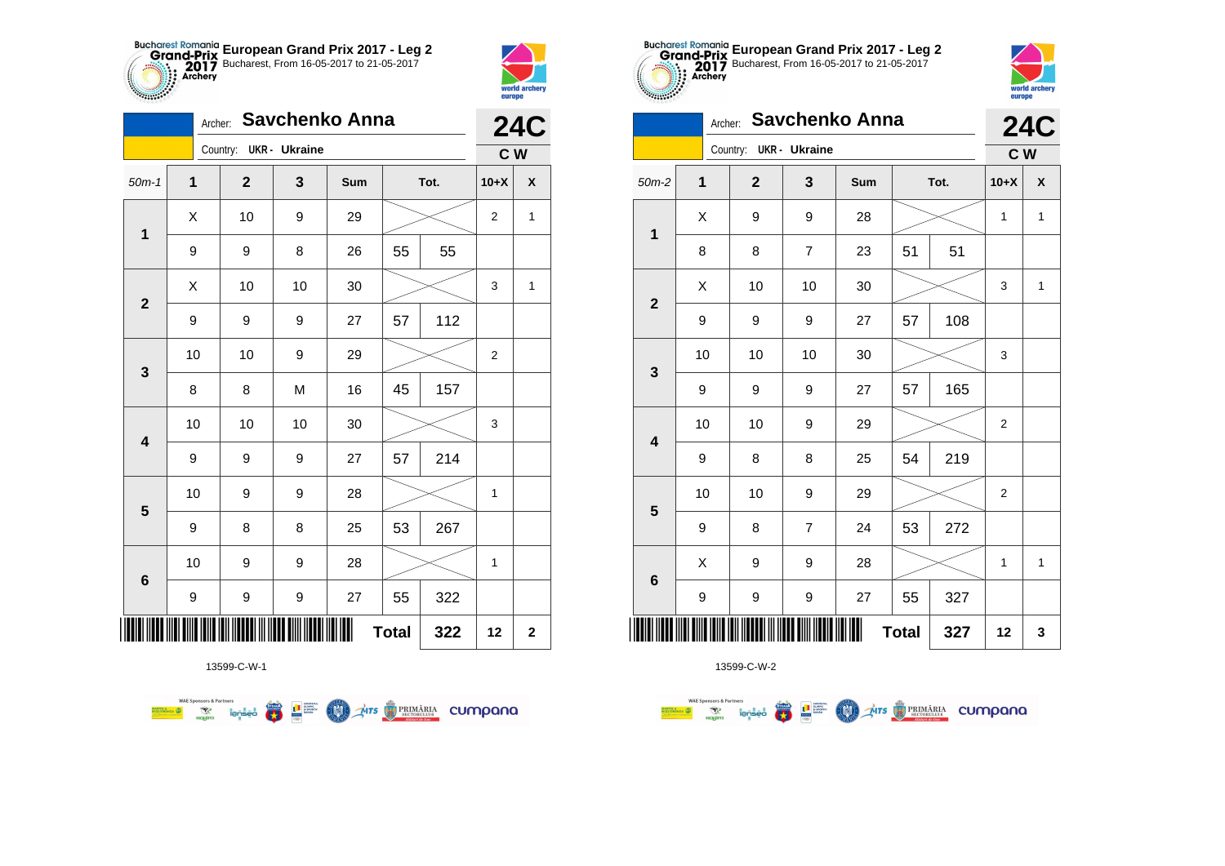



|                         | <b>24C</b>   |                        |    |     |              |      |                |                    |
|-------------------------|--------------|------------------------|----|-----|--------------|------|----------------|--------------------|
|                         |              | Country: UKR - Ukraine |    |     |              |      | C W            |                    |
| $50m-1$                 | $\mathbf{1}$ | $\mathbf{2}$           | 3  | Sum |              | Tot. | $10+X$         | $\pmb{\mathsf{X}}$ |
| $\mathbf 1$             | Χ            | 10                     | 9  | 29  |              |      | $\overline{2}$ | $\mathbf{1}$       |
|                         | 9            | 9                      | 8  | 26  | 55           | 55   |                |                    |
| $\mathbf{2}$            | X            | 10                     | 10 | 30  |              |      | 3              | 1                  |
|                         | 9            | 9                      | 9  | 27  | 57           | 112  |                |                    |
|                         | 10           | 10                     | 9  | 29  |              |      | $\overline{2}$ |                    |
| 3                       | 8            | 8                      | M  | 16  | 45           | 157  |                |                    |
| 4                       | 10           | 10                     | 10 | 30  |              |      | 3              |                    |
|                         | 9            | 9                      | 9  | 27  | 57           | 214  |                |                    |
| $\overline{\mathbf{5}}$ | 10           | 9                      | 9  | 28  |              |      | $\mathbf{1}$   |                    |
|                         | 9            | 8                      | 8  | 25  | 53           | 267  |                |                    |
|                         | 10           | 9                      | 9  | 28  |              |      | $\mathbf 1$    |                    |
| $\bf 6$                 | 9            | 9                      | 9  | 27  | 55           | 322  |                |                    |
| ∭                       |              |                        |    |     | <b>Total</b> | 322  | 12             | $\mathbf 2$        |

**COLORED PRIMARIA CUMPANA** 



13599-C-W-2

| 0.00000                 |    | <b>24C</b>   |                |     |              |      |                |              |
|-------------------------|----|--------------|----------------|-----|--------------|------|----------------|--------------|
|                         |    | Country:     | UKR - Ukraine  |     |              |      | C W            |              |
| $50m-2$                 | 1  | $\mathbf{2}$ | 3              | Sum |              | Tot. | $10+X$         | X            |
| 1                       | X  | 9            | 9              | 28  |              |      | 1              | $\mathbf{1}$ |
|                         | 8  | 8            | $\overline{7}$ | 23  | 51           | 51   |                |              |
| $\overline{\mathbf{2}}$ | X  | 10           | 10             | 30  |              |      | 3              | 1            |
|                         | 9  | 9            | 9              | 27  | 57           | 108  |                |              |
| 3                       | 10 | 10           | 10             | 30  |              |      | 3              |              |
|                         | 9  | 9            | 9              | 27  | 57           | 165  |                |              |
| $\overline{\mathbf{4}}$ | 10 | 10           | 9              | 29  |              |      | 2              |              |
|                         | 9  | 8            | 8              | 25  | 54           | 219  |                |              |
| 5                       | 10 | 10           | 9              | 29  |              |      | $\overline{2}$ |              |
|                         | 9  | 8            | $\overline{7}$ | 24  | 53           | 272  |                |              |
| $6\phantom{1}6$         | X  | 9            | 9              | 28  |              |      | 1              | 1            |
|                         | 9  | 9            | 9              | 27  | 55           | 327  |                |              |
|                         |    |              |                |     | <b>Total</b> | 327  | 12             | 3            |

**European Grand Prix 2017 - Leg 2** Bucharest, From 16-05-2017 to 21-05-2017

world arche

**Alliana** 

13599-C-W-1

**Example 19 and 1975**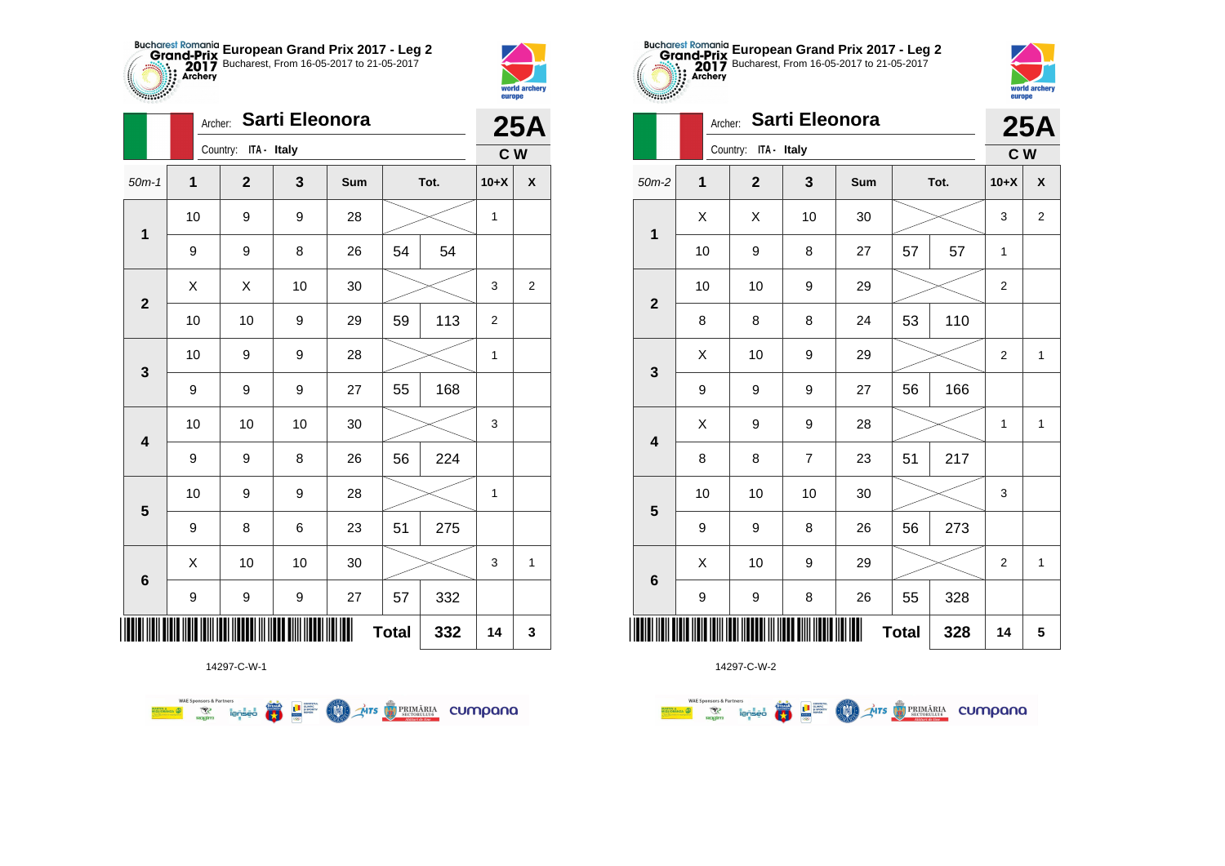



|                         |    | Sarti Eleonora<br>Archer: |    |            |              |      |                |                    |  |
|-------------------------|----|---------------------------|----|------------|--------------|------|----------------|--------------------|--|
|                         |    | Country: ITA - Italy      |    |            |              |      | C W            | <b>25A</b>         |  |
| $50m-1$                 | 1  | $\mathbf 2$               | 3  | <b>Sum</b> |              | Tot. | $10+X$         | $\pmb{\mathsf{X}}$ |  |
| $\mathbf{1}$            | 10 | 9                         | 9  | 28         |              |      | $\mathbf{1}$   |                    |  |
|                         | 9  | 9                         | 8  | 26         | 54           | 54   |                |                    |  |
| $\overline{2}$          | X  | X                         | 10 | 30         |              |      | 3              | 2                  |  |
|                         | 10 | 10                        | 9  | 29         | 59           | 113  | $\overline{2}$ |                    |  |
| 3                       | 10 | 9                         | 9  | 28         |              |      | 1              |                    |  |
|                         | 9  | 9                         | 9  | 27         | 55           | 168  |                |                    |  |
| $\overline{\mathbf{4}}$ | 10 | 10                        | 10 | 30         |              |      | 3              |                    |  |
|                         | 9  | 9                         | 8  | 26         | 56           | 224  |                |                    |  |
| 5                       | 10 | 9                         | 9  | 28         |              |      | $\mathbf{1}$   |                    |  |
|                         | 9  | 8                         | 6  | 23         | 51           | 275  |                |                    |  |
| $\bf 6$                 | X  | 10                        | 10 | 30         |              |      | 3              | 1                  |  |
|                         | 9  | 9                         | 9  | 27         | 57           | 332  |                |                    |  |
| Ш                       |    |                           |    |            | <b>Total</b> | 332  | 14             | 3                  |  |

**AITS** PRIMÁRIA CUMPANO



14297-C-W-2

| 0000000                 | Archer: Sarti Eleonora |                      |                |     |          |      |                  |                |  |  |
|-------------------------|------------------------|----------------------|----------------|-----|----------|------|------------------|----------------|--|--|
|                         |                        | Country: ITA - Italy |                |     |          |      | $C$ W            | <b>25A</b>     |  |  |
| $50m-2$                 | 1                      | $\mathbf{2}$         | 3              | Sum |          | Tot. | $10+X$           | X              |  |  |
| $\mathbf 1$             | X                      | X                    | 10             | 30  |          |      | 3                | $\overline{2}$ |  |  |
|                         | 10                     | 9                    | 8              | 27  | 57<br>57 |      | $\mathbf{1}$     |                |  |  |
| $\overline{2}$          | 10                     | 10                   | 9              | 29  |          |      | $\boldsymbol{2}$ |                |  |  |
|                         | 8                      | 8                    | 8              | 24  | 53       | 110  |                  |                |  |  |
| $\mathbf{3}$            | X                      | 10                   | 9              | 29  |          |      | $\overline{2}$   | $\mathbf{1}$   |  |  |
|                         | 9                      | 9                    | 9              | 27  | 56       | 166  |                  |                |  |  |
| $\overline{\mathbf{4}}$ | X                      | 9                    | 9              | 28  |          |      | 1                | $\mathbf{1}$   |  |  |
|                         | 8                      | 8                    | $\overline{7}$ | 23  | 51       | 217  |                  |                |  |  |
| 5                       | 10                     | 10                   | 10             | 30  |          |      | 3                |                |  |  |
|                         | 9                      | 9                    | 8              | 26  | 56       | 273  |                  |                |  |  |
| $6\phantom{1}6$         | X                      | 10                   | 9              | 29  |          |      | $\mathbf 2$      | $\mathbf{1}$   |  |  |
|                         | 9                      | 9                    | 8              | 26  | 55       | 328  |                  |                |  |  |
| ║║║                     | 328                    | 14                   | 5              |     |          |      |                  |                |  |  |

**European Grand Prix 2017 - Leg 2** Bucharest, From 16-05-2017 to 21-05-2017

world archer

**Allians** 

14297-C-W-1

需回答

**COND** 

**WAE Sponsors & Partners**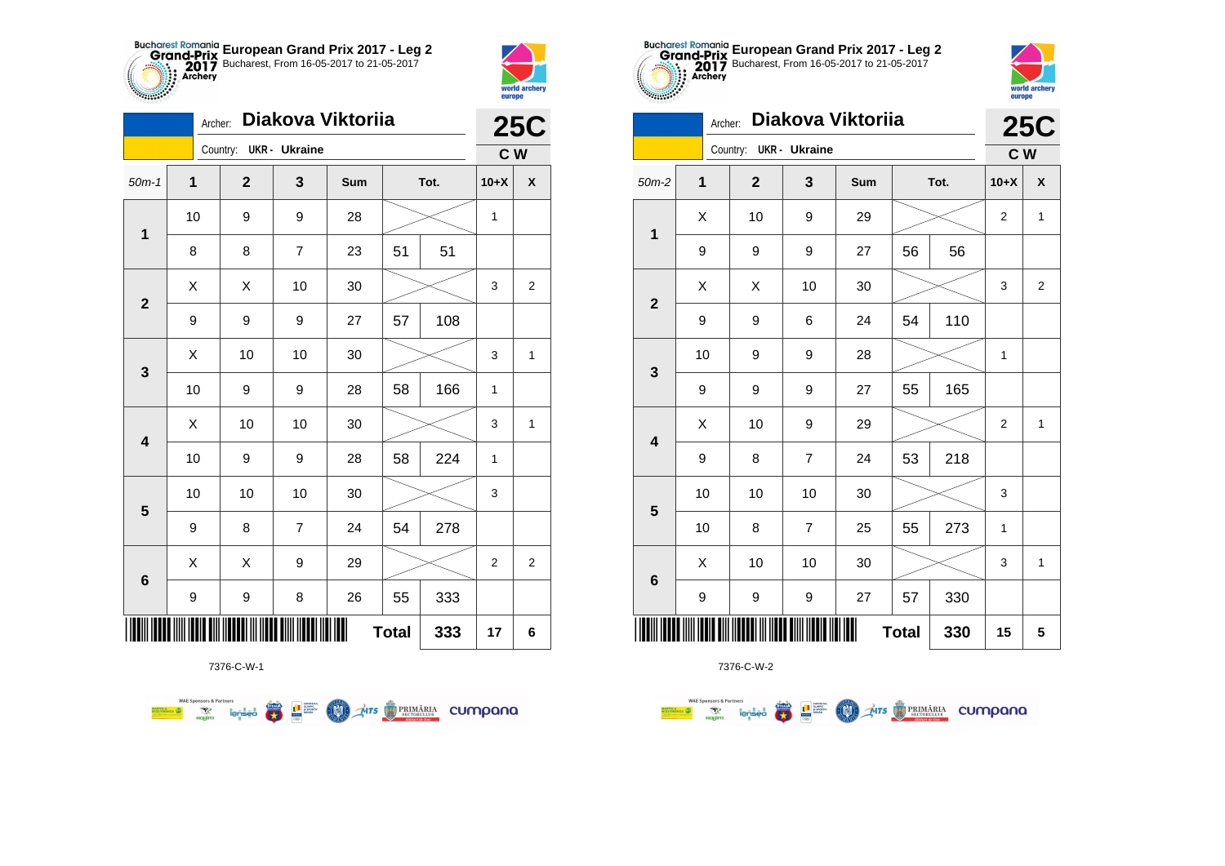



| Diakova Viktoriia<br>Archer: |    |                        |                |     |    |      |                | <b>25C</b>     |  |
|------------------------------|----|------------------------|----------------|-----|----|------|----------------|----------------|--|
|                              |    | Country: UKR - Ukraine |                |     |    |      | C <sub>W</sub> |                |  |
| $50m-1$                      | 1  | $\mathbf{2}$           | 3              | Sum |    | Tot. | $10+X$         | X              |  |
| $\mathbf 1$                  | 10 | 9                      | 9              | 28  |    |      | 1              |                |  |
|                              | 8  | 8                      | $\overline{7}$ | 23  | 51 | 51   |                |                |  |
| $\mathbf{2}$                 | Χ  | X                      | 10             | 30  |    |      | 3              | $\overline{2}$ |  |
|                              | 9  | 9                      | 9              | 27  | 57 | 108  |                |                |  |
| 3                            | Χ  | 10                     | 10             | 30  |    |      | 3              | 1              |  |
|                              | 10 | 9                      | 9              | 28  | 58 | 166  | 1              |                |  |
| $\overline{\mathbf{4}}$      | Χ  | 10                     | 10             | 30  |    |      | 3              | 1              |  |
|                              | 10 | 9                      | 9              | 28  | 58 | 224  | 1              |                |  |
| 5                            | 10 | 10                     | 10             | 30  |    |      | 3              |                |  |
|                              | 9  | 8                      | $\overline{7}$ | 24  | 54 | 278  |                |                |  |
| $6\phantom{1}6$              | Χ  | X                      | 9              | 29  |    |      | $\overline{c}$ | 2              |  |
|                              | 9  | 9                      | 8              | 26  | 55 | 333  |                |                |  |
| <b>Total</b><br>333          |    |                        |                |     |    |      | 17             | 6              |  |

**THE STRIMARIA CUMPANA** 



7376-C-W-2

| $50m-2$                 | $\overline{\mathbf{1}}$ | $\mathbf{2}$ | $\mathbf 3$      | Sum    | Tot. |     | $10+X$                    | X              |
|-------------------------|-------------------------|--------------|------------------|--------|------|-----|---------------------------|----------------|
| $\mathbf{1}$            | X                       | $10$         | 9                | 29     |      |     | $\overline{\mathbf{c}}$   | 1              |
|                         | 9                       | 9            | 9                | 27     | 56   | 56  |                           |                |
| $\mathbf{2}$            | Χ                       | X            | 10               | 30     |      |     | 3                         | $\overline{2}$ |
|                         | 9                       | 9            | 6                | 24     | 54   | 110 |                           |                |
| 3                       | 10                      | 9            | 9                | 28     |      |     | 1                         |                |
|                         | 9                       | 9            | 9                | 27     | 55   | 165 |                           |                |
| $\overline{\mathbf{4}}$ | X                       | 10           | 9                | 29     |      |     | $\overline{\mathbf{c}}$   | 1              |
|                         | 9                       | 8            | 7                | 24     | 53   | 218 |                           |                |
| 5                       | 10                      | 10           | 10               | 30     |      |     | $\ensuremath{\mathsf{3}}$ |                |
|                         | 10                      | 8            | $\boldsymbol{7}$ | 25     | 55   | 273 | 1                         |                |
| $\bf 6$                 | Χ                       | $10$         | 10               | $30\,$ |      |     | 3                         | 1              |
|                         | 9                       | 9            | 9                | 27     | 57   | 330 |                           |                |
|                         |                         | <b>Total</b> | 330              | 15     | 5    |     |                           |                |

**European Grand Prix 2017 - Leg 2** Bucharest, From 16-05-2017 to 21-05-2017

**25C**

world archer<br>europe

**C W**

Archer: **Diakova Viktoriia**

Country: **UKR - Ukraine**

7376-C-W-1

● ■

**COND** 

**WAE Sponsors & Partners**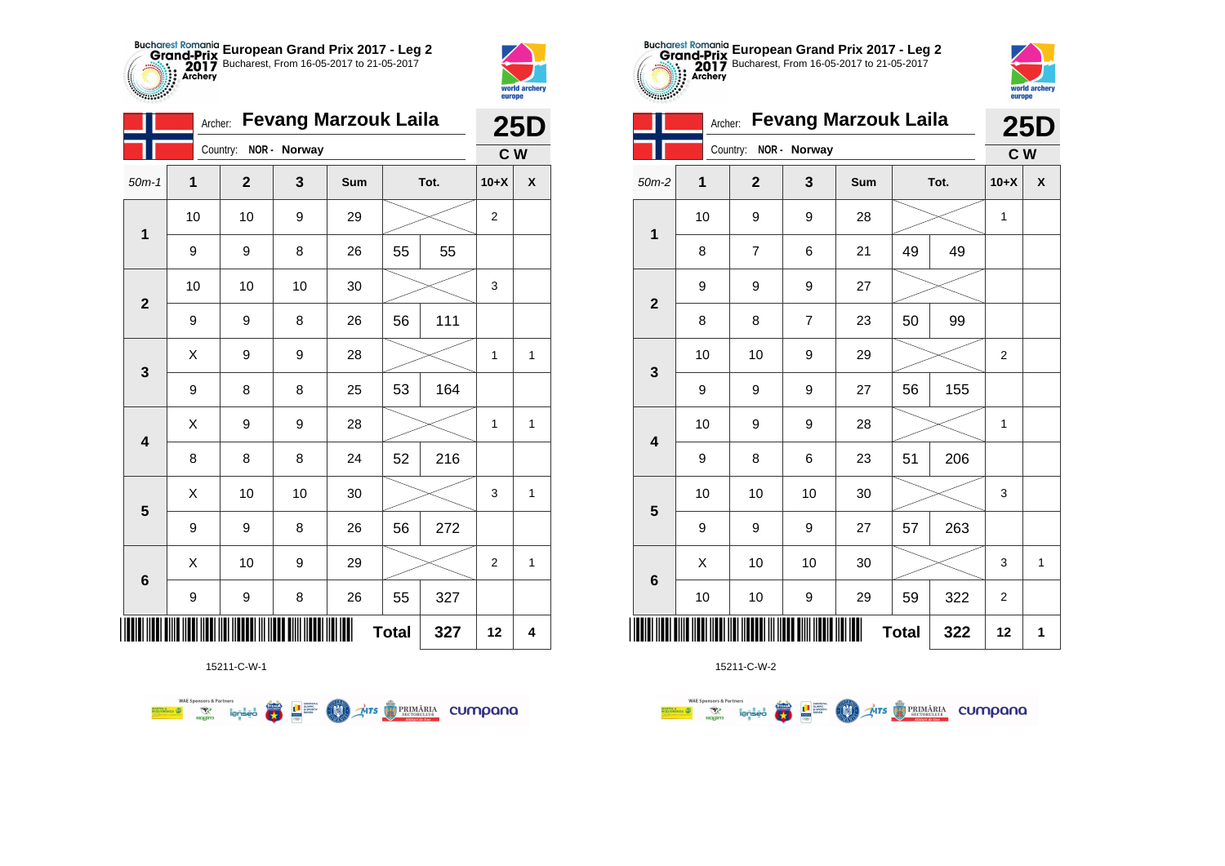



| ║║║                     |    |    |    |    | <b>Total</b> | 327 | 12                      | $\overline{\mathbf{4}}$ |
|-------------------------|----|----|----|----|--------------|-----|-------------------------|-------------------------|
| $\bf 6$                 | 9  | 9  | 8  | 26 | 55           | 327 |                         |                         |
|                         | X  | 10 | 9  | 29 |              |     | $\overline{\mathbf{c}}$ | $\mathbf{1}$            |
| $\overline{\mathbf{5}}$ | 9  | 9  | 8  | 26 | 56           | 272 |                         |                         |
|                         | Χ  | 10 | 10 | 30 |              |     | 3                       | $\mathbf 1$             |
| 4                       | 8  | 8  | 8  | 24 | 52           | 216 |                         |                         |
|                         | X  | 9  | 9  | 28 |              |     | 1                       | $\mathbf 1$             |
| $\mathbf 3$             | 9  | 8  | 8  | 25 | 53           | 164 |                         |                         |
|                         | Χ  | 9  | 9  | 28 |              |     | 1                       | $\mathbf{1}$            |
| $\mathbf{2}$            | 9  | 9  | 8  | 26 | 56           | 111 |                         |                         |
|                         | 10 | 10 | 10 | 30 |              |     | 3                       |                         |
| $\mathbf 1$             | 9  | 9  | 8  | 26 | 55           | 55  |                         |                         |
|                         | 10 | 10 | 9  | 29 |              |     | 2                       |                         |



15211-C-W-2

|                |    | <b>Fevang Marzouk Laila</b><br>Archer: |                  |     |              |      |                |   |  |  |
|----------------|----|----------------------------------------|------------------|-----|--------------|------|----------------|---|--|--|
|                |    | Country:                               | NOR - Norway     |     |              |      | C W            |   |  |  |
| $50m-2$        | 1  | $\overline{2}$                         | 3                | Sum |              | Tot. | $10+X$         | X |  |  |
| 1              | 10 | 9                                      | 9                | 28  |              |      |                |   |  |  |
|                | 8  | 7                                      | 6                | 21  | 49           | 49   |                |   |  |  |
| $\overline{2}$ | 9  | 9                                      | 9                | 27  |              |      |                |   |  |  |
|                | 8  | 8                                      | $\overline{7}$   | 23  | 50           | 99   |                |   |  |  |
|                | 10 | 10                                     | 9                | 29  |              |      | $\overline{2}$ |   |  |  |
| 3              | 9  | 9                                      | 9                | 27  | 56           | 155  |                |   |  |  |
| 4              | 10 | 9                                      | 9                | 28  |              |      | 1              |   |  |  |
|                | 9  | 8                                      | 6                | 23  | 51           | 206  |                |   |  |  |
| 5              | 10 | 10                                     | 10               | 30  |              |      | 3              |   |  |  |
|                | 9  | 9                                      | 9                | 27  | 57           | 263  |                |   |  |  |
| 6              | X  | 10                                     | 10               | 30  |              |      | 3              | 1 |  |  |
|                | 10 | 10                                     | $\boldsymbol{9}$ | 29  | 59           | 322  | $\overline{2}$ |   |  |  |
|                |    |                                        |                  | Ш   | <b>Total</b> | 322  | 12             | 1 |  |  |



| $\mathbf{1}$            | 10 | 9                       | 9                        | 28  |              |     | 1                |              |
|-------------------------|----|-------------------------|--------------------------|-----|--------------|-----|------------------|--------------|
|                         | 8  | $\overline{\mathbf{7}}$ | 6                        | 21  | 49           | 49  |                  |              |
| $\mathbf{2}$            | 9  | 9                       | 9                        | 27  |              |     |                  |              |
|                         | 8  | 8                       | $\overline{\mathcal{I}}$ | 23  | 50           | 99  |                  |              |
| $\mathbf{3}$            | 10 | 10                      | 9                        | 29  |              |     | $\boldsymbol{2}$ |              |
|                         | 9  | 9                       | 9                        | 27  | 56           | 155 |                  |              |
| $\overline{\mathbf{4}}$ | 10 | 9                       | 9                        | 28  |              |     | $\mathbf{1}$     |              |
|                         | 9  | 8                       | 6                        | 23  | 51           | 206 |                  |              |
| 5                       | 10 | 10                      | 10                       | 30  |              |     | 3                |              |
|                         | 9  | 9                       | 9                        | 27  | 57           | 263 |                  |              |
| $\bf 6$                 | Χ  | 10                      | 10                       | 30  |              |     | 3                | $\mathbf{1}$ |
|                         | 10 | 10                      | 9                        | 29  | 59           | 322 | $\sqrt{2}$       |              |
|                         |    |                         |                          | III | <b>Total</b> | 322 | 12               | 1            |
|                         |    |                         |                          |     |              |     |                  |              |

**European Grand Prix 2017 - Leg 2** Bucharest, From 16-05-2017 to 21-05-2017

**Supplier** 

15211-C-W-1

**WAE Sponsors & Partners** 第 9章  $\mathcal{A}$ irs  $\bigcirc$  PRIMĂRIA CUMPONO **COO**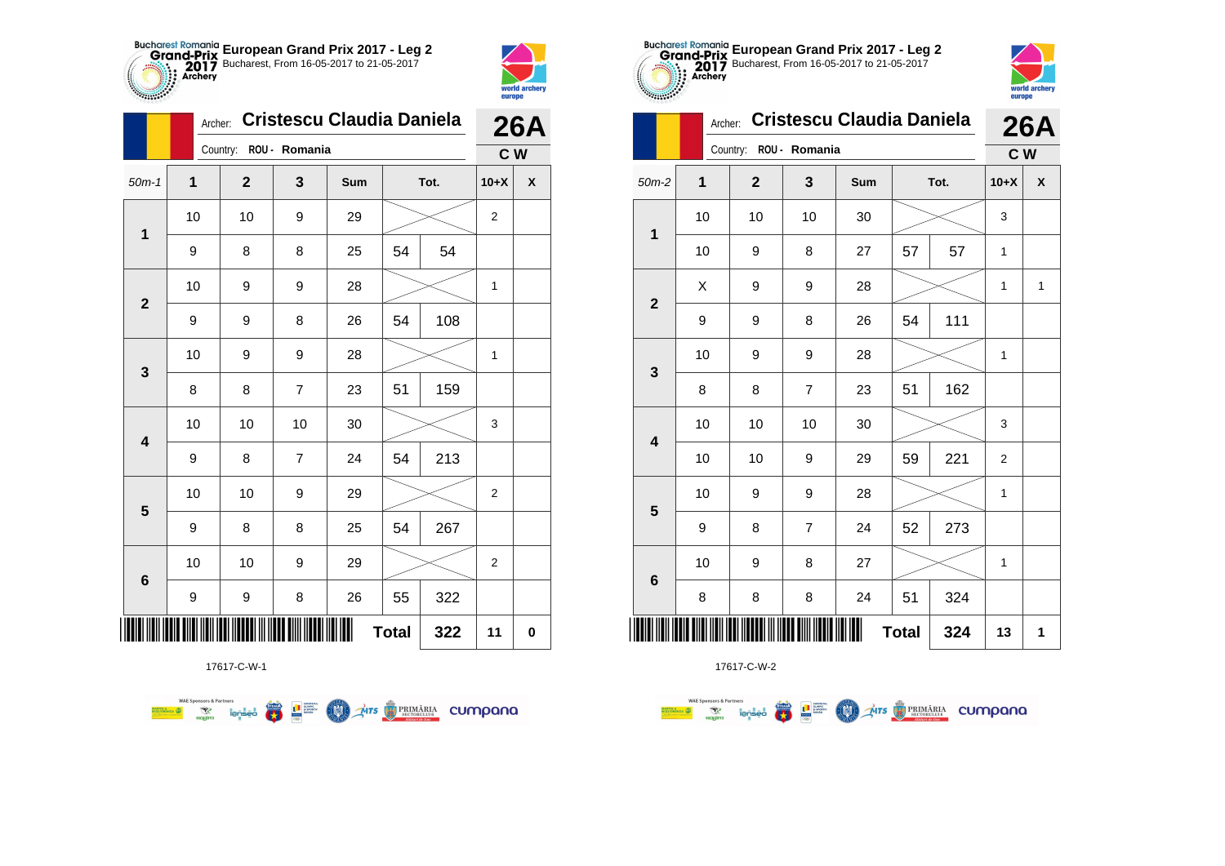



|                         | Archer:        | Cristescu Claudia Daniela | <b>26A</b>     |     |              |     |                  |                    |
|-------------------------|----------------|---------------------------|----------------|-----|--------------|-----|------------------|--------------------|
|                         |                | Country:                  | ROU - Romania  |     |              |     | C W              |                    |
| $50m-1$                 | $\overline{1}$ | $\overline{2}$            | 3              | Sum | Tot.         |     | $10+X$           | $\pmb{\mathsf{X}}$ |
|                         | 10             | 10                        | 9              | 29  |              |     | $\overline{2}$   |                    |
| 1                       | 9              | 8                         | 8              | 25  | 54           | 54  |                  |                    |
| $\mathbf{2}$            | 10             | 9                         | 9              | 28  |              |     | 1                |                    |
|                         | 9              | 9                         | 8              | 26  | 54           | 108 |                  |                    |
| $\mathbf{3}$            | 10             | 9                         | 9              | 28  |              |     | 1                |                    |
|                         | 8              | 8                         | $\overline{7}$ | 23  | 51           | 159 |                  |                    |
| $\overline{\mathbf{4}}$ | 10             | 10                        | 10             | 30  |              |     | 3                |                    |
|                         | 9              | 8                         | $\overline{7}$ | 24  | 54           | 213 |                  |                    |
| $\overline{\mathbf{5}}$ | $10$           | 10                        | 9              | 29  |              |     | $\overline{c}$   |                    |
|                         | 9              | 8                         | 8              | 25  | 54           | 267 |                  |                    |
| $\bf 6$                 | 10             | 10                        | 9              | 29  |              |     | $\boldsymbol{2}$ |                    |
|                         | 9              | 9                         | 8              | 26  | 55           | 322 |                  |                    |
|                         |                |                           |                |     | <b>Total</b> | 322 | 11               | $\pmb{0}$          |



17617-C-W-2

| $-0.000000$     |         |                |                                  | europe |              |      |                |                    |
|-----------------|---------|----------------|----------------------------------|--------|--------------|------|----------------|--------------------|
|                 | Archer: |                | <b>Cristescu Claudia Daniela</b> |        |              |      |                | 26A                |
|                 |         | Country:       | ROU - Romania                    |        |              |      | c <sub>w</sub> |                    |
| $50m-2$         | 1       | $\overline{2}$ | 3                                | Sum    |              | Tot. | $10+X$         | $\pmb{\mathsf{X}}$ |
|                 | 10      | 10             | 10                               | 30     |              |      | 3              |                    |
| 1               | 10      | 9              | 8                                | 27     | 57           | 57   |                |                    |
|                 | Χ       | 9              | 9                                | 28     |              |      | 1              | 1                  |
| $\mathbf{2}$    | 9       | 9              | 8                                | 26     | 54           | 111  |                |                    |
|                 | 10      | 9              | 9                                | 28     |              |      | 1              |                    |
| 3               | 8       | 8              | $\overline{7}$                   | 23     | 51           | 162  |                |                    |
|                 | 10      | 10             | 10                               | 30     |              |      | 3              |                    |
| 4               | 10      | 10             | 9                                | 29     | 59           | 221  | 2              |                    |
|                 | 10      | 9              | 9                                | 28     |              |      | 1              |                    |
| 5               | 9       | 8              | $\overline{7}$                   | 24     | 52           | 273  |                |                    |
|                 | 10      | 9              | 8                                | 27     |              |      | 1              |                    |
| $6\phantom{1}6$ | 8       | 8              | 8                                | 24     | 51           | 324  |                |                    |
|                 |         |                |                                  |        | <b>Total</b> | 324  | 13             | 1                  |

**European Grand Prix 2017 - Leg 2** Bucharest, From 16-05-2017 to 21-05-2017

world archa

17617-C-W-1

第 9章

**COLORED PRIMARIA CUMPANA** 

**WAE Sponsors & Partners**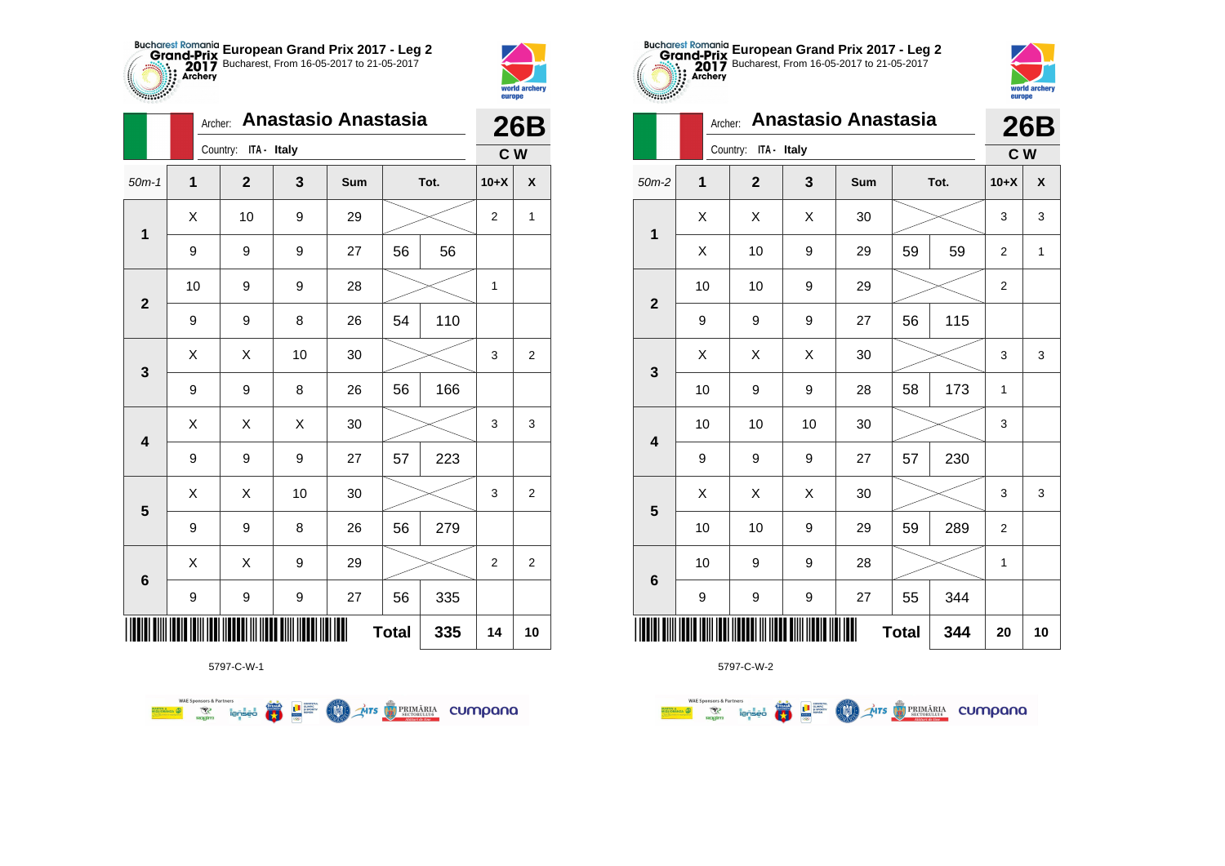



**Supply of Strategy** 

|                         | <b>Anastasio Anastasia</b><br>Archer: |                      |    |     |              |      |                  | <b>26B</b>              |
|-------------------------|---------------------------------------|----------------------|----|-----|--------------|------|------------------|-------------------------|
|                         |                                       | Country: ITA - Italy |    |     |              |      | C W              |                         |
| $50m-1$                 | 1                                     | $\mathbf{2}$         | 3  | Sum |              | Tot. | $10+X$           | $\pmb{\mathsf{X}}$      |
| $\mathbf 1$             | Χ                                     | 10                   | 9  | 29  |              |      | $\boldsymbol{2}$ | 1                       |
|                         | 9                                     | 9                    | 9  | 27  | 56           | 56   |                  |                         |
| $\mathbf{2}$            | 10                                    | 9                    | 9  | 28  |              |      | 1                |                         |
|                         | 9                                     | 9                    | 8  | 26  | 54           | 110  |                  |                         |
| 3                       | X                                     | X                    | 10 | 30  |              |      | 3                | $\boldsymbol{2}$        |
|                         | 9                                     | 9                    | 8  | 26  | 56           | 166  |                  |                         |
| $\overline{\mathbf{4}}$ | X                                     | X                    | X  | 30  |              |      | 3                | 3                       |
|                         | 9                                     | 9                    | 9  | 27  | 57           | 223  |                  |                         |
| $\overline{\mathbf{5}}$ | X                                     | X                    | 10 | 30  |              |      | 3                | $\overline{\mathbf{c}}$ |
|                         | 9                                     | 9                    | 8  | 26  | 56           | 279  |                  |                         |
| $\bf 6$                 | X                                     | X                    | 9  | 29  |              |      | $\boldsymbol{2}$ | $\overline{c}$          |
|                         | 9                                     | 9                    | 9  | 27  | 56           | 335  |                  |                         |
|                         |                                       |                      |    |     | <b>Total</b> | 335  | 14               | 10                      |

**Exercise on the Second Parties of the Conservation Company of the Conservation Company of the Conservation Company** 



5797-C-W-2

|                         | <b>Anastasio Anastasia</b><br>Archer:<br>ITA - Italy<br>Country:<br>1<br>$\mathbf{2}$<br>3<br>Tot.<br>Sum<br>X<br>Χ<br>X<br>30<br>59<br>Χ<br>10<br>9<br>29<br>59<br>10<br>9<br>10<br>29<br>115<br>9<br>9<br>56<br>9<br>27<br>Χ<br>X<br>Χ<br>30<br>10<br>9<br>9<br>173<br>28<br>58<br>10<br>10<br>10<br>30<br>230<br>9<br>9<br>9<br>27<br>57<br>X<br>X<br>Χ<br>30<br>289<br>10<br>10<br>9<br>59<br>29<br>10<br>9<br>28<br>9<br>9<br>9<br>9<br>27<br>55<br>344 |  |              |     | <b>26B</b>     |                    |
|-------------------------|--------------------------------------------------------------------------------------------------------------------------------------------------------------------------------------------------------------------------------------------------------------------------------------------------------------------------------------------------------------------------------------------------------------------------------------------------------------|--|--------------|-----|----------------|--------------------|
|                         |                                                                                                                                                                                                                                                                                                                                                                                                                                                              |  |              |     | C W            |                    |
| $50m-2$                 |                                                                                                                                                                                                                                                                                                                                                                                                                                                              |  |              |     | $10+X$         | $\pmb{\mathsf{X}}$ |
| $\overline{\mathbf{1}}$ |                                                                                                                                                                                                                                                                                                                                                                                                                                                              |  |              |     | 3              | 3                  |
|                         |                                                                                                                                                                                                                                                                                                                                                                                                                                                              |  |              |     | 2              | 1                  |
| $\mathbf{2}$            |                                                                                                                                                                                                                                                                                                                                                                                                                                                              |  |              |     | 2              |                    |
|                         |                                                                                                                                                                                                                                                                                                                                                                                                                                                              |  |              |     |                |                    |
| $\mathbf{3}$            |                                                                                                                                                                                                                                                                                                                                                                                                                                                              |  |              |     | 3              | 3                  |
|                         |                                                                                                                                                                                                                                                                                                                                                                                                                                                              |  |              |     | 1              |                    |
| $\overline{\mathbf{4}}$ |                                                                                                                                                                                                                                                                                                                                                                                                                                                              |  |              |     | 3              |                    |
|                         |                                                                                                                                                                                                                                                                                                                                                                                                                                                              |  |              |     |                |                    |
| $5\phantom{1}$          |                                                                                                                                                                                                                                                                                                                                                                                                                                                              |  |              |     | 3              | 3                  |
|                         |                                                                                                                                                                                                                                                                                                                                                                                                                                                              |  |              |     | $\overline{2}$ |                    |
|                         |                                                                                                                                                                                                                                                                                                                                                                                                                                                              |  |              |     | 1              |                    |
| $\bf 6$                 |                                                                                                                                                                                                                                                                                                                                                                                                                                                              |  |              |     |                |                    |
| IIIII                   |                                                                                                                                                                                                                                                                                                                                                                                                                                                              |  | <b>Total</b> | 344 | 20             | 10                 |

**European Grand Prix 2017 - Leg 2** Bucharest, From 16-05-2017 to 21-05-2017

world arche

europe

5797-C-W-1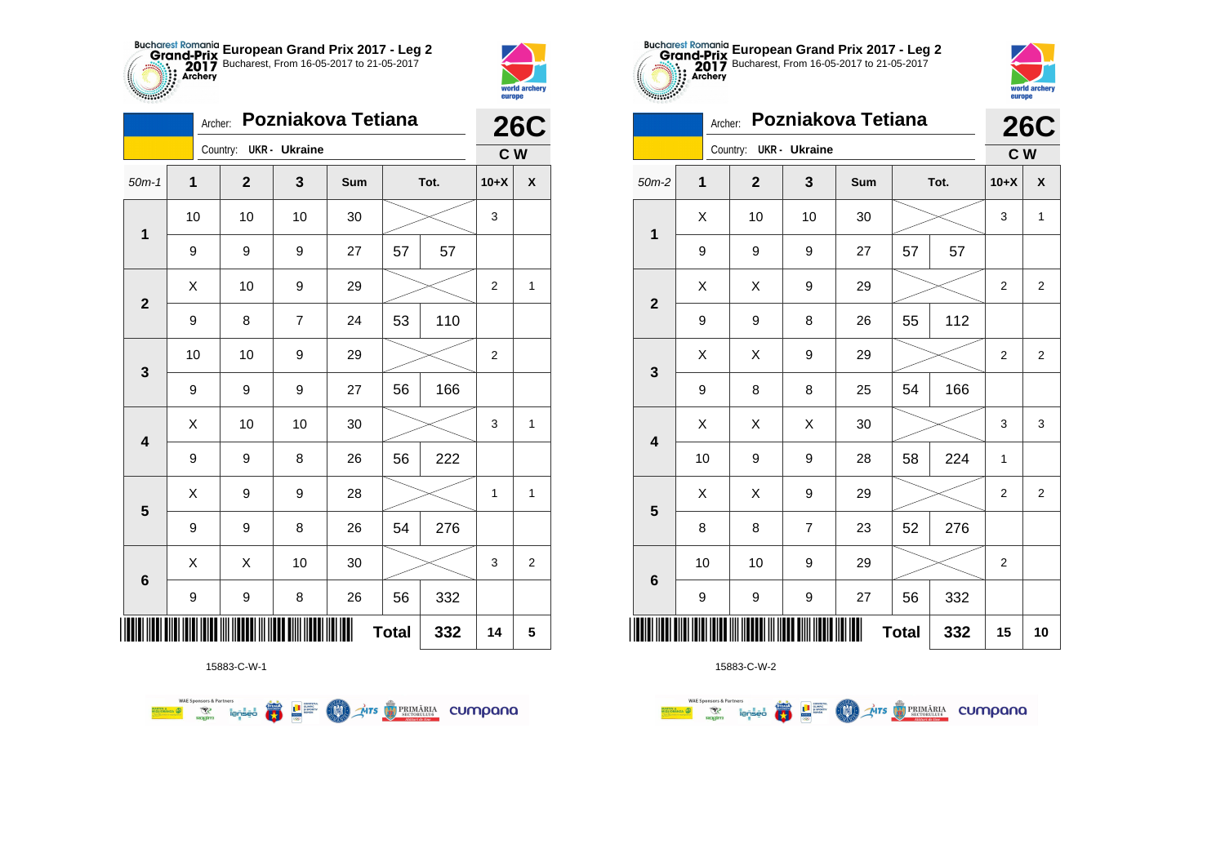



|                         |                  | Archer:                |    | Pozniakova Tetiana |              |      |                  | <b>26C</b>              |
|-------------------------|------------------|------------------------|----|--------------------|--------------|------|------------------|-------------------------|
|                         |                  | Country: UKR - Ukraine |    |                    |              |      | C W              |                         |
| $50m-1$                 | 1                | $\mathbf 2$            | 3  | Sum                |              | Tot. | $10+X$           | $\pmb{\mathsf{X}}$      |
|                         | 10               | 10                     | 10 | 30                 |              |      | 3                |                         |
| $\mathbf 1$             | 9                | 9                      | 9  | 27                 | 57           | 57   |                  |                         |
| $\mathbf{2}$            | $\sf X$          | 10                     | 9  | 29                 |              |      | $\boldsymbol{2}$ | $\mathbf{1}$            |
|                         | 9                | 8                      | 7  | 24                 | 53           | 110  |                  |                         |
| 3                       | 10               | 10                     | 9  | 29                 |              |      | $\boldsymbol{2}$ |                         |
|                         | 9                | 9                      | 9  | 27                 | 56           | 166  |                  |                         |
| $\overline{\mathbf{4}}$ | X                | 10                     | 10 | 30                 |              |      | 3                | $\mathbf{1}$            |
|                         | $\boldsymbol{9}$ | 9                      | 8  | 26                 | 56           | 222  |                  |                         |
| $\overline{\mathbf{5}}$ | Χ                | 9                      | 9  | 28                 |              |      | $\mathbf 1$      | $\mathbf{1}$            |
|                         | 9                | 9                      | 8  | 26                 | 54           | 276  |                  |                         |
| $\bf 6$                 | X                | X                      | 10 | 30                 |              |      | 3                | $\overline{\mathbf{c}}$ |
|                         | 9                | 9                      | 8  | 26                 | 56           | 332  |                  |                         |
| ┉                       |                  |                        |    |                    | <b>Total</b> | 332  | 14               | 5                       |



15883-C-W-2

| $\begin{smallmatrix} \mathbb{C} & \mathbb{C} & \mathbb{C} & \mathbb{C} & \mathbb{C} & \mathbb{C} & \mathbb{C} \end{smallmatrix}$ | Archer:     |                        |                | Pozniakova Tetiana |              |     |                | <b>26C</b>     |
|----------------------------------------------------------------------------------------------------------------------------------|-------------|------------------------|----------------|--------------------|--------------|-----|----------------|----------------|
|                                                                                                                                  |             | Country: UKR - Ukraine |                |                    |              |     | C W            |                |
| $50m-2$                                                                                                                          | $\mathbf 1$ | $\mathbf 2$            | 3              | Sum                | Tot.         |     | $10+X$         | X              |
| 1                                                                                                                                | X           | 10                     | 10             | 30                 |              |     | 3              | $\mathbf{1}$   |
|                                                                                                                                  | 9           | 9                      | 9              | 27                 | 57           | 57  |                |                |
| $\overline{2}$                                                                                                                   | X           | X                      | 9              | 29                 |              |     | 2              | $\overline{c}$ |
|                                                                                                                                  | 9           | 9                      | 8              | 26                 | 55           | 112 |                |                |
| 3                                                                                                                                | X           | Χ                      | 9              | 29                 |              |     | $\overline{2}$ | $\overline{2}$ |
|                                                                                                                                  | 9           | 8                      | 8              | 25                 | 54           | 166 |                |                |
| $\overline{\mathbf{4}}$                                                                                                          | X           | Χ                      | Χ              | 30                 |              |     | 3              | 3              |
|                                                                                                                                  | 10          | 9                      | 9              | 28                 | 58           | 224 | 1              |                |
| 5                                                                                                                                | X           | X                      | 9              | 29                 |              |     | $\overline{2}$ | $\overline{2}$ |
|                                                                                                                                  | 8           | 8                      | $\overline{7}$ | 23                 | 52           | 276 |                |                |
|                                                                                                                                  | 10          | 10                     | 9              | 29                 |              |     | 2              |                |
| $6\phantom{1}6$                                                                                                                  | 9           | 9                      | 9              | 27                 | 56           | 332 |                |                |
|                                                                                                                                  |             |                        |                |                    | <b>Total</b> | 332 | 15             | 10             |

**European Grand Prix 2017 - Leg 2** Bucharest, From 16-05-2017 to 21-05-2017



|                         |              | Country: UKR - UKraine |                  |                |              |      | C W            |                         |
|-------------------------|--------------|------------------------|------------------|----------------|--------------|------|----------------|-------------------------|
| $50m-2$                 | $\mathbf{1}$ | $\mathbf{2}$           | 3                | Sum            |              | Tot. | $10+X$         | X                       |
| $\mathbf 1$             | Χ            | 10                     | 10               | $30\,$         |              |      | 3              | $\mathbf{1}$            |
|                         | 9            | 9                      | 9                | 27             | 57           | 57   |                |                         |
| $\mathbf 2$             | Χ            | Χ                      | 9                | 29             |              |      | $\overline{c}$ | $\overline{\mathbf{c}}$ |
|                         | 9            | 9                      | 8                | 26             | 55           | 112  |                |                         |
| $\mathbf 3$             | Χ            | Χ                      | 9                | 29             |              |      | $\overline{2}$ | $\overline{2}$          |
|                         | 9            | 8                      | 8                | 25             | 54           | 166  |                |                         |
|                         | Χ            | X                      | X                | 30             |              |      | 3              | 3                       |
| $\overline{\mathbf{4}}$ | 10           | 9                      | 9                | 28             | 58           | 224  | $\mathbf{1}$   |                         |
|                         | Χ            | Χ                      | 9                | 29             |              |      | $\overline{c}$ | $\overline{\mathbf{c}}$ |
| ${\bf 5}$               | 8            | 8                      | $\overline{7}$   | 23             | 52           | 276  |                |                         |
|                         | 10           | 10                     | 9                | 29             |              |      | $\overline{c}$ |                         |
| $\bf 6$                 | 9            | 9                      | $\boldsymbol{9}$ | 27             | 56           | 332  |                |                         |
| III                     |              |                        |                  | $\blacksquare$ | <b>Total</b> | 332  | 15             | 10                      |
|                         |              |                        |                  |                |              |      |                |                         |

15883-C-W-1

**WAE Sponsors & Partners Exercise on the Second Parties of the Conservation Company of the Conservation Company of the Conservation Company**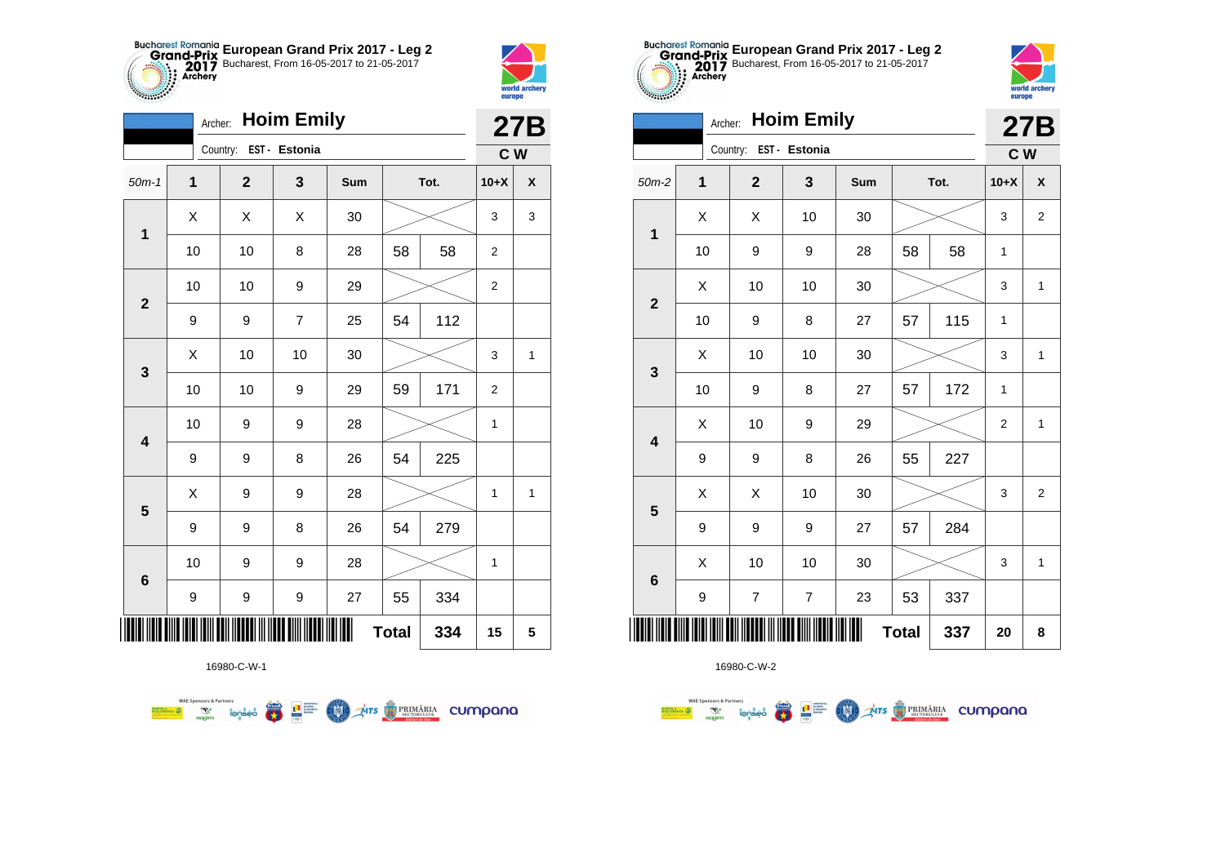



|                         | Archer:                 |                        | <b>Hoim Emily</b> |     |              |      |                | <b>27B</b>         |
|-------------------------|-------------------------|------------------------|-------------------|-----|--------------|------|----------------|--------------------|
|                         |                         | Country: EST - Estonia |                   |     |              |      | C W            |                    |
| $50m-1$                 | $\overline{\mathbf{1}}$ | $\mathbf{2}$           | 3                 | Sum |              | Tot. | $10+X$         | $\pmb{\mathsf{X}}$ |
| $\mathbf 1$             | X                       | X                      | X                 | 30  |              |      | 3              | 3                  |
|                         | 10                      | 10                     | 8                 | 28  | 58           | 58   | $\overline{2}$ |                    |
| $\mathbf{2}$            | 10                      | 10                     | 9                 | 29  |              |      | $\overline{2}$ |                    |
|                         | 9                       | 9                      | 7                 | 25  | 54           | 112  |                |                    |
| 3                       | X                       | 10                     | 10                | 30  |              |      | 3              | 1                  |
|                         | 10                      | 10                     | 9                 | 29  | 59           | 171  | $\overline{2}$ |                    |
| 4                       | 10                      | 9                      | 9                 | 28  |              |      | $\mathbf{1}$   |                    |
|                         | 9                       | 9                      | 8                 | 26  | 54           | 225  |                |                    |
| $\overline{\mathbf{5}}$ | X                       | 9                      | 9                 | 28  |              |      | 1              | $\mathbf{1}$       |
|                         | 9                       | 9                      | 8                 | 26  | 54           | 279  |                |                    |
|                         | 10                      | 9                      | 9                 | 28  |              |      | $\mathbf 1$    |                    |
| $\bf 6$                 | 9                       | 9                      | 9                 | 27  | 55           | 334  |                |                    |
| ║║║                     |                         |                        |                   |     | <b>Total</b> | 334  | 15             | 5                  |





|                 | Archer: |                          | <b>Hoim Emily</b> |     |              |      |                | <b>27B</b>     |
|-----------------|---------|--------------------------|-------------------|-----|--------------|------|----------------|----------------|
|                 |         | Country: EST - Estonia   |                   |     |              |      | C W            |                |
| $50m-2$         | 1       | $\mathbf{2}$             | 3                 | Sum |              | Tot. | $10+X$         | X              |
| $\mathbf 1$     | X       | X                        | 10                | 30  |              |      | 3              | $\overline{2}$ |
|                 | 10      | 9                        | 9                 | 28  | 58           | 58   | 1              |                |
| $\overline{2}$  | X       | 10                       | 10                | 30  |              |      | 3              | 1              |
|                 | 10      | 9                        | 8                 | 27  | 57           | 115  | 1              |                |
| 3               | Χ       | 10                       | 10                | 30  |              |      | 3              | $\mathbf{1}$   |
|                 | 10      | 9                        | 8                 | 27  | 57           | 172  | $\mathbf{1}$   |                |
| 4               | X       | 10                       | 9                 | 29  |              |      | $\overline{2}$ | 1              |
|                 | 9       | 9                        | 8                 | 26  | 55           | 227  |                |                |
| 5               | X       | Χ                        | 10                | 30  |              |      | 3              | $\overline{2}$ |
|                 | 9       | 9                        | 9                 | 27  | 57           | 284  |                |                |
| $6\phantom{1}6$ | Χ       | 10                       | 10                | 30  |              |      | 3              | $\mathbf{1}$   |
|                 | 9       | $\overline{\mathcal{I}}$ | $\overline{7}$    | 23  | 53           | 337  |                |                |
|                 |         |                          |                   |     | <b>Total</b> | 337  | 20             | 8              |



**第1**章

**OD** Ars **D** PRIMÁRIA CUMPONO

**WAE Sponsors & Partners** 



16980-C-W-2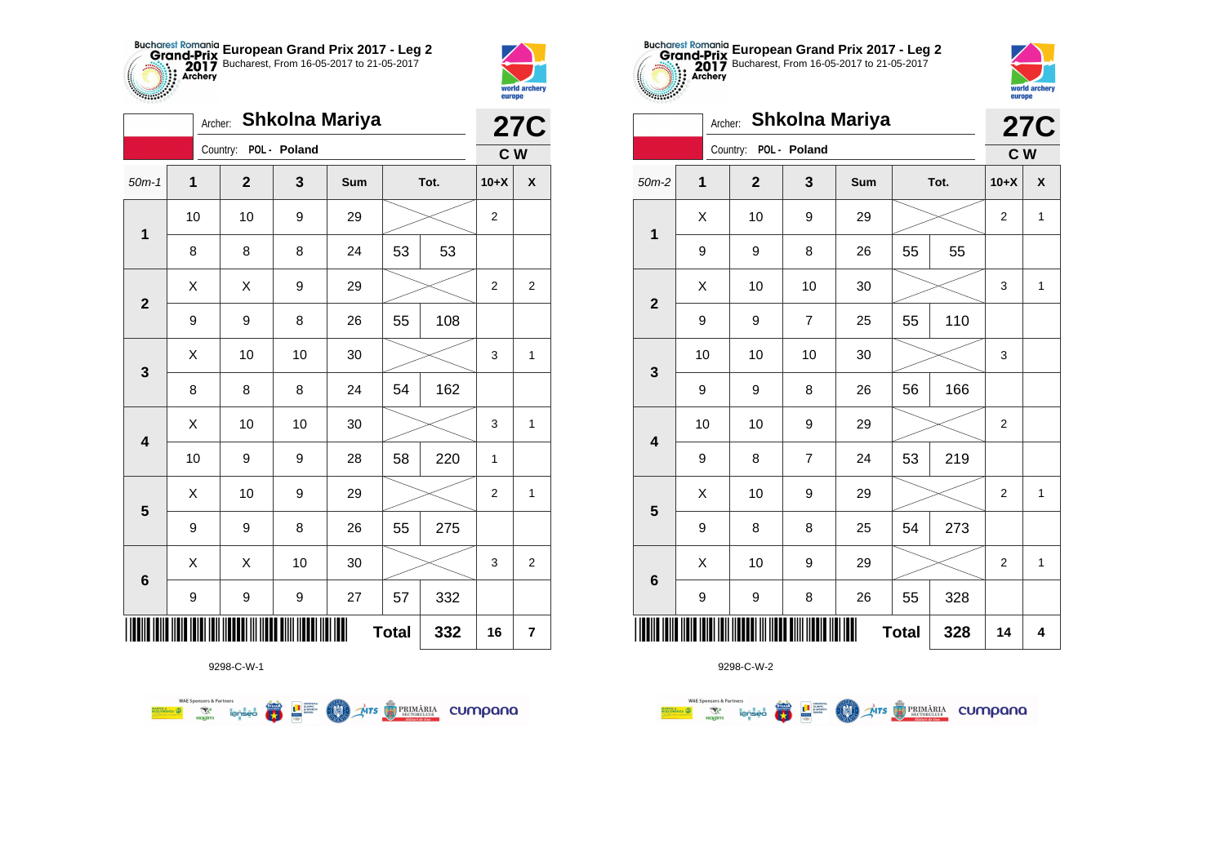



|                         | Shkolna Mariya<br><b>27C</b><br>Archer:<br>Country: POL - Poland<br>C W<br>1<br>$\mathbf{2}$<br>3<br>Sum<br>Tot.<br>$10+X$<br>$\pmb{\mathsf{X}}$<br>10<br>10<br>9<br>29<br>$\overline{2}$<br>$\mathbf 1$<br>53<br>8<br>8<br>8<br>24<br>53 |    |    |    |              |     |                  |                  |
|-------------------------|-------------------------------------------------------------------------------------------------------------------------------------------------------------------------------------------------------------------------------------------|----|----|----|--------------|-----|------------------|------------------|
|                         |                                                                                                                                                                                                                                           |    |    |    |              |     |                  |                  |
| $50m-1$                 |                                                                                                                                                                                                                                           |    |    |    |              |     |                  |                  |
|                         |                                                                                                                                                                                                                                           |    |    |    |              |     |                  |                  |
|                         |                                                                                                                                                                                                                                           |    |    |    |              |     |                  |                  |
| $\mathbf{2}$            | X                                                                                                                                                                                                                                         | Χ  | 9  | 29 |              |     | 2                | 2                |
|                         | 9                                                                                                                                                                                                                                         | 9  | 8  | 26 | 55           | 108 |                  |                  |
|                         | Χ                                                                                                                                                                                                                                         | 10 | 10 | 30 |              |     | 3                | 1                |
| 3                       | 8                                                                                                                                                                                                                                         | 8  | 8  | 24 | 54           | 162 |                  |                  |
| $\overline{\mathbf{4}}$ | X                                                                                                                                                                                                                                         | 10 | 10 | 30 |              |     | 3                | $\mathbf{1}$     |
|                         | 10                                                                                                                                                                                                                                        | 9  | 9  | 28 | 58           | 220 | 1                |                  |
|                         | Χ                                                                                                                                                                                                                                         | 10 | 9  | 29 |              |     | $\boldsymbol{2}$ | 1                |
| $\overline{\mathbf{5}}$ | 9                                                                                                                                                                                                                                         | 9  | 8  | 26 | 55           | 275 |                  |                  |
|                         | X                                                                                                                                                                                                                                         | X  | 10 | 30 |              |     | 3                | 2                |
| $\bf 6$                 | 9                                                                                                                                                                                                                                         | 9  | 9  | 27 | 57           | 332 |                  |                  |
|                         |                                                                                                                                                                                                                                           |    |    | Ш  | <b>Total</b> | 332 | 16               | $\boldsymbol{7}$ |

**COND** 

**THE STRIMARIA CUMPANA** 



9298-C-W-2

|                         | POL - Poland<br>Country:<br>$\mathbf 1$<br>$\mathbf{2}$<br>Sum<br>Tot.<br>3<br>X<br>10<br>9<br>29<br>$\mathbf{1}$<br>55<br>8<br>9<br>9<br>55<br>26<br>Χ<br>10<br>10<br>30<br>$\mathbf{2}$<br>110<br>55<br>9<br>9<br>$\overline{7}$<br>25<br>10<br>10<br>10<br>30<br>3<br>166<br>9<br>9<br>8<br>26<br>56 |    |                |    |              |     |                | C W                |
|-------------------------|---------------------------------------------------------------------------------------------------------------------------------------------------------------------------------------------------------------------------------------------------------------------------------------------------------|----|----------------|----|--------------|-----|----------------|--------------------|
| $50m-2$                 |                                                                                                                                                                                                                                                                                                         |    |                |    |              |     | $10+X$         | $\pmb{\mathsf{X}}$ |
|                         |                                                                                                                                                                                                                                                                                                         |    |                |    |              |     | $\overline{c}$ | $\mathbf{1}$       |
|                         |                                                                                                                                                                                                                                                                                                         |    |                |    |              |     |                |                    |
|                         |                                                                                                                                                                                                                                                                                                         |    |                |    |              |     | 3              | $\mathbf{1}$       |
|                         |                                                                                                                                                                                                                                                                                                         |    |                |    |              |     |                |                    |
|                         |                                                                                                                                                                                                                                                                                                         |    |                |    |              |     | 3              |                    |
|                         |                                                                                                                                                                                                                                                                                                         |    |                |    |              |     |                |                    |
| $\overline{\mathbf{4}}$ | 10                                                                                                                                                                                                                                                                                                      | 10 | 9              | 29 |              |     | 2              |                    |
|                         | 9                                                                                                                                                                                                                                                                                                       | 8  | $\overline{7}$ | 24 | 53           | 219 |                |                    |
|                         | X                                                                                                                                                                                                                                                                                                       | 10 | 9              | 29 |              |     | $\overline{2}$ | $\mathbf{1}$       |
| $\overline{\mathbf{5}}$ | 9                                                                                                                                                                                                                                                                                                       | 8  | 8              | 25 | 54           | 273 |                |                    |
|                         | Χ                                                                                                                                                                                                                                                                                                       | 10 | 9              | 29 |              |     | $\overline{2}$ | $\mathbf{1}$       |
| $\bf 6$                 | 9                                                                                                                                                                                                                                                                                                       | 9  | 8              | 26 | 55           | 328 |                |                    |
|                         |                                                                                                                                                                                                                                                                                                         |    |                |    | <b>Total</b> | 328 | 14             | 4                  |

**European Grand Prix 2017 - Leg 2** Bucharest, From 16-05-2017 to 21-05-2017

**27C**

world archery<br>europe

Archer: **Shkolna Mariya**

**Branch** 

9298-C-W-1

**Examples and Second Second Second Second Second Second Second Second Second Second Second Second Second Second Second Second Second Second Second Second Second Second Second Second Second Second Second Second Second Secon**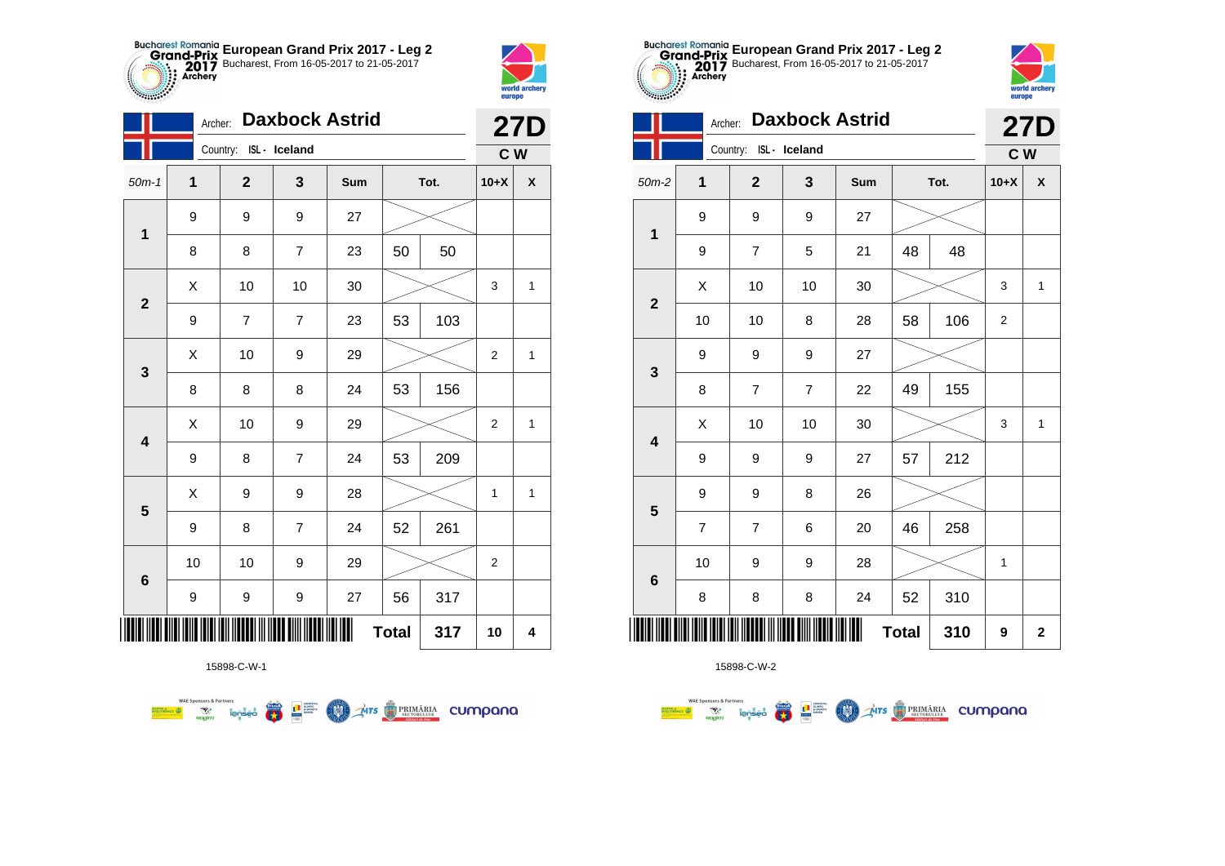



**STATISTICS** 

|                         |                  | <b>Daxbock Astrid</b><br>Archer: |                |     |              |      |                |                    |  |
|-------------------------|------------------|----------------------------------|----------------|-----|--------------|------|----------------|--------------------|--|
|                         |                  | Country: ISL - Iceland           |                |     |              |      | C W            | <b>27D</b>         |  |
| $50m-1$                 | 1                | $\mathbf 2$                      | 3              | Sum |              | Tot. | $10+X$         | $\pmb{\mathsf{X}}$ |  |
| $\mathbf 1$             | 9                | 9                                | 9              | 27  |              |      |                |                    |  |
|                         | 8                | 8                                | $\overline{7}$ | 23  | 50           | 50   |                |                    |  |
| $\mathbf{2}$            | Χ                | 10                               | 10             | 30  |              |      | 3              | $\mathbf{1}$       |  |
|                         | 9                | $\overline{7}$                   | $\overline{7}$ | 23  | 53           | 103  |                |                    |  |
| 3                       | Χ                | 10                               | 9              | 29  |              |      | $\overline{2}$ | 1                  |  |
|                         | 8                | 8                                | 8              | 24  | 53           | 156  |                |                    |  |
| 4                       | X                | 10                               | 9              | 29  |              |      | $\overline{2}$ | $\mathbf{1}$       |  |
|                         | 9                | 8                                | $\overline{7}$ | 24  | 53           | 209  |                |                    |  |
| $\overline{\mathbf{5}}$ | X                | 9                                | 9              | 28  |              |      | 1              | $\mathbf{1}$       |  |
|                         | 9                | 8                                | $\overline{7}$ | 24  | 52           | 261  |                |                    |  |
| $6\phantom{1}6$         | 10               | 10                               | 9              | 29  |              |      | $\overline{2}$ |                    |  |
|                         | $\boldsymbol{9}$ | 9                                | 9              | 27  | 56           | 317  |                |                    |  |
| Ш                       |                  |                                  |                |     | <b>Total</b> | 317  | 10             | 4                  |  |

**AITS** PRIMÁRIA CUMPANO



15898-C-W-2

|                         | Archer:             |                        |                | <b>Daxbock Astrid</b> |      |     |                | <b>27D</b>   |
|-------------------------|---------------------|------------------------|----------------|-----------------------|------|-----|----------------|--------------|
|                         |                     | Country: ISL - Iceland |                |                       |      |     | C W            |              |
| $50m-2$                 | 1                   | $\overline{2}$         | 3              | Sum                   | Tot. |     | $10+X$         | X            |
| $\mathbf 1$             | 9                   | 9                      | 9              | 27                    |      |     |                |              |
|                         | 9                   | $\overline{7}$         | 5              | 21                    | 48   | 48  |                |              |
| $\overline{2}$          | X                   | 10                     | 10             | 30                    |      |     | 3              | $\mathbf{1}$ |
|                         | 10                  | 10                     | 8              | 28                    | 58   | 106 | $\overline{2}$ |              |
| 3                       | 9                   | 9                      | 9              | 27                    |      |     |                |              |
|                         | 8                   | 7                      | $\overline{7}$ | 22                    | 49   | 155 |                |              |
| $\overline{\mathbf{4}}$ | X                   | 10                     | 10             | 30                    |      |     | 3              | $\mathbf{1}$ |
|                         | 9                   | 9                      | 9              | 27                    | 57   | 212 |                |              |
| 5                       | 9                   | 9                      | 8              | 26                    |      |     |                |              |
|                         | $\overline{7}$      | $\overline{7}$         | 6              | 20                    | 46   | 258 |                |              |
| $6\phantom{1}6$         | 10                  | 9                      | 9              | 28                    |      |     | 1              |              |
|                         | 8                   | 8                      | 8              | 24                    | 52   | 310 |                |              |
|                         | <b>Total</b><br>310 |                        |                |                       |      |     |                |              |

**European Grand Prix 2017 - Leg 2** Bucharest, From 16-05-2017 to 21-05-2017

world archer

europe

15898-C-W-1

■ □■

**COND** 

**WAE Sponsors & Partners**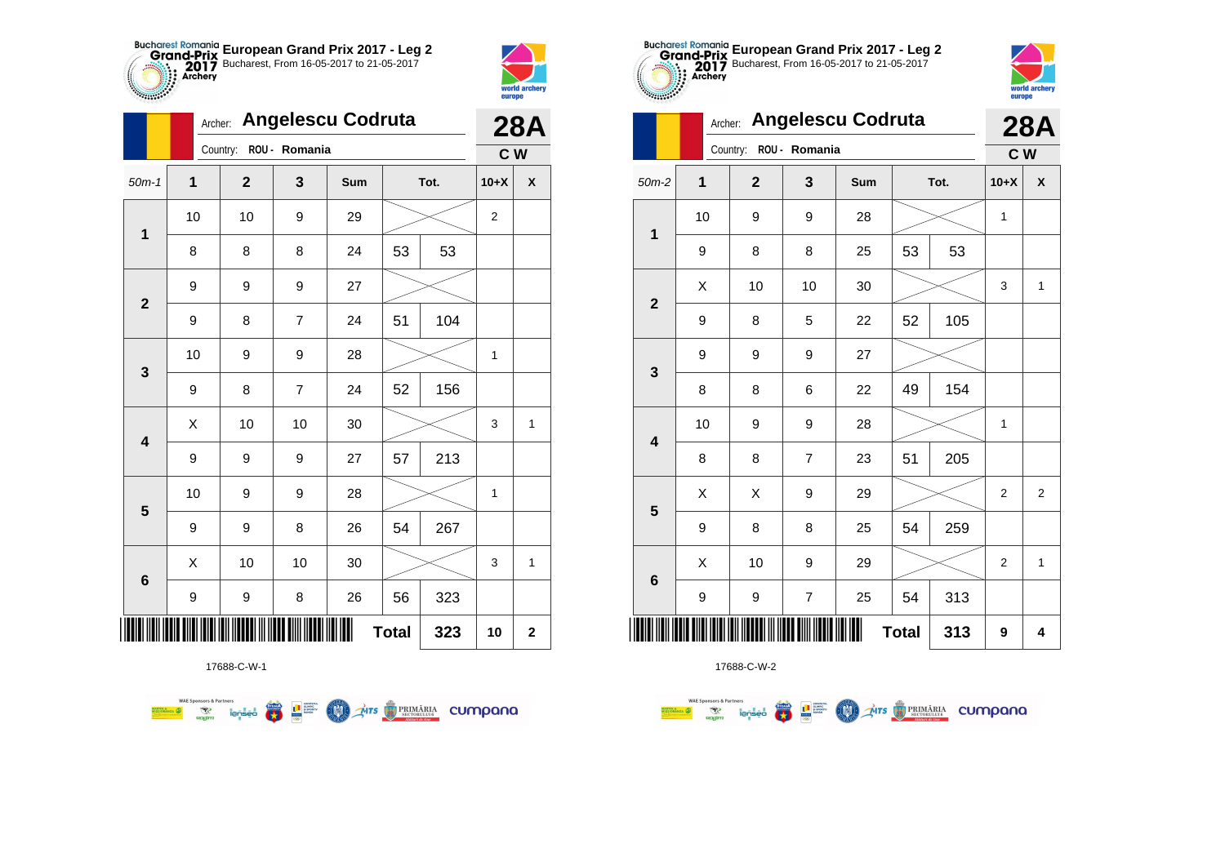



|                         | Archer: |             |                | <b>Angelescu Codruta</b> |              |      |                | <b>28A</b>         |
|-------------------------|---------|-------------|----------------|--------------------------|--------------|------|----------------|--------------------|
|                         |         | Country:    | ROU - Romania  |                          |              |      | C <sub>W</sub> |                    |
| $50m-1$                 | 1       | $\mathbf 2$ | 3              | Sum                      |              | Tot. | $10+X$         | $\pmb{\mathsf{X}}$ |
| $\mathbf{1}$            | 10      | 10          | 9              | 29                       |              |      | $\overline{c}$ |                    |
|                         | 8       | 8           | 8              | 24                       | 53           | 53   |                |                    |
| $\mathbf{2}$            | 9       | 9           | 9              | 27                       |              |      |                |                    |
|                         | 9       | 8           | $\overline{7}$ | 24                       | 51           | 104  |                |                    |
| $\mathbf{3}$            | 10      | 9           | 9              | 28                       |              |      | 1              |                    |
|                         | 9       | 8           | $\overline{7}$ | 24                       | 52           | 156  |                |                    |
| $\overline{\mathbf{4}}$ | X       | 10          | 10             | 30                       |              |      | 3              | 1                  |
|                         | 9       | 9           | 9              | 27                       | 57           | 213  |                |                    |
| $\overline{\mathbf{5}}$ | 10      | 9           | 9              | 28                       |              |      | 1              |                    |
|                         | 9       | 9           | 8              | 26                       | 54           | 267  |                |                    |
|                         | Χ       | 10          | 10             | 30                       |              |      | $\mathsf 3$    | 1                  |
| $\bf 6$                 | 9       | 9           | 8              | 26                       | 56           | 323  |                |                    |
| ║║║                     |         |             |                |                          | <b>Total</b> | 323  | 10             | $\mathbf 2$        |

**COND** 

**THITS BETORIARIA CUMPANA** 



17688-C-W-2

|                         |    | Archer:        |                  | <b>Angelescu Codruta</b> |              |      |                | <b>28A</b>     |
|-------------------------|----|----------------|------------------|--------------------------|--------------|------|----------------|----------------|
|                         |    | Country:       | ROU - Romania    |                          |              |      | c <sub>w</sub> |                |
| $50m-2$                 | 1  | $\overline{2}$ | 3                | Sum                      |              | Tot. | $10+X$         | χ              |
| $\mathbf{1}$            | 10 | 9              | 9                | 28                       |              |      | 1              |                |
|                         | 9  | 8              | 8                | 25                       | 53           | 53   |                |                |
| $\overline{2}$          | X  | 10             | 10               | 30                       |              |      | 3              | 1              |
|                         | 9  | 8              | 5                | 22                       | 52           | 105  |                |                |
| $\mathbf{3}$            | 9  | 9              | $\boldsymbol{9}$ | 27                       |              |      |                |                |
|                         | 8  | 8              | 6                | 22                       | 49           | 154  |                |                |
| $\overline{\mathbf{4}}$ | 10 | 9              | 9                | 28                       |              |      | 1              |                |
|                         | 8  | 8              | $\overline{7}$   | 23                       | 51           | 205  |                |                |
| 5                       | X  | X              | 9                | 29                       |              |      | $\overline{2}$ | $\overline{2}$ |
|                         | 9  | 8              | 8                | 25                       | 54           | 259  |                |                |
| $\bf 6$                 | X  | 10             | 9                | 29                       |              |      | $\overline{2}$ | 1              |
|                         | 9  | 9              | $\overline{7}$   | 25                       | 54           | 313  |                |                |
|                         |    |                |                  |                          | <b>Total</b> | 313  | 9              | 4              |

**European Grand Prix 2017 - Leg 2** Bucharest, From 16-05-2017 to 21-05-2017

world archery

europe

Archer: **Angelescu Codruta**

17688-C-W-1

**Examples and Second Second Second Second Second Second Second Second Second Second Second Second Second Second Second Second Second Second Second Second Second Second Second Second Second Second Second Second Second Secon**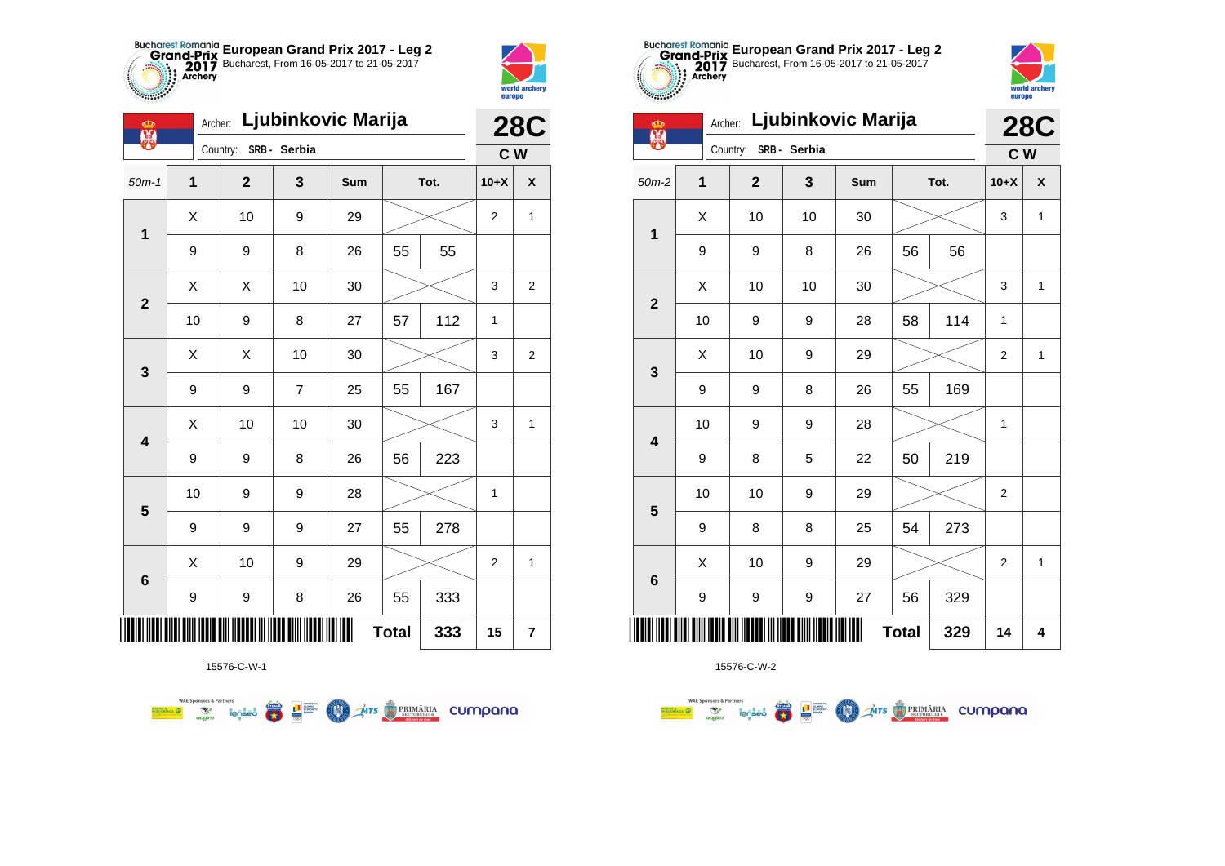



| Ф<br>黑                  | Archer: |              |                | <b>28C</b> |              |      |                |                         |
|-------------------------|---------|--------------|----------------|------------|--------------|------|----------------|-------------------------|
|                         |         | Country:     | SRB - Serbia   |            |              |      | $C$ W          |                         |
| $50m-1$                 | 1       | $\mathbf{2}$ | 3              | Sum        |              | Tot. | $10+X$         | $\pmb{\mathsf{X}}$      |
| 1                       | X       | 10           | 9              | 29         |              |      | $\overline{2}$ | 1                       |
|                         | 9       | 9            | 8              | 26         | 55           | 55   |                |                         |
| $\mathbf{2}$            | Χ       | Χ            | 10             | 30         |              |      | 3              | $\boldsymbol{2}$        |
|                         | 10      | 9            | 8              | 27         | 57           | 112  | 1              |                         |
| $\mathbf{3}$            | X       | X            | 10             | 30         |              |      | 3              | 2                       |
|                         | 9       | 9            | $\overline{7}$ | 25         | 55           | 167  |                |                         |
| $\overline{\mathbf{4}}$ | X       | 10           | 10             | 30         |              |      | 3              | 1                       |
|                         | 9       | 9            | 8              | 26         | 56           | 223  |                |                         |
|                         | 10      | 9            | 9              | 28         |              |      | 1              |                         |
| $\overline{\mathbf{5}}$ | 9       | 9            | 9              | 27         | 55           | 278  |                |                         |
| $\bf 6$                 | X       | 10           | 9              | 29         |              |      | 2              | 1                       |
|                         | 9       | 9            | 8              | 26         | 55           | 333  |                |                         |
|                         |         |              |                | I          | <b>Total</b> | 333  | 15             | $\overline{\mathbf{r}}$ |

**COLORES DE PRIMÁRIA CUMPONO** 

15576-C-W-1

**Excession of the Second Conservation of the Conservation of the Conservation of the Conservation of the Conservation of the Conservation of the Conservation of the Conservation of the Conservation of the Conservation of t** 

**WAE Sponsors & Partners** 



15576-C-W-2

| 00000                   |              |                |              |                    |              |      |                |              |
|-------------------------|--------------|----------------|--------------|--------------------|--------------|------|----------------|--------------|
| 第                       | Archer:      |                |              | Ljubinkovic Marija |              |      |                | <b>28C</b>   |
|                         |              | Country:       | SRB - Serbia |                    |              |      | C W            |              |
| $50m-2$                 | $\mathbf{1}$ | $\overline{2}$ | 3            | Sum                |              | Tot. | $10+X$         | X            |
| $\mathbf 1$             | X            | 10             | 10           | 30                 |              |      | 3              | $\mathbf{1}$ |
|                         | 9            | 9              | 8            | 26                 | 56           | 56   |                |              |
| $\overline{2}$          | Χ            | 10             | 10           | 30                 |              |      | 3              | $\mathbf{1}$ |
|                         | 10           | 9              | 9            | 28                 | 58           | 114  | $\mathbf{1}$   |              |
| 3                       | X            | 10             | 9            | 29                 |              |      | 2              | $\mathbf{1}$ |
|                         | 9            | 9              | 8            | 26                 | 55           | 169  |                |              |
| $\overline{\mathbf{4}}$ | 10           | 9              | 9            | 28                 |              |      | $\mathbf{1}$   |              |
|                         | 9            | 8              | 5            | 22                 | 50           | 219  |                |              |
| $5\phantom{1}$          | 10           | 10             | 9            | 29                 |              |      | $\overline{2}$ |              |
|                         | 9            | 8              | 8            | 25                 | 54           | 273  |                |              |
| $\bf 6$                 | X            | 10             | 9            | 29                 |              |      | $\overline{2}$ | 1            |
|                         | 9            | 9              | 9            | 27                 | 56           | 329  |                |              |
|                         |              |                |              |                    | <b>Total</b> | 329  | 14             | 4            |

**European Grand Prix 2017 - Leg 2** Bucharest, From 16-05-2017 to 21-05-2017



| <b>ARS</b>              |              |              |                  |        | LUV<br>C W   |      |                |              |
|-------------------------|--------------|--------------|------------------|--------|--------------|------|----------------|--------------|
|                         |              | Country:     | SRB - Serbia     |        |              |      |                |              |
| $50m-2$                 | $\mathbf{1}$ | $\mathbf{2}$ | $\mathbf{3}$     | Sum    |              | Tot. | $10+X$         | χ            |
| $\mathbf 1$             | X            | 10           | 10               | $30\,$ |              |      | 3              | 1            |
|                         | 9            | 9            | 8                | 26     | 56           | 56   |                |              |
| $\overline{\mathbf{2}}$ | Χ            | 10           | 10               | 30     |              |      | 3              | $\mathbf{1}$ |
|                         | 10           | 9            | $\boldsymbol{9}$ | 28     | 58           | 114  | 1              |              |
| $\mathbf{3}$            | X            | 10           | $\boldsymbol{9}$ | 29     |              |      | $\mathbf 2$    | $\mathbf{1}$ |
|                         | 9            | 9            | 8                | 26     | 55           | 169  |                |              |
| $\overline{\mathbf{4}}$ | 10           | 9            | 9                | 28     |              |      | 1              |              |
|                         | 9            | 8            | $\mathbf 5$      | 22     | 50           | 219  |                |              |
| $5\phantom{1}$          | 10           | 10           | 9                | 29     |              |      | $\overline{2}$ |              |
|                         | 9            | 8            | 8                | 25     | 54           | 273  |                |              |
|                         | X            | 10           | 9                | 29     |              |      | $\overline{2}$ | $\mathbf{1}$ |
| $\bf 6$                 | 9            | 9            | $\boldsymbol{9}$ | 27     | 56           | 329  |                |              |
| ║║║                     |              |              |                  |        | <b>Total</b> | 329  | 14             | 4            |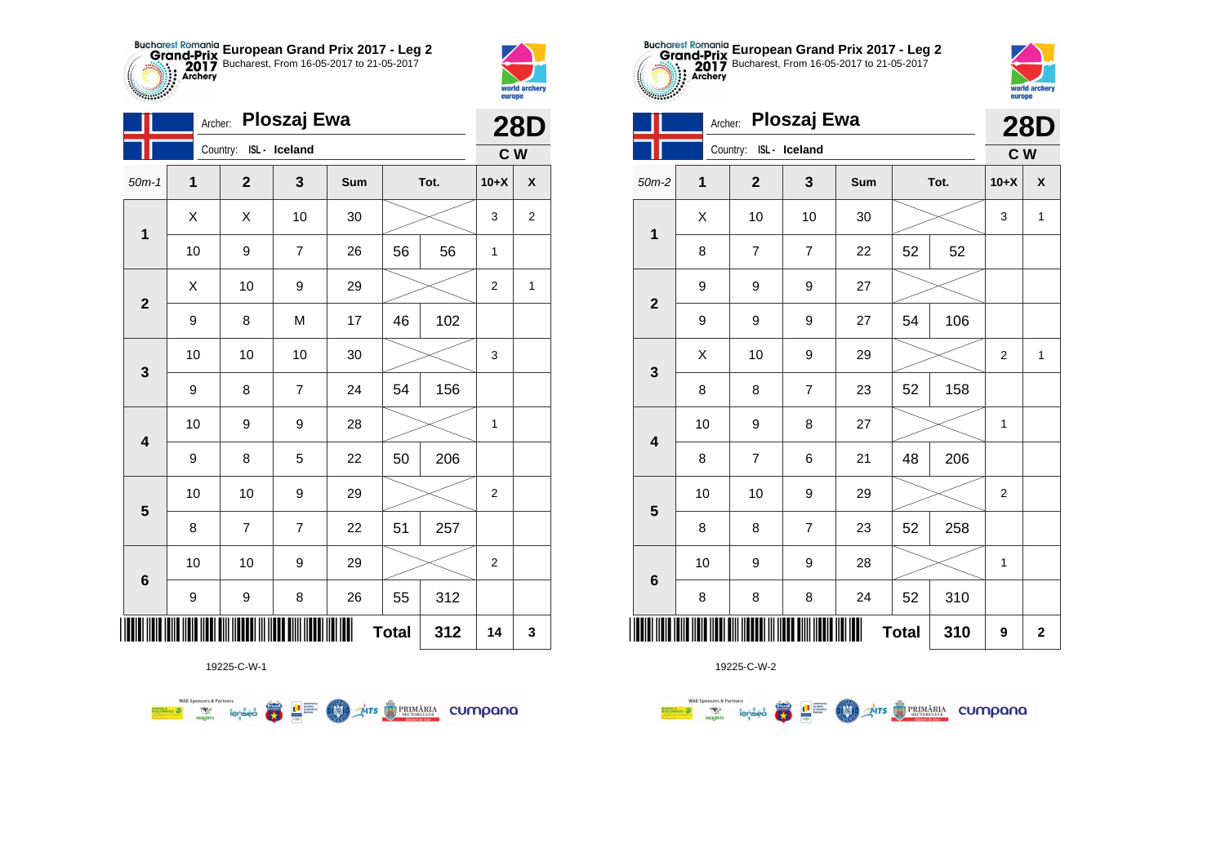



**STATISTICS** 

|                         | Archer:      |                        | Ploszaj Ewa    |     |              |      | <b>28D</b>     |                         |  |  |  |  |
|-------------------------|--------------|------------------------|----------------|-----|--------------|------|----------------|-------------------------|--|--|--|--|
|                         |              | Country: ISL - Iceland |                |     |              |      | C W            |                         |  |  |  |  |
| $50m-1$                 | $\mathbf{1}$ | $\mathbf{2}$           | 3              | Sum |              | Tot. | $10+X$         | $\pmb{\mathsf{X}}$      |  |  |  |  |
| $\mathbf 1$             | X            | X                      | 10             | 30  |              |      | 3              | $\overline{\mathbf{c}}$ |  |  |  |  |
|                         | 10           | 9                      | $\overline{7}$ | 26  | 56           | 56   | 1              |                         |  |  |  |  |
| $\mathbf{2}$            | X            | 10                     | 9              | 29  |              |      | $\overline{2}$ | 1                       |  |  |  |  |
|                         | 9            | 8                      | M              | 17  | 46           | 102  |                |                         |  |  |  |  |
| 3                       | 10           | 10                     | 10             | 30  |              |      | 3              |                         |  |  |  |  |
|                         | 9            | 8                      | $\overline{7}$ | 24  | 54           | 156  |                |                         |  |  |  |  |
| $\overline{\mathbf{4}}$ | 10           | 9                      | 9              | 28  |              |      | $\mathbf 1$    |                         |  |  |  |  |
|                         | 9            | 8                      | 5              | 22  | 50           | 206  |                |                         |  |  |  |  |
| $\overline{\mathbf{5}}$ | 10           | 10                     | 9              | 29  |              |      | $\overline{c}$ |                         |  |  |  |  |
|                         | 8            | $\overline{7}$         | $\overline{7}$ | 22  | 51           | 257  |                |                         |  |  |  |  |
|                         | 10           | 10                     | 9              | 29  |              |      | $\overline{2}$ |                         |  |  |  |  |
| $\bf 6$                 | 9            | 9                      | 8              | 26  | 55           | 312  |                |                         |  |  |  |  |
| ∭                       |              |                        |                |     | <b>Total</b> | 312  | 14             | 3                       |  |  |  |  |

**COND** 

**AITS** PRIMÁRIA CUMPANO



19225-C-W-2

|                 | Archer: |                        | Ploszaj Ewa    |     |              |      |                | <b>28D</b>   |
|-----------------|---------|------------------------|----------------|-----|--------------|------|----------------|--------------|
|                 |         | Country: ISL - Iceland |                |     |              |      | C W            |              |
| $50m-2$         | 1       | $\mathbf{2}$           | 3              | Sum |              | Tot. | $10+X$         | X            |
| $\mathbf 1$     | X       | 10                     | 10             | 30  |              |      | 3              | $\mathbf{1}$ |
|                 | 8       | $\overline{7}$         | $\overline{7}$ | 22  | 52           | 52   |                |              |
| $\mathbf{2}$    | 9       | 9                      | 9              | 27  |              |      |                |              |
|                 | 9       | $\boldsymbol{9}$       | 9              | 27  | 54           | 106  |                |              |
| 3               | X       | 10                     | 9              | 29  |              |      |                | 1            |
|                 | 8       | 8                      | $\overline{7}$ | 23  | 52           | 158  |                |              |
| 4               | 10      | $\mathsf g$            | 8              | 27  |              |      | 1              |              |
|                 | 8       | $\overline{7}$         | 6              | 21  | 48           | 206  |                |              |
| 5               | 10      | 10                     | 9              | 29  |              |      | $\overline{2}$ |              |
|                 | 8       | 8                      | $\overline{7}$ | 23  | 52           | 258  |                |              |
| $6\phantom{1}6$ | 10      | 9                      | 9              | 28  |              |      | 1              |              |
|                 | 8       | 8                      | 8              | 24  | 52           | 310  |                |              |
|                 |         |                        |                |     | <b>Total</b> | 310  | 9              | $\mathbf{2}$ |

**European Grand Prix 2017 - Leg 2** Bucharest, From 16-05-2017 to 21-05-2017

world archer

europe

19225-C-W-1

**Example 19 account 1996** 

**WAE Sponsors & Partners**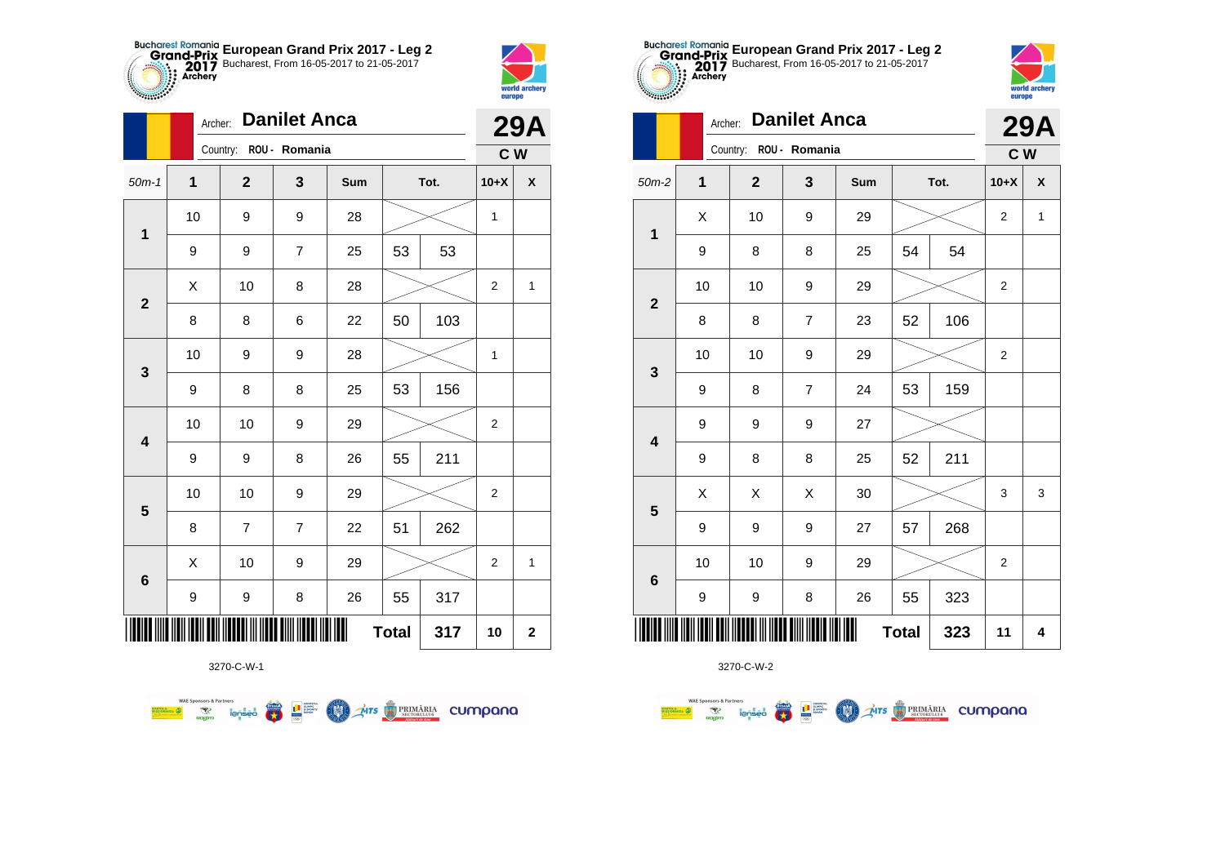



|                         |    | <b>Danilet Anca</b><br>Archer:<br>Country: ROU - Romania<br>$\mathbf 2$<br>3<br>Sum<br>Tot.<br>9<br>9<br>28<br>9<br>$\overline{7}$<br>53<br>25<br>10<br>8<br>28<br>50<br>8<br>6<br>22<br>9<br>9<br>28<br>8<br>8<br>25<br>53<br>10<br>9<br>29<br>55<br>8<br>9<br>26 |                |    |              |     |                | <b>29A</b>         |
|-------------------------|----|--------------------------------------------------------------------------------------------------------------------------------------------------------------------------------------------------------------------------------------------------------------------|----------------|----|--------------|-----|----------------|--------------------|
|                         |    |                                                                                                                                                                                                                                                                    |                |    |              |     | C W            |                    |
| $50m-1$                 | 1  |                                                                                                                                                                                                                                                                    |                |    |              |     | $10+X$         | $\pmb{\mathsf{X}}$ |
| 1                       | 10 |                                                                                                                                                                                                                                                                    |                |    |              |     | 1              |                    |
|                         | 9  |                                                                                                                                                                                                                                                                    |                |    |              | 53  |                |                    |
| $\mathbf{2}$            | Χ  |                                                                                                                                                                                                                                                                    |                |    |              |     | $\overline{2}$ | $\mathbf{1}$       |
|                         | 8  |                                                                                                                                                                                                                                                                    |                |    |              | 103 |                |                    |
| $\mathbf{3}$            | 10 |                                                                                                                                                                                                                                                                    |                |    |              |     | 1              |                    |
|                         | 9  |                                                                                                                                                                                                                                                                    |                |    |              | 156 |                |                    |
| $\overline{\mathbf{4}}$ | 10 |                                                                                                                                                                                                                                                                    |                |    |              |     | $\overline{2}$ |                    |
|                         | 9  |                                                                                                                                                                                                                                                                    |                |    |              | 211 |                |                    |
| $\overline{\mathbf{5}}$ | 10 | 10                                                                                                                                                                                                                                                                 | 9              | 29 |              |     | $\overline{2}$ |                    |
|                         | 8  | 7                                                                                                                                                                                                                                                                  | $\overline{7}$ | 22 | 51           | 262 |                |                    |
| $6\phantom{1}6$         | X  | 10                                                                                                                                                                                                                                                                 | 9              | 29 |              |     | $\overline{2}$ | 1                  |
|                         | 9  | 9                                                                                                                                                                                                                                                                  | 8              | 26 | 55           | 317 |                |                    |
|                         |    |                                                                                                                                                                                                                                                                    |                |    | <b>Total</b> | 317 | 10             | $\mathbf 2$        |

Mrs PRIMÁRIA CUMpana



3270-C-W-2

|                         |              |                        |                |     |              | ZJA  |                |                    |
|-------------------------|--------------|------------------------|----------------|-----|--------------|------|----------------|--------------------|
|                         |              | Country: ROU - Romania |                |     |              |      | C W            |                    |
| $50m-2$                 | $\mathbf{1}$ | $\mathbf 2$            | 3              | Sum |              | Tot. | $10+X$         | $\pmb{\mathsf{x}}$ |
| $\mathbf 1$             | X            | 10                     | 9              | 29  |              |      | $\overline{2}$ | $\mathbf{1}$       |
|                         | 9            | 8                      | 8              | 25  | 54           | 54   |                |                    |
| $\mathbf{2}$            | 10           | 10                     | 9              | 29  |              |      | $\overline{c}$ |                    |
|                         | 8            | 8                      | $\overline{7}$ | 23  | 52           | 106  |                |                    |
| $\mathbf{3}$            | 10           | 10                     | 9              | 29  |              |      | $\overline{2}$ |                    |
|                         | 9            | 8                      | $\overline{7}$ | 24  | 53           | 159  |                |                    |
| $\overline{\mathbf{4}}$ | 9            | 9                      | 9              | 27  |              |      |                |                    |
|                         | 9            | 8                      | 8              | 25  | 52           | 211  |                |                    |
|                         | X            | X                      | X              | 30  |              |      | 3              | 3                  |
| ${\bf 5}$               | 9            | 9                      | 9              | 27  | 57           | 268  |                |                    |
|                         | 10           | 10                     | 9              | 29  |              |      | $\overline{2}$ |                    |
| $\bf 6$                 | 9            | 9                      | 8              | 26  | 55           | 323  |                |                    |
|                         |              |                        |                | Ш   | <b>Total</b> | 323  | 11             | 4                  |

**European Grand Prix 2017 - Leg 2** Bucharest, From 16-05-2017 to 21-05-2017

**29A**

world archer

eurone

Archer: **Danilet Anca**

3270-C-W-1

第 9章

**COND** 

**WAE Sponsors & Partners**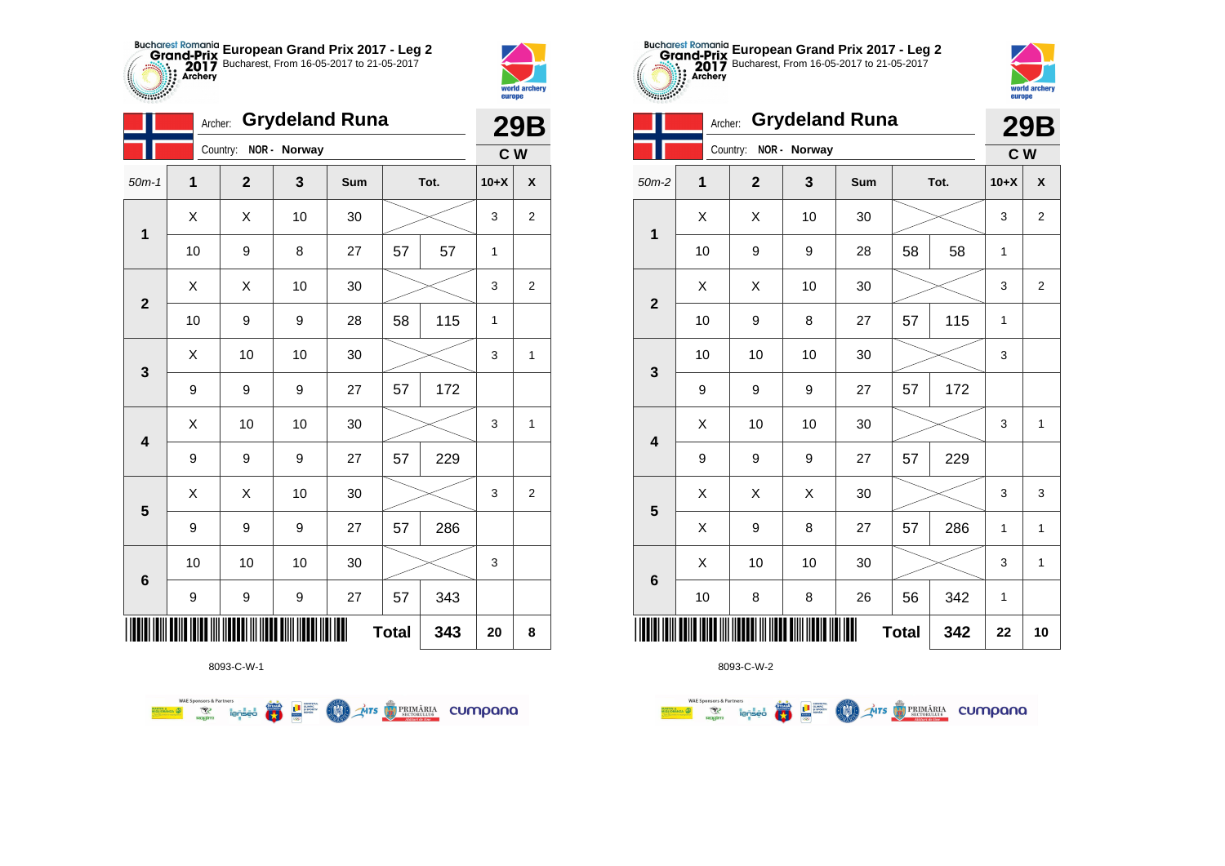



|                         |              | <b>Grydeland Runa</b><br>Archer: |              |     |              |      |              |                  |
|-------------------------|--------------|----------------------------------|--------------|-----|--------------|------|--------------|------------------|
|                         |              | Country:                         | NOR - Norway |     |              |      | C W          |                  |
| $50m-1$                 | $\mathbf{1}$ | $\mathbf{2}$                     | 3            | Sum |              | Tot. | $10+X$       | X                |
| $\mathbf 1$             | X            | X                                | 10           | 30  |              |      | 3            | $\boldsymbol{2}$ |
|                         | 10           | 9                                | 8            | 27  | 57           | 57   | $\mathbf{1}$ |                  |
| $\overline{2}$          | X            | Χ                                | 10           | 30  |              |      | 3            | $\overline{c}$   |
|                         | 10           | 9                                | 9            | 28  | 58           | 115  | $\mathbf{1}$ |                  |
| 3                       | X            | 10                               | 10           | 30  |              |      | 3            | 1                |
|                         | 9            | 9                                | 9            | 27  | 57           | 172  |              |                  |
| $\overline{\mathbf{4}}$ | Χ            | 10                               | 10           | 30  |              |      | 3            | 1                |
|                         | 9            | 9                                | 9            | 27  | 57           | 229  |              |                  |
| 5                       | X            | X                                | 10           | 30  |              |      | 3            | $\overline{c}$   |
|                         | 9            | 9                                | 9            | 27  | 57           | 286  |              |                  |
| $6\phantom{1}6$         | 10           | 10                               | 10           | 30  |              |      | 3            |                  |
|                         | 9            | 9                                | 9            | 27  | 57           | 343  |              |                  |
|                         |              |                                  |              | Ш   | <b>Total</b> | 343  | 20           | 8                |

**THE STRIMARIA CUMPANA** 



赢

**THE SUPPRE** 

COO .

**WAE Sponsors & Partners** 



8093-C-W-2

|    | ▴  | ◡                | uuu |                                                                | .טנ          | אדט ו       | $\mathbf{v}$            |
|----|----|------------------|-----|----------------------------------------------------------------|--------------|-------------|-------------------------|
| Χ  | Χ  | 10               | 30  |                                                                |              | 3           | $\sqrt{2}$              |
| 10 | 9  | 9                | 28  | 58                                                             | 58           | $\mathbf 1$ |                         |
| X  | X  | 10               | 30  |                                                                |              | 3           | $\overline{\mathbf{c}}$ |
| 10 | 9  | 8                | 27  | 57                                                             | 115          | 1           |                         |
| 10 | 10 | 10               | 30  |                                                                |              | 3           |                         |
| 9  | 9  | 9                | 27  | 57                                                             | 172          |             |                         |
| Χ  | 10 | 10               | 30  |                                                                |              | $\mathsf 3$ | $\mathbf{1}$            |
| 9  | 9  | $\boldsymbol{9}$ | 27  | 57                                                             | 229          |             |                         |
| X  | Χ  | Χ                | 30  |                                                                |              | 3           | 3                       |
| X  | 9  | 8                | 27  | 57                                                             | 286          | 1           | $\mathbf{1}$            |
| X  | 10 | 10               | 30  |                                                                |              | 3           | $\mathbf{1}$            |
| 10 | 8  | 8                | 26  | 56                                                             | 342          | $\mathbf 1$ |                         |
|    |    |                  |     |                                                                | 342          | 22          | 10                      |
|    |    |                  |     | <u> Anii Aanii 1000 in ilaada in ilaad ahn ilaala ila ilah</u> | <b>Total</b> |             |                         |



**29B**

|                         |             | Country:     | NOR - Norway |     |              |      | C W    |                         |
|-------------------------|-------------|--------------|--------------|-----|--------------|------|--------|-------------------------|
| $50m-2$                 | $\mathbf 1$ | $\mathbf{2}$ | 3            | Sum |              | Tot. | $10+X$ | X                       |
| $\mathbf 1$             | X           | X            | 10           | 30  |              |      | 3      | $\overline{\mathbf{c}}$ |
|                         | 10          | 9            | 9            | 28  | 58           | 58   | 1      |                         |
| $\mathbf{2}$            | X           | X            | 10           | 30  |              |      | 3      | 2                       |
|                         | 10          | 9            | 8            | 27  | 57           | 115  | 1      |                         |
| $\mathbf{3}$            | 10          | 10           | 10           | 30  |              |      | 3      |                         |
|                         | 9           | 9            | 9            | 27  | 57           | 172  |        |                         |
| $\overline{\mathbf{4}}$ | X           | 10           | 10           | 30  |              |      | 3      | $\mathbf{1}$            |
|                         | 9           | 9            | 9            | 27  | 57           | 229  |        |                         |
| $5\phantom{1}$          | X           | X            | Χ            | 30  |              |      | 3      | 3                       |
|                         | Χ           | 9            | 8            | 27  | 57           | 286  | 1      | 1                       |
| $\bf 6$                 | X           | 10           | 10           | 30  |              |      | 3      | $\mathbf{1}$            |
|                         | 10          | 8            | 8            | 26  | 56           | 342  | 1      |                         |
|                         |             |              |              | Ⅲ   | <b>Total</b> | 342  | 22     | 10                      |

**European Grand Prix 2017 - Leg 2** Bucharest, From 16-05-2017 to 21-05-2017

Archer: **Grydeland Runa**